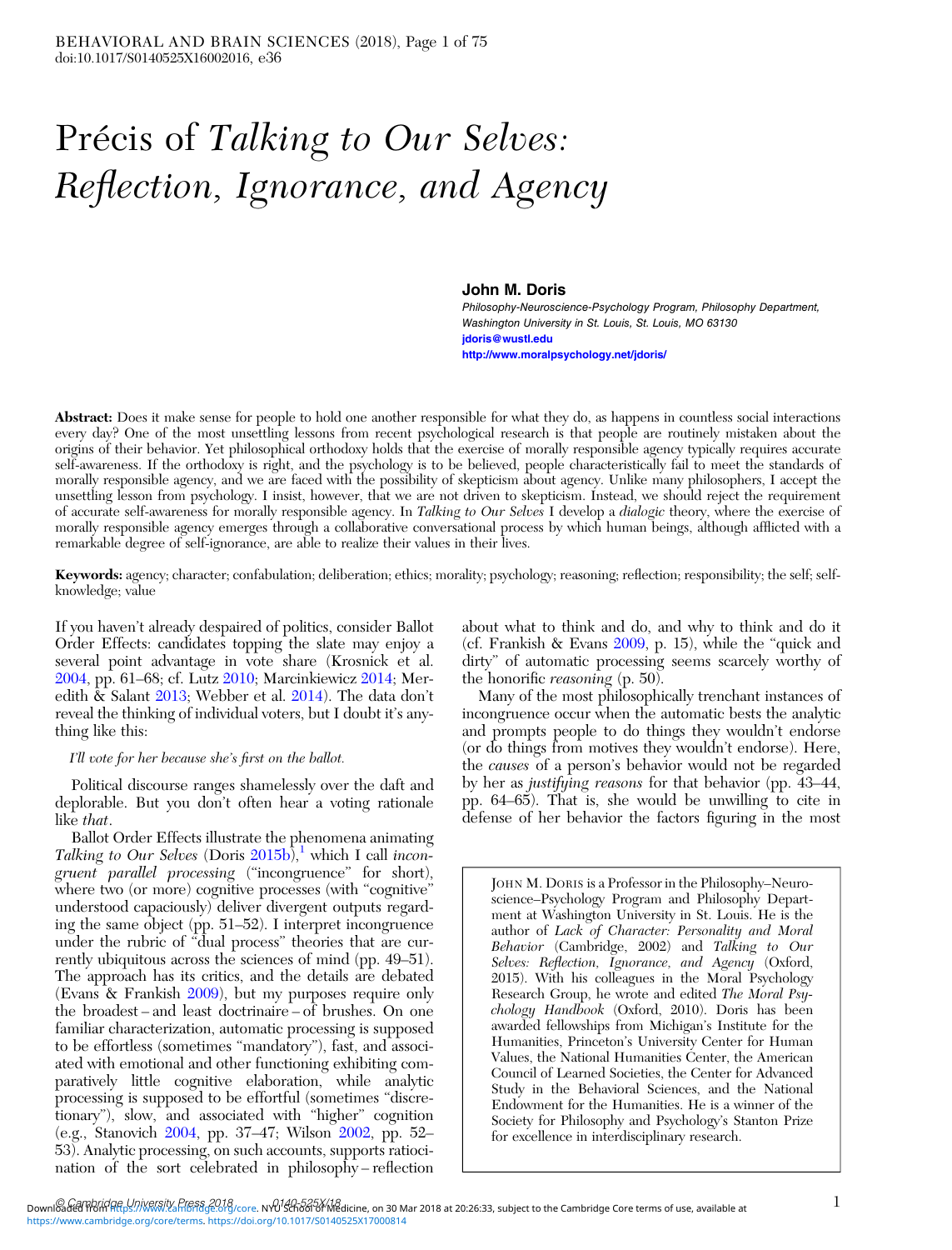# <span id="page-0-0"></span>Précis of Talking to Our Selves: Reflection, Ignorance, and Agency

John M. Doris

Philosophy-Neuroscience-Psychology Program, Philosophy Department, Washington University in St. Louis, St. Louis, MO 63130 [jdoris@wustl.edu](mailto:jdoris@wustl.edu) <http://www.moralpsychology.net/jdoris/>

Abstract: Does it make sense for people to hold one another responsible for what they do, as happens in countless social interactions every day? One of the most unsettling lessons from recent psychological research is that people are routinely mistaken about the origins of their behavior. Yet philosophical orthodoxy holds that the exercise of morally responsible agency typically requires accurate self-awareness. If the orthodoxy is right, and the psychology is to be believed, people characteristically fail to meet the standards of morally responsible agency, and we are faced with the possibility of skepticism about agency. Unlike many philosophers, I accept the unsettling lesson from psychology. I insist, however, that we are not driven to skepticism. Instead, we should reject the requirement of accurate self-awareness for morally responsible agency. In Talking to Our Selves I develop a dialogic theory, where the exercise of morally responsible agency emerges through a collaborative conversational process by which human beings, although afflicted with a remarkable degree of self-ignorance, are able to realize their values in their lives.

Keywords: agency; character; confabulation; deliberation; ethics; morality; psychology; reasoning; reflection; responsibility; the self; selfknowledge; value

If you haven't already despaired of politics, consider Ballot Order Effects: candidates topping the slate may enjoy a several point advantage in vote share (Krosnick et al. [2004,](#page-70-0) pp. 61–68; cf. Lutz [2010](#page-70-0); Marcinkiewicz [2014;](#page-70-0) Mer-edith & Salant [2013](#page-71-0); Webber et al. [2014\)](#page-74-0). The data don't reveal the thinking of individual voters, but I doubt it's anything like this:

#### I'll vote for her because she's first on the ballot.

Political discourse ranges shamelessly over the daft and deplorable. But you don't often hear a voting rationale like that.

Ballot Order Effects illustrate the phenomena animating Talking to Our Selves (Doris  $2015b$ ),<sup>[1](#page-11-0)</sup> which I call incongruent parallel processing ("incongruence" for short), where two (or more) cognitive processes (with "cognitive" understood capaciously) deliver divergent outputs regarding the same object (pp. 51–52). I interpret incongruence under the rubric of "dual process" theories that are currently ubiquitous across the sciences of mind (pp. 49–51). The approach has its critics, and the details are debated (Evans & Frankish [2009\)](#page-68-0), but my purposes require only the broadest – and least doctrinaire – of brushes. On one familiar characterization, automatic processing is supposed to be effortless (sometimes "mandatory"), fast, and associated with emotional and other functioning exhibiting comparatively little cognitive elaboration, while analytic processing is supposed to be effortful (sometimes "discretionary"), slow, and associated with "higher" cognition (e.g., Stanovich [2004](#page-73-0), pp. 37–47; Wilson [2002,](#page-74-0) pp. 52– 53). Analytic processing, on such accounts, supports ratiocination of the sort celebrated in philosophy – reflection about what to think and do, and why to think and do it (cf. Frankish & Evans [2009,](#page-68-0) p. 15), while the "quick and dirty" of automatic processing seems scarcely worthy of the honorific *reasoning* (p. 50).

Many of the most philosophically trenchant instances of incongruence occur when the automatic bests the analytic and prompts people to do things they wouldn't endorse (or do things from motives they wouldn't endorse). Here, the causes of a person's behavior would not be regarded by her as justifying reasons for that behavior (pp. 43–44, pp. 64–65). That is, she would be unwilling to cite in defense of her behavior the factors figuring in the most

JOHN M. DORIS is a Professor in the Philosophy–Neuroscience–Psychology Program and Philosophy Department at Washington University in St. Louis. He is the author of Lack of Character: Personality and Moral Behavior (Cambridge, 2002) and Talking to Our Selves: Reflection, Ignorance, and Agency (Oxford, 2015). With his colleagues in the Moral Psychology Research Group, he wrote and edited The Moral Psychology Handbook (Oxford, 2010). Doris has been awarded fellowships from Michigan's Institute for the Humanities, Princeton's University Center for Human Values, the National Humanities Center, the American Council of Learned Societies, the Center for Advanced Study in the Behavioral Sciences, and the National Endowment for the Humanities. He is a winner of the Society for Philosophy and Psychology's Stanton Prize for excellence in interdisciplinary research.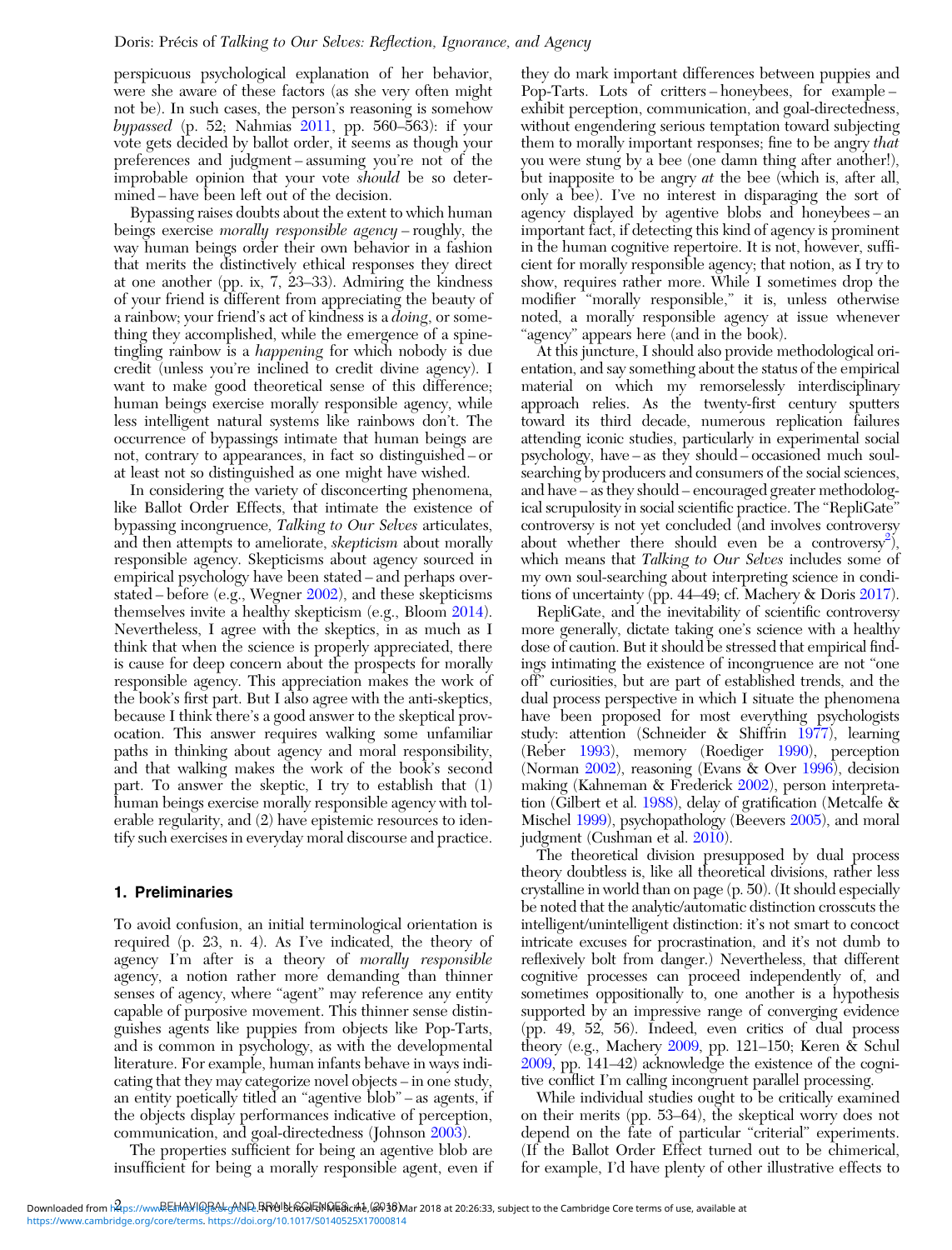perspicuous psychological explanation of her behavior, were she aware of these factors (as she very often might not be). In such cases, the person's reasoning is somehow bypassed (p. 52; Nahmias [2011](#page-71-0), pp. 560–563): if your vote gets decided by ballot order, it seems as though your preferences and judgment – assuming you're not of the improbable opinion that your vote should be so determined – have been left out of the decision.

Bypassing raises doubts about the extent to which human beings exercise morally responsible agency – roughly, the way human beings order their own behavior in a fashion that merits the distinctively ethical responses they direct at one another (pp. ix, 7, 23–33). Admiring the kindness of your friend is different from appreciating the beauty of a rainbow; your friend's act of kindness is a *doing*, or something they accomplished, while the emergence of a spinetingling rainbow is a happening for which nobody is due credit (unless you're inclined to credit divine agency). I want to make good theoretical sense of this difference; human beings exercise morally responsible agency, while less intelligent natural systems like rainbows don't. The occurrence of bypassings intimate that human beings are not, contrary to appearances, in fact so distinguished – or at least not so distinguished as one might have wished.

In considering the variety of disconcerting phenomena, like Ballot Order Effects, that intimate the existence of bypassing incongruence, Talking to Our Selves articulates, and then attempts to ameliorate, skepticism about morally responsible agency. Skepticisms about agency sourced in empirical psychology have been stated – and perhaps overstated – before (e.g., Wegner [2002](#page-74-0)), and these skepticisms themselves invite a healthy skepticism (e.g., Bloom [2014\)](#page-66-0). Nevertheless, I agree with the skeptics, in as much as I think that when the science is properly appreciated, there is cause for deep concern about the prospects for morally responsible agency. This appreciation makes the work of the book's first part. But I also agree with the anti-skeptics, because I think there's a good answer to the skeptical provocation. This answer requires walking some unfamiliar paths in thinking about agency and moral responsibility, and that walking makes the work of the book's second part. To answer the skeptic, I try to establish that (1) human beings exercise morally responsible agency with tolerable regularity, and (2) have epistemic resources to identify such exercises in everyday moral discourse and practice.

## 1. Preliminaries

To avoid confusion, an initial terminological orientation is required (p. 23, n. 4). As I've indicated, the theory of agency I'm after is a theory of morally responsible agency, a notion rather more demanding than thinner senses of agency, where "agent" may reference any entity capable of purposive movement. This thinner sense distinguishes agents like puppies from objects like Pop-Tarts, and is common in psychology, as with the developmental literature. For example, human infants behave in ways indicating that they may categorize novel objects – in one study, an entity poetically titled an "agentive blob" – as agents, if the objects display performances indicative of perception, communication, and goal-directedness (Johnson [2003\)](#page-69-0).

The properties sufficient for being an agentive blob are insufficient for being a morally responsible agent, even if

they do mark important differences between puppies and Pop-Tarts. Lots of critters – honeybees, for example – exhibit perception, communication, and goal-directedness, without engendering serious temptation toward subjecting them to morally important responses; fine to be angry that you were stung by a bee (one damn thing after another!), but inapposite to be angry *at* the bee (which is, after all, only a bee). I've no interest in disparaging the sort of agency displayed by agentive blobs and honeybees – an important fact, if detecting this kind of agency is prominent in the human cognitive repertoire. It is not, however, sufficient for morally responsible agency; that notion, as I try to show, requires rather more. While I sometimes drop the modifier "morally responsible," it is, unless otherwise noted, a morally responsible agency at issue whenever "agency" appears here (and in the book).

At this juncture, I should also provide methodological orientation, and say something about the status of the empirical material on which my remorselessly interdisciplinary approach relies. As the twenty-first century sputters toward its third decade, numerous replication failures attending iconic studies, particularly in experimental social psychology, have – as they should – occasioned much soulsearching by producers and consumers of the social sciences, and have – as they should – encouraged greater methodological scrupulosity in social scientific practice. The "RepliGate" controversy is not yet concluded (and involves controversy about whether there should even be a controversy<sup>2</sup>), which means that Talking to Our Selves includes some of my own soul-searching about interpreting science in conditions of uncertainty (pp. 44–49; cf. Machery & Doris [2017\)](#page-70-0).

RepliGate, and the inevitability of scientific controversy more generally, dictate taking one's science with a healthy dose of caution. But it should be stressed that empirical findings intimating the existence of incongruence are not "one off" curiosities, but are part of established trends, and the dual process perspective in which I situate the phenomena have been proposed for most everything psychologists study: attention (Schneider & Shiffrin [1977](#page-72-0)), learning (Reber [1993\)](#page-72-0), memory (Roediger [1990](#page-72-0)), perception (Norman [2002\)](#page-71-0), reasoning (Evans & Over [1996](#page-68-0)), decision making (Kahneman & Frederick [2002](#page-69-0)), person interpretation (Gilbert et al. [1988\)](#page-68-0), delay of gratification (Metcalfe & Mischel [1999\)](#page-71-0), psychopathology (Beevers [2005\)](#page-66-0), and moral judgment (Cushman et al. [2010\)](#page-67-0).

The theoretical division presupposed by dual process theory doubtless is, like all theoretical divisions, rather less crystalline in world than on page (p. 50). (It should especially be noted that the analytic/automatic distinction crosscuts the intelligent/unintelligent distinction: it's not smart to concoct intricate excuses for procrastination, and it's not dumb to reflexively bolt from danger.) Nevertheless, that different cognitive processes can proceed independently of, and sometimes oppositionally to, one another is a hypothesis supported by an impressive range of converging evidence (pp. 49, 52, 56). Indeed, even critics of dual process theory (e.g., Machery [2009,](#page-70-0) pp. 121–150; Keren & Schul [2009,](#page-69-0) pp. 141–42) acknowledge the existence of the cognitive conflict I'm calling incongruent parallel processing.

While individual studies ought to be critically examined on their merits (pp. 53–64), the skeptical worry does not depend on the fate of particular "criterial" experiments. (If the Ballot Order Effect turned out to be chimerical, for example, I'd have plenty of other illustrative effects to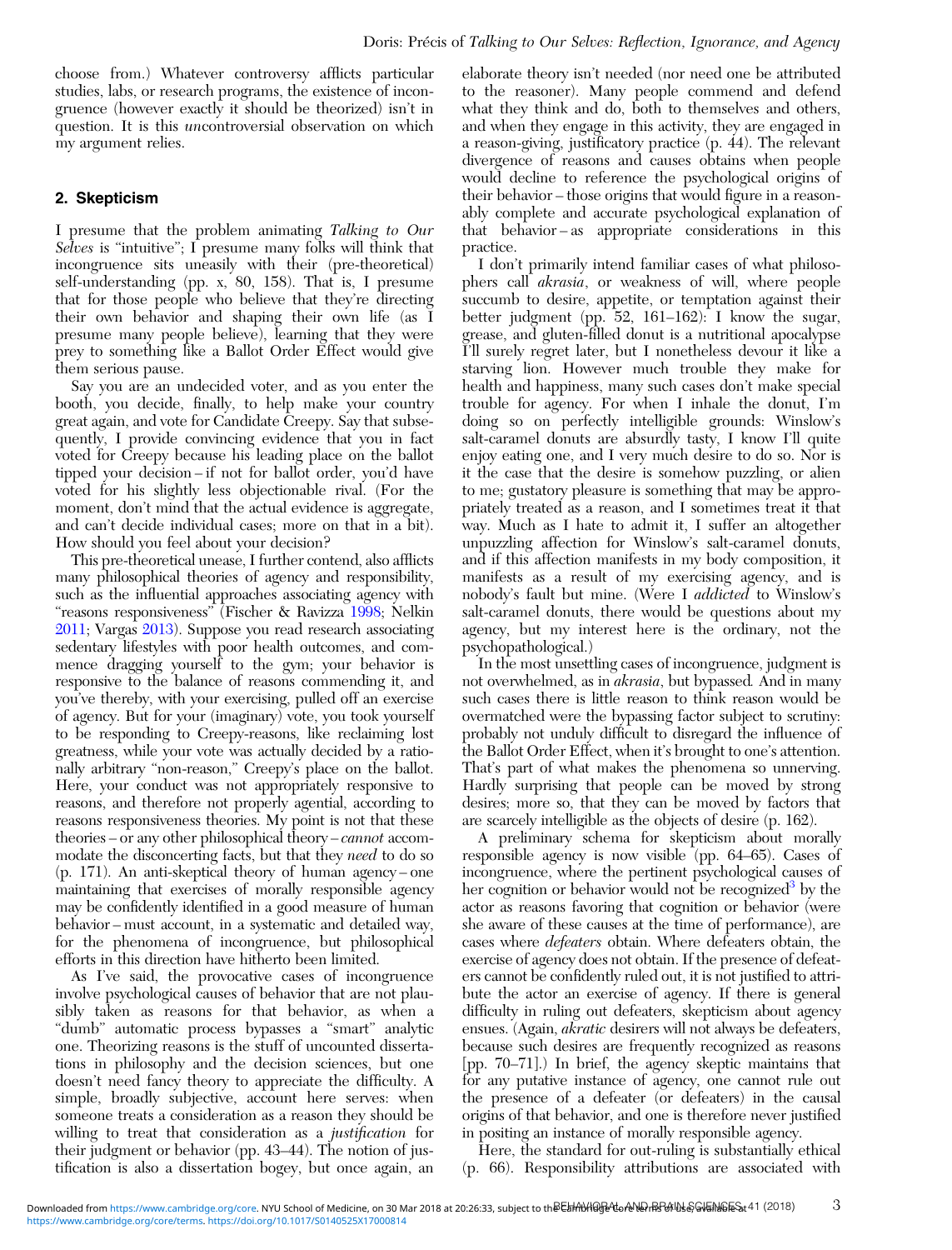choose from.) Whatever controversy afflicts particular studies, labs, or research programs, the existence of incongruence (however exactly it should be theorized) isn't in question. It is this uncontroversial observation on which my argument relies.

## 2. Skepticism

I presume that the problem animating Talking to Our Selves is "intuitive"; I presume many folks will think that incongruence sits uneasily with their (pre-theoretical) self-understanding (pp. x, 80, 158). That is, I presume that for those people who believe that they're directing their own behavior and shaping their own life (as I presume many people believe), learning that they were prey to something like a Ballot Order Effect would give them serious pause.

Say you are an undecided voter, and as you enter the booth, you decide, finally, to help make your country great again, and vote for Candidate Creepy. Say that subsequently, I provide convincing evidence that you in fact voted for Creepy because his leading place on the ballot tipped your decision – if not for ballot order, you'd have voted for his slightly less objectionable rival. (For the moment, don't mind that the actual evidence is aggregate, and can't decide individual cases; more on that in a bit). How should you feel about your decision?

This pre-theoretical unease, I further contend, also afflicts many philosophical theories of agency and responsibility, such as the influential approaches associating agency with "reasons responsiveness" (Fischer & Ravizza [1998;](#page-68-0) Nelkin [2011;](#page-71-0) Vargas [2013\)](#page-73-0). Suppose you read research associating sedentary lifestyles with poor health outcomes, and commence dragging yourself to the gym; your behavior is responsive to the balance of reasons commending it, and you've thereby, with your exercising, pulled off an exercise of agency. But for your (imaginary) vote, you took yourself to be responding to Creepy-reasons, like reclaiming lost greatness, while your vote was actually decided by a rationally arbitrary "non-reason," Creepy's place on the ballot. Here, your conduct was not appropriately responsive to reasons, and therefore not properly agential, according to reasons responsiveness theories. My point is not that these theories – or any other philosophical theory – cannot accommodate the disconcerting facts, but that they need to do so (p. 171). An anti-skeptical theory of human agency – one maintaining that exercises of morally responsible agency may be confidently identified in a good measure of human behavior – must account, in a systematic and detailed way, for the phenomena of incongruence, but philosophical efforts in this direction have hitherto been limited.

As I've said, the provocative cases of incongruence involve psychological causes of behavior that are not plausibly taken as reasons for that behavior, as when a "dumb" automatic process bypasses a "smart" analytic one. Theorizing reasons is the stuff of uncounted dissertations in philosophy and the decision sciences, but one doesn't need fancy theory to appreciate the difficulty. A simple, broadly subjective, account here serves: when someone treats a consideration as a reason they should be willing to treat that consideration as a *justification* for their judgment or behavior (pp. 43–44). The notion of justification is also a dissertation bogey, but once again, an

elaborate theory isn't needed (nor need one be attributed to the reasoner). Many people commend and defend what they think and do, both to themselves and others, and when they engage in this activity, they are engaged in a reason-giving, justificatory practice (p. 44). The relevant divergence of reasons and causes obtains when people would decline to reference the psychological origins of their behavior – those origins that would figure in a reasonably complete and accurate psychological explanation of that behavior – as appropriate considerations in this practice.

I don't primarily intend familiar cases of what philosophers call akrasia, or weakness of will, where people succumb to desire, appetite, or temptation against their better judgment (pp. 52, 161–162): I know the sugar, grease, and gluten-filled donut is a nutritional apocalypse I'll surely regret later, but I nonetheless devour it like a starving lion. However much trouble they make for health and happiness, many such cases don't make special trouble for agency. For when I inhale the donut, I'm doing so on perfectly intelligible grounds: Winslow's salt-caramel donuts are absurdly tasty, I know I'll quite enjoy eating one, and I very much desire to do so. Nor is it the case that the desire is somehow puzzling, or alien to me; gustatory pleasure is something that may be appropriately treated as a reason, and I sometimes treat it that way. Much as I hate to admit it, I suffer an altogether unpuzzling affection for Winslow's salt-caramel donuts, and if this affection manifests in my body composition, it manifests as a result of my exercising agency, and is nobody's fault but mine. (Were I addicted to Winslow's salt-caramel donuts, there would be questions about my agency, but my interest here is the ordinary, not the psychopathological.)

In the most unsettling cases of incongruence, judgment is not overwhelmed, as in *akrasia*, but bypassed. And in many such cases there is little reason to think reason would be overmatched were the bypassing factor subject to scrutiny: probably not unduly difficult to disregard the influence of the Ballot Order Effect, when it's brought to one's attention. That's part of what makes the phenomena so unnerving. Hardly surprising that people can be moved by strong desires; more so, that they can be moved by factors that are scarcely intelligible as the objects of desire (p. 162).

A preliminary schema for skepticism about morally responsible agency is now visible (pp. 64–65). Cases of incongruence, where the pertinent psychological causes of her cognition or behavior would not be recognized<sup>3</sup> by the actor as reasons favoring that cognition or behavior (were she aware of these causes at the time of performance), are cases where defeaters obtain. Where defeaters obtain, the exercise of agency does not obtain. If the presence of defeaters cannot be confidently ruled out, it is not justified to attribute the actor an exercise of agency. If there is general difficulty in ruling out defeaters, skepticism about agency ensues. (Again, akratic desirers will not always be defeaters, because such desires are frequently recognized as reasons [pp. 70–71].) In brief, the agency skeptic maintains that for any putative instance of agency, one cannot rule out the presence of a defeater (or defeaters) in the causal origins of that behavior, and one is therefore never justified in positing an instance of morally responsible agency.

Here, the standard for out-ruling is substantially ethical (p. 66). Responsibility attributions are associated with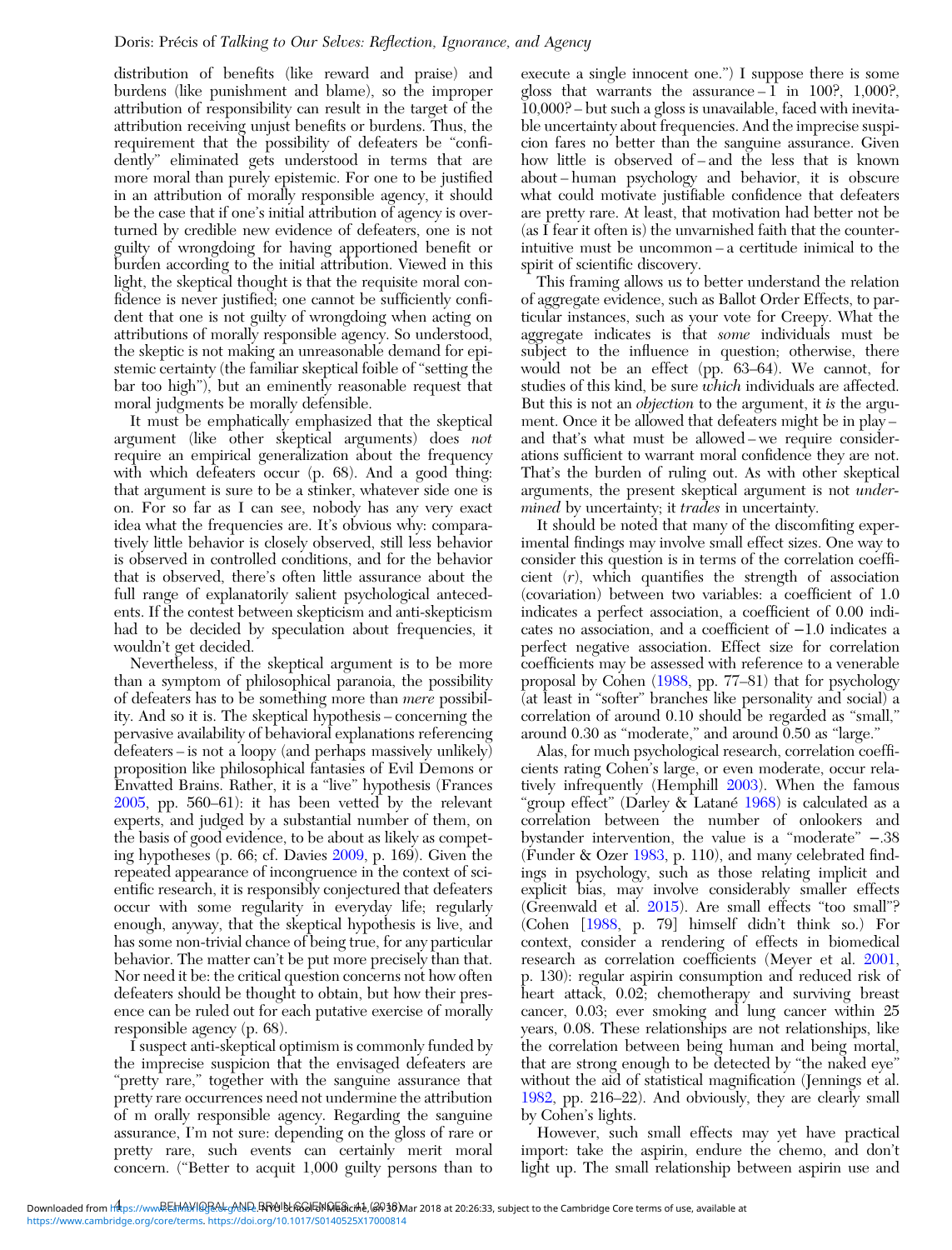distribution of benefits (like reward and praise) and burdens (like punishment and blame), so the improper attribution of responsibility can result in the target of the attribution receiving unjust benefits or burdens. Thus, the requirement that the possibility of defeaters be "confidently" eliminated gets understood in terms that are more moral than purely epistemic. For one to be justified in an attribution of morally responsible agency, it should be the case that if one's initial attribution of agency is overturned by credible new evidence of defeaters, one is not guilty of wrongdoing for having apportioned benefit or burden according to the initial attribution. Viewed in this light, the skeptical thought is that the requisite moral confidence is never justified; one cannot be sufficiently confident that one is not guilty of wrongdoing when acting on attributions of morally responsible agency. So understood, the skeptic is not making an unreasonable demand for epistemic certainty (the familiar skeptical foible of "setting the bar too high"), but an eminently reasonable request that moral judgments be morally defensible.

It must be emphatically emphasized that the skeptical argument (like other skeptical arguments) does not require an empirical generalization about the frequency with which defeaters occur (p. 68). And a good thing: that argument is sure to be a stinker, whatever side one is on. For so far as I can see, nobody has any very exact idea what the frequencies are. It's obvious why: comparatively little behavior is closely observed, still less behavior is observed in controlled conditions, and for the behavior that is observed, there's often little assurance about the full range of explanatorily salient psychological antecedents. If the contest between skepticism and anti-skepticism had to be decided by speculation about frequencies, it wouldn't get decided.

Nevertheless, if the skeptical argument is to be more than a symptom of philosophical paranoia, the possibility of defeaters has to be something more than mere possibility. And so it is. The skeptical hypothesis – concerning the pervasive availability of behavioral explanations referencing defeaters – is not a loopy (and perhaps massively unlikely) proposition like philosophical fantasies of Evil Demons or Envatted Brains. Rather, it is a "live" hypothesis (Frances [2005](#page-68-0), pp. 560–61): it has been vetted by the relevant experts, and judged by a substantial number of them, on the basis of good evidence, to be about as likely as competing hypotheses (p. 66; cf. Davies [2009,](#page-67-0) p. 169). Given the repeated appearance of incongruence in the context of scientific research, it is responsibly conjectured that defeaters occur with some regularity in everyday life; regularly enough, anyway, that the skeptical hypothesis is live, and has some non-trivial chance of being true, for any particular behavior. The matter can't be put more precisely than that. Nor need it be: the critical question concerns not how often defeaters should be thought to obtain, but how their presence can be ruled out for each putative exercise of morally responsible agency (p. 68).

I suspect anti-skeptical optimism is commonly funded by the imprecise suspicion that the envisaged defeaters are "pretty rare," together with the sanguine assurance that pretty rare occurrences need not undermine the attribution of m orally responsible agency. Regarding the sanguine assurance, I'm not sure: depending on the gloss of rare or pretty rare, such events can certainly merit moral concern. ("Better to acquit 1,000 guilty persons than to execute a single innocent one.") I suppose there is some gloss that warrants the assurance  $-\hat{1}$  in 100?, 1,000?, 10,000? – but such a gloss is unavailable, faced with inevitable uncertainty about frequencies. And the imprecise suspicion fares no better than the sanguine assurance. Given how little is observed of – and the less that is known about – human psychology and behavior, it is obscure what could motivate justifiable confidence that defeaters are pretty rare. At least, that motivation had better not be (as I fear it often is) the unvarnished faith that the counterintuitive must be uncommon – a certitude inimical to the spirit of scientific discovery.

This framing allows us to better understand the relation of aggregate evidence, such as Ballot Order Effects, to particular instances, such as your vote for Creepy. What the aggregate indicates is that some individuals must be subject to the influence in question; otherwise, there would not be an effect (pp. 63–64). We cannot, for studies of this kind, be sure which individuals are affected. But this is not an *objection* to the argument, it is the argument. Once it be allowed that defeaters might be in play – and that's what must be allowed – we require considerations sufficient to warrant moral confidence they are not. That's the burden of ruling out. As with other skeptical arguments, the present skeptical argument is not undermined by uncertainty; it *trades* in uncertainty.

It should be noted that many of the discomfiting experimental findings may involve small effect sizes. One way to consider this question is in terms of the correlation coefficient  $(r)$ , which quantifies the strength of association (covariation) between two variables: a coefficient of 1.0 indicates a perfect association, a coefficient of 0.00 indicates no association, and a coefficient of −1.0 indicates a perfect negative association. Effect size for correlation coefficients may be assessed with reference to a venerable proposal by Cohen [\(1988](#page-67-0), pp. 77–81) that for psychology (at least in "softer" branches like personality and social) a correlation of around 0.10 should be regarded as "small," around 0.30 as "moderate," and around 0.50 as "large."

Alas, for much psychological research, correlation coefficients rating Cohen's large, or even moderate, occur relatively infrequently (Hemphill [2003\)](#page-69-0). When the famous "group effect" (Darley & Latané [1968\)](#page-67-0) is calculated as a correlation between the number of onlookers and bystander intervention, the value is a "moderate" −.38 (Funder & Ozer [1983](#page-68-0), p. 110), and many celebrated findings in psychology, such as those relating implicit and explicit bias, may involve considerably smaller effects (Greenwald et al. [2015\)](#page-69-0). Are small effects "too small"? (Cohen [\[1988](#page-67-0), p. 79] himself didn't think so.) For context, consider a rendering of effects in biomedical research as correlation coefficients (Meyer et al. [2001,](#page-71-0) p. 130): regular aspirin consumption and reduced risk of heart attack, 0.02; chemotherapy and surviving breast cancer, 0.03; ever smoking and lung cancer within 25 years, 0.08. These relationships are not relationships, like the correlation between being human and being mortal, that are strong enough to be detected by "the naked eye" without the aid of statistical magnification (Jennings et al. [1982](#page-69-0), pp. 216–22). And obviously, they are clearly small by Cohen's lights.

However, such small effects may yet have practical import: take the aspirin, endure the chemo, and don't light up. The small relationship between aspirin use and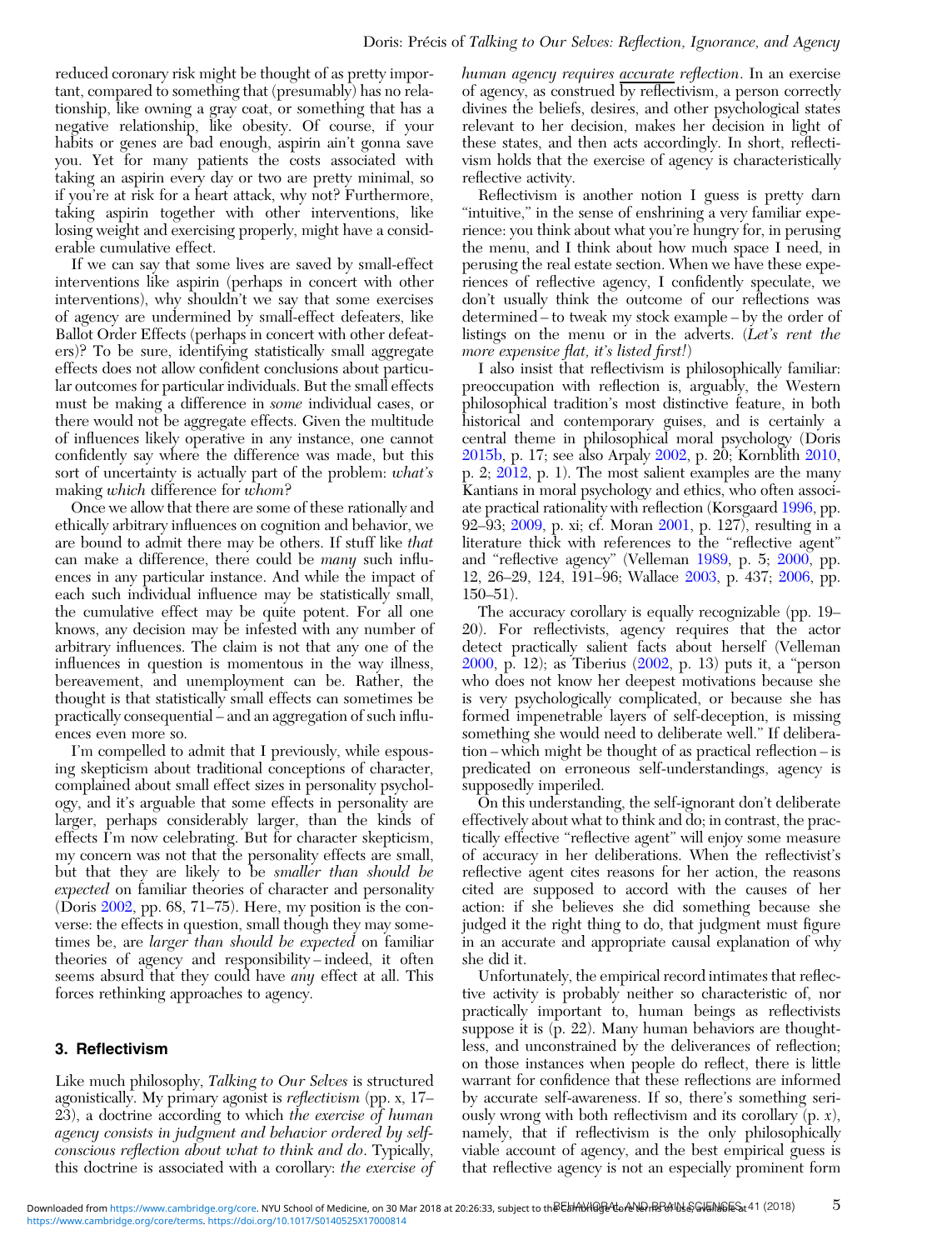reduced coronary risk might be thought of as pretty important, compared to something that (presumably) has no relationship, like owning a gray coat, or something that has a negative relationship, like obesity. Of course, if your habits or genes are bad enough, aspirin ain't gonna save you. Yet for many patients the costs associated with taking an aspirin every day or two are pretty minimal, so if you're at risk for a heart attack, why not? Furthermore, taking aspirin together with other interventions, like losing weight and exercising properly, might have a considerable cumulative effect.

If we can say that some lives are saved by small-effect interventions like aspirin (perhaps in concert with other interventions), why shouldn't we say that some exercises of agency are undermined by small-effect defeaters, like Ballot Order Effects (perhaps in concert with other defeaters)? To be sure, identifying statistically small aggregate effects does not allow confident conclusions about particular outcomes for particular individuals. But the small effects must be making a difference in some individual cases, or there would not be aggregate effects. Given the multitude of influences likely operative in any instance, one cannot confidently say where the difference was made, but this sort of uncertainty is actually part of the problem: *what's* making which difference for whom?

Once we allow that there are some of these rationally and ethically arbitrary influences on cognition and behavior, we are bound to admit there may be others. If stuff like that can make a difference, there could be many such influences in any particular instance. And while the impact of each such individual influence may be statistically small, the cumulative effect may be quite potent. For all one knows, any decision may be infested with any number of arbitrary influences. The claim is not that any one of the influences in question is momentous in the way illness, bereavement, and unemployment can be. Rather, the thought is that statistically small effects can sometimes be practically consequential – and an aggregation of such influences even more so.

I'm compelled to admit that I previously, while espousing skepticism about traditional conceptions of character, complained about small effect sizes in personality psychology, and it's arguable that some effects in personality are larger, perhaps considerably larger, than the kinds of effects I'm now celebrating. But for character skepticism, my concern was not that the personality effects are small, but that they are likely to be smaller than should be expected on familiar theories of character and personality (Doris [2002](#page-67-0), pp. 68, 71–75). Here, my position is the converse: the effects in question, small though they may sometimes be, are larger than should be expected on familiar theories of agency and responsibility – indeed, it often seems absurd that they could have *any* effect at all. This forces rethinking approaches to agency.

## 3. Reflectivism

Like much philosophy, Talking to Our Selves is structured agonistically. My primary agonist is reflectivism (pp. x, 17– 23), a doctrine according to which the exercise of human agency consists in judgment and behavior ordered by selfconscious reflection about what to think and do. Typically, this doctrine is associated with a corollary: the exercise of human agency requires accurate reflection. In an exercise of agency, as construed by reflectivism, a person correctly divines the beliefs, desires, and other psychological states relevant to her decision, makes her decision in light of these states, and then acts accordingly. In short, reflectivism holds that the exercise of agency is characteristically reflective activity.

Reflectivism is another notion I guess is pretty darn "intuitive," in the sense of enshrining a very familiar experience: you think about what you're hungry for, in perusing the menu, and I think about how much space I need, in perusing the real estate section. When we have these experiences of reflective agency, I confidently speculate, we don't usually think the outcome of our reflections was determined – to tweak my stock example – by the order of listings on the menu or in the adverts. (Let's rent the more expensive flat, it's listed first!)

I also insist that reflectivism is philosophically familiar: preoccupation with reflection is, arguably, the Western philosophical tradition's most distinctive feature, in both historical and contemporary guises, and is certainly a central theme in philosophical moral psychology (Doris [2015b](#page-67-0), p. 17; see also Arpaly [2002](#page-65-0), p. 20; Kornblith [2010](#page-70-0), p.  $2$ ;  $20\overline{12}$ , p. 1). The most salient examples are the many Kantians in moral psychology and ethics, who often associate practical rationality with reflection (Korsgaard [1996](#page-70-0), pp. 92–93; [2009,](#page-70-0) p. xi; cf. Moran [2001](#page-71-0), p. 127), resulting in a literature thick with references to the "reflective agent" and "reflective agency" (Velleman [1989](#page-73-0), p. 5; [2000,](#page-73-0) pp. 12, 26–29, 124, 191–96; Wallace [2003](#page-73-0), p. 437; [2006,](#page-73-0) pp. 150–51).

The accuracy corollary is equally recognizable (pp. 19– 20). For reflectivists, agency requires that the actor detect practically salient facts about herself (Velleman [2000,](#page-73-0) p. 12); as Tiberius [\(2002](#page-73-0), p. 13) puts it, a "person who does not know her deepest motivations because she is very psychologically complicated, or because she has formed impenetrable layers of self-deception, is missing something she would need to deliberate well." If deliberation – which might be thought of as practical reflection – is predicated on erroneous self-understandings, agency is supposedly imperiled.

On this understanding, the self-ignorant don't deliberate effectively about what to think and do; in contrast, the practically effective "reflective agent" will enjoy some measure of accuracy in her deliberations. When the reflectivist's reflective agent cites reasons for her action, the reasons cited are supposed to accord with the causes of her action: if she believes she did something because she judged it the right thing to do, that judgment must figure in an accurate and appropriate causal explanation of why she did it.

Unfortunately, the empirical record intimates that reflective activity is probably neither so characteristic of, nor practically important to, human beings as reflectivists suppose it is (p. 22). Many human behaviors are thoughtless, and unconstrained by the deliverances of reflection; on those instances when people do reflect, there is little warrant for confidence that these reflections are informed by accurate self-awareness. If so, there's something seriously wrong with both reflectivism and its corollary  $(p, x)$ , namely, that if reflectivism is the only philosophically viable account of agency, and the best empirical guess is that reflective agency is not an especially prominent form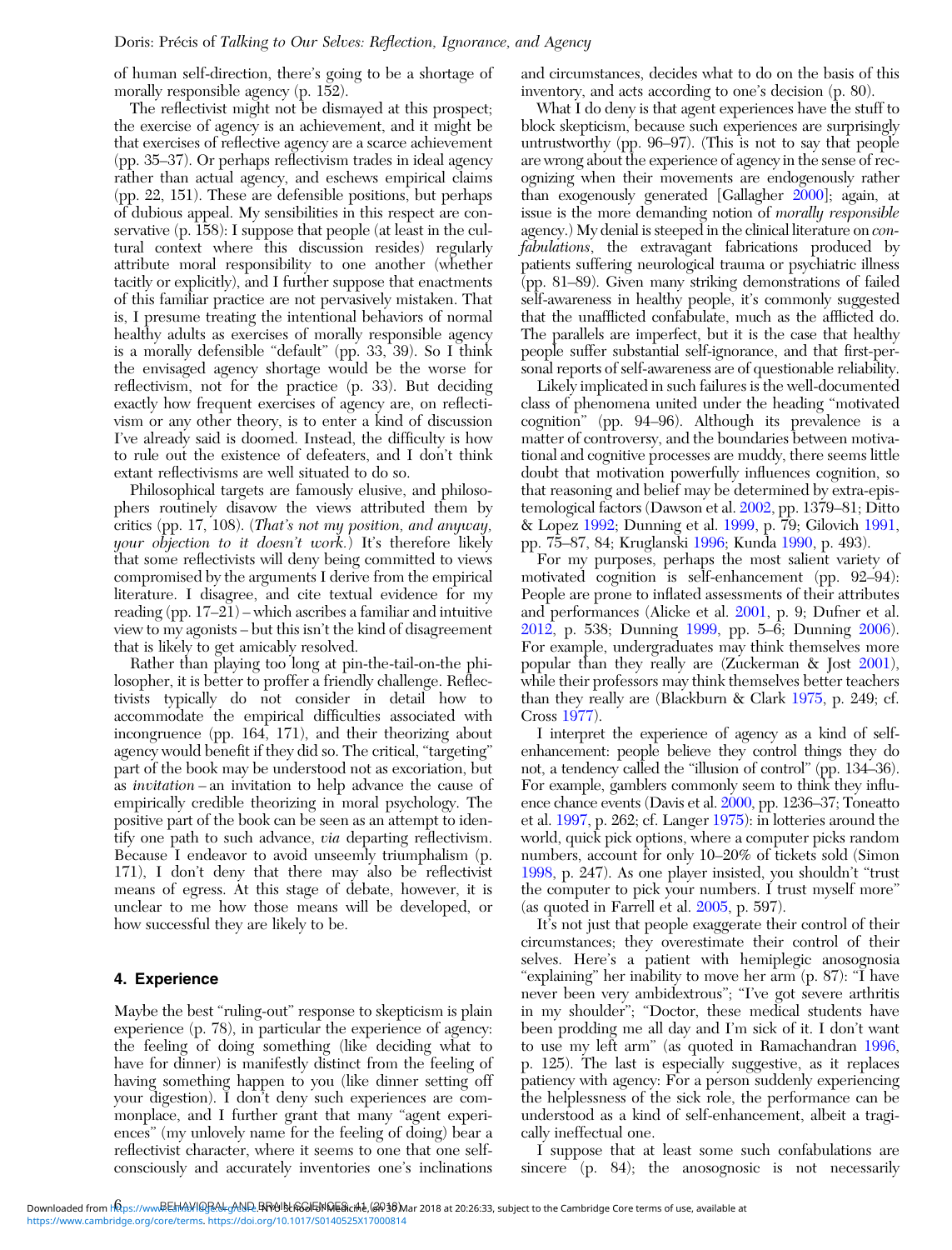of human self-direction, there's going to be a shortage of morally responsible agency (p. 152).

The reflectivist might not be dismayed at this prospect; the exercise of agency is an achievement, and it might be that exercises of reflective agency are a scarce achievement (pp. 35–37). Or perhaps reflectivism trades in ideal agency rather than actual agency, and eschews empirical claims (pp. 22, 151). These are defensible positions, but perhaps of dubious appeal. My sensibilities in this respect are conservative (p. 158): I suppose that people (at least in the cultural context where this discussion resides) regularly attribute moral responsibility to one another (whether tacitly or explicitly), and I further suppose that enactments of this familiar practice are not pervasively mistaken. That is, I presume treating the intentional behaviors of normal healthy adults as exercises of morally responsible agency is a morally defensible "default" (pp. 33, 39). So I think the envisaged agency shortage would be the worse for reflectivism, not for the practice (p. 33). But deciding exactly how frequent exercises of agency are, on reflectivism or any other theory, is to enter a kind of discussion I've already said is doomed. Instead, the difficulty is how to rule out the existence of defeaters, and I don't think extant reflectivisms are well situated to do so.

Philosophical targets are famously elusive, and philosophers routinely disavow the views attributed them by critics (pp. 17, 108). (That's not my position, and anyway, your objection to it doesn't work.) It's therefore likely that some reflectivists will deny being committed to views compromised by the arguments I derive from the empirical literature. I disagree, and cite textual evidence for my reading (pp. 17–21) – which ascribes a familiar and intuitive view to my agonists – but this isn't the kind of disagreement that is likely to get amicably resolved.

Rather than playing too long at pin-the-tail-on-the philosopher, it is better to proffer a friendly challenge. Reflectivists typically do not consider in detail how to accommodate the empirical difficulties associated with incongruence (pp. 164, 171), and their theorizing about agency would benefit if they did so. The critical, "targeting" part of the book may be understood not as excoriation, but as invitation – an invitation to help advance the cause of empirically credible theorizing in moral psychology. The positive part of the book can be seen as an attempt to identify one path to such advance, via departing reflectivism. Because I endeavor to avoid unseemly triumphalism (p. 171), I don't deny that there may also be reflectivist means of egress. At this stage of debate, however, it is unclear to me how those means will be developed, or how successful they are likely to be.

## 4. Experience

Maybe the best "ruling-out" response to skepticism is plain experience (p. 78), in particular the experience of agency: the feeling of doing something (like deciding what to have for dinner) is manifestly distinct from the feeling of having something happen to you (like dinner setting off your digestion). I don't deny such experiences are commonplace, and I further grant that many "agent experiences" (my unlovely name for the feeling of doing) bear a reflectivist character, where it seems to one that one selfconsciously and accurately inventories one's inclinations and circumstances, decides what to do on the basis of this inventory, and acts according to one's decision (p. 80).

What I do deny is that agent experiences have the stuff to block skepticism, because such experiences are surprisingly untrustworthy (pp. 96–97). (This is not to say that people are wrong about the experience of agency in the sense of recognizing when their movements are endogenously rather than exogenously generated [Gallagher [2000](#page-68-0)]; again, at issue is the more demanding notion of morally responsible agency.) My denial is steeped in the clinical literature on confabulations, the extravagant fabrications produced by patients suffering neurological trauma or psychiatric illness (pp. 81–89). Given many striking demonstrations of failed self-awareness in healthy people, it's commonly suggested that the unafflicted confabulate, much as the afflicted do. The parallels are imperfect, but it is the case that healthy people suffer substantial self-ignorance, and that first-personal reports of self-awareness are of questionable reliability.

Likely implicated in such failures is the well-documented class of phenomena united under the heading "motivated cognition" (pp. 94–96). Although its prevalence is a matter of controversy, and the boundaries between motivational and cognitive processes are muddy, there seems little doubt that motivation powerfully influences cognition, so that reasoning and belief may be determined by extra-epistemological factors (Dawson et al. [2002,](#page-67-0) pp. 1379–81; Ditto & Lopez [1992;](#page-67-0) Dunning et al. [1999,](#page-68-0) p. 79; Gilovich [1991,](#page-68-0) pp. 75–87, 84; Kruglanski [1996](#page-70-0); Kunda [1990](#page-70-0), p. 493).

For my purposes, perhaps the most salient variety of motivated cognition is self-enhancement (pp. 92–94): People are prone to inflated assessments of their attributes and performances (Alicke et al. [2001](#page-65-0), p. 9; Dufner et al. [2012](#page-67-0), p. 538; Dunning [1999,](#page-67-0) pp. 5–6; Dunning [2006\)](#page-67-0). For example, undergraduates may think themselves more popular than they really are (Zuckerman & Jost [2001\)](#page-74-0), while their professors may think themselves better teachers than they really are (Blackburn & Clark [1975,](#page-66-0) p. 249; cf. Cross [1977](#page-67-0)).

I interpret the experience of agency as a kind of selfenhancement: people believe they control things they do not, a tendency called the "illusion of control" (pp. 134–36). For example, gamblers commonly seem to think they influence chance events (Davis et al. [2000](#page-67-0), pp. 1236–37; Toneatto et al. [1997](#page-73-0), p. 262; cf. Langer [1975\)](#page-70-0): in lotteries around the world, quick pick options, where a computer picks random numbers, account for only 10–20% of tickets sold (Simon [1998](#page-72-0), p. 247). As one player insisted, you shouldn't "trust the computer to pick your numbers. I trust myself more" (as quoted in Farrell et al. [2005](#page-68-0), p. 597).

It's not just that people exaggerate their control of their circumstances; they overestimate their control of their selves. Here's a patient with hemiplegic anosognosia "explaining" her inability to move her arm (p. 87): "I have never been very ambidextrous"; "I've got severe arthritis in my shoulder"; "Doctor, these medical students have been prodding me all day and I'm sick of it. I don't want to use my left arm" (as quoted in Ramachandran [1996,](#page-72-0) p. 125). The last is especially suggestive, as it replaces patiency with agency: For a person suddenly experiencing the helplessness of the sick role, the performance can be understood as a kind of self-enhancement, albeit a tragically ineffectual one.

I suppose that at least some such confabulations are sincere (p. 84); the anosognosic is not necessarily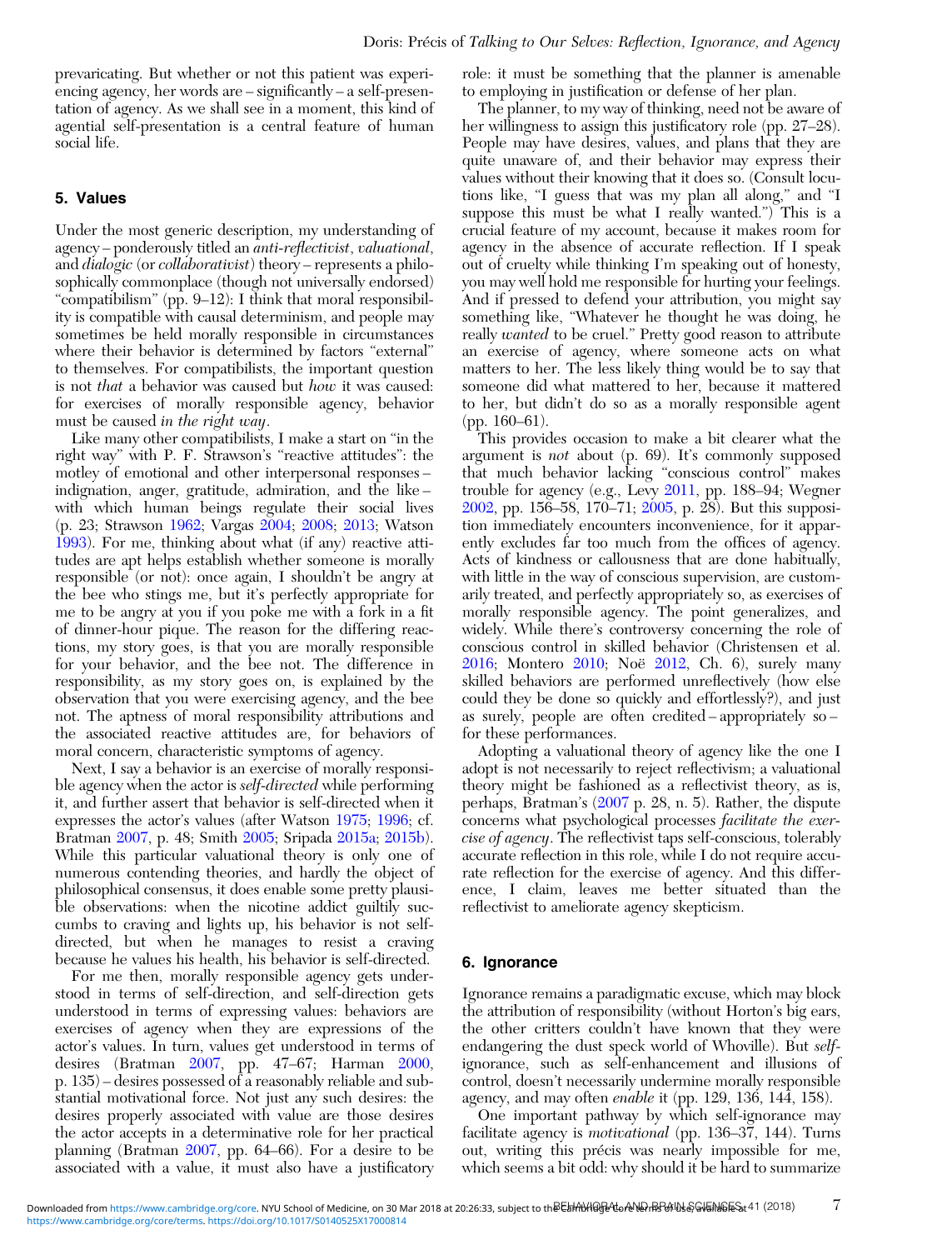prevaricating. But whether or not this patient was experiencing agency, her words are – significantly – a self-presentation of agency. As we shall see in a moment, this kind of agential self-presentation is a central feature of human social life.

## 5. Values

Under the most generic description, my understanding of agency – ponderously titled an anti-reflectivist, valuational, and dialogic (or collaborativist) theory – represents a philosophically commonplace (though not universally endorsed) "compatibilism" (pp. 9–12): I think that moral responsibility is compatible with causal determinism, and people may sometimes be held morally responsible in circumstances where their behavior is determined by factors "external" to themselves. For compatibilists, the important question is not that a behavior was caused but how it was caused: for exercises of morally responsible agency, behavior must be caused in the right way.

Like many other compatibilists, I make a start on "in the right way" with P. F. Strawson's "reactive attitudes": the motley of emotional and other interpersonal responses – indignation, anger, gratitude, admiration, and the like – with which human beings regulate their social lives (p. 23; Strawson [1962;](#page-73-0) Vargas [2004;](#page-73-0) [2008](#page-73-0); [2013;](#page-73-0) Watson [1993\)](#page-74-0). For me, thinking about what (if any) reactive attitudes are apt helps establish whether someone is morally responsible (or not): once again, I shouldn't be angry at the bee who stings me, but it's perfectly appropriate for me to be angry at you if you poke me with a fork in a fit of dinner-hour pique. The reason for the differing reactions, my story goes, is that you are morally responsible for your behavior, and the bee not. The difference in responsibility, as my story goes on, is explained by the observation that you were exercising agency, and the bee not. The aptness of moral responsibility attributions and the associated reactive attitudes are, for behaviors of moral concern, characteristic symptoms of agency.

Next, I say a behavior is an exercise of morally responsible agency when the actor is *self-directed* while performing it, and further assert that behavior is self-directed when it expresses the actor's values (after Watson [1975;](#page-74-0) [1996;](#page-74-0) cf. Bratman [2007,](#page-66-0) p. 48; Smith [2005;](#page-72-0) Sripada [2015a](#page-73-0); [2015b](#page-73-0)). While this particular valuational theory is only one of numerous contending theories, and hardly the object of philosophical consensus, it does enable some pretty plausible observations: when the nicotine addict guiltily succumbs to craving and lights up, his behavior is not selfdirected, but when he manages to resist a craving because he values his health, his behavior is self-directed.

For me then, morally responsible agency gets understood in terms of self-direction, and self-direction gets understood in terms of expressing values: behaviors are exercises of agency when they are expressions of the actor's values. In turn, values get understood in terms of desires (Bratman [2007,](#page-66-0) pp. 47–67; Harman [2000](#page-69-0), p. 135) – desires possessed of a reasonably reliable and substantial motivational force. Not just any such desires: the desires properly associated with value are those desires the actor accepts in a determinative role for her practical planning (Bratman [2007,](#page-66-0) pp. 64–66). For a desire to be associated with a value, it must also have a justificatory

role: it must be something that the planner is amenable to employing in justification or defense of her plan.

The planner, to my way of thinking, need not be aware of her willingness to assign this justificatory role (pp. 27–28). People may have desires, values, and plans that they are quite unaware of, and their behavior may express their values without their knowing that it does so. (Consult locutions like, "I guess that was my plan all along," and "I suppose this must be what I really wanted.") This is a crucial feature of my account, because it makes room for agency in the absence of accurate reflection. If I speak out of cruelty while thinking I'm speaking out of honesty, you may well hold me responsible for hurting your feelings. And if pressed to defend your attribution, you might say something like, "Whatever he thought he was doing, he really wanted to be cruel." Pretty good reason to attribute an exercise of agency, where someone acts on what matters to her. The less likely thing would be to say that someone did what mattered to her, because it mattered to her, but didn't do so as a morally responsible agent (pp. 160–61).

This provides occasion to make a bit clearer what the argument is not about (p. 69). It's commonly supposed that much behavior lacking "conscious control" makes trouble for agency (e.g., Levy [2011](#page-70-0), pp. 188–94; Wegner [2002,](#page-74-0) pp. 156–58, 170–71; [2005,](#page-74-0) p. 28). But this supposition immediately encounters inconvenience, for it apparently excludes far too much from the offices of agency. Acts of kindness or callousness that are done habitually, with little in the way of conscious supervision, are customarily treated, and perfectly appropriately so, as exercises of morally responsible agency. The point generalizes, and widely. While there's controversy concerning the role of conscious control in skilled behavior (Christensen et al. [2016;](#page-66-0) Montero [2010](#page-71-0); Noë [2012](#page-71-0), Ch. 6), surely many skilled behaviors are performed unreflectively (how else could they be done so quickly and effortlessly?), and just as surely, people are often credited – appropriately so – for these performances.

Adopting a valuational theory of agency like the one I adopt is not necessarily to reject reflectivism; a valuational theory might be fashioned as a reflectivist theory, as is, perhaps, Bratman's ([2007](#page-66-0) p. 28, n. 5). Rather, the dispute concerns what psychological processes facilitate the exercise of agency. The reflectivist taps self-conscious, tolerably accurate reflection in this role, while I do not require accurate reflection for the exercise of agency. And this difference, I claim, leaves me better situated than the reflectivist to ameliorate agency skepticism.

#### 6. Ignorance

Ignorance remains a paradigmatic excuse, which may block the attribution of responsibility (without Horton's big ears, the other critters couldn't have known that they were endangering the dust speck world of Whoville). But selfignorance, such as self-enhancement and illusions of control, doesn't necessarily undermine morally responsible agency, and may often enable it (pp. 129, 136, 144, 158).

One important pathway by which self-ignorance may facilitate agency is motivational (pp. 136–37, 144). Turns out, writing this précis was nearly impossible for me, which seems a bit odd: why should it be hard to summarize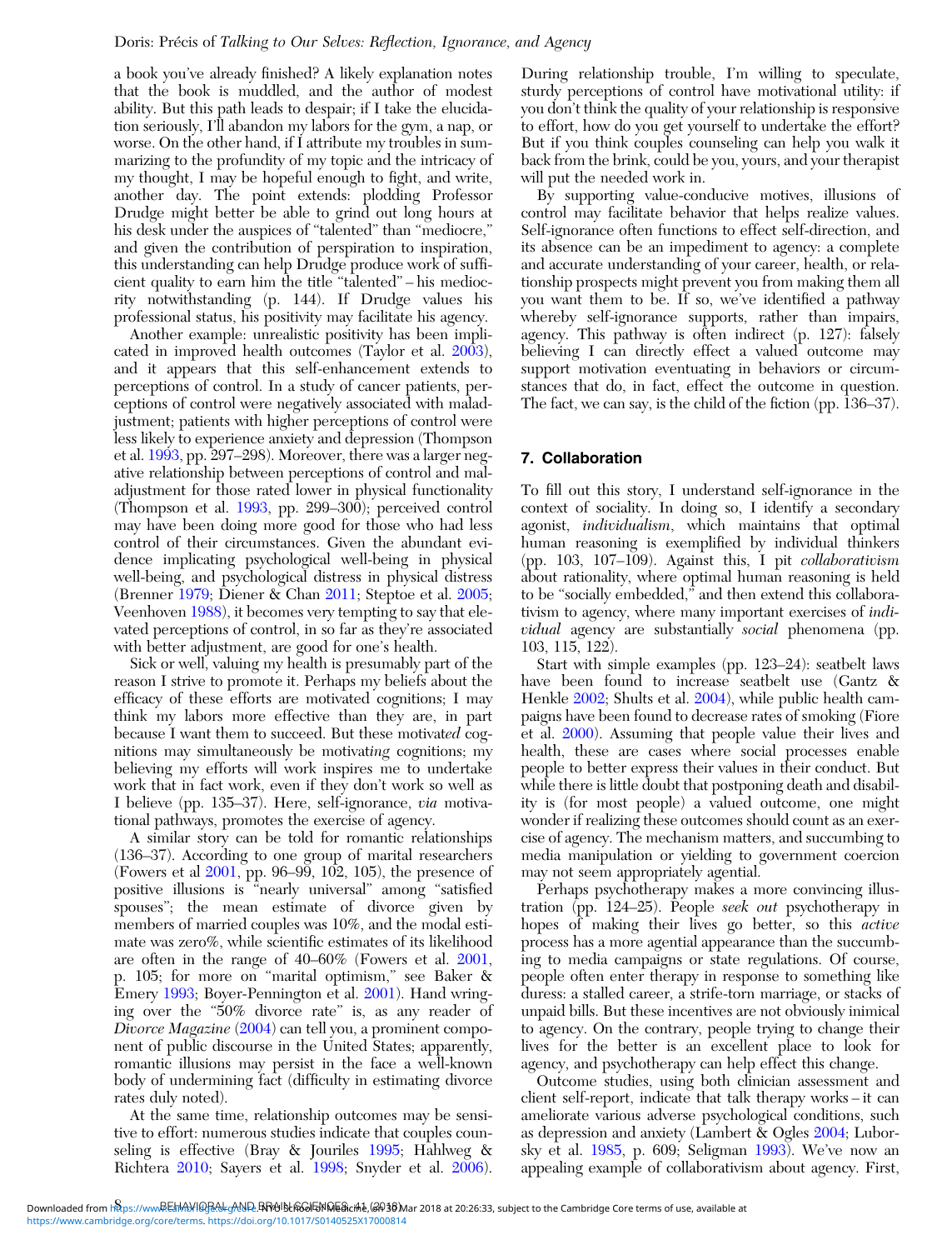a book you've already finished? A likely explanation notes that the book is muddled, and the author of modest ability. But this path leads to despair; if I take the elucidation seriously, I'll abandon my labors for the gym, a nap, or worse. On the other hand, if I attribute my troubles in summarizing to the profundity of my topic and the intricacy of my thought, I may be hopeful enough to fight, and write, another day. The point extends: plodding Professor Drudge might better be able to grind out long hours at his desk under the auspices of "talented" than "mediocre," and given the contribution of perspiration to inspiration, this understanding can help Drudge produce work of sufficient quality to earn him the title "talented" – his mediocrity notwithstanding (p. 144). If Drudge values his professional status, his positivity may facilitate his agency.

Another example: unrealistic positivity has been implicated in improved health outcomes (Taylor et al. [2003\)](#page-73-0), and it appears that this self-enhancement extends to perceptions of control. In a study of cancer patients, perceptions of control were negatively associated with maladjustment; patients with higher perceptions of control were less likely to experience anxiety and depression (Thompson et al. [1993,](#page-73-0) pp. 297–298). Moreover, there was a larger negative relationship between perceptions of control and maladjustment for those rated lower in physical functionality (Thompson et al. [1993,](#page-73-0) pp. 299–300); perceived control may have been doing more good for those who had less control of their circumstances. Given the abundant evidence implicating psychological well-being in physical well-being, and psychological distress in physical distress (Brenner [1979;](#page-66-0) Diener & Chan [2011](#page-67-0); Steptoe et al. [2005;](#page-73-0) Veenhoven [1988\)](#page-73-0), it becomes very tempting to say that elevated perceptions of control, in so far as they're associated with better adjustment, are good for one's health.

Sick or well, valuing my health is presumably part of the reason I strive to promote it. Perhaps my beliefs about the efficacy of these efforts are motivated cognitions; I may think my labors more effective than they are, in part because I want them to succeed. But these motivated cognitions may simultaneously be motivating cognitions; my believing my efforts will work inspires me to undertake work that in fact work, even if they don't work so well as I believe (pp. 135–37). Here, self-ignorance, via motivational pathways, promotes the exercise of agency.

A similar story can be told for romantic relationships (136–37). According to one group of marital researchers (Fowers et al [2001](#page-68-0), pp. 96–99, 102, 105), the presence of positive illusions is "nearly universal" among "satisfied spouses"; the mean estimate of divorce given by members of married couples was 10%, and the modal estimate was zero%, while scientific estimates of its likelihood are often in the range of 40–60% (Fowers et al. [2001,](#page-68-0) p. 105; for more on "marital optimism," see Baker & Emery [1993](#page-66-0); Boyer-Pennington et al. [2001\)](#page-66-0). Hand wringing over the "50% divorce rate" is, as any reader of Divorce Magazine ([2004\)](#page-67-0) can tell you, a prominent component of public discourse in the United States; apparently, romantic illusions may persist in the face a well-known body of undermining fact (difficulty in estimating divorce rates duly noted).

At the same time, relationship outcomes may be sensitive to effort: numerous studies indicate that couples counseling is effective (Bray & Jouriles [1995;](#page-66-0) Hahlweg & Richtera [2010](#page-69-0); Sayers et al. [1998](#page-72-0); Snyder et al. [2006\)](#page-73-0).

During relationship trouble, I'm willing to speculate, sturdy perceptions of control have motivational utility: if you don't think the quality of your relationship is responsive to effort, how do you get yourself to undertake the effort? But if you think couples counseling can help you walk it back from the brink, could be you, yours, and your therapist will put the needed work in.

By supporting value-conducive motives, illusions of control may facilitate behavior that helps realize values. Self-ignorance often functions to effect self-direction, and its absence can be an impediment to agency: a complete and accurate understanding of your career, health, or relationship prospects might prevent you from making them all you want them to be. If so, we've identified a pathway whereby self-ignorance supports, rather than impairs, agency. This pathway is often indirect (p. 127): falsely believing I can directly effect a valued outcome may support motivation eventuating in behaviors or circumstances that do, in fact, effect the outcome in question. The fact, we can say, is the child of the fiction (pp. 136–37).

## 7. Collaboration

To fill out this story, I understand self-ignorance in the context of sociality. In doing so, I identify a secondary agonist, individualism, which maintains that optimal human reasoning is exemplified by individual thinkers (pp. 103, 107–109). Against this, I pit collaborativism about rationality, where optimal human reasoning is held to be "socially embedded," and then extend this collaborativism to agency, where many important exercises of individual agency are substantially social phenomena (pp. 103, 115, 122).

Start with simple examples (pp. 123–24): seatbelt laws have been found to increase seatbelt use (Gantz & Henkle [2002;](#page-68-0) Shults et al. [2004](#page-72-0)), while public health campaigns have been found to decrease rates of smoking (Fiore et al. [2000](#page-68-0)). Assuming that people value their lives and health, these are cases where social processes enable people to better express their values in their conduct. But while there is little doubt that postponing death and disability is (for most people) a valued outcome, one might wonder if realizing these outcomes should count as an exercise of agency. The mechanism matters, and succumbing to media manipulation or yielding to government coercion may not seem appropriately agential.

Perhaps psychotherapy makes a more convincing illustration (pp. 124–25). People seek out psychotherapy in hopes of making their lives go better, so this active process has a more agential appearance than the succumbing to media campaigns or state regulations. Of course, people often enter therapy in response to something like duress: a stalled career, a strife-torn marriage, or stacks of unpaid bills. But these incentives are not obviously inimical to agency. On the contrary, people trying to change their lives for the better is an excellent place to look for agency, and psychotherapy can help effect this change.

Outcome studies, using both clinician assessment and client self-report, indicate that talk therapy works – it can ameliorate various adverse psychological conditions, such as depression and anxiety (Lambert & Ogles [2004;](#page-70-0) Luborsky et al. [1985](#page-70-0), p. 609; Seligman [1993](#page-72-0)). We've now an appealing example of collaborativism about agency. First,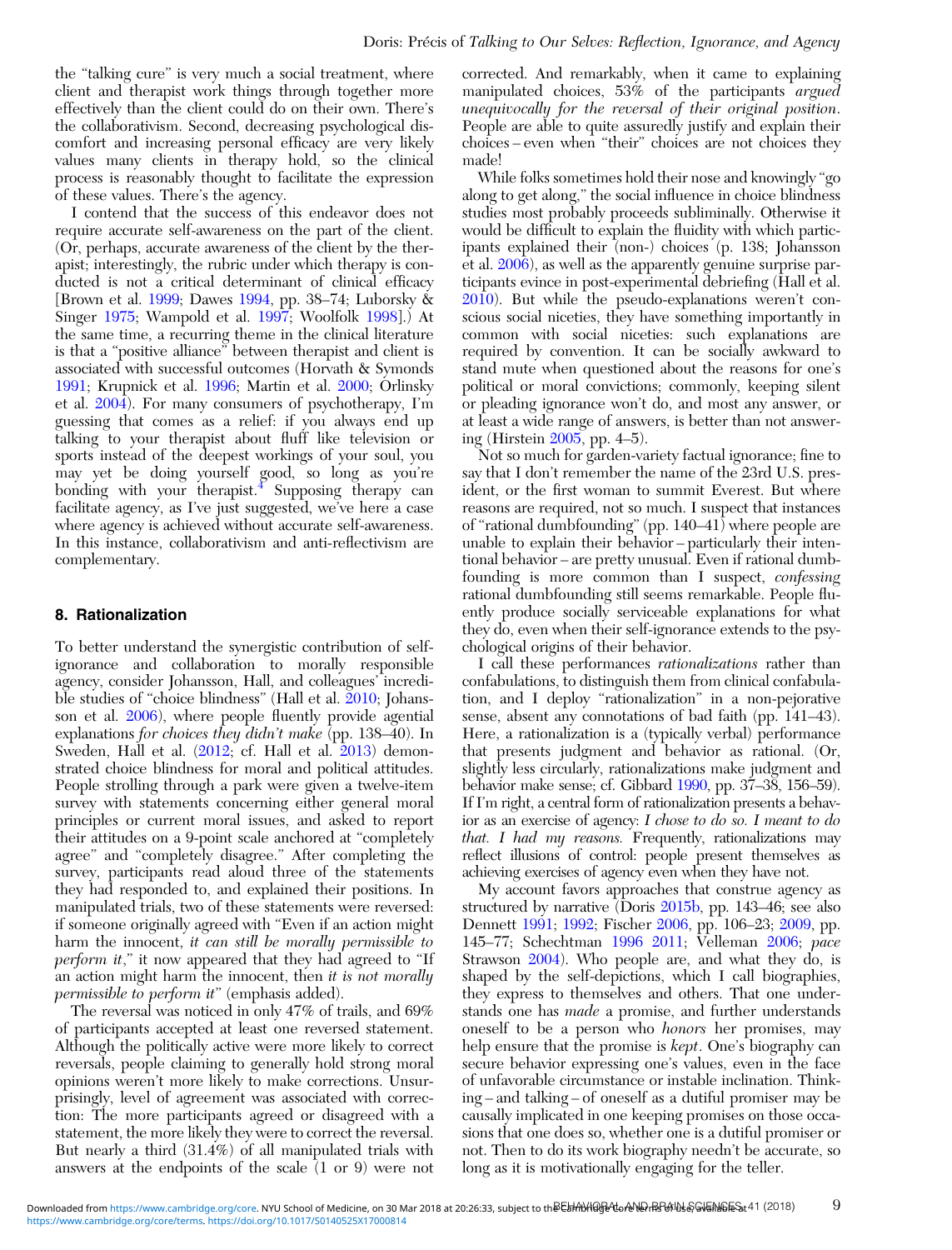the "talking cure" is very much a social treatment, where client and therapist work things through together more effectively than the client could do on their own. There's the collaborativism. Second, decreasing psychological discomfort and increasing personal efficacy are very likely values many clients in therapy hold, so the clinical process is reasonably thought to facilitate the expression of these values. There's the agency.

I contend that the success of this endeavor does not require accurate self-awareness on the part of the client. (Or, perhaps, accurate awareness of the client by the therapist; interestingly, the rubric under which therapy is conducted is not a critical determinant of clinical efficacy [Brown et al. [1999;](#page-66-0) Dawes [1994](#page-67-0), pp. 38–74; Luborsky & Singer [1975;](#page-70-0) Wampold et al. [1997](#page-74-0); Woolfolk [1998\]](#page-74-0).) At the same time, a recurring theme in the clinical literature is that a "positive alliance" between therapist and client is associated with successful outcomes (Horvath & Symonds [1991;](#page-69-0) Krupnick et al. [1996;](#page-70-0) Martin et al. [2000](#page-70-0); Orlinsky et al. [2004](#page-71-0)). For many consumers of psychotherapy, I'm guessing that comes as a relief: if you always end up talking to your therapist about fluff like television or sports instead of the deepest workings of your soul, you may yet be doing yourself good, so long as you're bonding with your therapist.<sup>4</sup> Supposing therapy can facilitate agency, as I've just suggested, we've here a case where agency is achieved without accurate self-awareness. In this instance, collaborativism and anti-reflectivism are complementary.

## 8. Rationalization

To better understand the synergistic contribution of selfignorance and collaboration to morally responsible agency, consider Johansson, Hall, and colleagues' incredible studies of "choice blindness" (Hall et al. [2010;](#page-69-0) Johansson et al. [2006\)](#page-69-0), where people fluently provide agential explanations for choices they didn't make (pp. 138–40). In Sweden, Hall et al. ([2012;](#page-69-0) cf. Hall et al. [2013](#page-69-0)) demonstrated choice blindness for moral and political attitudes. People strolling through a park were given a twelve-item survey with statements concerning either general moral principles or current moral issues, and asked to report their attitudes on a 9-point scale anchored at "completely agree" and "completely disagree." After completing the survey, participants read aloud three of the statements they had responded to, and explained their positions. In manipulated trials, two of these statements were reversed: if someone originally agreed with "Even if an action might harm the innocent, it can still be morally permissible to perform it," it now appeared that they had agreed to "If an action might harm the innocent, then it is not morally permissible to perform it" (emphasis added).

The reversal was noticed in only 47% of trails, and 69% of participants accepted at least one reversed statement. Although the politically active were more likely to correct reversals, people claiming to generally hold strong moral opinions weren't more likely to make corrections. Unsurprisingly, level of agreement was associated with correction: The more participants agreed or disagreed with a statement, the more likely they were to correct the reversal. But nearly a third (31.4%) of all manipulated trials with answers at the endpoints of the scale (1 or 9) were not corrected. And remarkably, when it came to explaining manipulated choices, 53% of the participants argued unequivocally for the reversal of their original position. People are able to quite assuredly justify and explain their choices – even when "their" choices are not choices they made!

While folks sometimes hold their nose and knowingly "go along to get along," the social influence in choice blindness studies most probably proceeds subliminally. Otherwise it would be difficult to explain the fluidity with which participants explained their (non-) choices (p. 138; Johansson et al. [2006\)](#page-69-0), as well as the apparently genuine surprise participants evince in post-experimental debriefing (Hall et al. [2010](#page-69-0)). But while the pseudo-explanations weren't conscious social niceties, they have something importantly in common with social niceties: such explanations are required by convention. It can be socially awkward to stand mute when questioned about the reasons for one's political or moral convictions; commonly, keeping silent or pleading ignorance won't do, and most any answer, or at least a wide range of answers, is better than not answering (Hirstein [2005,](#page-69-0) pp. 4–5).

Not so much for garden-variety factual ignorance; fine to say that I don't remember the name of the 23rd U.S. president, or the first woman to summit Everest. But where reasons are required, not so much. I suspect that instances of "rational dumbfounding" (pp. 140–41) where people are unable to explain their behavior – particularly their intentional behavior – are pretty unusual. Even if rational dumbfounding is more common than I suspect, confessing rational dumbfounding still seems remarkable. People fluently produce socially serviceable explanations for what they do, even when their self-ignorance extends to the psychological origins of their behavior.

I call these performances rationalizations rather than confabulations, to distinguish them from clinical confabulation, and I deploy "rationalization" in a non-pejorative sense, absent any connotations of bad faith (pp. 141–43). Here, a rationalization is a (typically verbal) performance that presents judgment and behavior as rational. (Or, slightly less circularly, rationalizations make judgment and behavior make sense; cf. Gibbard [1990](#page-68-0), pp. 37–38, 156–59). If I'm right, a central form of rationalization presents a behavior as an exercise of agency: I chose to do so. I meant to do that. I had my reasons. Frequently, rationalizations may reflect illusions of control: people present themselves as achieving exercises of agency even when they have not.

My account favors approaches that construe agency as structured by narrative (Doris [2015b,](#page-67-0) pp. 143–46; see also Dennett [1991;](#page-67-0) [1992;](#page-67-0) Fischer [2006](#page-68-0), pp. 106–23; [2009](#page-68-0), pp. 145–77; Schechtman [1996 2011](#page-72-0); Velleman [2006](#page-73-0); pace Strawson [2004](#page-73-0)). Who people are, and what they do, is shaped by the self-depictions, which I call biographies, they express to themselves and others. That one understands one has made a promise, and further understands oneself to be a person who honors her promises, may help ensure that the promise is *kept*. One's biography can secure behavior expressing one's values, even in the face of unfavorable circumstance or instable inclination. Thinking – and talking – of oneself as a dutiful promiser may be causally implicated in one keeping promises on those occasions that one does so, whether one is a dutiful promiser or not. Then to do its work biography needn't be accurate, so long as it is motivationally engaging for the teller.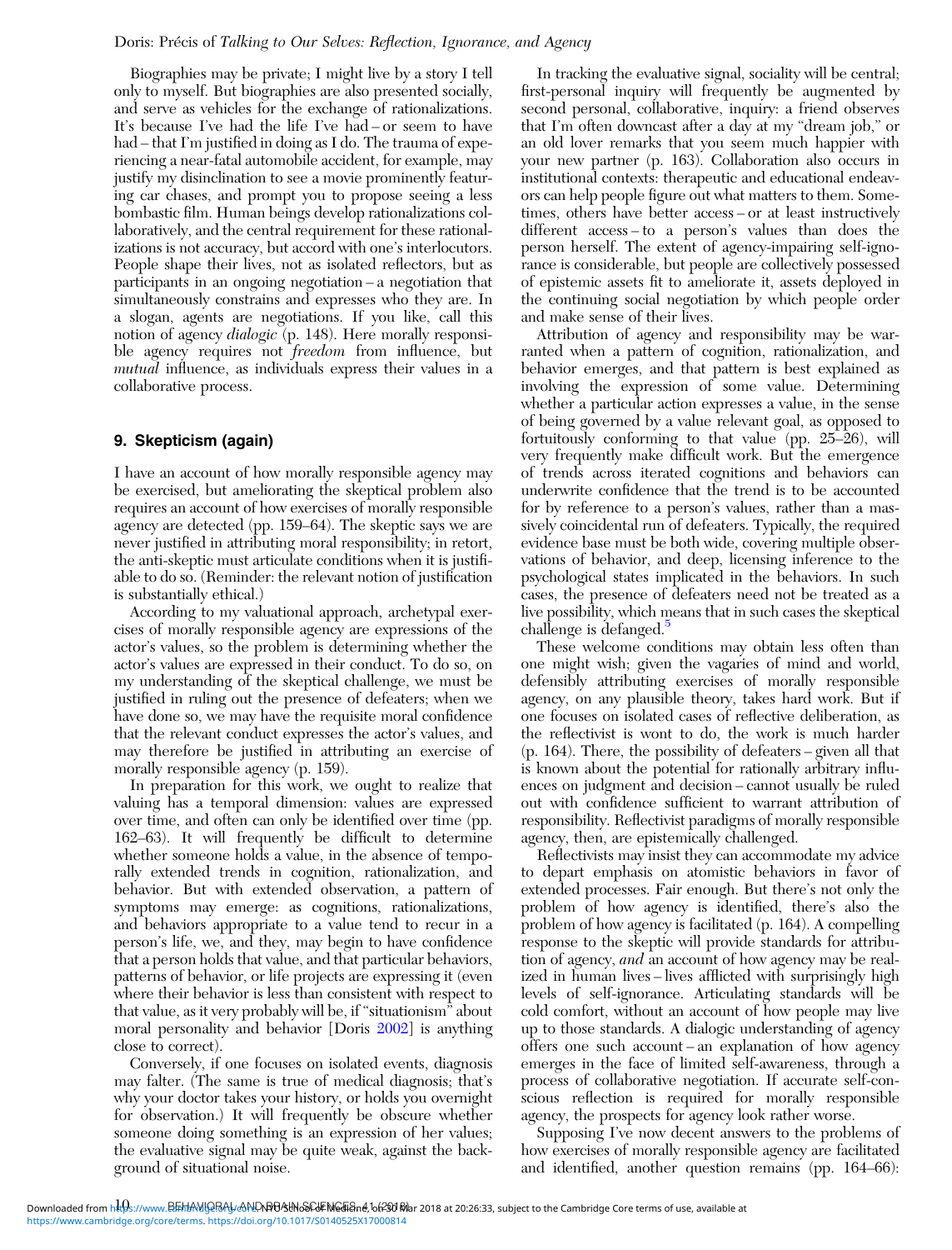Biographies may be private; I might live by a story I tell only to myself. But biographies are also presented socially, and serve as vehicles for the exchange of rationalizations. It's because I've had the life I've had – or seem to have had – that I'm justified in doing as I do. The trauma of experiencing a near-fatal automobile accident, for example, may justify my disinclination to see a movie prominently featuring car chases, and prompt you to propose seeing a less bombastic film. Human beings develop rationalizations collaboratively, and the central requirement for these rationalizations is not accuracy, but accord with one's interlocutors. People shape their lives, not as isolated reflectors, but as participants in an ongoing negotiation – a negotiation that simultaneously constrains and expresses who they are. In a slogan, agents are negotiations. If you like, call this notion of agency dialogic (p. 148). Here morally responsible agency requires not *freedom* from influence, but mutual influence, as individuals express their values in a collaborative process.

## 9. Skepticism (again)

I have an account of how morally responsible agency may be exercised, but ameliorating the skeptical problem also requires an account of how exercises of morally responsible agency are detected (pp. 159–64). The skeptic says we are never justified in attributing moral responsibility; in retort, the anti-skeptic must articulate conditions when it is justifiable to do so. (Reminder: the relevant notion of justification is substantially ethical.)

According to my valuational approach, archetypal exercises of morally responsible agency are expressions of the actor's values, so the problem is determining whether the actor's values are expressed in their conduct. To do so, on my understanding of the skeptical challenge, we must be justified in ruling out the presence of defeaters; when we have done so, we may have the requisite moral confidence that the relevant conduct expresses the actor's values, and may therefore be justified in attributing an exercise of morally responsible agency (p. 159).

In preparation for this work, we ought to realize that valuing has a temporal dimension: values are expressed over time, and often can only be identified over time (pp. 162–63). It will frequently be difficult to determine whether someone holds a value, in the absence of temporally extended trends in cognition, rationalization, and behavior. But with extended observation, a pattern of symptoms may emerge: as cognitions, rationalizations, and behaviors appropriate to a value tend to recur in a person's life, we, and they, may begin to have confidence that a person holds that value, and that particular behaviors, patterns of behavior, or life projects are expressing it (even where their behavior is less than consistent with respect to that value, as it very probably will be, if "situationism" about moral personality and behavior [Doris [2002\]](#page-67-0) is anything close to correct).

Conversely, if one focuses on isolated events, diagnosis may falter. (The same is true of medical diagnosis; that's why your doctor takes your history, or holds you overnight for observation.) It will frequently be obscure whether someone doing something is an expression of her values; the evaluative signal may be quite weak, against the background of situational noise.

In tracking the evaluative signal, sociality will be central; first-personal inquiry will frequently be augmented by second personal, collaborative, inquiry: a friend observes that I'm often downcast after a day at my "dream job," or an old lover remarks that you seem much happier with your new partner (p. 163). Collaboration also occurs in institutional contexts: therapeutic and educational endeavors can help people figure out what matters to them. Sometimes, others have better access – or at least instructively different access – to a person's values than does the person herself. The extent of agency-impairing self-ignorance is considerable, but people are collectively possessed of epistemic assets fit to ameliorate it, assets deployed in the continuing social negotiation by which people order and make sense of their lives.

Attribution of agency and responsibility may be warranted when a pattern of cognition, rationalization, and behavior emerges, and that pattern is best explained as involving the expression of some value. Determining whether a particular action expresses a value, in the sense of being governed by a value relevant goal, as opposed to fortuitously conforming to that value (pp. 25–26), will very frequently make difficult work. But the emergence of trends across iterated cognitions and behaviors can underwrite confidence that the trend is to be accounted for by reference to a person's values, rather than a massively coincidental run of defeaters. Typically, the required evidence base must be both wide, covering multiple observations of behavior, and deep, licensing inference to the psychological states implicated in the behaviors. In such cases, the presence of defeaters need not be treated as a live possibility, which means that in such cases the skeptical challenge is defanged.<sup>[5](#page-11-0)</sup>

These welcome conditions may obtain less often than one might wish; given the vagaries of mind and world, defensibly attributing exercises of morally responsible agency, on any plausible theory, takes hard work. But if one focuses on isolated cases of reflective deliberation, as the reflectivist is wont to do, the work is much harder (p. 164). There, the possibility of defeaters – given all that is known about the potential for rationally arbitrary influences on judgment and decision – cannot usually be ruled out with confidence sufficient to warrant attribution of responsibility. Reflectivist paradigms of morally responsible agency, then, are epistemically challenged.

Reflectivists may insist they can accommodate my advice to depart emphasis on atomistic behaviors in favor of extended processes. Fair enough. But there's not only the problem of how agency is identified, there's also the problem of how agency is facilitated (p. 164). A compelling response to the skeptic will provide standards for attribution of agency, and an account of how agency may be realized in human lives – lives afflicted with surprisingly high levels of self-ignorance. Articulating standards will be cold comfort, without an account of how people may live up to those standards. A dialogic understanding of agency offers one such account – an explanation of how agency emerges in the face of limited self-awareness, through a process of collaborative negotiation. If accurate self-conscious reflection is required for morally responsible agency, the prospects for agency look rather worse.

Supposing I've now decent answers to the problems of how exercises of morally responsible agency are facilitated and identified, another question remains (pp. 164–66):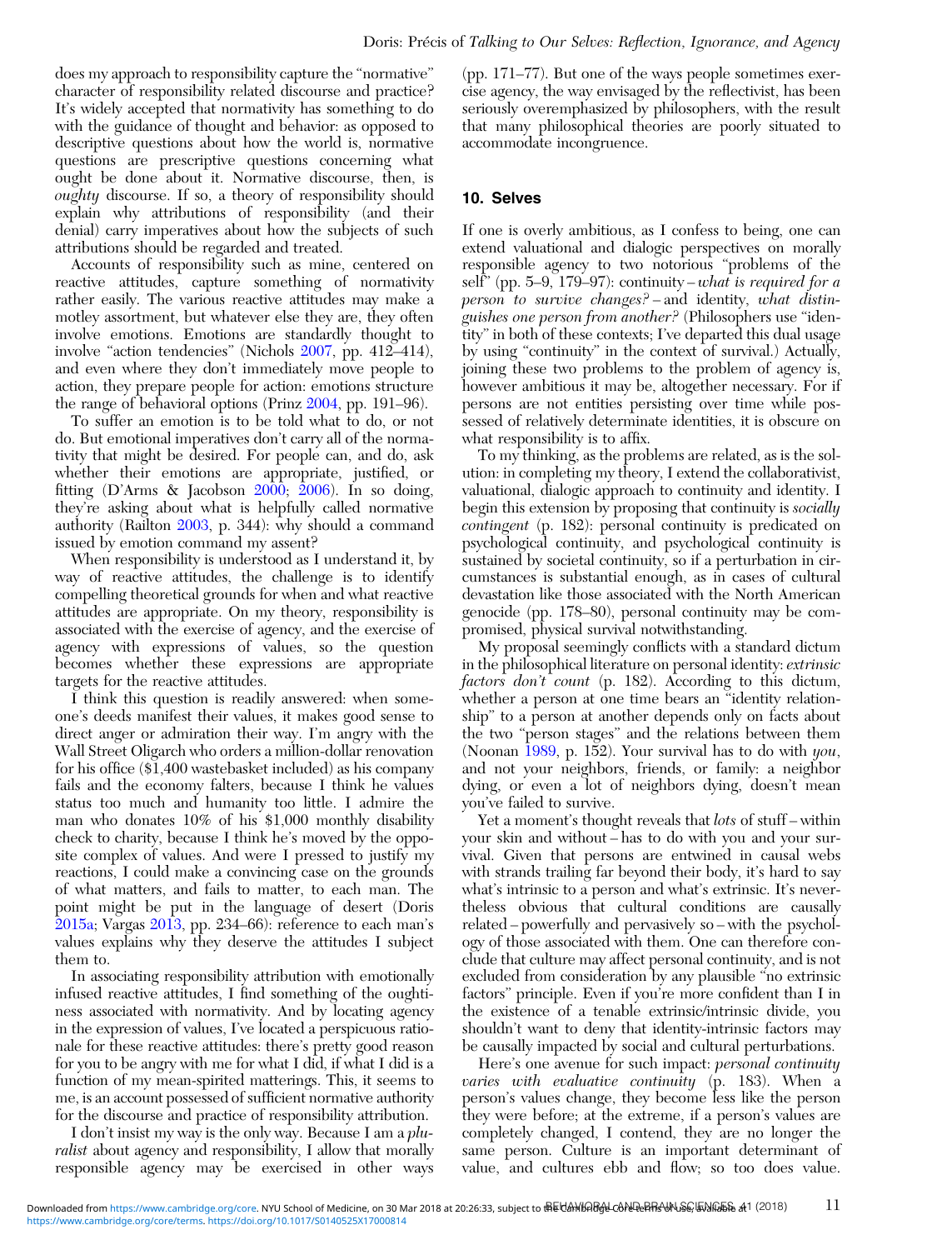does my approach to responsibility capture the "normative" character of responsibility related discourse and practice? It's widely accepted that normativity has something to do with the guidance of thought and behavior: as opposed to descriptive questions about how the world is, normative questions are prescriptive questions concerning what ought be done about it. Normative discourse, then, is oughty discourse. If so, a theory of responsibility should explain why attributions of responsibility (and their denial) carry imperatives about how the subjects of such attributions should be regarded and treated.

Accounts of responsibility such as mine, centered on reactive attitudes, capture something of normativity rather easily. The various reactive attitudes may make a motley assortment, but whatever else they are, they often involve emotions. Emotions are standardly thought to involve "action tendencies" (Nichols [2007,](#page-71-0) pp. 412–414), and even where they don't immediately move people to action, they prepare people for action: emotions structure the range of behavioral options (Prinz [2004](#page-72-0), pp. 191–96).

To suffer an emotion is to be told what to do, or not do. But emotional imperatives don't carry all of the normativity that might be desired. For people can, and do, ask whether their emotions are appropriate, justified, or fitting (D'Arms & Jacobson  $2000$ ;  $2006$ ). In so doing, they're asking about what is helpfully called normative authority (Railton [2003](#page-72-0), p. 344): why should a command issued by emotion command my assent?

When responsibility is understood as I understand it, by way of reactive attitudes, the challenge is to identify compelling theoretical grounds for when and what reactive attitudes are appropriate. On my theory, responsibility is associated with the exercise of agency, and the exercise of agency with expressions of values, so the question becomes whether these expressions are appropriate targets for the reactive attitudes.

I think this question is readily answered: when someone's deeds manifest their values, it makes good sense to direct anger or admiration their way. I'm angry with the Wall Street Oligarch who orders a million-dollar renovation for his office (\$1,400 wastebasket included) as his company fails and the economy falters, because I think he values status too much and humanity too little. I admire the man who donates 10% of his \$1,000 monthly disability check to charity, because I think he's moved by the opposite complex of values. And were I pressed to justify my reactions, I could make a convincing case on the grounds of what matters, and fails to matter, to each man. The point might be put in the language of desert (Doris [2015a](#page-67-0); Vargas [2013](#page-73-0), pp. 234–66): reference to each man's values explains why they deserve the attitudes I subject them to.

In associating responsibility attribution with emotionally infused reactive attitudes, I find something of the oughtiness associated with normativity. And by locating agency in the expression of values, I've located a perspicuous rationale for these reactive attitudes: there's pretty good reason for you to be angry with me for what I did, if what I did is a function of my mean-spirited matterings. This, it seems to me, is an account possessed of sufficient normative authority for the discourse and practice of responsibility attribution.

I don't insist my way is the only way. Because I am a pluralist about agency and responsibility, I allow that morally responsible agency may be exercised in other ways

(pp. 171–77). But one of the ways people sometimes exercise agency, the way envisaged by the reflectivist, has been seriously overemphasized by philosophers, with the result that many philosophical theories are poorly situated to accommodate incongruence.

## 10. Selves

If one is overly ambitious, as I confess to being, one can extend valuational and dialogic perspectives on morally responsible agency to two notorious "problems of the self" (pp. 5–9, 179–97): continuity – what is required for a person to survive changes? – and identity, what distinguishes one person from another? (Philosophers use "identity" in both of these contexts; I've departed this dual usage by using "continuity" in the context of survival.) Actually, joining these two problems to the problem of agency is, however ambitious it may be, altogether necessary. For if persons are not entities persisting over time while possessed of relatively determinate identities, it is obscure on what responsibility is to affix.

To my thinking, as the problems are related, as is the solution: in completing my theory, I extend the collaborativist, valuational, dialogic approach to continuity and identity. I begin this extension by proposing that continuity is *socially* contingent (p. 182): personal continuity is predicated on psychological continuity, and psychological continuity is sustained by societal continuity, so if a perturbation in circumstances is substantial enough, as in cases of cultural devastation like those associated with the North American genocide (pp. 178–80), personal continuity may be compromised, physical survival notwithstanding.

My proposal seemingly conflicts with a standard dictum in the philosophical literature on personal identity: extrinsic factors don't count (p. 182). According to this dictum, whether a person at one time bears an "identity relationship" to a person at another depends only on facts about the two "person stages" and the relations between them (Noonan [1989,](#page-71-0) p. 152). Your survival has to do with  $\gamma \omega u$ , and not your neighbors, friends, or family: a neighbor dying, or even a lot of neighbors dying, doesn't mean you've failed to survive.

Yet a moment's thought reveals that lots of stuff – within your skin and without – has to do with you and your survival. Given that persons are entwined in causal webs with strands trailing far beyond their body, it's hard to say what's intrinsic to a person and what's extrinsic. It's nevertheless obvious that cultural conditions are causally related – powerfully and pervasively so – with the psychology of those associated with them. One can therefore conclude that culture may affect personal continuity, and is not excluded from consideration by any plausible "no extrinsic factors" principle. Even if you're more confident than I in the existence of a tenable extrinsic/intrinsic divide, you shouldn't want to deny that identity-intrinsic factors may be causally impacted by social and cultural perturbations.

Here's one avenue for such impact: *personal continuity* varies with evaluative continuity (p. 183). When a person's values change, they become less like the person they were before; at the extreme, if a person's values are completely changed, I contend, they are no longer the same person. Culture is an important determinant of value, and cultures ebb and flow; so too does value.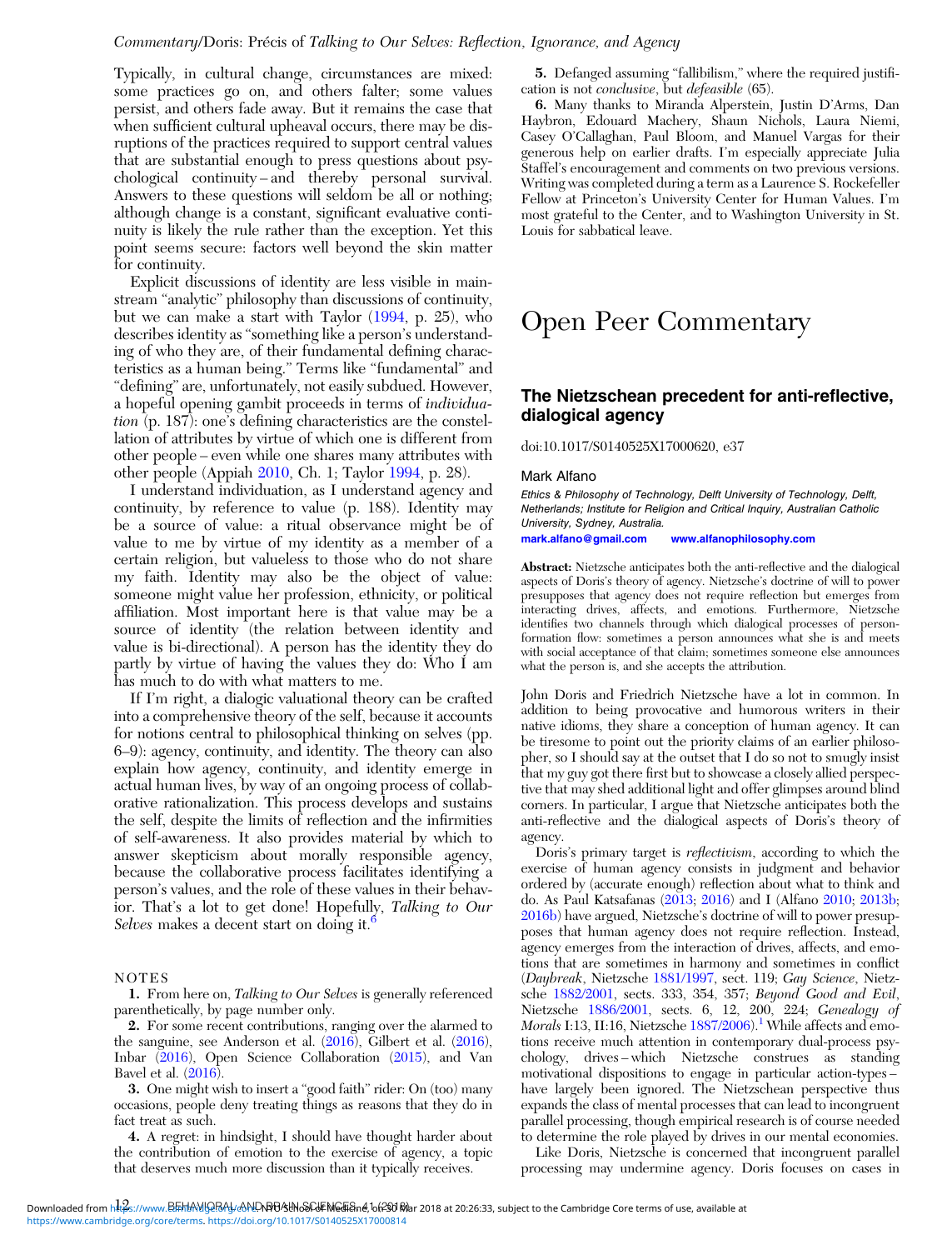<span id="page-11-0"></span>Typically, in cultural change, circumstances are mixed: some practices go on, and others falter; some values persist, and others fade away. But it remains the case that when sufficient cultural upheaval occurs, there may be disruptions of the practices required to support central values that are substantial enough to press questions about psychological continuity – and thereby personal survival. Answers to these questions will seldom be all or nothing; although change is a constant, significant evaluative continuity is likely the rule rather than the exception. Yet this point seems secure: factors well beyond the skin matter for continuity.

Explicit discussions of identity are less visible in mainstream "analytic" philosophy than discussions of continuity, but we can make a start with Taylor ([1994,](#page-73-0) p. 25), who describes identity as "something like a person's understanding of who they are, of their fundamental defining characteristics as a human being." Terms like "fundamental" and "defining" are, unfortunately, not easily subdued. However, a hopeful opening gambit proceeds in terms of individuation (p. 187): one's defining characteristics are the constellation of attributes by virtue of which one is different from other people – even while one shares many attributes with other people (Appiah [2010](#page-65-0), Ch. 1; Taylor [1994](#page-73-0), p. 28).

I understand individuation, as I understand agency and continuity, by reference to value (p. 188). Identity may be a source of value: a ritual observance might be of value to me by virtue of my identity as a member of a certain religion, but valueless to those who do not share my faith. Identity may also be the object of value: someone might value her profession, ethnicity, or political affiliation. Most important here is that value may be a source of identity (the relation between identity and value is bi-directional). A person has the identity they do partly by virtue of having the values they do: Who I am has much to do with what matters to me.

If I'm right, a dialogic valuational theory can be crafted into a comprehensive theory of the self, because it accounts for notions central to philosophical thinking on selves (pp. 6–9): agency, continuity, and identity. The theory can also explain how agency, continuity, and identity emerge in actual human lives, by way of an ongoing process of collaborative rationalization. This process develops and sustains the self, despite the limits of reflection and the infirmities of self-awareness. It also provides material by which to answer skepticism about morally responsible agency, because the collaborative process facilitates identifying a person's values, and the role of these values in their behavior. That's a lot to get done! Hopefully, Talking to Our Selves makes a decent start on doing it.<sup>6</sup>

#### NOTES

1. From here on, Talking to Our Selves is generally referenced parenthetically, by page number only.

2. For some recent contributions, ranging over the alarmed to the sanguine, see Anderson et al. ([2016\)](#page-65-0), Gilbert et al. [\(2016](#page-68-0)), Inbar [\(2016](#page-69-0)), Open Science Collaboration ([2015\)](#page-71-0), and Van Bavel et al. [\(2016](#page-73-0)).

3. One might wish to insert a "good faith" rider: On (too) many occasions, people deny treating things as reasons that they do in fact treat as such.

4. A regret: in hindsight, I should have thought harder about the contribution of emotion to the exercise of agency, a topic that deserves much more discussion than it typically receives.

5. Defanged assuming "fallibilism," where the required justification is not conclusive, but defeasible (65).

6. Many thanks to Miranda Alperstein, Justin D'Arms, Dan Haybron, Edouard Machery, Shaun Nichols, Laura Niemi, Casey O'Callaghan, Paul Bloom, and Manuel Vargas for their generous help on earlier drafts. I'm especially appreciate Julia Staffel's encouragement and comments on two previous versions. Writing was completed during a term as a Laurence S. Rockefeller Fellow at Princeton's University Center for Human Values. I'm most grateful to the Center, and to Washington University in St. Louis for sabbatical leave.

## Open Peer Commentary

## The Nietzschean precedent for anti-reflective, dialogical agency

doi:10.1017/S0140525X17000620, e37

#### Mark Alfano

Ethics & Philosophy of Technology, Delft University of Technology, Delft, Netherlands; Institute for Religion and Critical Inquiry, Australian Catholic University, Sydney, Australia.

[mark.alfano@gmail.com](mailto:mark.alfano@gmail.com) [www.alfanophilosophy.com](http://www.alfanophilosophy.com)

Abstract: Nietzsche anticipates both the anti-reflective and the dialogical aspects of Doris's theory of agency. Nietzsche's doctrine of will to power presupposes that agency does not require reflection but emerges from interacting drives, affects, and emotions. Furthermore, Nietzsche identifies two channels through which dialogical processes of personformation flow: sometimes a person announces what she is and meets with social acceptance of that claim; sometimes someone else announces what the person is, and she accepts the attribution.

John Doris and Friedrich Nietzsche have a lot in common. In addition to being provocative and humorous writers in their native idioms, they share a conception of human agency. It can be tiresome to point out the priority claims of an earlier philosopher, so I should say at the outset that I do so not to smugly insist that my guy got there first but to showcase a closely allied perspective that may shed additional light and offer glimpses around blind corners. In particular, I argue that Nietzsche anticipates both the anti-reflective and the dialogical aspects of Doris's theory of agency.

Doris's primary target is *reflectivism*, according to which the exercise of human agency consists in judgment and behavior ordered by (accurate enough) reflection about what to think and do. As Paul Katsafanas [\(2013](#page-69-0); [2016\)](#page-69-0) and I (Alfano [2010;](#page-65-0) [2013b](#page-65-0); [2016b](#page-65-0)) have argued, Nietzsche's doctrine of will to power presupposes that human agency does not require reflection. Instead, agency emerges from the interaction of drives, affects, and emotions that are sometimes in harmony and sometimes in conflict (Daybreak, Nietzsche [1881/1997,](#page-71-0) sect. 119; Gay Science, Nietzsche [1882/2001](#page-71-0), sects. 333, 354, 357; Beyond Good and Evil, Nietzsche [1886/2001](#page-71-0), sects. 6, 12, 200, 224; Genealogy of *Morals* I:[1](#page-12-0)3, II:16, Nietzsche  $1887/2006$ .<sup>1</sup> While affects and emotions receive much attention in contemporary dual-process psychology, drives – which Nietzsche construes as standing motivational dispositions to engage in particular action-types – have largely been ignored. The Nietzschean perspective thus expands the class of mental processes that can lead to incongruent parallel processing, though empirical research is of course needed to determine the role played by drives in our mental economies.

Like Doris, Nietzsche is concerned that incongruent parallel processing may undermine agency. Doris focuses on cases in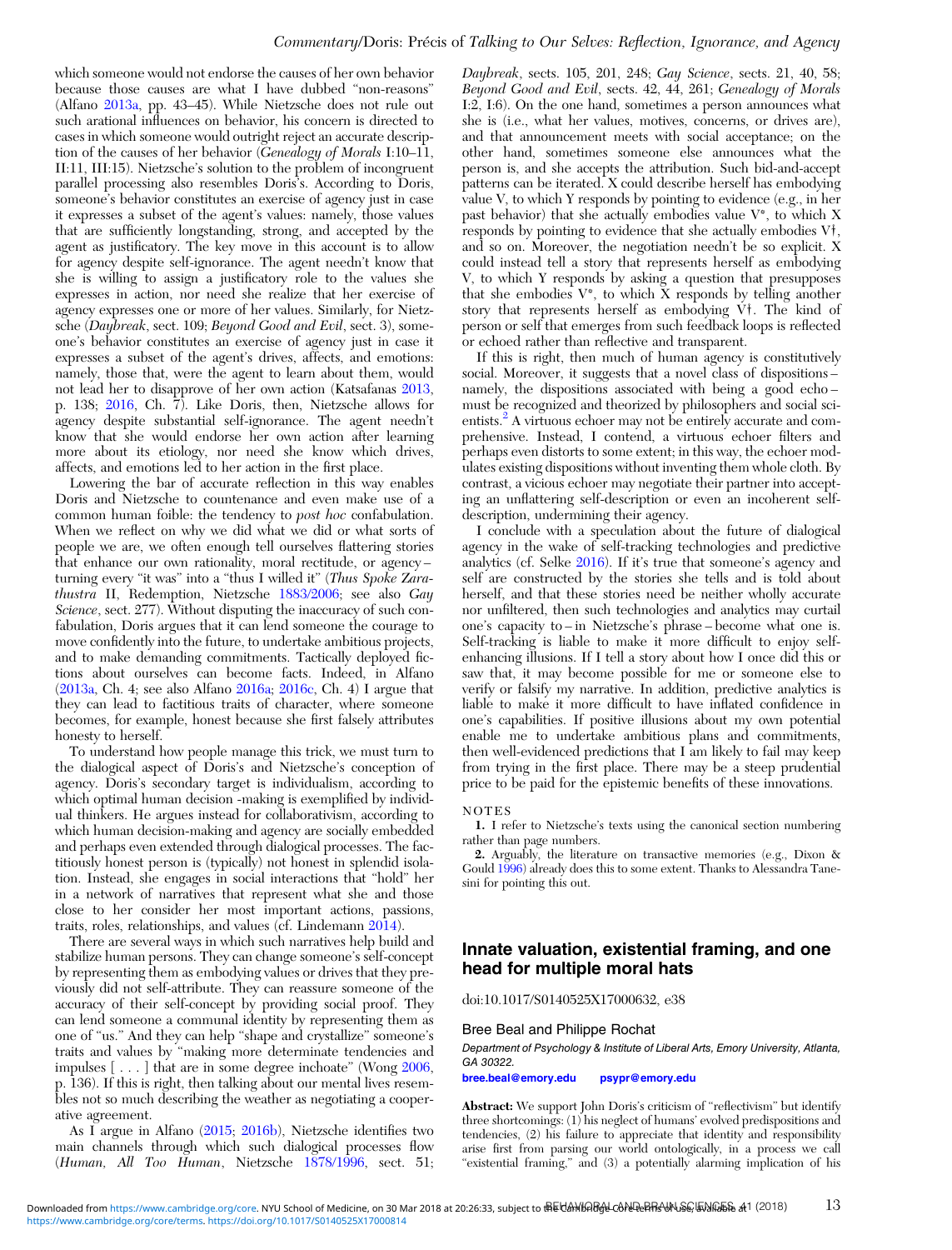<span id="page-12-0"></span>which someone would not endorse the causes of her own behavior because those causes are what I have dubbed "non-reasons" (Alfano [2013a,](#page-65-0) pp. 43–45). While Nietzsche does not rule out such arational influences on behavior, his concern is directed to cases in which someone would outright reject an accurate description of the causes of her behavior (Genealogy of Morals I:10–11, II:11, III:15). Nietzsche's solution to the problem of incongruent parallel processing also resembles Doris's. According to Doris, someone's behavior constitutes an exercise of agency just in case it expresses a subset of the agent's values: namely, those values that are sufficiently longstanding, strong, and accepted by the agent as justificatory. The key move in this account is to allow for agency despite self-ignorance. The agent needn't know that she is willing to assign a justificatory role to the values she expresses in action, nor need she realize that her exercise of agency expresses one or more of her values. Similarly, for Nietzsche (Daybreak, sect. 109; Beyond Good and Evil, sect. 3), someone's behavior constitutes an exercise of agency just in case it expresses a subset of the agent's drives, affects, and emotions: namely, those that, were the agent to learn about them, would not lead her to disapprove of her own action (Katsafanas [2013,](#page-69-0) p. 138; [2016](#page-69-0), Ch. 7). Like Doris, then, Nietzsche allows for agency despite substantial self-ignorance. The agent needn't know that she would endorse her own action after learning more about its etiology, nor need she know which drives, affects, and emotions led to her action in the first place.

Lowering the bar of accurate reflection in this way enables Doris and Nietzsche to countenance and even make use of a common human foible: the tendency to post hoc confabulation. When we reflect on why we did what we did or what sorts of people we are, we often enough tell ourselves flattering stories that enhance our own rationality, moral rectitude, or agency – turning every "it was" into a "thus I willed it" (Thus Spoke Zarathustra II, Redemption, Nietzsche [1883/2006](#page-71-0); see also Gay Science, sect. 277). Without disputing the inaccuracy of such confabulation, Doris argues that it can lend someone the courage to move confidently into the future, to undertake ambitious projects, and to make demanding commitments. Tactically deployed fictions about ourselves can become facts. Indeed, in Alfano ([2013a,](#page-65-0) Ch. 4; see also Alfano [2016a;](#page-65-0) [2016c,](#page-65-0) Ch. 4) I argue that they can lead to factitious traits of character, where someone becomes, for example, honest because she first falsely attributes honesty to herself.

To understand how people manage this trick, we must turn to the dialogical aspect of Doris's and Nietzsche's conception of agency. Doris's secondary target is individualism, according to which optimal human decision -making is exemplified by individual thinkers. He argues instead for collaborativism, according to which human decision-making and agency are socially embedded and perhaps even extended through dialogical processes. The factitiously honest person is (typically) not honest in splendid isolation. Instead, she engages in social interactions that "hold" her in a network of narratives that represent what she and those close to her consider her most important actions, passions, traits, roles, relationships, and values (cf. Lindemann [2014\)](#page-70-0).

There are several ways in which such narratives help build and stabilize human persons. They can change someone's self-concept by representing them as embodying values or drives that they previously did not self-attribute. They can reassure someone of the accuracy of their self-concept by providing social proof. They can lend someone a communal identity by representing them as one of "us." And they can help "shape and crystallize" someone's traits and values by "making more determinate tendencies and impulses [ ...] that are in some degree inchoate" (Wong [2006,](#page-74-0) p. 136). If this is right, then talking about our mental lives resembles not so much describing the weather as negotiating a cooperative agreement.

As I argue in Alfano [\(2015](#page-65-0); [2016b\)](#page-65-0), Nietzsche identifies two main channels through which such dialogical processes flow (Human, All Too Human, Nietzsche [1878/1996](#page-71-0), sect. 51;

Daybreak, sects. 105, 201, 248; Gay Science, sects. 21, 40, 58; Beyond Good and Evil, sects. 42, 44, 261; Genealogy of Morals I:2, I:6). On the one hand, sometimes a person announces what she is (i.e., what her values, motives, concerns, or drives are), and that announcement meets with social acceptance; on the other hand, sometimes someone else announces what the person is, and she accepts the attribution. Such bid-and-accept patterns can be iterated. X could describe herself has embodying value V, to which Y responds by pointing to evidence (e.g., in her past behavior) that she actually embodies value  $V^*$ , to which X responds by pointing to evidence that she actually embodies V†, and so on. Moreover, the negotiation needn't be so explicit. X could instead tell a story that represents herself as embodying V, to which Y responds by asking a question that presupposes that she embodies  $V^*$ , to which X responds by telling another story that represents herself as embodying V†. The kind of person or self that emerges from such feedback loops is reflected or echoed rather than reflective and transparent.

If this is right, then much of human agency is constitutively social. Moreover, it suggests that a novel class of dispositions – namely, the dispositions associated with being a good echo – must be recognized and theorized by philosophers and social scientists.<sup>2</sup> A virtuous echoer may not be entirely accurate and comprehensive. Instead, I contend, a virtuous echoer filters and perhaps even distorts to some extent; in this way, the echoer modulates existing dispositions without inventing them whole cloth. By contrast, a vicious echoer may negotiate their partner into accepting an unflattering self-description or even an incoherent selfdescription, undermining their agency.

I conclude with a speculation about the future of dialogical agency in the wake of self-tracking technologies and predictive analytics (cf. Selke [2016](#page-72-0)). If it's true that someone's agency and self are constructed by the stories she tells and is told about herself, and that these stories need be neither wholly accurate nor unfiltered, then such technologies and analytics may curtail one's capacity to – in Nietzsche's phrase – become what one is. Self-tracking is liable to make it more difficult to enjoy selfenhancing illusions. If I tell a story about how I once did this or saw that, it may become possible for me or someone else to verify or falsify my narrative. In addition, predictive analytics is liable to make it more difficult to have inflated confidence in one's capabilities. If positive illusions about my own potential enable me to undertake ambitious plans and commitments, then well-evidenced predictions that I am likely to fail may keep from trying in the first place. There may be a steep prudential price to be paid for the epistemic benefits of these innovations.

#### NOTES

1. I refer to Nietzsche's texts using the canonical section numbering rather than page numbers.

**2.** Arguably, the literature on transactive memories (e.g., Dixon  $\&$ Gould [1996](#page-67-0)) already does this to some extent. Thanks to Alessandra Tanesini for pointing this out.

## Innate valuation, existential framing, and one head for multiple moral hats

doi:10.1017/S0140525X17000632, e38

#### Bree Beal and Philippe Rochat

Department of Psychology & Institute of Liberal Arts, Emory University, Atlanta, GA 30322.

[bree.beal@emory.edu](mailto:bree.beal@emory.edu) [psypr@emory.edu](mailto:psypr@emory.edu)

Abstract: We support John Doris's criticism of "reflectivism" but identify three shortcomings: (1) his neglect of humans' evolved predispositions and tendencies, (2) his failure to appreciate that identity and responsibility arise first from parsing our world ontologically, in a process we call "existential framing," and (3) a potentially alarming implication of his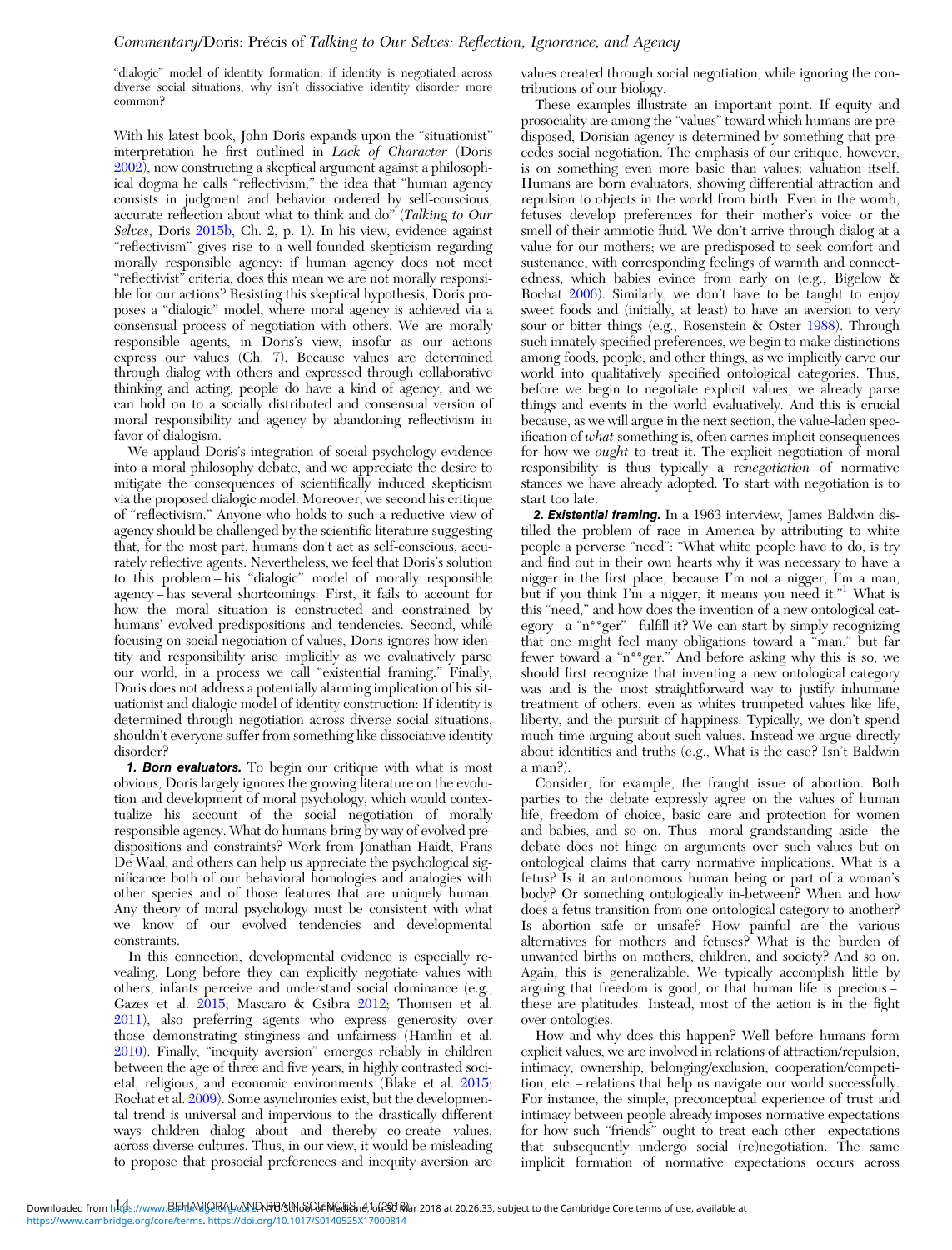"dialogic" model of identity formation: if identity is negotiated across diverse social situations, why isn't dissociative identity disorder more common?

With his latest book, John Doris expands upon the "situationist" interpretation he first outlined in Lack of Character (Doris [2002](#page-67-0)), now constructing a skeptical argument against a philosophical dogma he calls "reflectivism," the idea that "human agency consists in judgment and behavior ordered by self-conscious, accurate reflection about what to think and do" (Talking to Our Selves, Doris [2015b,](#page-67-0) Ch. 2, p. 1). In his view, evidence against "reflectivism" gives rise to a well-founded skepticism regarding morally responsible agency: if human agency does not meet "reflectivist" criteria, does this mean we are not morally responsible for our actions? Resisting this skeptical hypothesis, Doris proposes a "dialogic" model, where moral agency is achieved via a consensual process of negotiation with others. We are morally responsible agents, in Doris's view, insofar as our actions express our values (Ch. 7). Because values are determined through dialog with others and expressed through collaborative thinking and acting, people do have a kind of agency, and we can hold on to a socially distributed and consensual version of moral responsibility and agency by abandoning reflectivism in favor of dialogism.

We applaud Doris's integration of social psychology evidence into a moral philosophy debate, and we appreciate the desire to mitigate the consequences of scientifically induced skepticism via the proposed dialogic model. Moreover, we second his critique of "reflectivism." Anyone who holds to such a reductive view of agency should be challenged by the scientific literature suggesting that, for the most part, humans don't act as self-conscious, accurately reflective agents. Nevertheless, we feel that Doris's solution to this problem – his "dialogic" model of morally responsible agency – has several shortcomings. First, it fails to account for how the moral situation is constructed and constrained by humans' evolved predispositions and tendencies. Second, while focusing on social negotiation of values, Doris ignores how identity and responsibility arise implicitly as we evaluatively parse our world, in a process we call "existential framing." Finally, Doris does not address a potentially alarming implication of his situationist and dialogic model of identity construction: If identity is determined through negotiation across diverse social situations, shouldn't everyone suffer from something like dissociative identity disorder?

1. Born evaluators. To begin our critique with what is most obvious, Doris largely ignores the growing literature on the evolution and development of moral psychology, which would contextualize his account of the social negotiation of morally responsible agency. What do humans bring by way of evolved predispositions and constraints? Work from Jonathan Haidt, Frans De Waal, and others can help us appreciate the psychological significance both of our behavioral homologies and analogies with other species and of those features that are uniquely human. Any theory of moral psychology must be consistent with what we know of our evolved tendencies and developmental constraints.

In this connection, developmental evidence is especially revealing. Long before they can explicitly negotiate values with others, infants perceive and understand social dominance (e.g., Gazes et al. [2015;](#page-68-0) Mascaro & Csibra [2012;](#page-70-0) Thomsen et al. [2011](#page-73-0)), also preferring agents who express generosity over those demonstrating stinginess and unfairness (Hamlin et al. [2010](#page-69-0)). Finally, "inequity aversion" emerges reliably in children between the age of three and five years, in highly contrasted societal, religious, and economic environments (Blake et al. [2015;](#page-66-0) Rochat et al. [2009](#page-72-0)). Some asynchronies exist, but the developmental trend is universal and impervious to the drastically different ways children dialog about – and thereby co-create – values, across diverse cultures. Thus, in our view, it would be misleading to propose that prosocial preferences and inequity aversion are

values created through social negotiation, while ignoring the contributions of our biology.

These examples illustrate an important point. If equity and prosociality are among the "values" toward which humans are predisposed, Dorisian agency is determined by something that precedes social negotiation. The emphasis of our critique, however, is on something even more basic than values: valuation itself. Humans are born evaluators, showing differential attraction and repulsion to objects in the world from birth. Even in the womb, fetuses develop preferences for their mother's voice or the smell of their amniotic fluid. We don't arrive through dialog at a value for our mothers; we are predisposed to seek comfort and sustenance, with corresponding feelings of warmth and connectedness, which babies evince from early on (e.g., Bigelow & Rochat [2006\)](#page-66-0). Similarly, we don't have to be taught to enjoy sweet foods and (initially, at least) to have an aversion to very sour or bitter things (e.g., Rosenstein & Oster [1988](#page-72-0)). Through such innately specified preferences, we begin to make distinctions among foods, people, and other things, as we implicitly carve our world into qualitatively specified ontological categories. Thus, before we begin to negotiate explicit values, we already parse things and events in the world evaluatively. And this is crucial because, as we will argue in the next section, the value-laden specification of what something is, often carries implicit consequences for how we *ought* to treat it. The explicit negotiation of moral responsibility is thus typically a renegotiation of normative stances we have already adopted. To start with negotiation is to start too late.

2. Existential framing. In a 1963 interview, James Baldwin distilled the problem of race in America by attributing to white people a perverse "need": "What white people have to do, is try and find out in their own hearts why it was necessary to have a nigger in the first place, because I'm not a nigger, I'm a man, but if you think I'm a nigger, it means you need it."<sup>[1](#page-11-0)</sup> What is this "need," and how does the invention of a new ontological category – a "n\*\*ger" – fulfill it? We can start by simply recognizing that one might feel many obligations toward a "man," but far fewer toward a "n\*\*ger." And before asking why this is so, we should first recognize that inventing a new ontological category was and is the most straightforward way to justify inhumane treatment of others, even as whites trumpeted values like life, liberty, and the pursuit of happiness. Typically, we don't spend much time arguing about such values. Instead we argue directly about identities and truths (e.g., What is the case? Isn't Baldwin a man?).

Consider, for example, the fraught issue of abortion. Both parties to the debate expressly agree on the values of human life, freedom of choice, basic care and protection for women and babies, and so on. Thus – moral grandstanding aside – the debate does not hinge on arguments over such values but on ontological claims that carry normative implications. What is a fetus? Is it an autonomous human being or part of a woman's body? Or something ontologically in-between? When and how does a fetus transition from one ontological category to another? Is abortion safe or unsafe? How painful are the various alternatives for mothers and fetuses? What is the burden of unwanted births on mothers, children, and society? And so on. Again, this is generalizable. We typically accomplish little by arguing that freedom is good, or that human life is precious – these are platitudes. Instead, most of the action is in the fight over ontologies.

How and why does this happen? Well before humans form explicit values, we are involved in relations of attraction/repulsion, intimacy, ownership, belonging/exclusion, cooperation/competition, etc. – relations that help us navigate our world successfully. For instance, the simple, preconceptual experience of trust and intimacy between people already imposes normative expectations for how such "friends" ought to treat each other – expectations that subsequently undergo social (re)negotiation. The same implicit formation of normative expectations occurs across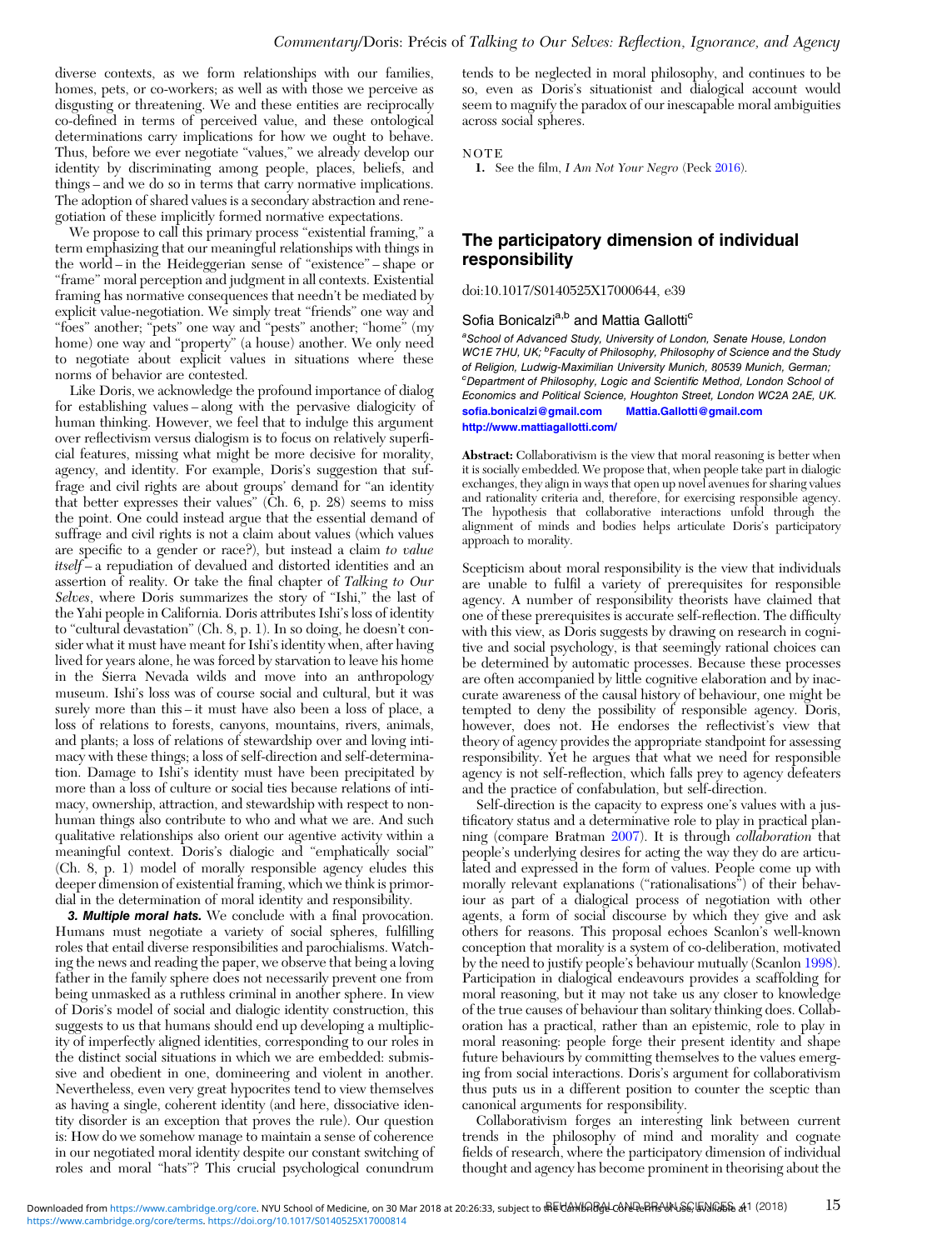diverse contexts, as we form relationships with our families, homes, pets, or co-workers; as well as with those we perceive as disgusting or threatening. We and these entities are reciprocally co-defined in terms of perceived value, and these ontological determinations carry implications for how we ought to behave. Thus, before we ever negotiate "values," we already develop our identity by discriminating among people, places, beliefs, and things – and we do so in terms that carry normative implications. The adoption of shared values is a secondary abstraction and renegotiation of these implicitly formed normative expectations.

We propose to call this primary process "existential framing," a term emphasizing that our meaningful relationships with things in the world – in the Heideggerian sense of "existence" – shape or "frame" moral perception and judgment in all contexts. Existential framing has normative consequences that needn't be mediated by explicit value-negotiation. We simply treat "friends" one way and "foes" another; "pets" one way and "pests" another; "home" (my home) one way and "property" (a house) another. We only need to negotiate about explicit values in situations where these norms of behavior are contested.

Like Doris, we acknowledge the profound importance of dialog for establishing values – along with the pervasive dialogicity of human thinking. However, we feel that to indulge this argument over reflectivism versus dialogism is to focus on relatively superficial features, missing what might be more decisive for morality, agency, and identity. For example, Doris's suggestion that suffrage and civil rights are about groups' demand for "an identity that better expresses their values" (Ch. 6, p. 28) seems to miss the point. One could instead argue that the essential demand of suffrage and civil rights is not a claim about values (which values are specific to a gender or race?), but instead a claim to value itself – a repudiation of devalued and distorted identities and an assertion of reality. Or take the final chapter of Talking to Our Selves, where Doris summarizes the story of "Ishi," the last of the Yahi people in California. Doris attributes Ishi's loss of identity to "cultural devastation" (Ch. 8, p. 1). In so doing, he doesn't consider what it must have meant for Ishi's identity when, after having lived for years alone, he was forced by starvation to leave his home in the Sierra Nevada wilds and move into an anthropology museum. Ishi's loss was of course social and cultural, but it was surely more than this – it must have also been a loss of place, a loss of relations to forests, canyons, mountains, rivers, animals, and plants; a loss of relations of stewardship over and loving intimacy with these things; a loss of self-direction and self-determination. Damage to Ishi's identity must have been precipitated by more than a loss of culture or social ties because relations of intimacy, ownership, attraction, and stewardship with respect to nonhuman things also contribute to who and what we are. And such qualitative relationships also orient our agentive activity within a meaningful context. Doris's dialogic and "emphatically social" (Ch. 8, p. 1) model of morally responsible agency eludes this deeper dimension of existential framing, which we think is primordial in the determination of moral identity and responsibility.

**3. Multiple moral hats.** We conclude with a final provocation. Humans must negotiate a variety of social spheres, fulfilling roles that entail diverse responsibilities and parochialisms. Watching the news and reading the paper, we observe that being a loving father in the family sphere does not necessarily prevent one from being unmasked as a ruthless criminal in another sphere. In view of Doris's model of social and dialogic identity construction, this suggests to us that humans should end up developing a multiplicity of imperfectly aligned identities, corresponding to our roles in the distinct social situations in which we are embedded: submissive and obedient in one, domineering and violent in another. Nevertheless, even very great hypocrites tend to view themselves as having a single, coherent identity (and here, dissociative identity disorder is an exception that proves the rule). Our question is: How do we somehow manage to maintain a sense of coherence in our negotiated moral identity despite our constant switching of roles and moral "hats"? This crucial psychological conundrum tends to be neglected in moral philosophy, and continues to be so, even as Doris's situationist and dialogical account would seem to magnify the paradox of our inescapable moral ambiguities across social spheres.

#### NOTE

1. See the film, I Am Not Your Negro (Peck [2016](#page-71-0)).

## The participatory dimension of individual responsibility

doi:10.1017/S0140525X17000644, e39

## Sofia Bonicalzi<sup>a,b</sup> and Mattia Gallotti<sup>c</sup>

<sup>a</sup>School of Advanced Study, University of London, Senate House, London WC1E 7HU, UK; <sup>b</sup>Faculty of Philosophy, Philosophy of Science and the Study of Religion, Ludwig-Maximilian University Munich, 80539 Munich, German; <sup>c</sup> Department of Philosophy, Logic and Scientific Method, London School of Economics and Political Science, Houghton Street, London WC2A 2AE, UK. sofi[a.bonicalzi@gmail.com](mailto:sofia.bonicalzi@gmail.com) [Mattia.Gallotti@gmail.com](mailto:Mattia.Gallotti@gmail.com)

<http://www.mattiagallotti.com/>

Abstract: Collaborativism is the view that moral reasoning is better when it is socially embedded. We propose that, when people take part in dialogic exchanges, they align in ways that open up novel avenues for sharing values and rationality criteria and, therefore, for exercising responsible agency. The hypothesis that collaborative interactions unfold through the alignment of minds and bodies helps articulate Doris's participatory approach to morality.

Scepticism about moral responsibility is the view that individuals are unable to fulfil a variety of prerequisites for responsible agency. A number of responsibility theorists have claimed that one of these prerequisites is accurate self-reflection. The difficulty with this view, as Doris suggests by drawing on research in cognitive and social psychology, is that seemingly rational choices can be determined by automatic processes. Because these processes are often accompanied by little cognitive elaboration and by inaccurate awareness of the causal history of behaviour, one might be tempted to deny the possibility of responsible agency. Doris, however, does not. He endorses the reflectivist's view that theory of agency provides the appropriate standpoint for assessing responsibility. Yet he argues that what we need for responsible agency is not self-reflection, which falls prey to agency defeaters and the practice of confabulation, but self-direction.

Self-direction is the capacity to express one's values with a justificatory status and a determinative role to play in practical planning (compare Bratman [2007](#page-66-0)). It is through collaboration that people's underlying desires for acting the way they do are articulated and expressed in the form of values. People come up with morally relevant explanations ("rationalisations") of their behaviour as part of a dialogical process of negotiation with other agents, a form of social discourse by which they give and ask others for reasons. This proposal echoes Scanlon's well-known conception that morality is a system of co-deliberation, motivated by the need to justify people's behaviour mutually (Scanlon [1998\)](#page-72-0). Participation in dialogical endeavours provides a scaffolding for moral reasoning, but it may not take us any closer to knowledge of the true causes of behaviour than solitary thinking does. Collaboration has a practical, rather than an epistemic, role to play in moral reasoning: people forge their present identity and shape future behaviours by committing themselves to the values emerging from social interactions. Doris's argument for collaborativism thus puts us in a different position to counter the sceptic than canonical arguments for responsibility.

Collaborativism forges an interesting link between current trends in the philosophy of mind and morality and cognate fields of research, where the participatory dimension of individual thought and agency has become prominent in theorising about the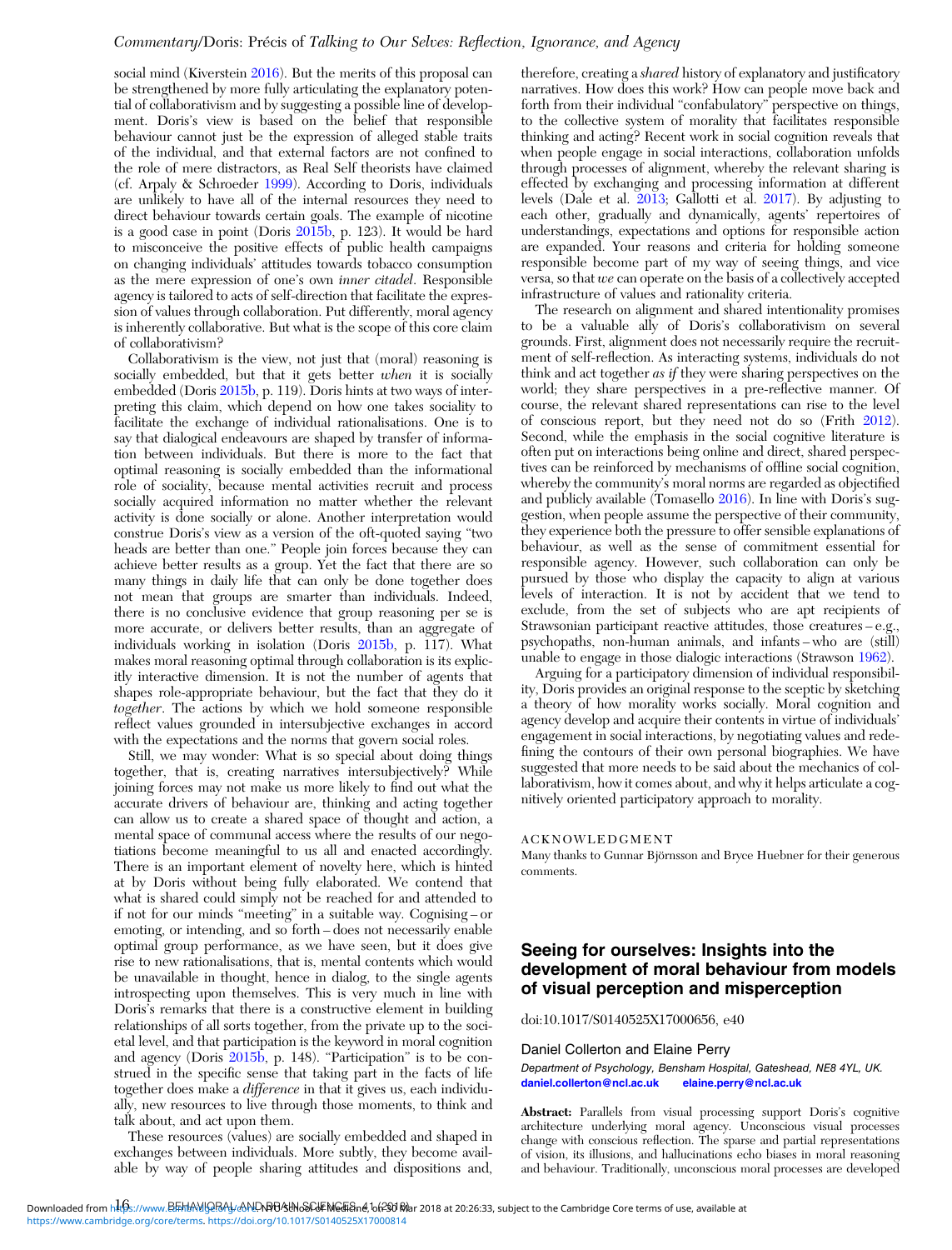social mind (Kiverstein [2016](#page-70-0)). But the merits of this proposal can be strengthened by more fully articulating the explanatory potential of collaborativism and by suggesting a possible line of development. Doris's view is based on the belief that responsible behaviour cannot just be the expression of alleged stable traits of the individual, and that external factors are not confined to the role of mere distractors, as Real Self theorists have claimed (cf. Arpaly & Schroeder [1999](#page-65-0)). According to Doris, individuals are unlikely to have all of the internal resources they need to direct behaviour towards certain goals. The example of nicotine is a good case in point (Doris [2015b](#page-67-0), p. 123). It would be hard to misconceive the positive effects of public health campaigns on changing individuals' attitudes towards tobacco consumption as the mere expression of one's own inner citadel. Responsible agency is tailored to acts of self-direction that facilitate the expression of values through collaboration. Put differently, moral agency is inherently collaborative. But what is the scope of this core claim of collaborativism?

Collaborativism is the view, not just that (moral) reasoning is socially embedded, but that it gets better when it is socially embedded (Doris [2015b](#page-67-0), p. 119). Doris hints at two ways of interpreting this claim, which depend on how one takes sociality to facilitate the exchange of individual rationalisations. One is to say that dialogical endeavours are shaped by transfer of information between individuals. But there is more to the fact that optimal reasoning is socially embedded than the informational role of sociality, because mental activities recruit and process socially acquired information no matter whether the relevant activity is done socially or alone. Another interpretation would construe Doris's view as a version of the oft-quoted saying "two heads are better than one." People join forces because they can achieve better results as a group. Yet the fact that there are so many things in daily life that can only be done together does not mean that groups are smarter than individuals. Indeed, there is no conclusive evidence that group reasoning per se is more accurate, or delivers better results, than an aggregate of individuals working in isolation (Doris [2015b,](#page-67-0) p. 117). What makes moral reasoning optimal through collaboration is its explicitly interactive dimension. It is not the number of agents that shapes role-appropriate behaviour, but the fact that they do it together. The actions by which we hold someone responsible reflect values grounded in intersubjective exchanges in accord with the expectations and the norms that govern social roles.

Still, we may wonder: What is so special about doing things together, that is, creating narratives intersubjectively? While joining forces may not make us more likely to find out what the accurate drivers of behaviour are, thinking and acting together can allow us to create a shared space of thought and action, a mental space of communal access where the results of our negotiations become meaningful to us all and enacted accordingly. There is an important element of novelty here, which is hinted at by Doris without being fully elaborated. We contend that what is shared could simply not be reached for and attended to if not for our minds "meeting" in a suitable way. Cognising – or emoting, or intending, and so forth – does not necessarily enable optimal group performance, as we have seen, but it does give rise to new rationalisations, that is, mental contents which would be unavailable in thought, hence in dialog, to the single agents introspecting upon themselves. This is very much in line with Doris's remarks that there is a constructive element in building relationships of all sorts together, from the private up to the societal level, and that participation is the keyword in moral cognition and agency (Doris [2015b,](#page-67-0) p. 148). "Participation" is to be construed in the specific sense that taking part in the facts of life together does make a difference in that it gives us, each individually, new resources to live through those moments, to think and talk about, and act upon them.

These resources (values) are socially embedded and shaped in exchanges between individuals. More subtly, they become available by way of people sharing attitudes and dispositions and, therefore, creating a shared history of explanatory and justificatory narratives. How does this work? How can people move back and forth from their individual "confabulatory" perspective on things, to the collective system of morality that facilitates responsible thinking and acting? Recent work in social cognition reveals that when people engage in social interactions, collaboration unfolds through processes of alignment, whereby the relevant sharing is effected by exchanging and processing information at different levels (Dale et al. [2013;](#page-67-0) Gallotti et al. [2017](#page-68-0)). By adjusting to each other, gradually and dynamically, agents' repertoires of understandings, expectations and options for responsible action are expanded. Your reasons and criteria for holding someone responsible become part of my way of seeing things, and vice versa, so that we can operate on the basis of a collectively accepted infrastructure of values and rationality criteria.

The research on alignment and shared intentionality promises to be a valuable ally of Doris's collaborativism on several grounds. First, alignment does not necessarily require the recruitment of self-reflection. As interacting systems, individuals do not think and act together as if they were sharing perspectives on the world; they share perspectives in a pre-reflective manner. Of course, the relevant shared representations can rise to the level of conscious report, but they need not do so (Frith [2012](#page-68-0)). Second, while the emphasis in the social cognitive literature is often put on interactions being online and direct, shared perspectives can be reinforced by mechanisms of offline social cognition, whereby the community's moral norms are regarded as objectified and publicly available (Tomasello [2016](#page-73-0)). In line with Doris's suggestion, when people assume the perspective of their community, they experience both the pressure to offer sensible explanations of behaviour, as well as the sense of commitment essential for responsible agency. However, such collaboration can only be pursued by those who display the capacity to align at various levels of interaction. It is not by accident that we tend to exclude, from the set of subjects who are apt recipients of Strawsonian participant reactive attitudes, those creatures – e.g., psychopaths, non-human animals, and infants – who are (still) unable to engage in those dialogic interactions (Strawson [1962](#page-73-0)).

Arguing for a participatory dimension of individual responsibility, Doris provides an original response to the sceptic by sketching a theory of how morality works socially. Moral cognition and agency develop and acquire their contents in virtue of individuals' engagement in social interactions, by negotiating values and redefining the contours of their own personal biographies. We have suggested that more needs to be said about the mechanics of collaborativism, how it comes about, and why it helps articulate a cognitively oriented participatory approach to morality.

#### ACKNOWLEDGMENT

Many thanks to Gunnar Björnsson and Bryce Huebner for their generous comments.

## Seeing for ourselves: Insights into the development of moral behaviour from models of visual perception and misperception

doi:10.1017/S0140525X17000656, e40

#### Daniel Collerton and Elaine Perry

Department of Psychology, Bensham Hospital, Gateshead, NE8 4YL, UK. [daniel.collerton@ncl.ac.uk](mailto:daniel.collerton@ncl.ac.uk) [elaine.perry@ncl.ac.uk](mailto:elaine.perry@ncl.ac.uk)

Abstract: Parallels from visual processing support Doris's cognitive architecture underlying moral agency. Unconscious visual processes change with conscious reflection. The sparse and partial representations of vision, its illusions, and hallucinations echo biases in moral reasoning and behaviour. Traditionally, unconscious moral processes are developed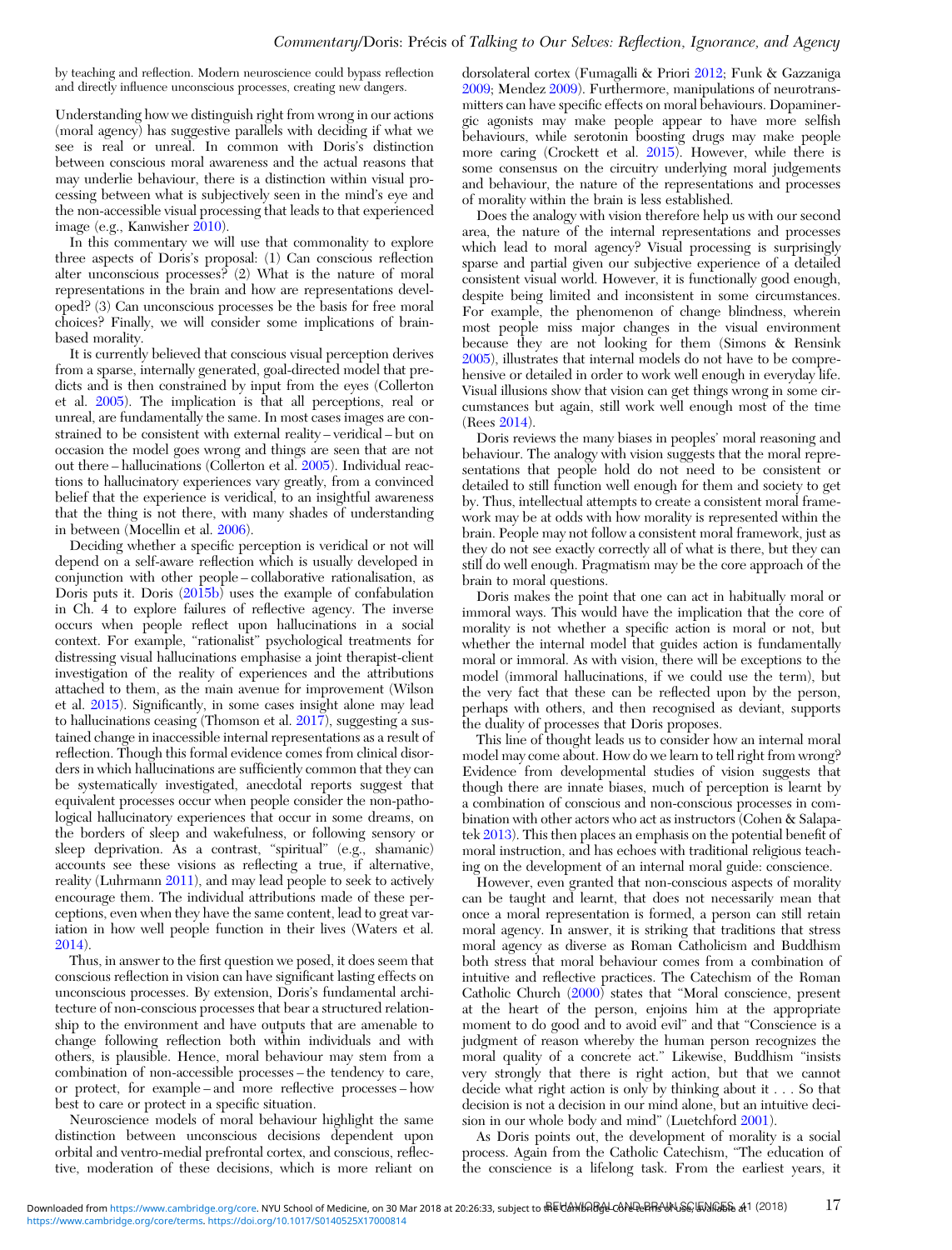by teaching and reflection. Modern neuroscience could bypass reflection and directly influence unconscious processes, creating new dangers.

Understanding how we distinguish right from wrong in our actions (moral agency) has suggestive parallels with deciding if what we see is real or unreal. In common with Doris's distinction between conscious moral awareness and the actual reasons that may underlie behaviour, there is a distinction within visual processing between what is subjectively seen in the mind's eye and the non-accessible visual processing that leads to that experienced image (e.g., Kanwisher [2010](#page-69-0)).

In this commentary we will use that commonality to explore three aspects of Doris's proposal: (1) Can conscious reflection alter unconscious processes? (2) What is the nature of moral representations in the brain and how are representations developed? (3) Can unconscious processes be the basis for free moral choices? Finally, we will consider some implications of brainbased morality.

It is currently believed that conscious visual perception derives from a sparse, internally generated, goal-directed model that predicts and is then constrained by input from the eyes (Collerton et al. [2005\)](#page-67-0). The implication is that all perceptions, real or unreal, are fundamentally the same. In most cases images are constrained to be consistent with external reality – veridical – but on occasion the model goes wrong and things are seen that are not out there – hallucinations (Collerton et al. [2005](#page-67-0)). Individual reactions to hallucinatory experiences vary greatly, from a convinced belief that the experience is veridical, to an insightful awareness that the thing is not there, with many shades of understanding in between (Mocellin et al. [2006\)](#page-71-0).

Deciding whether a specific perception is veridical or not will depend on a self-aware reflection which is usually developed in conjunction with other people – collaborative rationalisation, as Doris puts it. Doris [\(2015b\)](#page-67-0) uses the example of confabulation in Ch. 4 to explore failures of reflective agency. The inverse occurs when people reflect upon hallucinations in a social context. For example, "rationalist" psychological treatments for distressing visual hallucinations emphasise a joint therapist-client investigation of the reality of experiences and the attributions attached to them, as the main avenue for improvement (Wilson et al. [2015](#page-74-0)). Significantly, in some cases insight alone may lead to hallucinations ceasing (Thomson et al. [2017\)](#page-73-0), suggesting a sustained change in inaccessible internal representations as a result of reflection. Though this formal evidence comes from clinical disorders in which hallucinations are sufficiently common that they can be systematically investigated, anecdotal reports suggest that equivalent processes occur when people consider the non-pathological hallucinatory experiences that occur in some dreams, on the borders of sleep and wakefulness, or following sensory or sleep deprivation. As a contrast, "spiritual" (e.g., shamanic) accounts see these visions as reflecting a true, if alternative, reality (Luhrmann [2011](#page-70-0)), and may lead people to seek to actively encourage them. The individual attributions made of these perceptions, even when they have the same content, lead to great variation in how well people function in their lives (Waters et al. [2014\)](#page-74-0).

Thus, in answer to the first question we posed, it does seem that conscious reflection in vision can have significant lasting effects on unconscious processes. By extension, Doris's fundamental architecture of non-conscious processes that bear a structured relationship to the environment and have outputs that are amenable to change following reflection both within individuals and with others, is plausible. Hence, moral behaviour may stem from a combination of non-accessible processes – the tendency to care, or protect, for example – and more reflective processes – how best to care or protect in a specific situation.

Neuroscience models of moral behaviour highlight the same distinction between unconscious decisions dependent upon orbital and ventro-medial prefrontal cortex, and conscious, reflective, moderation of these decisions, which is more reliant on

dorsolateral cortex (Fumagalli & Priori [2012](#page-68-0); Funk & Gazzaniga [2009;](#page-68-0) Mendez [2009](#page-70-0)). Furthermore, manipulations of neurotransmitters can have specific effects on moral behaviours. Dopaminergic agonists may make people appear to have more selfish behaviours, while serotonin boosting drugs may make people more caring (Crockett et al. [2015\)](#page-67-0). However, while there is some consensus on the circuitry underlying moral judgements and behaviour, the nature of the representations and processes of morality within the brain is less established.

Does the analogy with vision therefore help us with our second area, the nature of the internal representations and processes which lead to moral agency? Visual processing is surprisingly sparse and partial given our subjective experience of a detailed consistent visual world. However, it is functionally good enough, despite being limited and inconsistent in some circumstances. For example, the phenomenon of change blindness, wherein most people miss major changes in the visual environment because they are not looking for them (Simons & Rensink [2005\)](#page-72-0), illustrates that internal models do not have to be comprehensive or detailed in order to work well enough in everyday life. Visual illusions show that vision can get things wrong in some circumstances but again, still work well enough most of the time (Rees [2014\)](#page-72-0).

Doris reviews the many biases in peoples' moral reasoning and behaviour. The analogy with vision suggests that the moral representations that people hold do not need to be consistent or detailed to still function well enough for them and society to get by. Thus, intellectual attempts to create a consistent moral framework may be at odds with how morality is represented within the brain. People may not follow a consistent moral framework, just as they do not see exactly correctly all of what is there, but they can still do well enough. Pragmatism may be the core approach of the brain to moral questions.

Doris makes the point that one can act in habitually moral or immoral ways. This would have the implication that the core of morality is not whether a specific action is moral or not, but whether the internal model that guides action is fundamentally moral or immoral. As with vision, there will be exceptions to the model (immoral hallucinations, if we could use the term), but the very fact that these can be reflected upon by the person, perhaps with others, and then recognised as deviant, supports the duality of processes that Doris proposes.

This line of thought leads us to consider how an internal moral model may come about. How do we learn to tell right from wrong? Evidence from developmental studies of vision suggests that though there are innate biases, much of perception is learnt by a combination of conscious and non-conscious processes in combination with other actors who act as instructors (Cohen & Salapatek [2013](#page-67-0)). This then places an emphasis on the potential benefit of moral instruction, and has echoes with traditional religious teaching on the development of an internal moral guide: conscience.

However, even granted that non-conscious aspects of morality can be taught and learnt, that does not necessarily mean that once a moral representation is formed, a person can still retain moral agency. In answer, it is striking that traditions that stress moral agency as diverse as Roman Catholicism and Buddhism both stress that moral behaviour comes from a combination of intuitive and reflective practices. The Catechism of the Roman Catholic Church [\(2000](#page-66-0)) states that "Moral conscience, present at the heart of the person, enjoins him at the appropriate moment to do good and to avoid evil" and that "Conscience is a judgment of reason whereby the human person recognizes the moral quality of a concrete act." Likewise, Buddhism "insists very strongly that there is right action, but that we cannot decide what right action is only by thinking about it . . . So that decision is not a decision in our mind alone, but an intuitive decision in our whole body and mind" (Luetchford [2001\)](#page-70-0).

As Doris points out, the development of morality is a social process. Again from the Catholic Catechism, "The education of the conscience is a lifelong task. From the earliest years, it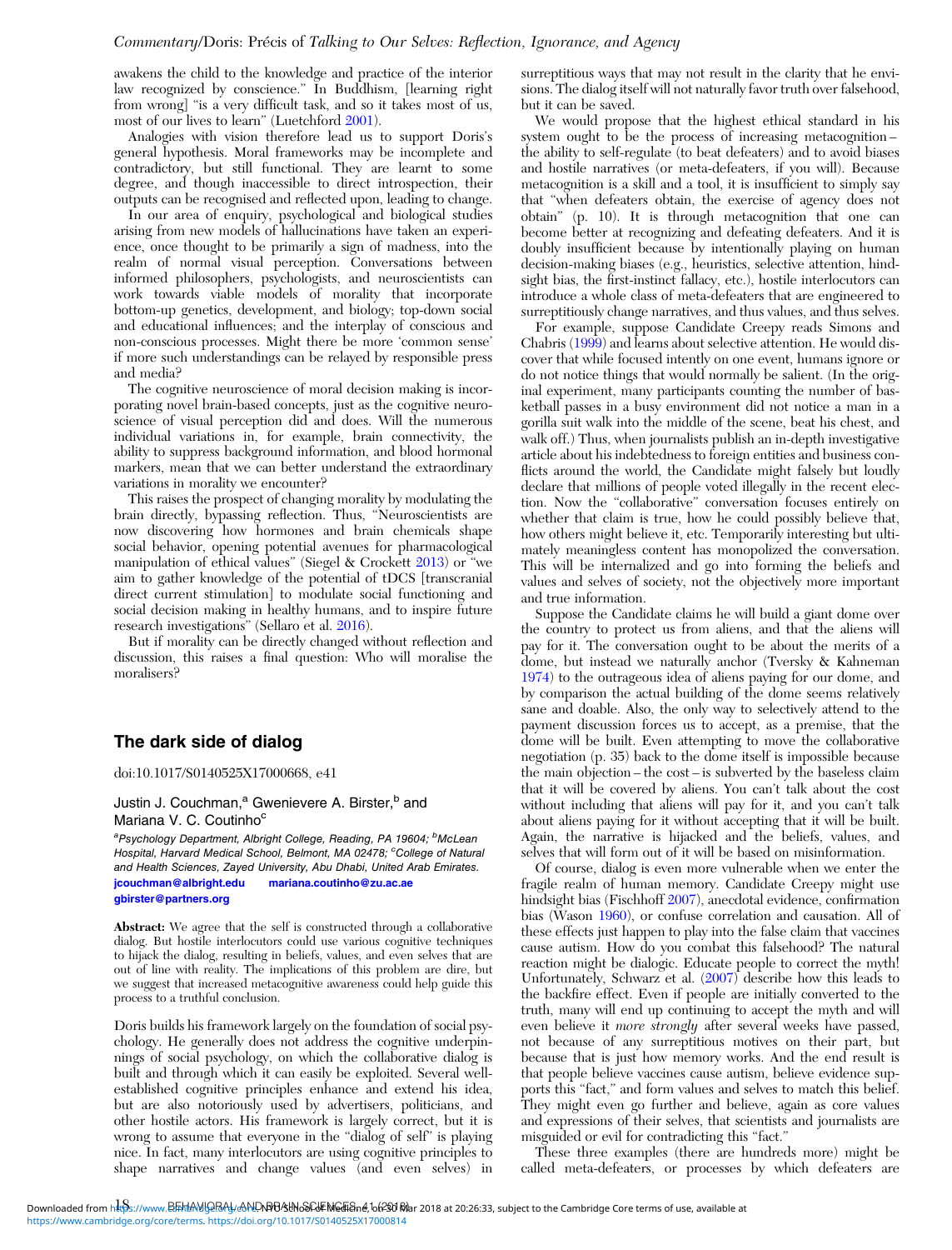awakens the child to the knowledge and practice of the interior law recognized by conscience." In Buddhism, [learning right from wrong] "is a very difficult task, and so it takes most of us, most of our lives to learn" (Luetchford [2001\)](#page-70-0).

Analogies with vision therefore lead us to support Doris's general hypothesis. Moral frameworks may be incomplete and contradictory, but still functional. They are learnt to some degree, and though inaccessible to direct introspection, their outputs can be recognised and reflected upon, leading to change.

In our area of enquiry, psychological and biological studies arising from new models of hallucinations have taken an experience, once thought to be primarily a sign of madness, into the realm of normal visual perception. Conversations between informed philosophers, psychologists, and neuroscientists can work towards viable models of morality that incorporate bottom-up genetics, development, and biology; top-down social and educational influences; and the interplay of conscious and non-conscious processes. Might there be more 'common sense' if more such understandings can be relayed by responsible press and media?

The cognitive neuroscience of moral decision making is incorporating novel brain-based concepts, just as the cognitive neuroscience of visual perception did and does. Will the numerous individual variations in, for example, brain connectivity, the ability to suppress background information, and blood hormonal markers, mean that we can better understand the extraordinary variations in morality we encounter?

This raises the prospect of changing morality by modulating the brain directly, bypassing reflection. Thus, "Neuroscientists are now discovering how hormones and brain chemicals shape social behavior, opening potential avenues for pharmacological manipulation of ethical values" (Siegel & Crockett [2013\)](#page-72-0) or "we aim to gather knowledge of the potential of tDCS [transcranial direct current stimulation] to modulate social functioning and social decision making in healthy humans, and to inspire future research investigations" (Sellaro et al. [2016\)](#page-72-0).

But if morality can be directly changed without reflection and discussion, this raises a final question: Who will moralise the moralisers?

## The dark side of dialog

doi:10.1017/S0140525X17000668, e41

## Justin J. Couchman,<sup>a</sup> Gwenievere A. Birster,<sup>b</sup> and Mariana V. C. Coutinho<sup>c</sup>

<sup>a</sup>Psychology Department, Albright College, Reading, PA 19604; <sup>b</sup>McLean Hospital, Harvard Medical School, Belmont, MA 02478; <sup>c</sup>College of Natural and Health Sciences, Zayed University, Abu Dhabi, United Arab Emirates. [jcouchman@albright.edu](mailto:jcouchman@albright.edu) [mariana.coutinho@zu.ac.ae](mailto:mariana.coutinho@zu.ac.ae) [gbirster@partners.org](mailto:gbirster@partners.org)

Abstract: We agree that the self is constructed through a collaborative dialog. But hostile interlocutors could use various cognitive techniques to hijack the dialog, resulting in beliefs, values, and even selves that are out of line with reality. The implications of this problem are dire, but we suggest that increased metacognitive awareness could help guide this process to a truthful conclusion.

Doris builds his framework largely on the foundation of social psychology. He generally does not address the cognitive underpinnings of social psychology, on which the collaborative dialog is built and through which it can easily be exploited. Several wellestablished cognitive principles enhance and extend his idea, but are also notoriously used by advertisers, politicians, and other hostile actors. His framework is largely correct, but it is wrong to assume that everyone in the "dialog of self" is playing nice. In fact, many interlocutors are using cognitive principles to shape narratives and change values (and even selves) in

surreptitious ways that may not result in the clarity that he envisions. The dialog itself will not naturally favor truth over falsehood, but it can be saved.

We would propose that the highest ethical standard in his system ought to be the process of increasing metacognition – the ability to self-regulate (to beat defeaters) and to avoid biases and hostile narratives (or meta-defeaters, if you will). Because metacognition is a skill and a tool, it is insufficient to simply say that "when defeaters obtain, the exercise of agency does not obtain" (p. 10). It is through metacognition that one can become better at recognizing and defeating defeaters. And it is doubly insufficient because by intentionally playing on human decision-making biases (e.g., heuristics, selective attention, hindsight bias, the first-instinct fallacy, etc.), hostile interlocutors can introduce a whole class of meta-defeaters that are engineered to surreptitiously change narratives, and thus values, and thus selves.

For example, suppose Candidate Creepy reads Simons and Chabris ([1999\)](#page-72-0) and learns about selective attention. He would discover that while focused intently on one event, humans ignore or do not notice things that would normally be salient. (In the original experiment, many participants counting the number of basketball passes in a busy environment did not notice a man in a gorilla suit walk into the middle of the scene, beat his chest, and walk off.) Thus, when journalists publish an in-depth investigative article about his indebtedness to foreign entities and business conflicts around the world, the Candidate might falsely but loudly declare that millions of people voted illegally in the recent election. Now the "collaborative" conversation focuses entirely on whether that claim is true, how he could possibly believe that, how others might believe it, etc. Temporarily interesting but ultimately meaningless content has monopolized the conversation. This will be internalized and go into forming the beliefs and values and selves of society, not the objectively more important and true information.

Suppose the Candidate claims he will build a giant dome over the country to protect us from aliens, and that the aliens will pay for it. The conversation ought to be about the merits of a dome, but instead we naturally anchor (Tversky & Kahneman [1974](#page-73-0)) to the outrageous idea of aliens paying for our dome, and by comparison the actual building of the dome seems relatively sane and doable. Also, the only way to selectively attend to the payment discussion forces us to accept, as a premise, that the dome will be built. Even attempting to move the collaborative negotiation (p. 35) back to the dome itself is impossible because the main objection – the cost – is subverted by the baseless claim that it will be covered by aliens. You can't talk about the cost without including that aliens will pay for it, and you can't talk about aliens paying for it without accepting that it will be built. Again, the narrative is hijacked and the beliefs, values, and selves that will form out of it will be based on misinformation.

Of course, dialog is even more vulnerable when we enter the fragile realm of human memory. Candidate Creepy might use hindsight bias (Fischhoff [2007](#page-68-0)), anecdotal evidence, confirmation bias (Wason [1960](#page-74-0)), or confuse correlation and causation. All of these effects just happen to play into the false claim that vaccines cause autism. How do you combat this falsehood? The natural reaction might be dialogic. Educate people to correct the myth! Unfortunately, Schwarz et al. ([2007\)](#page-72-0) describe how this leads to the backfire effect. Even if people are initially converted to the truth, many will end up continuing to accept the myth and will even believe it more strongly after several weeks have passed, not because of any surreptitious motives on their part, but because that is just how memory works. And the end result is that people believe vaccines cause autism, believe evidence supports this "fact," and form values and selves to match this belief. They might even go further and believe, again as core values and expressions of their selves, that scientists and journalists are misguided or evil for contradicting this "fact."

These three examples (there are hundreds more) might be called meta-defeaters, or processes by which defeaters are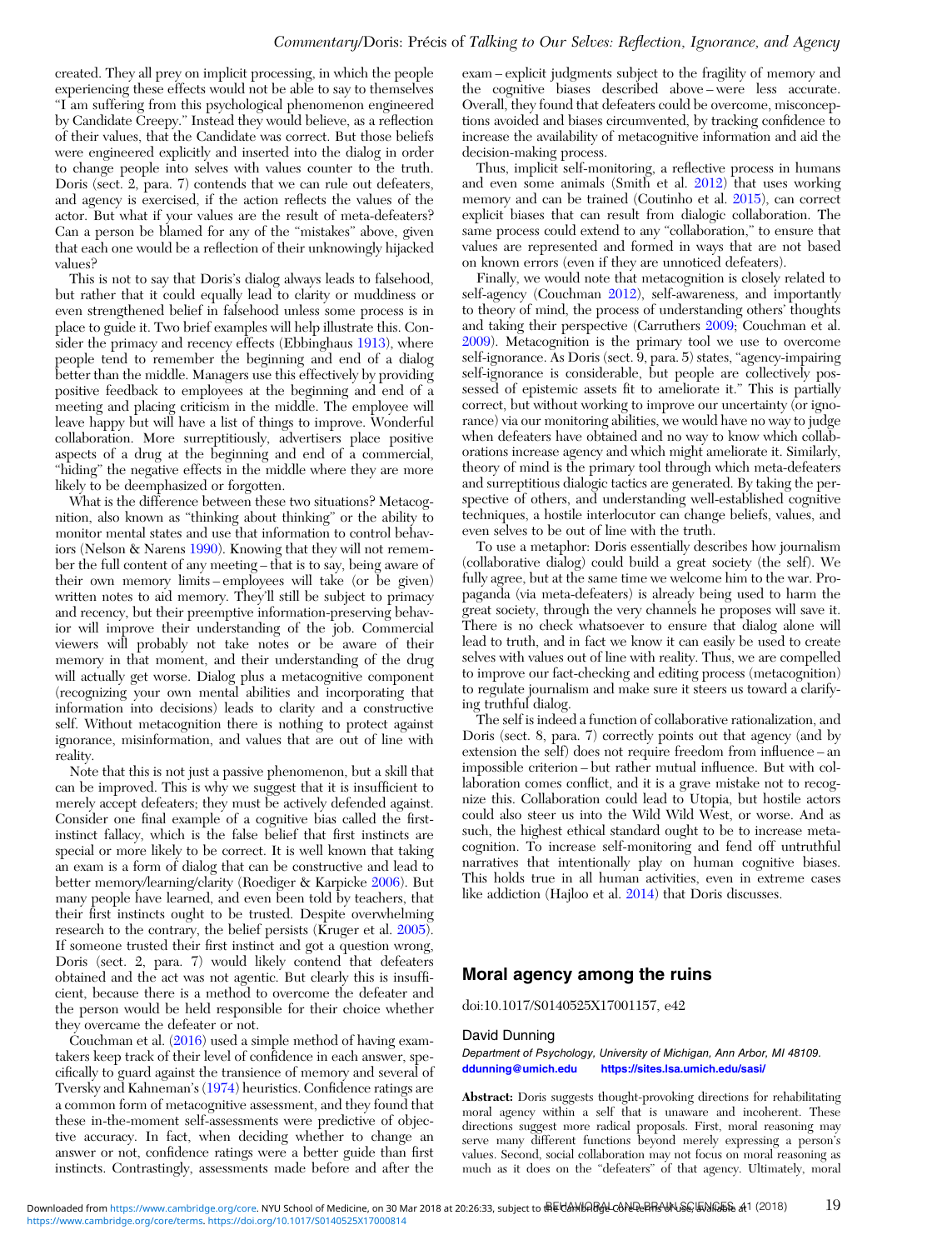created. They all prey on implicit processing, in which the people experiencing these effects would not be able to say to themselves "I am suffering from this psychological phenomenon engineered by Candidate Creepy." Instead they would believe, as a reflection of their values, that the Candidate was correct. But those beliefs were engineered explicitly and inserted into the dialog in order to change people into selves with values counter to the truth. Doris (sect. 2, para. 7) contends that we can rule out defeaters, and agency is exercised, if the action reflects the values of the actor. But what if your values are the result of meta-defeaters? Can a person be blamed for any of the "mistakes" above, given that each one would be a reflection of their unknowingly hijacked values?

This is not to say that Doris's dialog always leads to falsehood, but rather that it could equally lead to clarity or muddiness or even strengthened belief in falsehood unless some process is in place to guide it. Two brief examples will help illustrate this. Consider the primacy and recency effects (Ebbinghaus [1913](#page-68-0)), where people tend to remember the beginning and end of a dialog better than the middle. Managers use this effectively by providing positive feedback to employees at the beginning and end of a meeting and placing criticism in the middle. The employee will leave happy but will have a list of things to improve. Wonderful collaboration. More surreptitiously, advertisers place positive aspects of a drug at the beginning and end of a commercial, "hiding" the negative effects in the middle where they are more likely to be deemphasized or forgotten.

What is the difference between these two situations? Metacognition, also known as "thinking about thinking" or the ability to monitor mental states and use that information to control behaviors (Nelson & Narens [1990](#page-71-0)). Knowing that they will not remember the full content of any meeting – that is to say, being aware of their own memory limits – employees will take (or be given) written notes to aid memory. They'll still be subject to primacy and recency, but their preemptive information-preserving behavior will improve their understanding of the job. Commercial viewers will probably not take notes or be aware of their memory in that moment, and their understanding of the drug will actually get worse. Dialog plus a metacognitive component (recognizing your own mental abilities and incorporating that information into decisions) leads to clarity and a constructive self. Without metacognition there is nothing to protect against ignorance, misinformation, and values that are out of line with reality.

Note that this is not just a passive phenomenon, but a skill that can be improved. This is why we suggest that it is insufficient to merely accept defeaters; they must be actively defended against. Consider one final example of a cognitive bias called the firstinstinct fallacy, which is the false belief that first instincts are special or more likely to be correct. It is well known that taking an exam is a form of dialog that can be constructive and lead to better memory/learning/clarity (Roediger & Karpicke [2006](#page-72-0)). But many people have learned, and even been told by teachers, that their first instincts ought to be trusted. Despite overwhelming research to the contrary, the belief persists (Kruger et al. [2005\)](#page-70-0). If someone trusted their first instinct and got a question wrong, Doris (sect. 2, para. 7) would likely contend that defeaters obtained and the act was not agentic. But clearly this is insufficient, because there is a method to overcome the defeater and the person would be held responsible for their choice whether they overcame the defeater or not.

Couchman et al. ([2016](#page-67-0)) used a simple method of having examtakers keep track of their level of confidence in each answer, specifically to guard against the transience of memory and several of Tversky and Kahneman's ([1974\)](#page-73-0) heuristics. Confidence ratings are a common form of metacognitive assessment, and they found that these in-the-moment self-assessments were predictive of objective accuracy. In fact, when deciding whether to change an answer or not, confidence ratings were a better guide than first instincts. Contrastingly, assessments made before and after the

exam – explicit judgments subject to the fragility of memory and the cognitive biases described above – were less accurate. Overall, they found that defeaters could be overcome, misconceptions avoided and biases circumvented, by tracking confidence to increase the availability of metacognitive information and aid the decision-making process.

Thus, implicit self-monitoring, a reflective process in humans and even some animals (Smith et al. [2012](#page-73-0)) that uses working memory and can be trained (Coutinho et al. [2015\)](#page-67-0), can correct explicit biases that can result from dialogic collaboration. The same process could extend to any "collaboration," to ensure that values are represented and formed in ways that are not based on known errors (even if they are unnoticed defeaters).

Finally, we would note that metacognition is closely related to self-agency (Couchman [2012\)](#page-67-0), self-awareness, and importantly to theory of mind, the process of understanding others' thoughts and taking their perspective (Carruthers [2009](#page-66-0); Couchman et al. [2009\)](#page-67-0). Metacognition is the primary tool we use to overcome self-ignorance. As Doris (sect. 9, para. 5) states, "agency-impairing self-ignorance is considerable, but people are collectively possessed of epistemic assets fit to ameliorate it." This is partially correct, but without working to improve our uncertainty (or ignorance) via our monitoring abilities, we would have no way to judge when defeaters have obtained and no way to know which collaborations increase agency and which might ameliorate it. Similarly, theory of mind is the primary tool through which meta-defeaters and surreptitious dialogic tactics are generated. By taking the perspective of others, and understanding well-established cognitive techniques, a hostile interlocutor can change beliefs, values, and even selves to be out of line with the truth.

To use a metaphor: Doris essentially describes how journalism (collaborative dialog) could build a great society (the self). We fully agree, but at the same time we welcome him to the war. Propaganda (via meta-defeaters) is already being used to harm the great society, through the very channels he proposes will save it. There is no check whatsoever to ensure that dialog alone will lead to truth, and in fact we know it can easily be used to create selves with values out of line with reality. Thus, we are compelled to improve our fact-checking and editing process (metacognition) to regulate journalism and make sure it steers us toward a clarifying truthful dialog.

The self is indeed a function of collaborative rationalization, and Doris (sect. 8, para. 7) correctly points out that agency (and by extension the self) does not require freedom from influence – an impossible criterion – but rather mutual influence. But with collaboration comes conflict, and it is a grave mistake not to recognize this. Collaboration could lead to Utopia, but hostile actors could also steer us into the Wild Wild West, or worse. And as such, the highest ethical standard ought to be to increase metacognition. To increase self-monitoring and fend off untruthful narratives that intentionally play on human cognitive biases. This holds true in all human activities, even in extreme cases like addiction (Hajloo et al. [2014\)](#page-69-0) that Doris discusses.

## Moral agency among the ruins

doi:10.1017/S0140525X17001157, e42

#### David Dunning

Department of Psychology, University of Michigan, Ann Arbor, MI 48109. [ddunning@umich.edu](mailto:ddunning@umich.edu)<https://sites.lsa.umich.edu/sasi/>

Abstract: Doris suggests thought-provoking directions for rehabilitating moral agency within a self that is unaware and incoherent. These directions suggest more radical proposals. First, moral reasoning may serve many different functions beyond merely expressing a person's values. Second, social collaboration may not focus on moral reasoning as much as it does on the "defeaters" of that agency. Ultimately, moral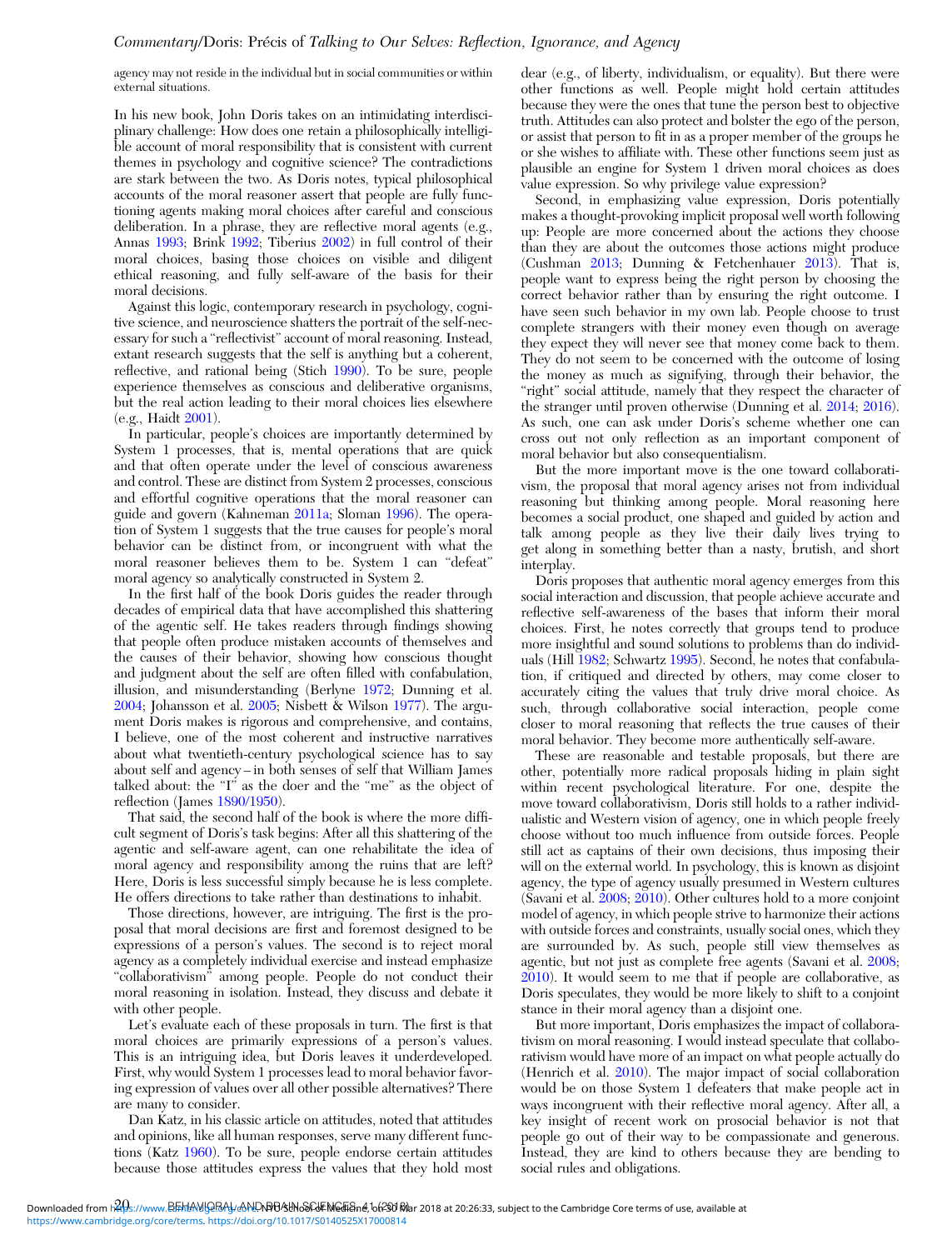agency may not reside in the individual but in social communities or within external situations.

In his new book, John Doris takes on an intimidating interdisciplinary challenge: How does one retain a philosophically intelligible account of moral responsibility that is consistent with current themes in psychology and cognitive science? The contradictions are stark between the two. As Doris notes, typical philosophical accounts of the moral reasoner assert that people are fully functioning agents making moral choices after careful and conscious deliberation. In a phrase, they are reflective moral agents (e.g., Annas [1993](#page-65-0); Brink [1992](#page-66-0); Tiberius [2002\)](#page-73-0) in full control of their moral choices, basing those choices on visible and diligent ethical reasoning, and fully self-aware of the basis for their moral decisions.

Against this logic, contemporary research in psychology, cognitive science, and neuroscience shatters the portrait of the self-necessary for such a "reflectivist" account of moral reasoning. Instead, extant research suggests that the self is anything but a coherent, reflective, and rational being (Stich [1990](#page-73-0)). To be sure, people experience themselves as conscious and deliberative organisms, but the real action leading to their moral choices lies elsewhere (e.g., Haidt [2001\)](#page-69-0).

In particular, people's choices are importantly determined by System 1 processes, that is, mental operations that are quick and that often operate under the level of conscious awareness and control. These are distinct from System 2 processes, conscious and effortful cognitive operations that the moral reasoner can guide and govern (Kahneman [2011a;](#page-69-0) Sloman [1996\)](#page-72-0). The operation of System 1 suggests that the true causes for people's moral behavior can be distinct from, or incongruent with what the moral reasoner believes them to be. System 1 can "defeat" moral agency so analytically constructed in System 2.

In the first half of the book Doris guides the reader through decades of empirical data that have accomplished this shattering of the agentic self. He takes readers through findings showing that people often produce mistaken accounts of themselves and the causes of their behavior, showing how conscious thought and judgment about the self are often filled with confabulation, illusion, and misunderstanding (Berlyne [1972;](#page-66-0) Dunning et al. [2004](#page-68-0); Johansson et al. [2005](#page-69-0); Nisbett & Wilson [1977](#page-71-0)). The argument Doris makes is rigorous and comprehensive, and contains, I believe, one of the most coherent and instructive narratives about what twentieth-century psychological science has to say about self and agency – in both senses of self that William James talked about: the "I" as the doer and the "me" as the object of reflection (James [1890/1950](#page-69-0)).

That said, the second half of the book is where the more difficult segment of Doris's task begins: After all this shattering of the agentic and self-aware agent, can one rehabilitate the idea of moral agency and responsibility among the ruins that are left? Here, Doris is less successful simply because he is less complete. He offers directions to take rather than destinations to inhabit.

Those directions, however, are intriguing. The first is the proposal that moral decisions are first and foremost designed to be expressions of a person's values. The second is to reject moral agency as a completely individual exercise and instead emphasize "collaborativism" among people. People do not conduct their moral reasoning in isolation. Instead, they discuss and debate it with other people.

Let's evaluate each of these proposals in turn. The first is that moral choices are primarily expressions of a person's values. This is an intriguing idea, but Doris leaves it underdeveloped. First, why would System 1 processes lead to moral behavior favoring expression of values over all other possible alternatives? There are many to consider.

Dan Katz, in his classic article on attitudes, noted that attitudes and opinions, like all human responses, serve many different functions (Katz [1960](#page-69-0)). To be sure, people endorse certain attitudes because those attitudes express the values that they hold most dear (e.g., of liberty, individualism, or equality). But there were other functions as well. People might hold certain attitudes because they were the ones that tune the person best to objective truth. Attitudes can also protect and bolster the ego of the person, or assist that person to fit in as a proper member of the groups he or she wishes to affiliate with. These other functions seem just as plausible an engine for System 1 driven moral choices as does value expression. So why privilege value expression?

Second, in emphasizing value expression, Doris potentially makes a thought-provoking implicit proposal well worth following up: People are more concerned about the actions they choose than they are about the outcomes those actions might produce (Cushman [2013](#page-67-0); Dunning & Fetchenhauer [2013](#page-67-0)). That is, people want to express being the right person by choosing the correct behavior rather than by ensuring the right outcome. I have seen such behavior in my own lab. People choose to trust complete strangers with their money even though on average they expect they will never see that money come back to them. They do not seem to be concerned with the outcome of losing the money as much as signifying, through their behavior, the "right" social attitude, namely that they respect the character of the stranger until proven otherwise (Dunning et al. [2014](#page-67-0); [2016](#page-67-0)). As such, one can ask under Doris's scheme whether one can cross out not only reflection as an important component of moral behavior but also consequentialism.

But the more important move is the one toward collaborativism, the proposal that moral agency arises not from individual reasoning but thinking among people. Moral reasoning here becomes a social product, one shaped and guided by action and talk among people as they live their daily lives trying to get along in something better than a nasty, brutish, and short interplay.

Doris proposes that authentic moral agency emerges from this social interaction and discussion, that people achieve accurate and reflective self-awareness of the bases that inform their moral choices. First, he notes correctly that groups tend to produce more insightful and sound solutions to problems than do individuals (Hill [1982](#page-69-0); Schwartz [1995](#page-72-0)). Second, he notes that confabulation, if critiqued and directed by others, may come closer to accurately citing the values that truly drive moral choice. As such, through collaborative social interaction, people come closer to moral reasoning that reflects the true causes of their moral behavior. They become more authentically self-aware.

These are reasonable and testable proposals, but there are other, potentially more radical proposals hiding in plain sight within recent psychological literature. For one, despite the move toward collaborativism, Doris still holds to a rather individualistic and Western vision of agency, one in which people freely choose without too much influence from outside forces. People still act as captains of their own decisions, thus imposing their will on the external world. In psychology, this is known as disjoint agency, the type of agency usually presumed in Western cultures (Savani et al. [2008;](#page-72-0) [2010](#page-72-0)). Other cultures hold to a more conjoint model of agency, in which people strive to harmonize their actions with outside forces and constraints, usually social ones, which they are surrounded by. As such, people still view themselves as agentic, but not just as complete free agents (Savani et al. [2008](#page-72-0); [2010](#page-72-0)). It would seem to me that if people are collaborative, as Doris speculates, they would be more likely to shift to a conjoint stance in their moral agency than a disjoint one.

But more important, Doris emphasizes the impact of collaborativism on moral reasoning. I would instead speculate that collaborativism would have more of an impact on what people actually do (Henrich et al. [2010\)](#page-69-0). The major impact of social collaboration would be on those System 1 defeaters that make people act in ways incongruent with their reflective moral agency. After all, a key insight of recent work on prosocial behavior is not that people go out of their way to be compassionate and generous. Instead, they are kind to others because they are bending to social rules and obligations.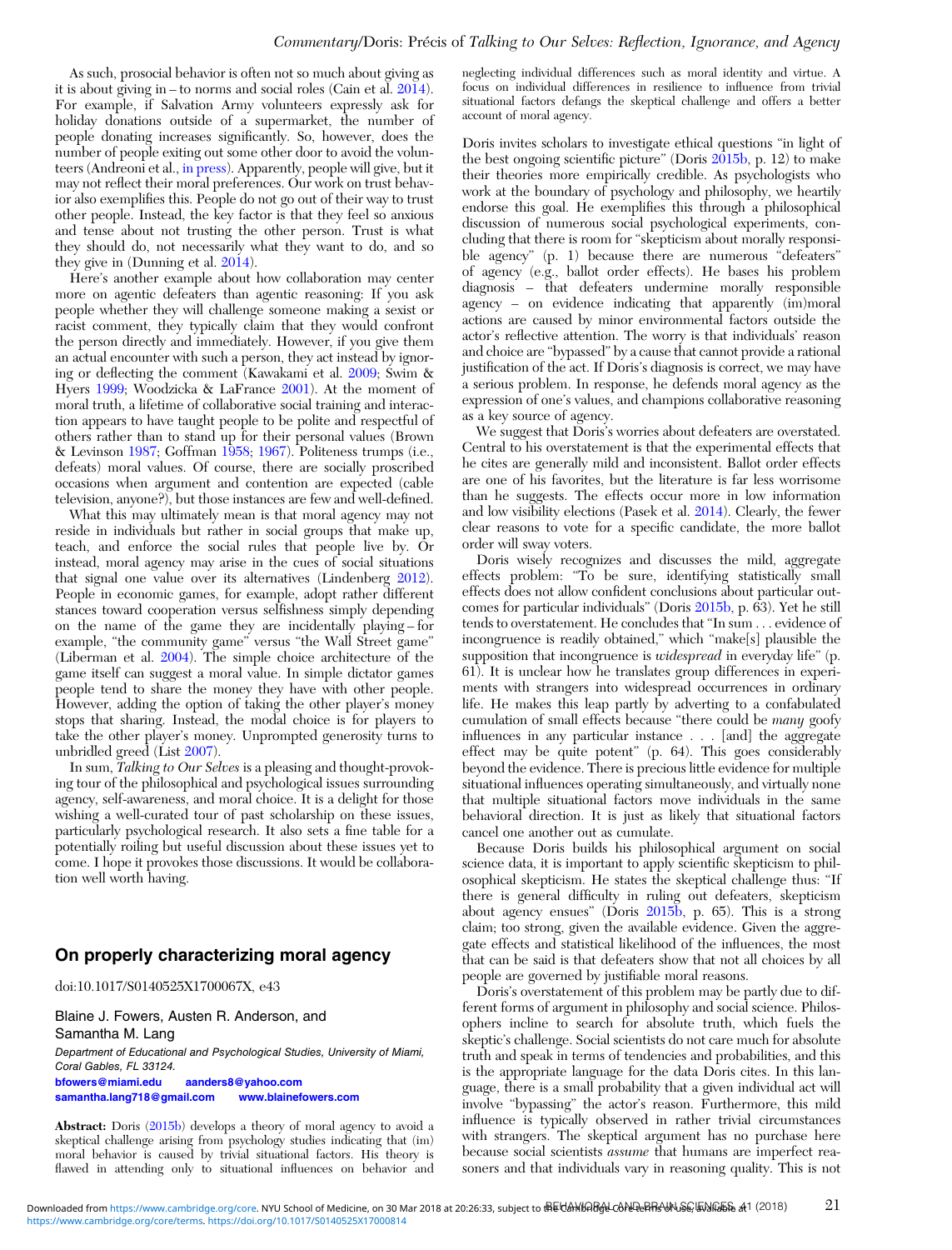As such, prosocial behavior is often not so much about giving as it is about giving in – to norms and social roles (Cain et al.  $20\overline{14}$ ). For example, if Salvation Army volunteers expressly ask for holiday donations outside of a supermarket, the number of people donating increases significantly. So, however, does the number of people exiting out some other door to avoid the volunteers (Andreoni et al., [in press](#page-65-0)). Apparently, people will give, but it may not reflect their moral preferences. Our work on trust behavior also exemplifies this. People do not go out of their way to trust other people. Instead, the key factor is that they feel so anxious and tense about not trusting the other person. Trust is what they should do, not necessarily what they want to do, and so they give in (Dunning et al. [2014](#page-67-0)).

Here's another example about how collaboration may center more on agentic defeaters than agentic reasoning: If you ask people whether they will challenge someone making a sexist or racist comment, they typically claim that they would confront the person directly and immediately. However, if you give them an actual encounter with such a person, they act instead by ignoring or deflecting the comment (Kawakami et al. [2009;](#page-69-0) Swim & Hyers [1999;](#page-73-0) Woodzicka & LaFrance [2001](#page-74-0)). At the moment of moral truth, a lifetime of collaborative social training and interaction appears to have taught people to be polite and respectful of others rather than to stand up for their personal values (Brown & Levinson [1987](#page-66-0); Goffman [1958](#page-68-0); [1967\)](#page-68-0). Politeness trumps (i.e., defeats) moral values. Of course, there are socially proscribed occasions when argument and contention are expected (cable television, anyone?), but those instances are few and well-defined.

What this may ultimately mean is that moral agency may not reside in individuals but rather in social groups that make up, teach, and enforce the social rules that people live by. Or instead, moral agency may arise in the cues of social situations that signal one value over its alternatives (Lindenberg [2012\)](#page-70-0). People in economic games, for example, adopt rather different stances toward cooperation versus selfishness simply depending on the name of the game they are incidentally playing – for example, "the community game" versus "the Wall Street game" (Liberman et al. [2004\)](#page-70-0). The simple choice architecture of the game itself can suggest a moral value. In simple dictator games people tend to share the money they have with other people. However, adding the option of taking the other player's money stops that sharing. Instead, the modal choice is for players to take the other player's money. Unprompted generosity turns to unbridled greed (List [2007](#page-70-0)).

In sum, Talking to Our Selves is a pleasing and thought-provoking tour of the philosophical and psychological issues surrounding agency, self-awareness, and moral choice. It is a delight for those wishing a well-curated tour of past scholarship on these issues, particularly psychological research. It also sets a fine table for a potentially roiling but useful discussion about these issues yet to come. I hope it provokes those discussions. It would be collaboration well worth having.

## On properly characterizing moral agency

doi:10.1017/S0140525X1700067X, e43

Blaine J. Fowers, Austen R. Anderson, and Samantha M. Lang Department of Educational and Psychological Studies, University of Miami, Coral Gables, FL 33124. [bfowers@miami.edu](mailto:bfowers@miami.edu) [aanders8@yahoo.com](mailto:aanders8@yahoo.com) [samantha.lang718@gmail.com](mailto:samantha.lang718@gmail.com) [www.blainefowers.com](http://www.blainefowers.com)

Abstract: Doris ([2015b\)](#page-67-0) develops a theory of moral agency to avoid a skeptical challenge arising from psychology studies indicating that (im) moral behavior is caused by trivial situational factors. His theory is flawed in attending only to situational influences on behavior and neglecting individual differences such as moral identity and virtue. A focus on individual differences in resilience to influence from trivial situational factors defangs the skeptical challenge and offers a better account of moral agency.

Doris invites scholars to investigate ethical questions "in light of the best ongoing scientific picture" (Doris [2015b,](#page-67-0) p. 12) to make their theories more empirically credible. As psychologists who work at the boundary of psychology and philosophy, we heartily endorse this goal. He exemplifies this through a philosophical discussion of numerous social psychological experiments, concluding that there is room for "skepticism about morally responsible agency" (p. 1) because there are numerous "defeaters" of agency (e.g., ballot order effects). He bases his problem diagnosis – that defeaters undermine morally responsible agency – on evidence indicating that apparently (im)moral actions are caused by minor environmental factors outside the actor's reflective attention. The worry is that individuals' reason and choice are "bypassed" by a cause that cannot provide a rational justification of the act. If Doris's diagnosis is correct, we may have a serious problem. In response, he defends moral agency as the expression of one's values, and champions collaborative reasoning as a key source of agency.

We suggest that Doris's worries about defeaters are overstated. Central to his overstatement is that the experimental effects that he cites are generally mild and inconsistent. Ballot order effects are one of his favorites, but the literature is far less worrisome than he suggests. The effects occur more in low information and low visibility elections (Pasek et al. [2014](#page-71-0)). Clearly, the fewer clear reasons to vote for a specific candidate, the more ballot order will sway voters.

Doris wisely recognizes and discusses the mild, aggregate effects problem: "To be sure, identifying statistically small effects does not allow confident conclusions about particular outcomes for particular individuals" (Doris [2015b](#page-67-0), p. 63). Yet he still tends to overstatement. He concludes that "In sum . . . evidence of incongruence is readily obtained," which "make[s] plausible the supposition that incongruence is *widespread* in everyday life" (p. 61). It is unclear how he translates group differences in experiments with strangers into widespread occurrences in ordinary life. He makes this leap partly by adverting to a confabulated cumulation of small effects because "there could be many goofy influences in any particular instance . . . [and] the aggregate effect may be quite potent" (p. 64). This goes considerably beyond the evidence. There is precious little evidence for multiple situational influences operating simultaneously, and virtually none that multiple situational factors move individuals in the same behavioral direction. It is just as likely that situational factors cancel one another out as cumulate.

Because Doris builds his philosophical argument on social science data, it is important to apply scientific skepticism to philosophical skepticism. He states the skeptical challenge thus: "If there is general difficulty in ruling out defeaters, skepticism about agency ensues" (Doris [2015b,](#page-67-0) p. 65). This is a strong claim; too strong, given the available evidence. Given the aggregate effects and statistical likelihood of the influences, the most that can be said is that defeaters show that not all choices by all people are governed by justifiable moral reasons.

Doris's overstatement of this problem may be partly due to different forms of argument in philosophy and social science. Philosophers incline to search for absolute truth, which fuels the skeptic's challenge. Social scientists do not care much for absolute truth and speak in terms of tendencies and probabilities, and this is the appropriate language for the data Doris cites. In this language, there is a small probability that a given individual act will involve "bypassing" the actor's reason. Furthermore, this mild influence is typically observed in rather trivial circumstances with strangers. The skeptical argument has no purchase here because social scientists assume that humans are imperfect reasoners and that individuals vary in reasoning quality. This is not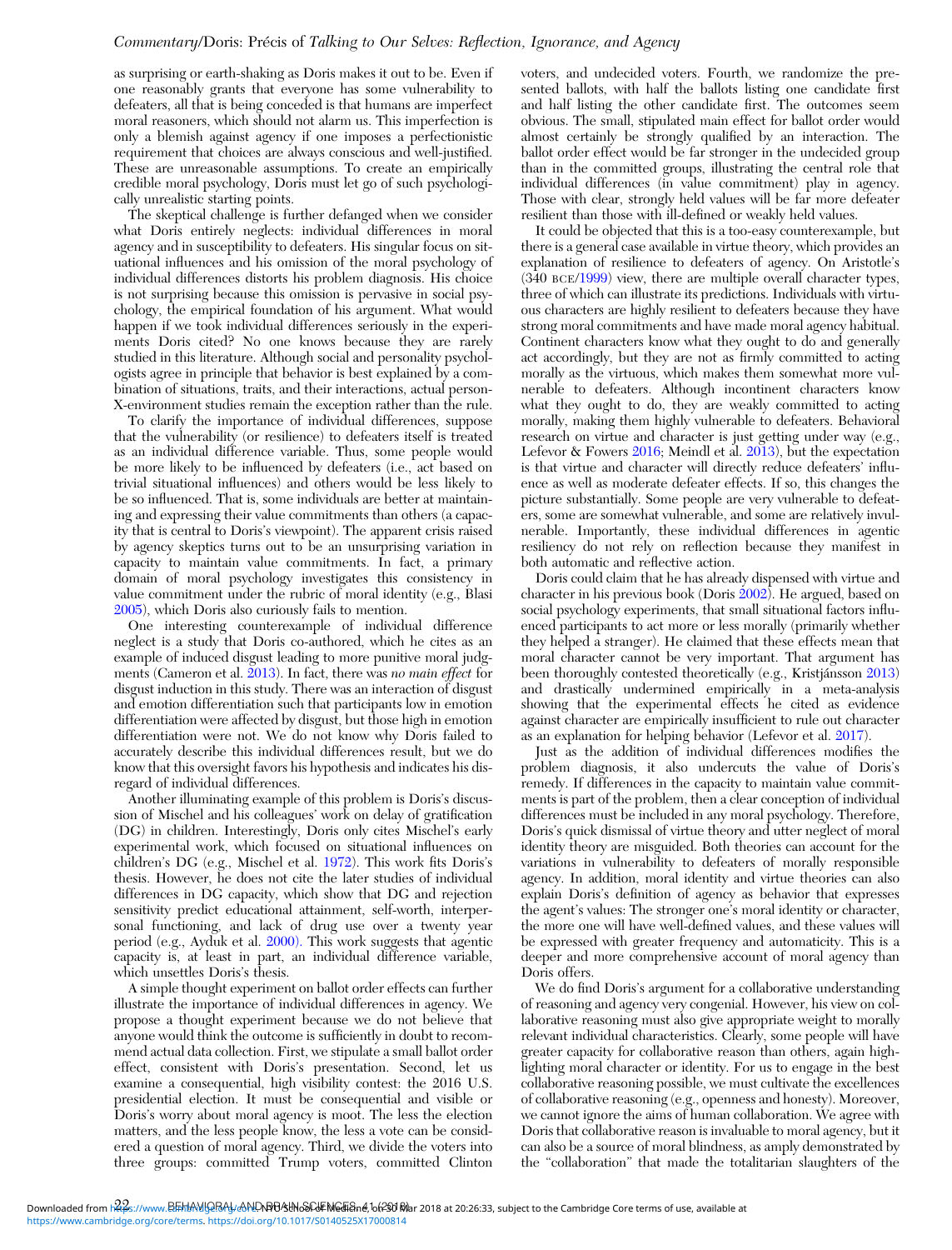as surprising or earth-shaking as Doris makes it out to be. Even if one reasonably grants that everyone has some vulnerability to defeaters, all that is being conceded is that humans are imperfect moral reasoners, which should not alarm us. This imperfection is only a blemish against agency if one imposes a perfectionistic requirement that choices are always conscious and well-justified. These are unreasonable assumptions. To create an empirically credible moral psychology, Doris must let go of such psychologically unrealistic starting points.

The skeptical challenge is further defanged when we consider what Doris entirely neglects: individual differences in moral agency and in susceptibility to defeaters. His singular focus on situational influences and his omission of the moral psychology of individual differences distorts his problem diagnosis. His choice is not surprising because this omission is pervasive in social psychology, the empirical foundation of his argument. What would happen if we took individual differences seriously in the experiments Doris cited? No one knows because they are rarely studied in this literature. Although social and personality psychologists agree in principle that behavior is best explained by a combination of situations, traits, and their interactions, actual person-X-environment studies remain the exception rather than the rule.

To clarify the importance of individual differences, suppose that the vulnerability (or resilience) to defeaters itself is treated as an individual difference variable. Thus, some people would be more likely to be influenced by defeaters (i.e., act based on trivial situational influences) and others would be less likely to be so influenced. That is, some individuals are better at maintaining and expressing their value commitments than others (a capacity that is central to Doris's viewpoint). The apparent crisis raised by agency skeptics turns out to be an unsurprising variation in capacity to maintain value commitments. In fact, a primary domain of moral psychology investigates this consistency in value commitment under the rubric of moral identity (e.g., Blasi [2005](#page-66-0)), which Doris also curiously fails to mention.

One interesting counterexample of individual difference neglect is a study that Doris co-authored, which he cites as an example of induced disgust leading to more punitive moral judg-ments (Cameron et al. [2013\)](#page-66-0). In fact, there was no main effect for disgust induction in this study. There was an interaction of disgust and emotion differentiation such that participants low in emotion differentiation were affected by disgust, but those high in emotion differentiation were not. We do not know why Doris failed to accurately describe this individual differences result, but we do know that this oversight favors his hypothesis and indicates his disregard of individual differences.

Another illuminating example of this problem is Doris's discussion of Mischel and his colleagues' work on delay of gratification (DG) in children. Interestingly, Doris only cites Mischel's early experimental work, which focused on situational influences on children's DG (e.g., Mischel et al. [1972\)](#page-71-0). This work fits Doris's thesis. However, he does not cite the later studies of individual differences in DG capacity, which show that DG and rejection sensitivity predict educational attainment, self-worth, interpersonal functioning, and lack of drug use over a twenty year period (e.g., Ayduk et al. [2000\).](#page-65-0) This work suggests that agentic capacity is, at least in part, an individual difference variable, which unsettles Doris's thesis.

A simple thought experiment on ballot order effects can further illustrate the importance of individual differences in agency. We propose a thought experiment because we do not believe that anyone would think the outcome is sufficiently in doubt to recommend actual data collection. First, we stipulate a small ballot order effect, consistent with Doris's presentation. Second, let us examine a consequential, high visibility contest: the 2016 U.S. presidential election. It must be consequential and visible or Doris's worry about moral agency is moot. The less the election matters, and the less people know, the less a vote can be considered a question of moral agency. Third, we divide the voters into three groups: committed Trump voters, committed Clinton voters, and undecided voters. Fourth, we randomize the presented ballots, with half the ballots listing one candidate first and half listing the other candidate first. The outcomes seem obvious. The small, stipulated main effect for ballot order would almost certainly be strongly qualified by an interaction. The ballot order effect would be far stronger in the undecided group than in the committed groups, illustrating the central role that individual differences (in value commitment) play in agency. Those with clear, strongly held values will be far more defeater resilient than those with ill-defined or weakly held values.

It could be objected that this is a too-easy counterexample, but there is a general case available in virtue theory, which provides an explanation of resilience to defeaters of agency. On Aristotle's (340 BCE[/1999](#page-65-0)) view, there are multiple overall character types, three of which can illustrate its predictions. Individuals with virtuous characters are highly resilient to defeaters because they have strong moral commitments and have made moral agency habitual. Continent characters know what they ought to do and generally act accordingly, but they are not as firmly committed to acting morally as the virtuous, which makes them somewhat more vulnerable to defeaters. Although incontinent characters know what they ought to do, they are weakly committed to acting morally, making them highly vulnerable to defeaters. Behavioral research on virtue and character is just getting under way (e.g., Lefevor & Fowers [2016;](#page-70-0) Meindl et al. [2013](#page-70-0)), but the expectation is that virtue and character will directly reduce defeaters' influence as well as moderate defeater effects. If so, this changes the picture substantially. Some people are very vulnerable to defeaters, some are somewhat vulnerable, and some are relatively invulnerable. Importantly, these individual differences in agentic resiliency do not rely on reflection because they manifest in both automatic and reflective action.

Doris could claim that he has already dispensed with virtue and character in his previous book (Doris [2002](#page-67-0)). He argued, based on social psychology experiments, that small situational factors influenced participants to act more or less morally (primarily whether they helped a stranger). He claimed that these effects mean that moral character cannot be very important. That argument has been thoroughly contested theoretically (e.g., Kristjánsson [2013](#page-70-0)) and drastically undermined empirically in a meta-analysis showing that the experimental effects he cited as evidence against character are empirically insufficient to rule out character as an explanation for helping behavior (Lefevor et al. [2017\)](#page-70-0).

Just as the addition of individual differences modifies the problem diagnosis, it also undercuts the value of Doris's remedy. If differences in the capacity to maintain value commitments is part of the problem, then a clear conception of individual differences must be included in any moral psychology. Therefore, Doris's quick dismissal of virtue theory and utter neglect of moral identity theory are misguided. Both theories can account for the variations in vulnerability to defeaters of morally responsible agency. In addition, moral identity and virtue theories can also explain Doris's definition of agency as behavior that expresses the agent's values: The stronger one's moral identity or character, the more one will have well-defined values, and these values will be expressed with greater frequency and automaticity. This is a deeper and more comprehensive account of moral agency than Doris offers.

We do find Doris's argument for a collaborative understanding of reasoning and agency very congenial. However, his view on collaborative reasoning must also give appropriate weight to morally relevant individual characteristics. Clearly, some people will have greater capacity for collaborative reason than others, again highlighting moral character or identity. For us to engage in the best collaborative reasoning possible, we must cultivate the excellences of collaborative reasoning (e.g., openness and honesty). Moreover, we cannot ignore the aims of human collaboration. We agree with Doris that collaborative reason is invaluable to moral agency, but it can also be a source of moral blindness, as amply demonstrated by the "collaboration" that made the totalitarian slaughters of the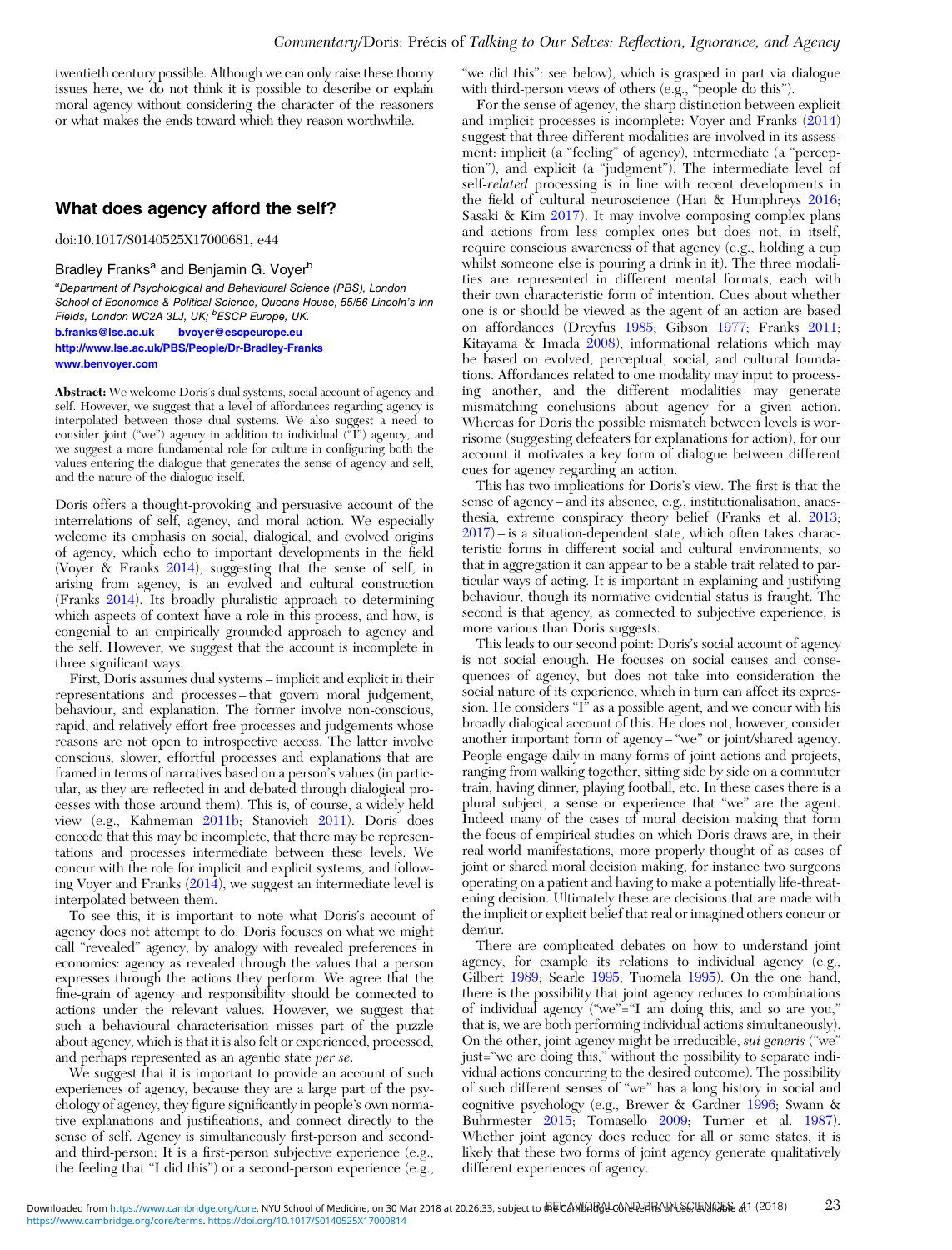twentieth century possible. Although we can only raise these thorny issues here, we do not think it is possible to describe or explain moral agency without considering the character of the reasoners or what makes the ends toward which they reason worthwhile.

## What does agency afford the self?

doi:10.1017/S0140525X17000681, e44

## Bradley Franks<sup>a</sup> and Benjamin G. Voyer<sup>b</sup>

<sup>a</sup>Department of Psychological and Behavioural Science (PBS), London School of Economics & Political Science, Queens House, 55/56 Lincoln's Inn Fields, London WC2A 3LJ, UK; <sup>b</sup>ESCP Europe, UK. [b.franks@lse.ac.uk](mailto:b.franks@lse.ac.uk) [bvoyer@escpeurope.eu](mailto:bvoyer@escpeurope.eu) <http://www.lse.ac.uk/PBS/People/Dr-Bradley-Franks> [www.benvoyer.com](http://www.benvoyer.com)

Abstract: We welcome Doris's dual systems, social account of agency and self. However, we suggest that a level of affordances regarding agency is interpolated between those dual systems. We also suggest a need to consider joint ("we") agency in addition to individual ("I") agency, and we suggest a more fundamental role for culture in configuring both the values entering the dialogue that generates the sense of agency and self, and the nature of the dialogue itself.

Doris offers a thought-provoking and persuasive account of the interrelations of self, agency, and moral action. We especially welcome its emphasis on social, dialogical, and evolved origins of agency, which echo to important developments in the field (Voyer & Franks [2014\)](#page-68-0), suggesting that the sense of self, in arising from agency, is an evolved and cultural construction (Franks [2014](#page-68-0)). Its broadly pluralistic approach to determining which aspects of context have a role in this process, and how, is congenial to an empirically grounded approach to agency and the self. However, we suggest that the account is incomplete in three significant ways.

First, Doris assumes dual systems – implicit and explicit in their representations and processes – that govern moral judgement, behaviour, and explanation. The former involve non-conscious, rapid, and relatively effort-free processes and judgements whose reasons are not open to introspective access. The latter involve conscious, slower, effortful processes and explanations that are framed in terms of narratives based on a person's values (in particular, as they are reflected in and debated through dialogical processes with those around them). This is, of course, a widely held view (e.g., Kahneman [2011b](#page-0-0); Stanovich [2011\)](#page-73-0). Doris does concede that this may be incomplete, that there may be representations and processes intermediate between these levels. We concur with the role for implicit and explicit systems, and following Voyer and Franks [\(2014](#page-68-0)), we suggest an intermediate level is interpolated between them.

To see this, it is important to note what Doris's account of agency does not attempt to do. Doris focuses on what we might call "revealed" agency, by analogy with revealed preferences in economics: agency as revealed through the values that a person expresses through the actions they perform. We agree that the fine-grain of agency and responsibility should be connected to actions under the relevant values. However, we suggest that such a behavioural characterisation misses part of the puzzle about agency, which is that it is also felt or experienced, processed, and perhaps represented as an agentic state per se.

We suggest that it is important to provide an account of such experiences of agency, because they are a large part of the psychology of agency, they figure significantly in people's own normative explanations and justifications, and connect directly to the sense of self. Agency is simultaneously first-person and secondand third-person: It is a first-person subjective experience (e.g., the feeling that "I did this") or a second-person experience (e.g.,

"we did this": see below), which is grasped in part via dialogue with third-person views of others (e.g., "people do this").

For the sense of agency, the sharp distinction between explicit and implicit processes is incomplete: Voyer and Franks  $(2014)$  $(2014)$  $(2014)$ suggest that three different modalities are involved in its assessment: implicit (a "feeling" of agency), intermediate (a "perception"), and explicit (a "judgment"). The intermediate level of self-related processing is in line with recent developments in the field of cultural neuroscience (Han & Humphreys [2016;](#page-69-0) Sasaki & Kim [2017\)](#page-72-0). It may involve composing complex plans and actions from less complex ones but does not, in itself, require conscious awareness of that agency (e.g., holding a cup whilst someone else is pouring a drink in it). The three modalities are represented in different mental formats, each with their own characteristic form of intention. Cues about whether one is or should be viewed as the agent of an action are based on affordances (Dreyfus [1985](#page-67-0); Gibson [1977;](#page-68-0) Franks [2011;](#page-68-0) Kitayama & Imada [2008](#page-70-0)), informational relations which may be based on evolved, perceptual, social, and cultural foundations. Affordances related to one modality may input to processing another, and the different modalities may generate mismatching conclusions about agency for a given action. Whereas for Doris the possible mismatch between levels is worrisome (suggesting defeaters for explanations for action), for our account it motivates a key form of dialogue between different cues for agency regarding an action.

This has two implications for Doris's view. The first is that the sense of agency – and its absence, e.g., institutionalisation, anaesthesia, extreme conspiracy theory belief (Franks et al. [2013;](#page-68-0) [2017\)](#page-68-0) – is a situation-dependent state, which often takes characteristic forms in different social and cultural environments, so that in aggregation it can appear to be a stable trait related to particular ways of acting. It is important in explaining and justifying behaviour, though its normative evidential status is fraught. The second is that agency, as connected to subjective experience, is more various than Doris suggests.

This leads to our second point: Doris's social account of agency is not social enough. He focuses on social causes and consequences of agency, but does not take into consideration the social nature of its experience, which in turn can affect its expression. He considers "I" as a possible agent, and we concur with his broadly dialogical account of this. He does not, however, consider another important form of agency – "we" or joint/shared agency. People engage daily in many forms of joint actions and projects, ranging from walking together, sitting side by side on a commuter train, having dinner, playing football, etc. In these cases there is a plural subject, a sense or experience that "we" are the agent. Indeed many of the cases of moral decision making that form the focus of empirical studies on which Doris draws are, in their real-world manifestations, more properly thought of as cases of joint or shared moral decision making, for instance two surgeons operating on a patient and having to make a potentially life-threatening decision. Ultimately these are decisions that are made with the implicit or explicit belief that real or imagined others concur or demur.

There are complicated debates on how to understand joint agency, for example its relations to individual agency (e.g., Gilbert [1989;](#page-68-0) Searle [1995;](#page-72-0) Tuomela [1995\)](#page-73-0). On the one hand, there is the possibility that joint agency reduces to combinations of individual agency ("we"="I am doing this, and so are you," that is, we are both performing individual actions simultaneously). On the other, joint agency might be irreducible, sui generis ("we" just="we are doing this," without the possibility to separate individual actions concurring to the desired outcome). The possibility of such different senses of "we" has a long history in social and cognitive psychology (e.g., Brewer & Gardner [1996;](#page-66-0) Swann & Buhrmester [2015;](#page-73-0) Tomasello [2009;](#page-73-0) Turner et al. [1987\)](#page-73-0). Whether joint agency does reduce for all or some states, it is likely that these two forms of joint agency generate qualitatively different experiences of agency.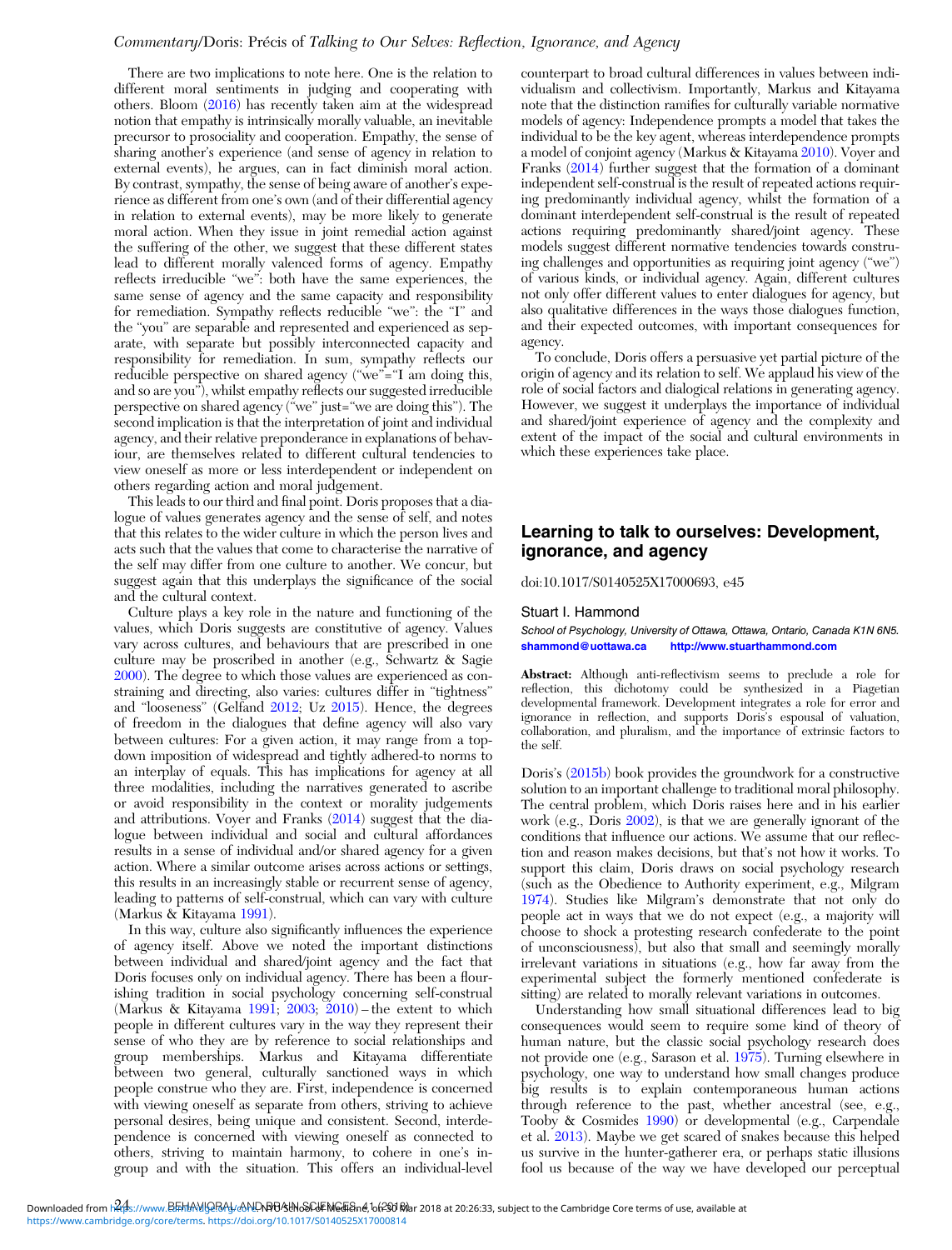There are two implications to note here. One is the relation to different moral sentiments in judging and cooperating with others. Bloom ([2016\)](#page-66-0) has recently taken aim at the widespread notion that empathy is intrinsically morally valuable, an inevitable precursor to prosociality and cooperation. Empathy, the sense of sharing another's experience (and sense of agency in relation to external events), he argues, can in fact diminish moral action. By contrast, sympathy, the sense of being aware of another's experience as different from one's own (and of their differential agency in relation to external events), may be more likely to generate moral action. When they issue in joint remedial action against the suffering of the other, we suggest that these different states lead to different morally valenced forms of agency. Empathy reflects irreducible "we": both have the same experiences, the same sense of agency and the same capacity and responsibility for remediation. Sympathy reflects reducible "we": the "I" and the "you" are separable and represented and experienced as separate, with separate but possibly interconnected capacity and responsibility for remediation. In sum, sympathy reflects our reducible perspective on shared agency ("we"="I am doing this, and so are you"), whilst empathy reflects our suggested irreducible perspective on shared agency ("we" just="we are doing this"). The second implication is that the interpretation of joint and individual agency, and their relative preponderance in explanations of behaviour, are themselves related to different cultural tendencies to view oneself as more or less interdependent or independent on others regarding action and moral judgement.

This leads to our third and final point. Doris proposes that a dialogue of values generates agency and the sense of self, and notes that this relates to the wider culture in which the person lives and acts such that the values that come to characterise the narrative of the self may differ from one culture to another. We concur, but suggest again that this underplays the significance of the social and the cultural context.

Culture plays a key role in the nature and functioning of the values, which Doris suggests are constitutive of agency. Values vary across cultures, and behaviours that are prescribed in one culture may be proscribed in another (e.g., Schwartz & Sagie [2000](#page-72-0)). The degree to which those values are experienced as constraining and directing, also varies: cultures differ in "tightness" and "looseness" (Gelfand [2012](#page-68-0); Uz [2015](#page-73-0)). Hence, the degrees of freedom in the dialogues that define agency will also vary between cultures: For a given action, it may range from a topdown imposition of widespread and tightly adhered-to norms to an interplay of equals. This has implications for agency at all three modalities, including the narratives generated to ascribe or avoid responsibility in the context or morality judgements and attributions. Voyer and Franks ([2014\)](#page-68-0) suggest that the dialogue between individual and social and cultural affordances results in a sense of individual and/or shared agency for a given action. Where a similar outcome arises across actions or settings, this results in an increasingly stable or recurrent sense of agency, leading to patterns of self-construal, which can vary with culture (Markus & Kitayama [1991](#page-70-0)).

In this way, culture also significantly influences the experience of agency itself. Above we noted the important distinctions between individual and shared/joint agency and the fact that Doris focuses only on individual agency. There has been a flourishing tradition in social psychology concerning self-construal (Markus & Kitayama [1991](#page-70-0); [2003;](#page-70-0) [2010](#page-70-0)) – the extent to which people in different cultures vary in the way they represent their sense of who they are by reference to social relationships and group memberships. Markus and Kitayama differentiate between two general, culturally sanctioned ways in which people construe who they are. First, independence is concerned with viewing oneself as separate from others, striving to achieve personal desires, being unique and consistent. Second, interdependence is concerned with viewing oneself as connected to others, striving to maintain harmony, to cohere in one's ingroup and with the situation. This offers an individual-level counterpart to broad cultural differences in values between individualism and collectivism. Importantly, Markus and Kitayama note that the distinction ramifies for culturally variable normative models of agency: Independence prompts a model that takes the individual to be the key agent, whereas interdependence prompts a model of conjoint agency (Markus & Kitayama [2010\)](#page-70-0). Voyer and Franks ([2014\)](#page-68-0) further suggest that the formation of a dominant independent self-construal is the result of repeated actions requiring predominantly individual agency, whilst the formation of a dominant interdependent self-construal is the result of repeated actions requiring predominantly shared/joint agency. These models suggest different normative tendencies towards construing challenges and opportunities as requiring joint agency ("we") of various kinds, or individual agency. Again, different cultures not only offer different values to enter dialogues for agency, but also qualitative differences in the ways those dialogues function, and their expected outcomes, with important consequences for agency.

To conclude, Doris offers a persuasive yet partial picture of the origin of agency and its relation to self. We applaud his view of the role of social factors and dialogical relations in generating agency. However, we suggest it underplays the importance of individual and shared/joint experience of agency and the complexity and extent of the impact of the social and cultural environments in which these experiences take place.

## Learning to talk to ourselves: Development, ignorance, and agency

doi:10.1017/S0140525X17000693, e45

#### Stuart I. Hammond

School of Psychology, University of Ottawa, Ottawa, Ontario, Canada K1N 6N5. [shammond@uottawa.ca](mailto:shammond@uottawa.ca)<http://www.stuarthammond.com>

Abstract: Although anti-reflectivism seems to preclude a role for reflection, this dichotomy could be synthesized in a Piagetian developmental framework. Development integrates a role for error and ignorance in reflection, and supports Doris's espousal of valuation, collaboration, and pluralism, and the importance of extrinsic factors to the self.

Doris's ([2015b](#page-67-0)) book provides the groundwork for a constructive solution to an important challenge to traditional moral philosophy. The central problem, which Doris raises here and in his earlier work (e.g., Doris [2002\)](#page-67-0), is that we are generally ignorant of the conditions that influence our actions. We assume that our reflection and reason makes decisions, but that's not how it works. To support this claim, Doris draws on social psychology research (such as the Obedience to Authority experiment, e.g., Milgram [1974](#page-71-0)). Studies like Milgram's demonstrate that not only do people act in ways that we do not expect (e.g., a majority will choose to shock a protesting research confederate to the point of unconsciousness), but also that small and seemingly morally irrelevant variations in situations (e.g., how far away from the experimental subject the formerly mentioned confederate is sitting) are related to morally relevant variations in outcomes.

Understanding how small situational differences lead to big consequences would seem to require some kind of theory of human nature, but the classic social psychology research does not provide one (e.g., Sarason et al. [1975](#page-72-0)). Turning elsewhere in psychology, one way to understand how small changes produce big results is to explain contemporaneous human actions through reference to the past, whether ancestral (see, e.g., Tooby & Cosmides [1990](#page-73-0)) or developmental (e.g., Carpendale et al. [2013\)](#page-66-0). Maybe we get scared of snakes because this helped us survive in the hunter-gatherer era, or perhaps static illusions fool us because of the way we have developed our perceptual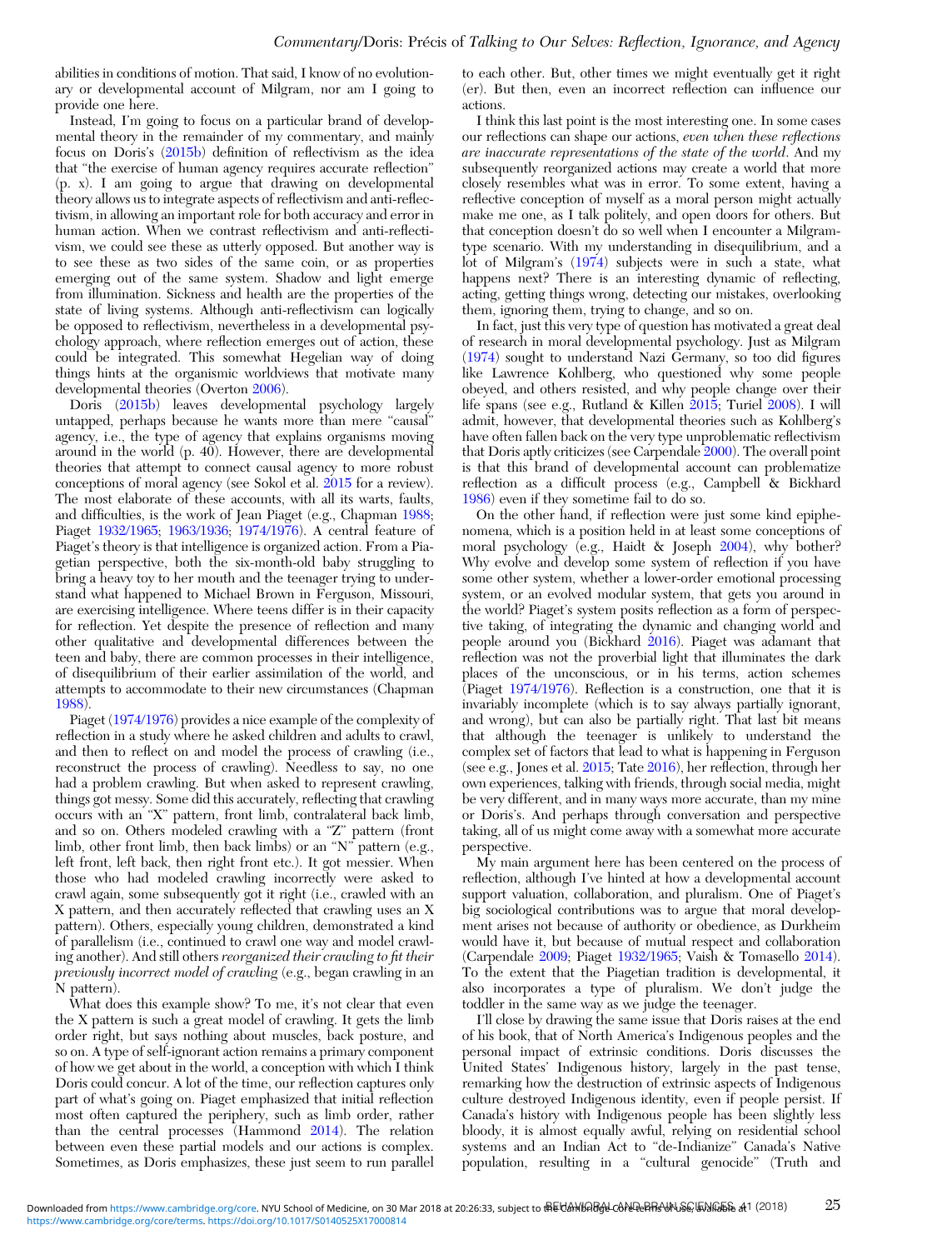abilities in conditions of motion. That said, I know of no evolutionary or developmental account of Milgram, nor am I going to provide one here.

Instead, I'm going to focus on a particular brand of developmental theory in the remainder of my commentary, and mainly focus on Doris's ([2015b\)](#page-67-0) definition of reflectivism as the idea that "the exercise of human agency requires accurate reflection" (p. x). I am going to argue that drawing on developmental theory allows us to integrate aspects of reflectivism and anti-reflectivism, in allowing an important role for both accuracy and error in human action. When we contrast reflectivism and anti-reflectivism, we could see these as utterly opposed. But another way is to see these as two sides of the same coin, or as properties emerging out of the same system. Shadow and light emerge from illumination. Sickness and health are the properties of the state of living systems. Although anti-reflectivism can logically be opposed to reflectivism, nevertheless in a developmental psychology approach, where reflection emerges out of action, these could be integrated. This somewhat Hegelian way of doing things hints at the organismic worldviews that motivate many developmental theories (Overton [2006](#page-71-0)).

Doris ([2015b](#page-67-0)) leaves developmental psychology largely untapped, perhaps because he wants more than mere "causal" agency, i.e., the type of agency that explains organisms moving around in the world (p. 40). However, there are developmental theories that attempt to connect causal agency to more robust conceptions of moral agency (see Sokol et al. [2015](#page-73-0) for a review). The most elaborate of these accounts, with all its warts, faults, and difficulties, is the work of Jean Piaget (e.g., Chapman [1988;](#page-66-0) Piaget [1932/1965](#page-72-0); [1963/1936;](#page-72-0) [1974/1976](#page-72-0)). A central feature of Piaget's theory is that intelligence is organized action. From a Piagetian perspective, both the six-month-old baby struggling to bring a heavy toy to her mouth and the teenager trying to understand what happened to Michael Brown in Ferguson, Missouri, are exercising intelligence. Where teens differ is in their capacity for reflection. Yet despite the presence of reflection and many other qualitative and developmental differences between the teen and baby, there are common processes in their intelligence, of disequilibrium of their earlier assimilation of the world, and attempts to accommodate to their new circumstances (Chapman [1988\)](#page-66-0).

Piaget ([1974/1976](#page-72-0)) provides a nice example of the complexity of reflection in a study where he asked children and adults to crawl, and then to reflect on and model the process of crawling (i.e., reconstruct the process of crawling). Needless to say, no one had a problem crawling. But when asked to represent crawling, things got messy. Some did this accurately, reflecting that crawling occurs with an "X" pattern, front limb, contralateral back limb, and so on. Others modeled crawling with a "Z" pattern (front limb, other front limb, then back limbs) or an "N" pattern (e.g., left front, left back, then right front etc.). It got messier. When those who had modeled crawling incorrectly were asked to crawl again, some subsequently got it right (i.e., crawled with an X pattern, and then accurately reflected that crawling uses an X pattern). Others, especially young children, demonstrated a kind of parallelism (i.e., continued to crawl one way and model crawling another). And still others reorganized their crawling to fit their previously incorrect model of crawling (e.g., began crawling in an N pattern).

What does this example show? To me, it's not clear that even the X pattern is such a great model of crawling. It gets the limb order right, but says nothing about muscles, back posture, and so on. A type of self-ignorant action remains a primary component of how we get about in the world, a conception with which I think Doris could concur. A lot of the time, our reflection captures only part of what's going on. Piaget emphasized that initial reflection most often captured the periphery, such as limb order, rather than the central processes (Hammond [2014\)](#page-69-0). The relation between even these partial models and our actions is complex. Sometimes, as Doris emphasizes, these just seem to run parallel to each other. But, other times we might eventually get it right (er). But then, even an incorrect reflection can influence our actions.

I think this last point is the most interesting one. In some cases our reflections can shape our actions, even when these reflections are inaccurate representations of the state of the world. And my subsequently reorganized actions may create a world that more closely resembles what was in error. To some extent, having a reflective conception of myself as a moral person might actually make me one, as I talk politely, and open doors for others. But that conception doesn't do so well when I encounter a Milgramtype scenario. With my understanding in disequilibrium, and a lot of Milgram's  $(1974)$  $(1974)$  subjects were in such a state, what happens next? There is an interesting dynamic of reflecting, acting, getting things wrong, detecting our mistakes, overlooking them, ignoring them, trying to change, and so on.

In fact, just this very type of question has motivated a great deal of research in moral developmental psychology. Just as Milgram ([1974\)](#page-71-0) sought to understand Nazi Germany, so too did figures like Lawrence Kohlberg, who questioned why some people obeyed, and others resisted, and why people change over their life spans (see e.g., Rutland & Killen [2015](#page-72-0); Turiel [2008\)](#page-73-0). I will admit, however, that developmental theories such as Kohlberg's have often fallen back on the very type unproblematic reflectivism that Doris aptly criticizes (see Carpendale [2000](#page-66-0)). The overall point is that this brand of developmental account can problematize reflection as a difficult process (e.g., Campbell & Bickhard [1986\)](#page-66-0) even if they sometime fail to do so.

On the other hand, if reflection were just some kind epiphenomena, which is a position held in at least some conceptions of moral psychology (e.g., Haidt & Joseph [2004](#page-69-0)), why bother? Why evolve and develop some system of reflection if you have some other system, whether a lower-order emotional processing system, or an evolved modular system, that gets you around in the world? Piaget's system posits reflection as a form of perspective taking, of integrating the dynamic and changing world and people around you (Bickhard [2016\)](#page-66-0). Piaget was adamant that reflection was not the proverbial light that illuminates the dark places of the unconscious, or in his terms, action schemes (Piaget [1974/1976](#page-72-0)). Reflection is a construction, one that it is invariably incomplete (which is to say always partially ignorant, and wrong), but can also be partially right. That last bit means that although the teenager is unlikely to understand the complex set of factors that lead to what is happening in Ferguson (see e.g., Jones et al. [2015](#page-69-0); Tate [2016](#page-73-0)), her reflection, through her own experiences, talking with friends, through social media, might be very different, and in many ways more accurate, than my mine or Doris's. And perhaps through conversation and perspective taking, all of us might come away with a somewhat more accurate perspective.

My main argument here has been centered on the process of reflection, although I've hinted at how a developmental account support valuation, collaboration, and pluralism. One of Piaget's big sociological contributions was to argue that moral development arises not because of authority or obedience, as Durkheim would have it, but because of mutual respect and collaboration (Carpendale [2009;](#page-66-0) Piaget [1932/1965;](#page-72-0) Vaish & Tomasello [2014\)](#page-73-0). To the extent that the Piagetian tradition is developmental, it also incorporates a type of pluralism. We don't judge the toddler in the same way as we judge the teenager.

I'll close by drawing the same issue that Doris raises at the end of his book, that of North America's Indigenous peoples and the personal impact of extrinsic conditions. Doris discusses the United States' Indigenous history, largely in the past tense, remarking how the destruction of extrinsic aspects of Indigenous culture destroyed Indigenous identity, even if people persist. If Canada's history with Indigenous people has been slightly less bloody, it is almost equally awful, relying on residential school systems and an Indian Act to "de-Indianize" Canada's Native population, resulting in a "cultural genocide" (Truth and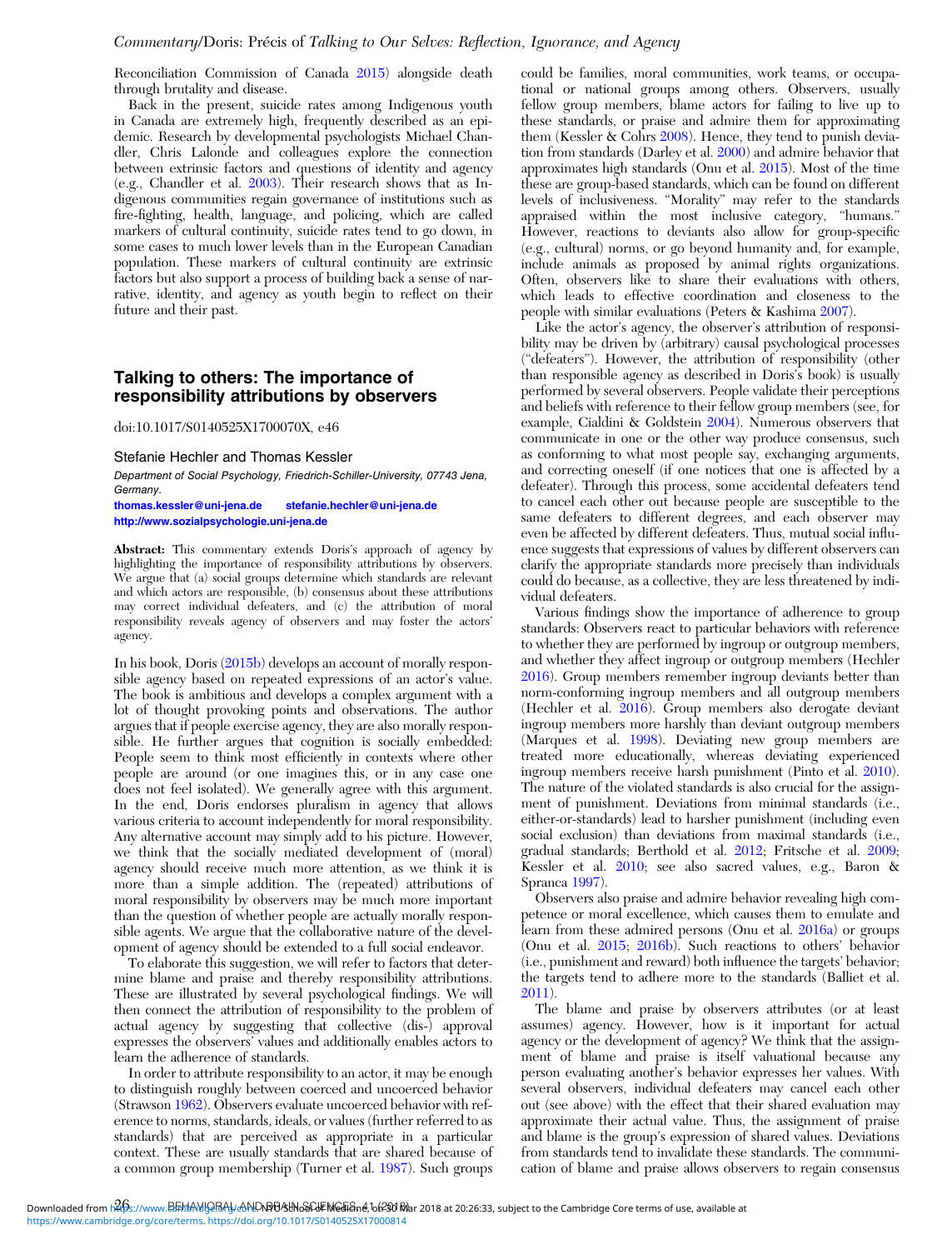Reconciliation Commission of Canada [2015](#page-73-0)) alongside death through brutality and disease.

Back in the present, suicide rates among Indigenous youth in Canada are extremely high, frequently described as an epidemic. Research by developmental psychologists Michael Chandler, Chris Lalonde and colleagues explore the connection between extrinsic factors and questions of identity and agency (e.g., Chandler et al. [2003\)](#page-66-0). Their research shows that as Indigenous communities regain governance of institutions such as fire-fighting, health, language, and policing, which are called markers of cultural continuity, suicide rates tend to go down, in some cases to much lower levels than in the European Canadian population. These markers of cultural continuity are extrinsic factors but also support a process of building back a sense of narrative, identity, and agency as youth begin to reflect on their future and their past.

## Talking to others: The importance of responsibility attributions by observers

doi:10.1017/S0140525X1700070X, e46

#### Stefanie Hechler and Thomas Kessler

Department of Social Psychology, Friedrich-Schiller-University, 07743 Jena, Germany.

[thomas.kessler@uni-jena.de](mailto:thomas.kessler@uni-jena.de) [stefanie.hechler@uni-jena.de](mailto:stefanie.hechler@uni-jena.de) <http://www.sozialpsychologie.uni-jena.de>

Abstract: This commentary extends Doris's approach of agency by highlighting the importance of responsibility attributions by observers. We argue that (a) social groups determine which standards are relevant and which actors are responsible, (b) consensus about these attributions may correct individual defeaters, and (c) the attribution of moral responsibility reveals agency of observers and may foster the actors' agency.

In his book, Doris  $(2015b)$  $(2015b)$  $(2015b)$  develops an account of morally responsible agency based on repeated expressions of an actor's value. The book is ambitious and develops a complex argument with a lot of thought provoking points and observations. The author argues that if people exercise agency, they are also morally responsible. He further argues that cognition is socially embedded: People seem to think most efficiently in contexts where other people are around (or one imagines this, or in any case one does not feel isolated). We generally agree with this argument. In the end, Doris endorses pluralism in agency that allows various criteria to account independently for moral responsibility. Any alternative account may simply add to his picture. However, we think that the socially mediated development of (moral) agency should receive much more attention, as we think it is more than a simple addition. The (repeated) attributions of moral responsibility by observers may be much more important than the question of whether people are actually morally responsible agents. We argue that the collaborative nature of the development of agency should be extended to a full social endeavor.

To elaborate this suggestion, we will refer to factors that determine blame and praise and thereby responsibility attributions. These are illustrated by several psychological findings. We will then connect the attribution of responsibility to the problem of actual agency by suggesting that collective (dis-) approval expresses the observers' values and additionally enables actors to learn the adherence of standards.

In order to attribute responsibility to an actor, it may be enough to distinguish roughly between coerced and uncoerced behavior (Strawson [1962\)](#page-73-0). Observers evaluate uncoerced behavior with reference to norms, standards, ideals, or values (further referred to as standards) that are perceived as appropriate in a particular context. These are usually standards that are shared because of a common group membership (Turner et al. [1987](#page-73-0)). Such groups could be families, moral communities, work teams, or occupational or national groups among others. Observers, usually fellow group members, blame actors for failing to live up to these standards, or praise and admire them for approximating them (Kessler & Cohrs [2008](#page-70-0)). Hence, they tend to punish deviation from standards (Darley et al. [2000\)](#page-67-0) and admire behavior that approximates high standards (Onu et al. [2015](#page-71-0)). Most of the time these are group-based standards, which can be found on different levels of inclusiveness. "Morality" may refer to the standards appraised within the most inclusive category, "humans." However, reactions to deviants also allow for group-specific (e.g., cultural) norms, or go beyond humanity and, for example, include animals as proposed by animal rights organizations. Often, observers like to share their evaluations with others, which leads to effective coordination and closeness to the people with similar evaluations (Peters & Kashima [2007\)](#page-72-0).

Like the actor's agency, the observer's attribution of responsibility may be driven by (arbitrary) causal psychological processes ("defeaters"). However, the attribution of responsibility (other than responsible agency as described in Doris's book) is usually performed by several observers. People validate their perceptions and beliefs with reference to their fellow group members (see, for example, Cialdini & Goldstein [2004](#page-66-0)). Numerous observers that communicate in one or the other way produce consensus, such as conforming to what most people say, exchanging arguments, and correcting oneself (if one notices that one is affected by a defeater). Through this process, some accidental defeaters tend to cancel each other out because people are susceptible to the same defeaters to different degrees, and each observer may even be affected by different defeaters. Thus, mutual social influence suggests that expressions of values by different observers can clarify the appropriate standards more precisely than individuals could do because, as a collective, they are less threatened by individual defeaters.

Various findings show the importance of adherence to group standards: Observers react to particular behaviors with reference to whether they are performed by ingroup or outgroup members, and whether they affect ingroup or outgroup members (Hechler [2016](#page-69-0)). Group members remember ingroup deviants better than norm-conforming ingroup members and all outgroup members (Hechler et al. [2016\)](#page-69-0). Group members also derogate deviant ingroup members more harshly than deviant outgroup members (Marques et al. [1998\)](#page-70-0). Deviating new group members are treated more educationally, whereas deviating experienced ingroup members receive harsh punishment (Pinto et al. [2010](#page-72-0)). The nature of the violated standards is also crucial for the assignment of punishment. Deviations from minimal standards (i.e., either-or-standards) lead to harsher punishment (including even social exclusion) than deviations from maximal standards (i.e., gradual standards; Berthold et al. [2012;](#page-66-0) Fritsche et al. [2009](#page-68-0); Kessler et al. [2010](#page-70-0); see also sacred values, e.g., Baron & Spranca [1997](#page-66-0)).

Observers also praise and admire behavior revealing high competence or moral excellence, which causes them to emulate and learn from these admired persons (Onu et al. [2016a](#page-71-0)) or groups (Onu et al. [2015;](#page-71-0) [2016b\)](#page-71-0). Such reactions to others' behavior (i.e., punishment and reward) both influence the targets' behavior; the targets tend to adhere more to the standards (Balliet et al. [2011](#page-66-0)).

The blame and praise by observers attributes (or at least assumes) agency. However, how is it important for actual agency or the development of agency? We think that the assignment of blame and praise is itself valuational because any person evaluating another's behavior expresses her values. With several observers, individual defeaters may cancel each other out (see above) with the effect that their shared evaluation may approximate their actual value. Thus, the assignment of praise and blame is the group's expression of shared values. Deviations from standards tend to invalidate these standards. The communication of blame and praise allows observers to regain consensus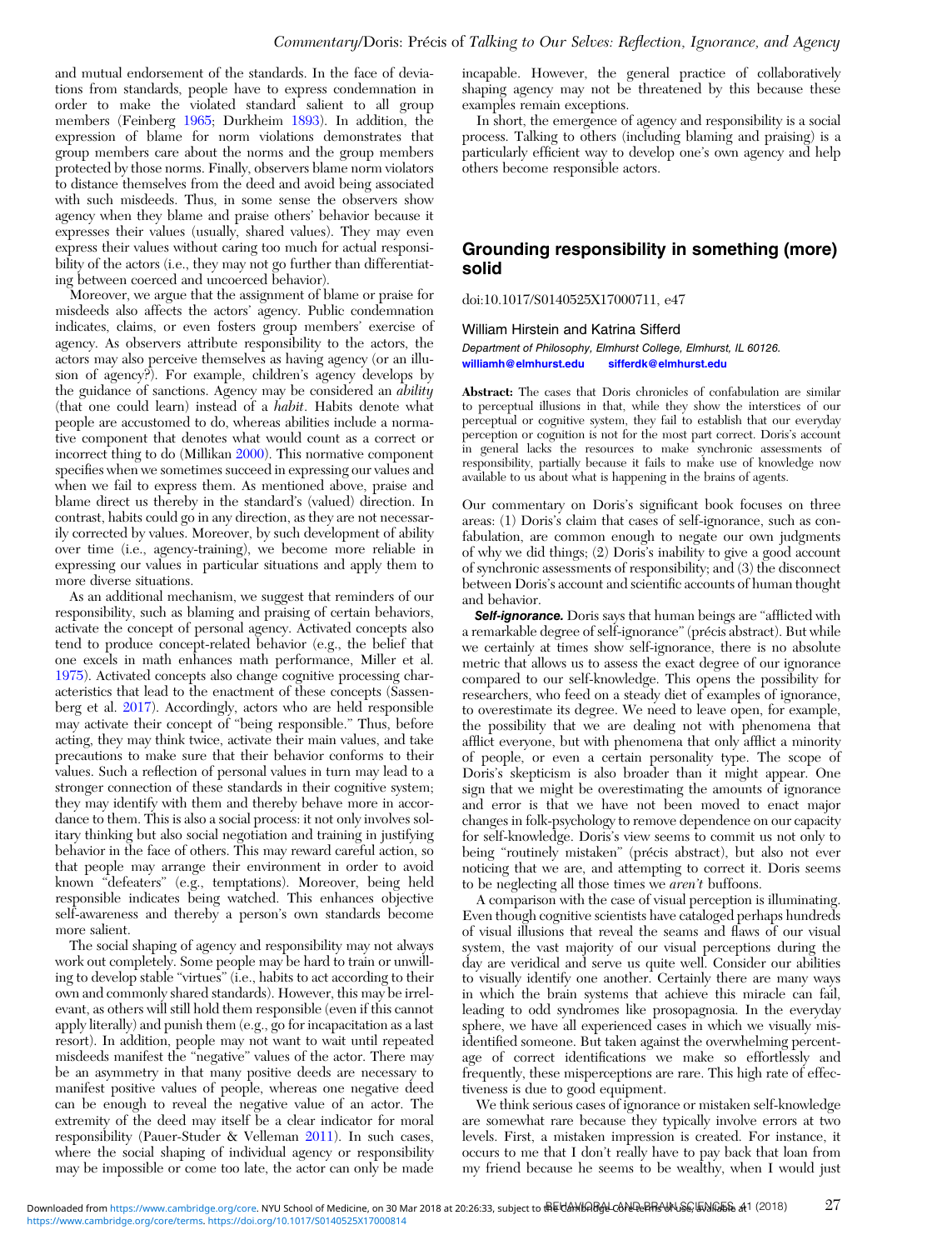and mutual endorsement of the standards. In the face of deviations from standards, people have to express condemnation in order to make the violated standard salient to all group members (Feinberg [1965](#page-68-0); Durkheim [1893\)](#page-0-0). In addition, the expression of blame for norm violations demonstrates that group members care about the norms and the group members protected by those norms. Finally, observers blame norm violators to distance themselves from the deed and avoid being associated with such misdeeds. Thus, in some sense the observers show agency when they blame and praise others' behavior because it expresses their values (usually, shared values). They may even express their values without caring too much for actual responsibility of the actors (i.e., they may not go further than differentiating between coerced and uncoerced behavior).

Moreover, we argue that the assignment of blame or praise for misdeeds also affects the actors' agency. Public condemnation indicates, claims, or even fosters group members' exercise of agency. As observers attribute responsibility to the actors, the actors may also perceive themselves as having agency (or an illusion of agency?). For example, children's agency develops by the guidance of sanctions. Agency may be considered an *ability* (that one could learn) instead of a *habit*. Habits denote what people are accustomed to do, whereas abilities include a normative component that denotes what would count as a correct or incorrect thing to do (Millikan [2000](#page-71-0)). This normative component specifies when we sometimes succeed in expressing our values and when we fail to express them. As mentioned above, praise and blame direct us thereby in the standard's (valued) direction. In contrast, habits could go in any direction, as they are not necessarily corrected by values. Moreover, by such development of ability over time (i.e., agency-training), we become more reliable in expressing our values in particular situations and apply them to more diverse situations.

As an additional mechanism, we suggest that reminders of our responsibility, such as blaming and praising of certain behaviors, activate the concept of personal agency. Activated concepts also tend to produce concept-related behavior (e.g., the belief that one excels in math enhances math performance, Miller et al. [1975\)](#page-71-0). Activated concepts also change cognitive processing characteristics that lead to the enactment of these concepts (Sassenberg et al. [2017\)](#page-72-0). Accordingly, actors who are held responsible may activate their concept of "being responsible." Thus, before acting, they may think twice, activate their main values, and take precautions to make sure that their behavior conforms to their values. Such a reflection of personal values in turn may lead to a stronger connection of these standards in their cognitive system; they may identify with them and thereby behave more in accordance to them. This is also a social process: it not only involves solitary thinking but also social negotiation and training in justifying behavior in the face of others. This may reward careful action, so that people may arrange their environment in order to avoid known "defeaters" (e.g., temptations). Moreover, being held responsible indicates being watched. This enhances objective self-awareness and thereby a person's own standards become more salient.

The social shaping of agency and responsibility may not always work out completely. Some people may be hard to train or unwilling to develop stable "virtues" (i.e., habits to act according to their own and commonly shared standards). However, this may be irrelevant, as others will still hold them responsible (even if this cannot apply literally) and punish them  $(\mathbf{e}.\mathbf{g},\, \mathbf{g} \mathbf{o}$  for incapacitation as a last resort). In addition, people may not want to wait until repeated misdeeds manifest the "negative" values of the actor. There may be an asymmetry in that many positive deeds are necessary to manifest positive values of people, whereas one negative deed can be enough to reveal the negative value of an actor. The extremity of the deed may itself be a clear indicator for moral responsibility (Pauer-Studer & Velleman [2011\)](#page-71-0). In such cases, where the social shaping of individual agency or responsibility may be impossible or come too late, the actor can only be made incapable. However, the general practice of collaboratively shaping agency may not be threatened by this because these examples remain exceptions.

In short, the emergence of agency and responsibility is a social process. Talking to others (including blaming and praising) is a particularly efficient way to develop one's own agency and help others become responsible actors.

## Grounding responsibility in something (more) solid

doi:10.1017/S0140525X17000711, e47

William Hirstein and Katrina Sifferd Department of Philosophy, Elmhurst College, Elmhurst, IL 60126. [williamh@elmhurst.edu](mailto:williamh@elmhurst.edu) [sifferdk@elmhurst.edu](mailto:sifferdk@elmhurst.edu)

Abstract: The cases that Doris chronicles of confabulation are similar to perceptual illusions in that, while they show the interstices of our perceptual or cognitive system, they fail to establish that our everyday perception or cognition is not for the most part correct. Doris's account in general lacks the resources to make synchronic assessments of responsibility, partially because it fails to make use of knowledge now available to us about what is happening in the brains of agents.

Our commentary on Doris's significant book focuses on three areas: (1) Doris's claim that cases of self-ignorance, such as confabulation, are common enough to negate our own judgments of why we did things; (2) Doris's inability to give a good account of synchronic assessments of responsibility; and (3) the disconnect between Doris's account and scientific accounts of human thought and behavior.

Self-ignorance. Doris says that human beings are "afflicted with a remarkable degree of self-ignorance" (précis abstract). But while we certainly at times show self-ignorance, there is no absolute metric that allows us to assess the exact degree of our ignorance compared to our self-knowledge. This opens the possibility for researchers, who feed on a steady diet of examples of ignorance, to overestimate its degree. We need to leave open, for example, the possibility that we are dealing not with phenomena that afflict everyone, but with phenomena that only afflict a minority of people, or even a certain personality type. The scope of Doris's skepticism is also broader than it might appear. One sign that we might be overestimating the amounts of ignorance and error is that we have not been moved to enact major changes in folk-psychology to remove dependence on our capacity for self-knowledge. Doris's view seems to commit us not only to being "routinely mistaken" (précis abstract), but also not ever noticing that we are, and attempting to correct it. Doris seems to be neglecting all those times we aren't buffoons.

A comparison with the case of visual perception is illuminating. Even though cognitive scientists have cataloged perhaps hundreds of visual illusions that reveal the seams and flaws of our visual system, the vast majority of our visual perceptions during the day are veridical and serve us quite well. Consider our abilities to visually identify one another. Certainly there are many ways in which the brain systems that achieve this miracle can fail, leading to odd syndromes like prosopagnosia. In the everyday sphere, we have all experienced cases in which we visually misidentified someone. But taken against the overwhelming percentage of correct identifications we make so effortlessly and frequently, these misperceptions are rare. This high rate of effectiveness is due to good equipment.

We think serious cases of ignorance or mistaken self-knowledge are somewhat rare because they typically involve errors at two levels. First, a mistaken impression is created. For instance, it occurs to me that I don't really have to pay back that loan from my friend because he seems to be wealthy, when I would just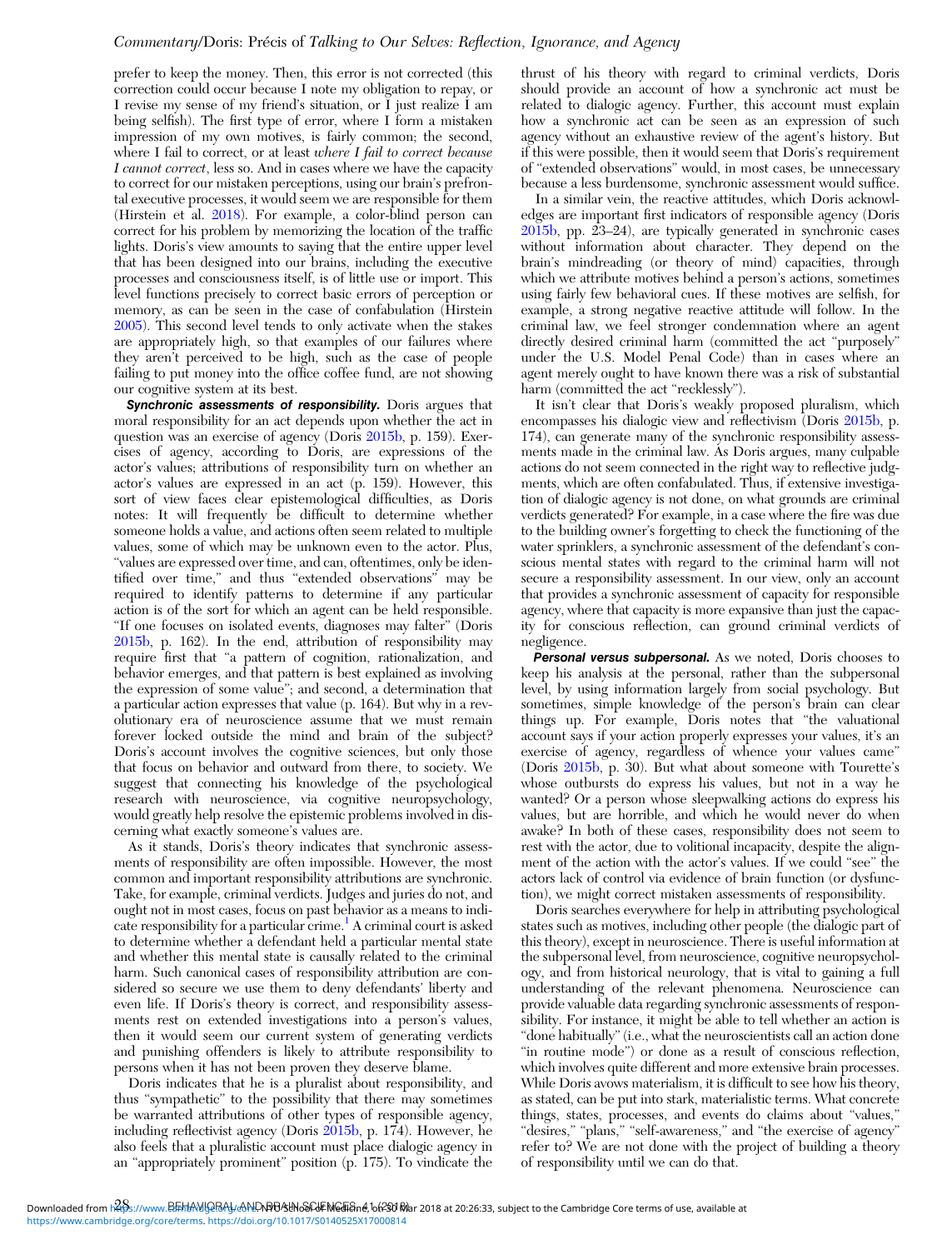prefer to keep the money. Then, this error is not corrected (this correction could occur because I note my obligation to repay, or I revise my sense of my friend's situation, or I just realize I am being selfish). The first type of error, where I form a mistaken impression of my own motives, is fairly common; the second, where I fail to correct, or at least where I fail to correct because I cannot correct, less so. And in cases where we have the capacity to correct for our mistaken perceptions, using our brain's prefrontal executive processes, it would seem we are responsible for them (Hirstein et al. [2018](#page-69-0)). For example, a color-blind person can correct for his problem by memorizing the location of the traffic lights. Doris's view amounts to saying that the entire upper level that has been designed into our brains, including the executive processes and consciousness itself, is of little use or import. This level functions precisely to correct basic errors of perception or memory, as can be seen in the case of confabulation (Hirstein [2005](#page-69-0)). This second level tends to only activate when the stakes are appropriately high, so that examples of our failures where they aren't perceived to be high, such as the case of people failing to put money into the office coffee fund, are not showing our cognitive system at its best.

Synchronic assessments of responsibility. Doris argues that moral responsibility for an act depends upon whether the act in question was an exercise of agency (Doris [2015b,](#page-67-0) p. 159). Exercises of agency, according to Doris, are expressions of the actor's values; attributions of responsibility turn on whether an actor's values are expressed in an act (p. 159). However, this sort of view faces clear epistemological difficulties, as Doris notes: It will frequently be difficult to determine whether someone holds a value, and actions often seem related to multiple values, some of which may be unknown even to the actor. Plus, "values are expressed over time, and can, oftentimes, only be identified over time," and thus "extended observations" may be required to identify patterns to determine if any particular action is of the sort for which an agent can be held responsible. "If one focuses on isolated events, diagnoses may falter" (Doris [2015b](#page-67-0), p. 162). In the end, attribution of responsibility may require first that "a pattern of cognition, rationalization, and behavior emerges, and that pattern is best explained as involving the expression of some value"; and second, a determination that a particular action expresses that value (p. 164). But why in a revolutionary era of neuroscience assume that we must remain forever locked outside the mind and brain of the subject? Doris's account involves the cognitive sciences, but only those that focus on behavior and outward from there, to society. We suggest that connecting his knowledge of the psychological research with neuroscience, via cognitive neuropsychology, would greatly help resolve the epistemic problems involved in discerning what exactly someone's values are.

As it stands, Doris's theory indicates that synchronic assessments of responsibility are often impossible. However, the most common and important responsibility attributions are synchronic. Take, for example, criminal verdicts. Judges and juries do not, and ought not in most cases, focus on past behavior as a means to indicate responsibility for a particular crime.<sup>1</sup> A criminal court is asked to determine whether a defendant held a particular mental state and whether this mental state is causally related to the criminal harm. Such canonical cases of responsibility attribution are considered so secure we use them to deny defendants' liberty and even life. If Doris's theory is correct, and responsibility assessments rest on extended investigations into a person's values, then it would seem our current system of generating verdicts and punishing offenders is likely to attribute responsibility to persons when it has not been proven they deserve blame.

Doris indicates that he is a pluralist about responsibility, and thus "sympathetic" to the possibility that there may sometimes be warranted attributions of other types of responsible agency, including reflectivist agency (Doris [2015b,](#page-67-0) p. 174). However, he also feels that a pluralistic account must place dialogic agency in an "appropriately prominent" position (p. 175). To vindicate the

thrust of his theory with regard to criminal verdicts, Doris should provide an account of how a synchronic act must be related to dialogic agency. Further, this account must explain how a synchronic act can be seen as an expression of such agency without an exhaustive review of the agent's history. But if this were possible, then it would seem that Doris's requirement of "extended observations" would, in most cases, be unnecessary because a less burdensome, synchronic assessment would suffice.

In a similar vein, the reactive attitudes, which Doris acknowledges are important first indicators of responsible agency (Doris [2015b](#page-67-0), pp. 23–24), are typically generated in synchronic cases without information about character. They depend on the brain's mindreading (or theory of mind) capacities, through which we attribute motives behind a person's actions, sometimes using fairly few behavioral cues. If these motives are selfish, for example, a strong negative reactive attitude will follow. In the criminal law, we feel stronger condemnation where an agent directly desired criminal harm (committed the act "purposely" under the U.S. Model Penal Code) than in cases where an agent merely ought to have known there was a risk of substantial harm (committed the act "recklessly").

It isn't clear that Doris's weakly proposed pluralism, which encompasses his dialogic view and reflectivism (Doris [2015b,](#page-67-0) p. 174), can generate many of the synchronic responsibility assessments made in the criminal law. As Doris argues, many culpable actions do not seem connected in the right way to reflective judgments, which are often confabulated. Thus, if extensive investigation of dialogic agency is not done, on what grounds are criminal verdicts generated? For example, in a case where the fire was due to the building owner's forgetting to check the functioning of the water sprinklers, a synchronic assessment of the defendant's conscious mental states with regard to the criminal harm will not secure a responsibility assessment. In our view, only an account that provides a synchronic assessment of capacity for responsible agency, where that capacity is more expansive than just the capacity for conscious reflection, can ground criminal verdicts of negligence.

Personal versus subpersonal. As we noted, Doris chooses to keep his analysis at the personal, rather than the subpersonal level, by using information largely from social psychology. But sometimes, simple knowledge of the person's brain can clear things up. For example, Doris notes that "the valuational account says if your action properly expresses your values, it's an exercise of agency, regardless of whence your values came" (Doris [2015b](#page-67-0), p. 30). But what about someone with Tourette's whose outbursts do express his values, but not in a way he wanted? Or a person whose sleepwalking actions do express his values, but are horrible, and which he would never do when awake? In both of these cases, responsibility does not seem to rest with the actor, due to volitional incapacity, despite the alignment of the action with the actor's values. If we could "see" the actors lack of control via evidence of brain function (or dysfunction), we might correct mistaken assessments of responsibility.

Doris searches everywhere for help in attributing psychological states such as motives, including other people (the dialogic part of this theory), except in neuroscience. There is useful information at the subpersonal level, from neuroscience, cognitive neuropsychology, and from historical neurology, that is vital to gaining a full understanding of the relevant phenomena. Neuroscience can provide valuable data regarding synchronic assessments of responsibility. For instance, it might be able to tell whether an action is "done habitually" (i.e., what the neuroscientists call an action done "in routine mode") or done as a result of conscious reflection, which involves quite different and more extensive brain processes. While Doris avows materialism, it is difficult to see how his theory, as stated, can be put into stark, materialistic terms. What concrete things, states, processes, and events do claims about "values," "desires," "plans," "self-awareness," and "the exercise of agency" refer to? We are not done with the project of building a theory of responsibility until we can do that.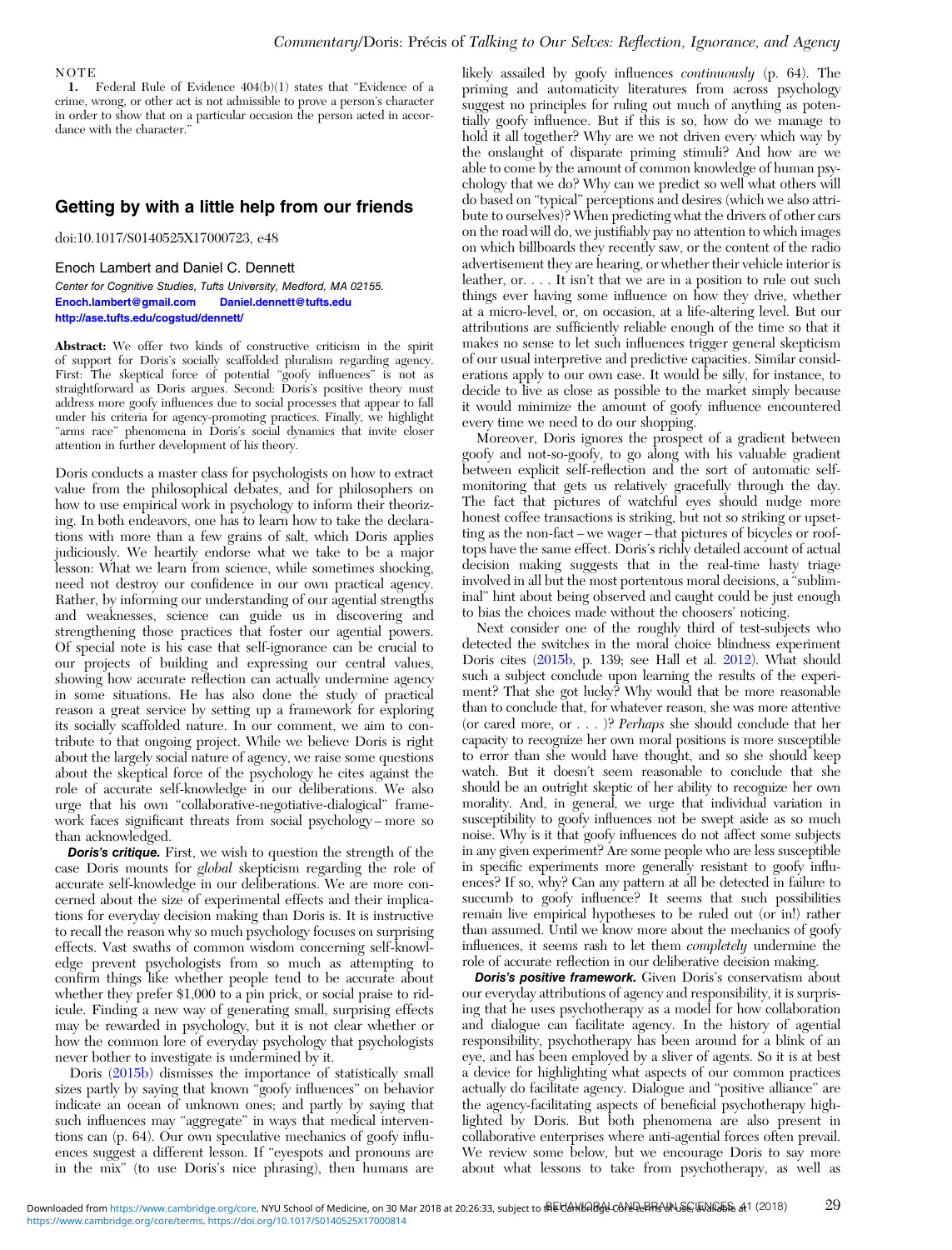## NOTE

1. Federal Rule of Evidence 404(b)(1) states that "Evidence of a crime, wrong, or other act is not admissible to prove a person's character in order to show that on a particular occasion the person acted in accordance with the character."

## Getting by with a little help from our friends

doi:10.1017/S0140525X17000723, e48

#### Enoch Lambert and Daniel C. Dennett

Center for Cognitive Studies, Tufts University, Medford, MA 02155. [Enoch.lambert@gmail.com](mailto:Enoch.lambert@gmail.com) [Daniel.dennett@tufts.edu](mailto:Daniel.dennett@tufts.edu) <http://ase.tufts.edu/cogstud/dennett/>

Abstract: We offer two kinds of constructive criticism in the spirit of support for Doris's socially scaffolded pluralism regarding agency. First: The skeptical force of potential "goofy influences" is not as straightforward as Doris argues. Second: Doris's positive theory must address more goofy influences due to social processes that appear to fall under his criteria for agency-promoting practices. Finally, we highlight "arms race" phenomena in Doris's social dynamics that invite closer attention in further development of his theory.

Doris conducts a master class for psychologists on how to extract value from the philosophical debates, and for philosophers on how to use empirical work in psychology to inform their theorizing. In both endeavors, one has to learn how to take the declarations with more than a few grains of salt, which Doris applies judiciously. We heartily endorse what we take to be a major lesson: What we learn from science, while sometimes shocking, need not destroy our confidence in our own practical agency. Rather, by informing our understanding of our agential strengths and weaknesses, science can guide us in discovering and strengthening those practices that foster our agential powers. Of special note is his case that self-ignorance can be crucial to our projects of building and expressing our central values, showing how accurate reflection can actually undermine agency in some situations. He has also done the study of practical reason a great service by setting up a framework for exploring its socially scaffolded nature. In our comment, we aim to contribute to that ongoing project. While we believe Doris is right about the largely social nature of agency, we raise some questions about the skeptical force of the psychology he cites against the role of accurate self-knowledge in our deliberations. We also urge that his own "collaborative-negotiative-dialogical" framework faces significant threats from social psychology – more so than acknowledged.

**Doris's critique.** First, we wish to question the strength of the case Doris mounts for global skepticism regarding the role of accurate self-knowledge in our deliberations. We are more concerned about the size of experimental effects and their implications for everyday decision making than Doris is. It is instructive to recall the reason why so much psychology focuses on surprising effects. Vast swaths of common wisdom concerning self-knowledge prevent psychologists from so much as attempting to confirm things like whether people tend to be accurate about whether they prefer \$1,000 to a pin prick, or social praise to ridicule. Finding a new way of generating small, surprising effects may be rewarded in psychology, but it is not clear whether or how the common lore of everyday psychology that psychologists never bother to investigate is undermined by it.

Doris [\(2015b](#page-67-0)) dismisses the importance of statistically small sizes partly by saying that known "goofy influences" on behavior indicate an ocean of unknown ones; and partly by saying that such influences may "aggregate" in ways that medical interventions can (p. 64). Our own speculative mechanics of goofy influences suggest a different lesson. If "eyespots and pronouns are in the mix" (to use Doris's nice phrasing), then humans are

likely assailed by goofy influences continuously (p. 64). The priming and automaticity literatures from across psychology suggest no principles for ruling out much of anything as potentially goofy influence. But if this is so, how do we manage to hold it all together? Why are we not driven every which way by the onslaught of disparate priming stimuli? And how are we able to come by the amount of common knowledge of human psychology that we do? Why can we predict so well what others will do based on "typical" perceptions and desires (which we also attribute to ourselves)? When predicting what the drivers of other cars on the road will do, we justifiably pay no attention to which images on which billboards they recently saw, or the content of the radio advertisement they are hearing, or whether their vehicle interior is leather, or. . . . It isn't that we are in a position to rule out such things ever having some influence on how they drive, whether at a micro-level, or, on occasion, at a life-altering level. But our attributions are sufficiently reliable enough of the time so that it makes no sense to let such influences trigger general skepticism of our usual interpretive and predictive capacities. Similar considerations apply to our own case. It would be silly, for instance, to decide to live as close as possible to the market simply because it would minimize the amount of goofy influence encountered every time we need to do our shopping.

Moreover, Doris ignores the prospect of a gradient between goofy and not-so-goofy, to go along with his valuable gradient between explicit self-reflection and the sort of automatic selfmonitoring that gets us relatively gracefully through the day. The fact that pictures of watchful eyes should nudge more honest coffee transactions is striking, but not so striking or upsetting as the non-fact – we wager – that pictures of bicycles or rooftops have the same effect. Doris's richly detailed account of actual decision making suggests that in the real-time hasty triage involved in all but the most portentous moral decisions, a "subliminal" hint about being observed and caught could be just enough to bias the choices made without the choosers' noticing.

Next consider one of the roughly third of test-subjects who detected the switches in the moral choice blindness experiment Doris cites [\(2015b,](#page-67-0) p. 139; see Hall et al. [2012](#page-69-0)). What should such a subject conclude upon learning the results of the experiment? That she got lucky? Why would that be more reasonable than to conclude that, for whatever reason, she was more attentive (or cared more, or . . . )? Perhaps she should conclude that her capacity to recognize her own moral positions is more susceptible to error than she would have thought, and so she should keep watch. But it doesn't seem reasonable to conclude that she should be an outright skeptic of her ability to recognize her own morality. And, in general, we urge that individual variation in susceptibility to goofy influences not be swept aside as so much noise. Why is it that goofy influences do not affect some subjects in any given experiment? Are some people who are less susceptible in specific experiments more generally resistant to goofy influences? If so, why? Can any pattern at all be detected in failure to succumb to goofy influence? It seems that such possibilities remain live empirical hypotheses to be ruled out (or in!) rather than assumed. Until we know more about the mechanics of goofy influences, it seems rash to let them completely undermine the role of accurate reflection in our deliberative decision making.

Doris's positive framework. Given Doris's conservatism about our everyday attributions of agency and responsibility, it is surprising that he uses psychotherapy as a model for how collaboration and dialogue can facilitate agency. In the history of agential responsibility, psychotherapy has been around for a blink of an eye, and has been employed by a sliver of agents. So it is at best a device for highlighting what aspects of our common practices actually do facilitate agency. Dialogue and "positive alliance" are the agency-facilitating aspects of beneficial psychotherapy highlighted by Doris. But both phenomena are also present in collaborative enterprises where anti-agential forces often prevail. We review some below, but we encourage Doris to say more about what lessons to take from psychotherapy, as well as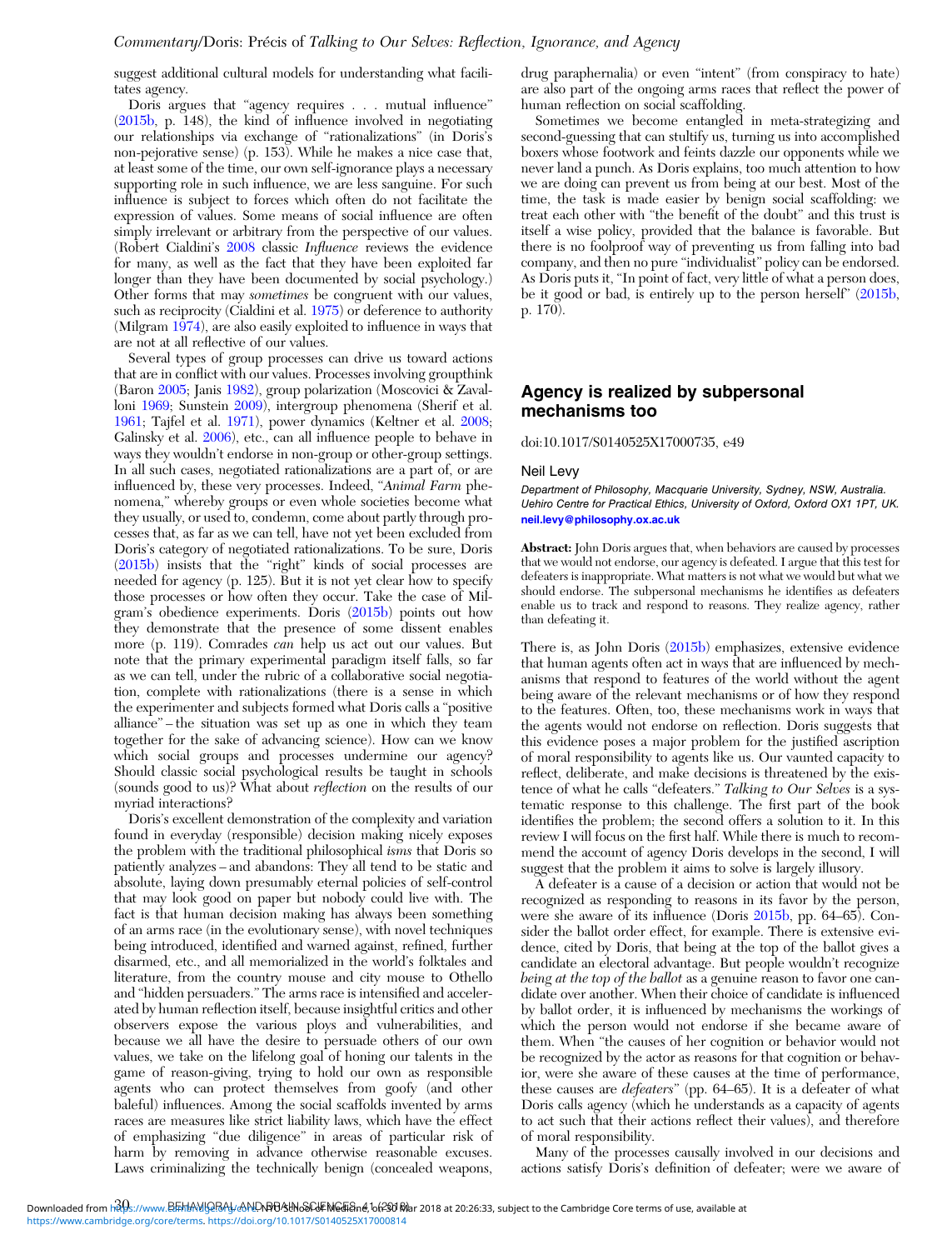suggest additional cultural models for understanding what facilitates agency.

Doris argues that "agency requires . . . mutual influence" [\(2015b,](#page-67-0) p. 148), the kind of influence involved in negotiating our relationships via exchange of "rationalizations" (in Doris's non-pejorative sense) (p. 153). While he makes a nice case that, at least some of the time, our own self-ignorance plays a necessary supporting role in such influence, we are less sanguine. For such influence is subject to forces which often do not facilitate the expression of values. Some means of social influence are often simply irrelevant or arbitrary from the perspective of our values. (Robert Cialdini's [2008](#page-66-0) classic Influence reviews the evidence for many, as well as the fact that they have been exploited far longer than they have been documented by social psychology.) Other forms that may sometimes be congruent with our values, such as reciprocity (Cialdini et al. [1975\)](#page-67-0) or deference to authority (Milgram [1974](#page-71-0)), are also easily exploited to influence in ways that are not at all reflective of our values.

Several types of group processes can drive us toward actions that are in conflict with our values. Processes involving groupthink (Baron [2005](#page-66-0); Janis [1982](#page-69-0)), group polarization (Moscovici & Zavalloni [1969](#page-71-0); Sunstein [2009\)](#page-73-0), intergroup phenomena (Sherif et al. [1961](#page-72-0); Tajfel et al. [1971\)](#page-73-0), power dynamics (Keltner et al. [2008;](#page-69-0) Galinsky et al. [2006\)](#page-68-0), etc., can all influence people to behave in ways they wouldn't endorse in non-group or other-group settings. In all such cases, negotiated rationalizations are a part of, or are influenced by, these very processes. Indeed, "Animal Farm phenomena," whereby groups or even whole societies become what they usually, or used to, condemn, come about partly through processes that, as far as we can tell, have not yet been excluded from Doris's category of negotiated rationalizations. To be sure, Doris [\(2015b\)](#page-67-0) insists that the "right" kinds of social processes are needed for agency (p. 125). But it is not yet clear how to specify those processes or how often they occur. Take the case of Milgram's obedience experiments. Doris [\(2015b\)](#page-67-0) points out how they demonstrate that the presence of some dissent enables more (p. 119). Comrades can help us act out our values. But note that the primary experimental paradigm itself falls, so far as we can tell, under the rubric of a collaborative social negotiation, complete with rationalizations (there is a sense in which the experimenter and subjects formed what Doris calls a "positive alliance" – the situation was set up as one in which they team together for the sake of advancing science). How can we know which social groups and processes undermine our agency? Should classic social psychological results be taught in schools (sounds good to us)? What about reflection on the results of our myriad interactions?

Doris's excellent demonstration of the complexity and variation found in everyday (responsible) decision making nicely exposes the problem with the traditional philosophical isms that Doris so patiently analyzes – and abandons: They all tend to be static and absolute, laying down presumably eternal policies of self-control that may look good on paper but nobody could live with. The fact is that human decision making has always been something of an arms race (in the evolutionary sense), with novel techniques being introduced, identified and warned against, refined, further disarmed, etc., and all memorialized in the world's folktales and literature, from the country mouse and city mouse to Othello and "hidden persuaders." The arms race is intensified and accelerated by human reflection itself, because insightful critics and other observers expose the various ploys and vulnerabilities, and because we all have the desire to persuade others of our own values, we take on the lifelong goal of honing our talents in the game of reason-giving, trying to hold our own as responsible agents who can protect themselves from goofy (and other baleful) influences. Among the social scaffolds invented by arms races are measures like strict liability laws, which have the effect of emphasizing "due diligence" in areas of particular risk of harm by removing in advance otherwise reasonable excuses. Laws criminalizing the technically benign (concealed weapons, drug paraphernalia) or even "intent" (from conspiracy to hate) are also part of the ongoing arms races that reflect the power of human reflection on social scaffolding.

Sometimes we become entangled in meta-strategizing and second-guessing that can stultify us, turning us into accomplished boxers whose footwork and feints dazzle our opponents while we never land a punch. As Doris explains, too much attention to how we are doing can prevent us from being at our best. Most of the time, the task is made easier by benign social scaffolding: we treat each other with "the benefit of the doubt" and this trust is itself a wise policy, provided that the balance is favorable. But there is no foolproof way of preventing us from falling into bad company, and then no pure "individualist" policy can be endorsed. As Doris puts it, "In point of fact, very little of what a person does, be it good or bad, is entirely up to the person herself" [\(2015b](#page-67-0), p. 170).

## Agency is realized by subpersonal mechanisms too

doi:10.1017/S0140525X17000735, e49

#### Neil Levy

Department of Philosophy, Macquarie University, Sydney, NSW, Australia. Uehiro Centre for Practical Ethics, University of Oxford, Oxford OX1 1PT, UK. [neil.levy@philosophy.ox.ac.uk](mailto:neil.levy@philosophy.ox.ac.uk)

Abstract: John Doris argues that, when behaviors are caused by processes that we would not endorse, our agency is defeated. I argue that this test for defeaters is inappropriate. What matters is not what we would but what we should endorse. The subpersonal mechanisms he identifies as defeaters enable us to track and respond to reasons. They realize agency, rather than defeating it.

There is, as John Doris ([2015b](#page-67-0)) emphasizes, extensive evidence that human agents often act in ways that are influenced by mechanisms that respond to features of the world without the agent being aware of the relevant mechanisms or of how they respond to the features. Often, too, these mechanisms work in ways that the agents would not endorse on reflection. Doris suggests that this evidence poses a major problem for the justified ascription of moral responsibility to agents like us. Our vaunted capacity to reflect, deliberate, and make decisions is threatened by the existence of what he calls "defeaters." Talking to Our Selves is a systematic response to this challenge. The first part of the book identifies the problem; the second offers a solution to it. In this review I will focus on the first half. While there is much to recommend the account of agency Doris develops in the second, I will suggest that the problem it aims to solve is largely illusory.

A defeater is a cause of a decision or action that would not be recognized as responding to reasons in its favor by the person, were she aware of its influence (Doris [2015b](#page-67-0), pp. 64–65). Consider the ballot order effect, for example. There is extensive evidence, cited by Doris, that being at the top of the ballot gives a candidate an electoral advantage. But people wouldn't recognize being at the top of the ballot as a genuine reason to favor one candidate over another. When their choice of candidate is influenced by ballot order, it is influenced by mechanisms the workings of which the person would not endorse if she became aware of them. When "the causes of her cognition or behavior would not be recognized by the actor as reasons for that cognition or behavior, were she aware of these causes at the time of performance, these causes are defeaters" (pp. 64–65). It is a defeater of what Doris calls agency (which he understands as a capacity of agents to act such that their actions reflect their values), and therefore of moral responsibility.

Many of the processes causally involved in our decisions and actions satisfy Doris's definition of defeater; were we aware of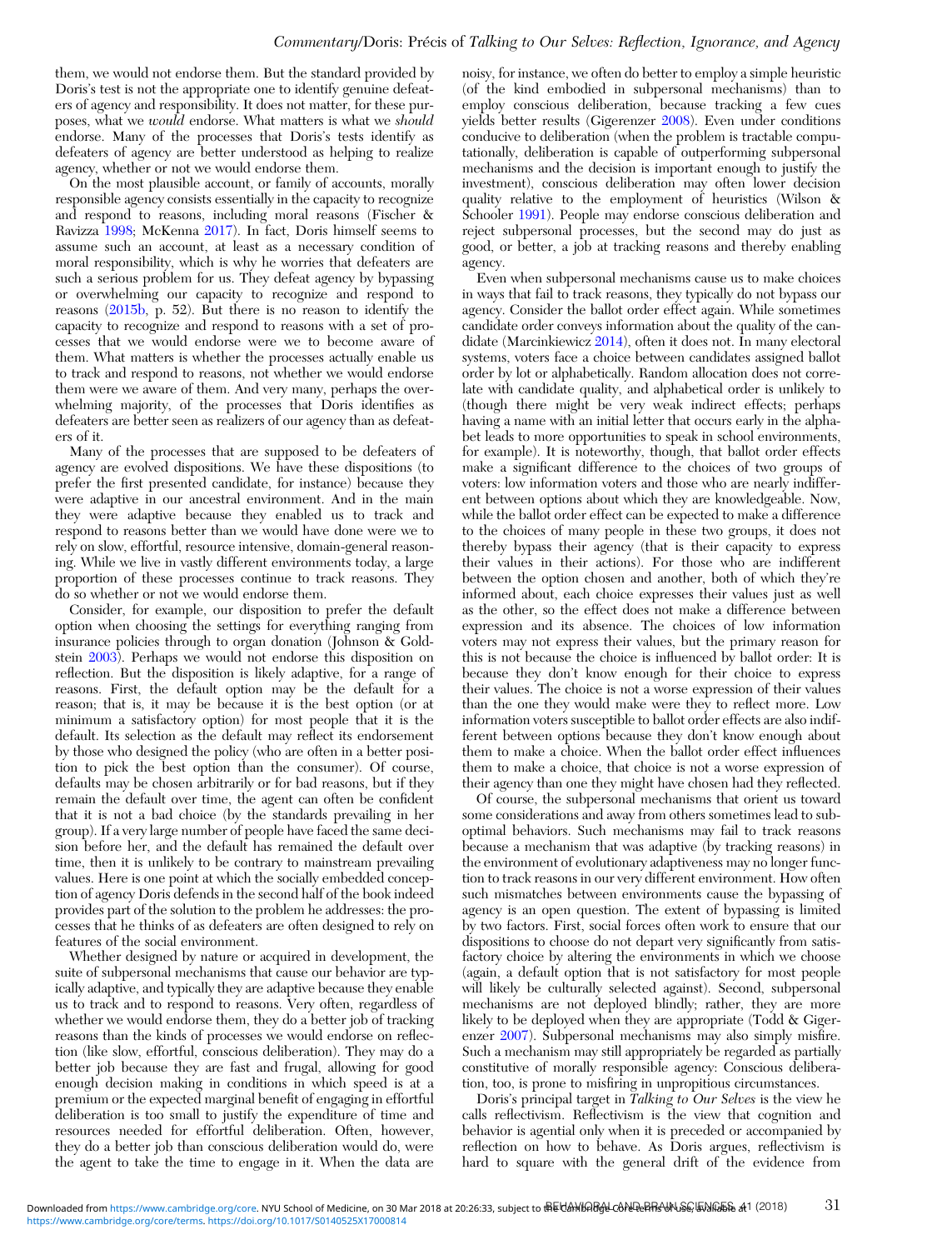them, we would not endorse them. But the standard provided by Doris's test is not the appropriate one to identify genuine defeaters of agency and responsibility. It does not matter, for these purposes, what we would endorse. What matters is what we should endorse. Many of the processes that Doris's tests identify as defeaters of agency are better understood as helping to realize agency, whether or not we would endorse them.

On the most plausible account, or family of accounts, morally responsible agency consists essentially in the capacity to recognize and respond to reasons, including moral reasons (Fischer & Ravizza [1998](#page-68-0); McKenna [2017\)](#page-70-0). In fact, Doris himself seems to assume such an account, at least as a necessary condition of moral responsibility, which is why he worries that defeaters are such a serious problem for us. They defeat agency by bypassing or overwhelming our capacity to recognize and respond to reasons [\(2015b](#page-67-0), p. 52). But there is no reason to identify the capacity to recognize and respond to reasons with a set of processes that we would endorse were we to become aware of them. What matters is whether the processes actually enable us to track and respond to reasons, not whether we would endorse them were we aware of them. And very many, perhaps the overwhelming majority, of the processes that Doris identifies as defeaters are better seen as realizers of our agency than as defeaters of it.

Many of the processes that are supposed to be defeaters of agency are evolved dispositions. We have these dispositions (to prefer the first presented candidate, for instance) because they were adaptive in our ancestral environment. And in the main they were adaptive because they enabled us to track and respond to reasons better than we would have done were we to rely on slow, effortful, resource intensive, domain-general reasoning. While we live in vastly different environments today, a large proportion of these processes continue to track reasons. They do so whether or not we would endorse them.

Consider, for example, our disposition to prefer the default option when choosing the settings for everything ranging from insurance policies through to organ donation (Johnson & Goldstein [2003](#page-69-0)). Perhaps we would not endorse this disposition on reflection. But the disposition is likely adaptive, for a range of reasons. First, the default option may be the default for a reason; that is, it may be because it is the best option (or at minimum a satisfactory option) for most people that it is the default. Its selection as the default may reflect its endorsement by those who designed the policy (who are often in a better position to pick the best option than the consumer). Of course, defaults may be chosen arbitrarily or for bad reasons, but if they remain the default over time, the agent can often be confident that it is not a bad choice (by the standards prevailing in her group). If a very large number of people have faced the same decision before her, and the default has remained the default over time, then it is unlikely to be contrary to mainstream prevailing values. Here is one point at which the socially embedded conception of agency Doris defends in the second half of the book indeed provides part of the solution to the problem he addresses: the processes that he thinks of as defeaters are often designed to rely on features of the social environment.

Whether designed by nature or acquired in development, the suite of subpersonal mechanisms that cause our behavior are typically adaptive, and typically they are adaptive because they enable us to track and to respond to reasons. Very often, regardless of whether we would endorse them, they do a better job of tracking reasons than the kinds of processes we would endorse on reflection (like slow, effortful, conscious deliberation). They may do a better job because they are fast and frugal, allowing for good enough decision making in conditions in which speed is at a premium or the expected marginal benefit of engaging in effortful deliberation is too small to justify the expenditure of time and resources needed for effortful deliberation. Often, however, they do a better job than conscious deliberation would do, were the agent to take the time to engage in it. When the data are

noisy, for instance, we often do better to employ a simple heuristic (of the kind embodied in subpersonal mechanisms) than to employ conscious deliberation, because tracking a few cues yields better results (Gigerenzer [2008](#page-68-0)). Even under conditions conducive to deliberation (when the problem is tractable computationally, deliberation is capable of outperforming subpersonal mechanisms and the decision is important enough to justify the investment), conscious deliberation may often lower decision quality relative to the employment of heuristics (Wilson & Schooler [1991](#page-74-0)). People may endorse conscious deliberation and reject subpersonal processes, but the second may do just as good, or better, a job at tracking reasons and thereby enabling agency.

Even when subpersonal mechanisms cause us to make choices in ways that fail to track reasons, they typically do not bypass our agency. Consider the ballot order effect again. While sometimes candidate order conveys information about the quality of the candidate (Marcinkiewicz [2014](#page-70-0)), often it does not. In many electoral systems, voters face a choice between candidates assigned ballot order by lot or alphabetically. Random allocation does not correlate with candidate quality, and alphabetical order is unlikely to (though there might be very weak indirect effects; perhaps having a name with an initial letter that occurs early in the alphabet leads to more opportunities to speak in school environments, for example). It is noteworthy, though, that ballot order effects make a significant difference to the choices of two groups of voters: low information voters and those who are nearly indifferent between options about which they are knowledgeable. Now, while the ballot order effect can be expected to make a difference to the choices of many people in these two groups, it does not thereby bypass their agency (that is their capacity to express their values in their actions). For those who are indifferent between the option chosen and another, both of which they're informed about, each choice expresses their values just as well as the other, so the effect does not make a difference between expression and its absence. The choices of low information voters may not express their values, but the primary reason for this is not because the choice is influenced by ballot order: It is because they don't know enough for their choice to express their values. The choice is not a worse expression of their values than the one they would make were they to reflect more. Low information voters susceptible to ballot order effects are also indifferent between options because they don't know enough about them to make a choice. When the ballot order effect influences them to make a choice, that choice is not a worse expression of their agency than one they might have chosen had they reflected.

Of course, the subpersonal mechanisms that orient us toward some considerations and away from others sometimes lead to suboptimal behaviors. Such mechanisms may fail to track reasons because a mechanism that was adaptive (by tracking reasons) in the environment of evolutionary adaptiveness may no longer function to track reasons in our very different environment. How often such mismatches between environments cause the bypassing of agency is an open question. The extent of bypassing is limited by two factors. First, social forces often work to ensure that our dispositions to choose do not depart very significantly from satisfactory choice by altering the environments in which we choose (again, a default option that is not satisfactory for most people will likely be culturally selected against). Second, subpersonal mechanisms are not deployed blindly; rather, they are more likely to be deployed when they are appropriate (Todd & Gigerenzer [2007](#page-73-0)). Subpersonal mechanisms may also simply misfire. Such a mechanism may still appropriately be regarded as partially constitutive of morally responsible agency: Conscious deliberation, too, is prone to misfiring in unpropitious circumstances.

Doris's principal target in Talking to Our Selves is the view he calls reflectivism. Reflectivism is the view that cognition and behavior is agential only when it is preceded or accompanied by reflection on how to behave. As Doris argues, reflectivism is hard to square with the general drift of the evidence from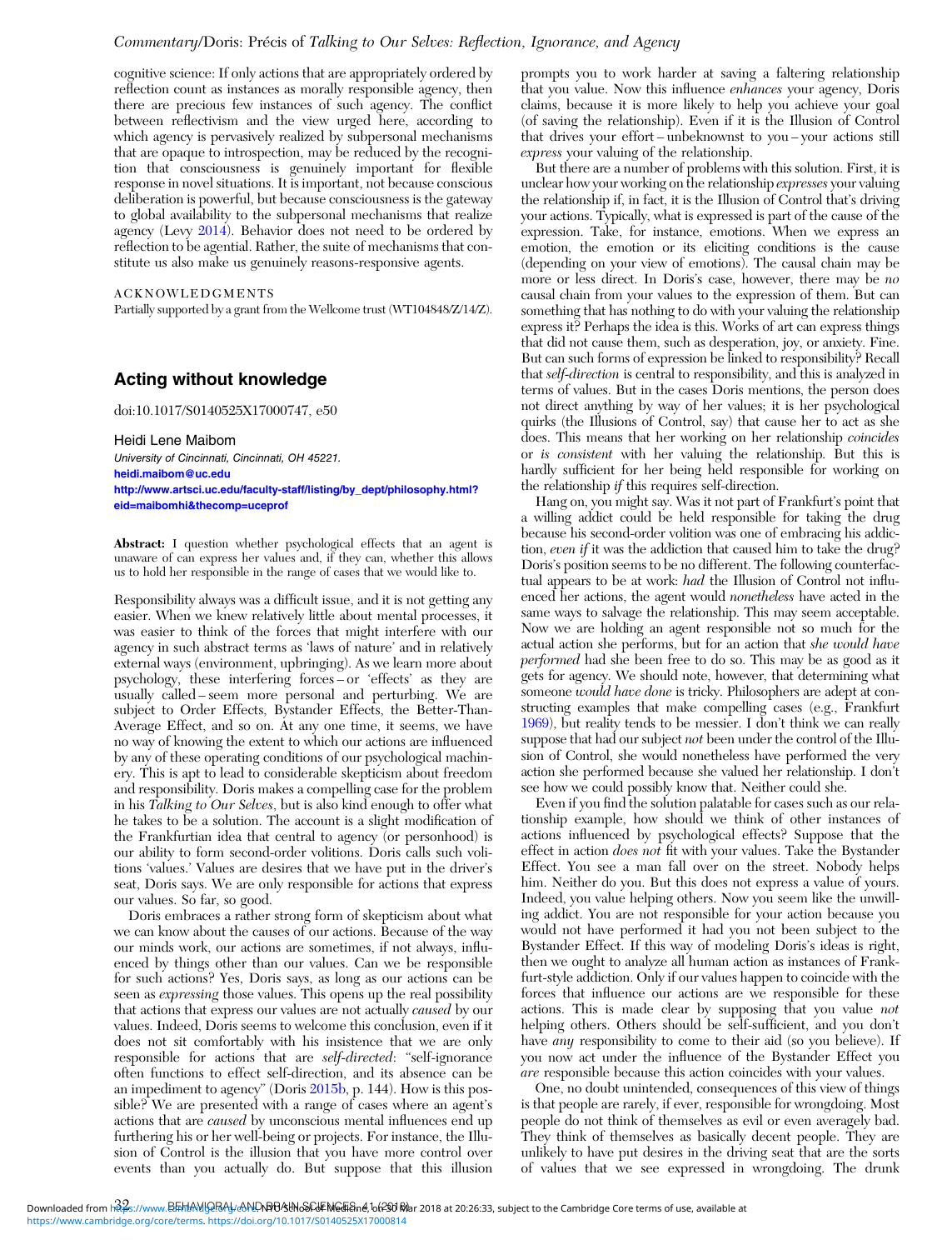cognitive science: If only actions that are appropriately ordered by reflection count as instances as morally responsible agency, then there are precious few instances of such agency. The conflict between reflectivism and the view urged here, according to which agency is pervasively realized by subpersonal mechanisms that are opaque to introspection, may be reduced by the recognition that consciousness is genuinely important for flexible response in novel situations. It is important, not because conscious deliberation is powerful, but because consciousness is the gateway to global availability to the subpersonal mechanisms that realize agency (Levy [2014\)](#page-70-0). Behavior does not need to be ordered by reflection to be agential. Rather, the suite of mechanisms that constitute us also make us genuinely reasons-responsive agents.

#### ACKNOWLEDGMENTS

Partially supported by a grant from the Wellcome trust (WT104848/Z/14/Z).

## Acting without knowledge

doi:10.1017/S0140525X17000747, e50

Heidi Lene Maibom University of Cincinnati, Cincinnati, OH 45221. [heidi.maibom@uc.edu](mailto:heidi.maibom@uc.edu) [http://www.artsci.uc.edu/faculty-staff/listing/by\\_dept/philosophy.html?](http://www.artsci.uc.edu/faculty-staff/listing/by_dept/philosophy.html?eid=maibomhi&thecomp=uceprof) [eid=maibomhi&thecomp=uceprof](http://www.artsci.uc.edu/faculty-staff/listing/by_dept/philosophy.html?eid=maibomhi&thecomp=uceprof)

Abstract: I question whether psychological effects that an agent is unaware of can express her values and, if they can, whether this allows us to hold her responsible in the range of cases that we would like to.

Responsibility always was a difficult issue, and it is not getting any easier. When we knew relatively little about mental processes, it was easier to think of the forces that might interfere with our agency in such abstract terms as 'laws of nature' and in relatively external ways (environment, upbringing). As we learn more about psychology, these interfering forces – or 'effects' as they are usually called – seem more personal and perturbing. We are subject to Order Effects, Bystander Effects, the Better-Than-Average Effect, and so on. At any one time, it seems, we have no way of knowing the extent to which our actions are influenced by any of these operating conditions of our psychological machinery. This is apt to lead to considerable skepticism about freedom and responsibility. Doris makes a compelling case for the problem in his Talking to Our Selves, but is also kind enough to offer what he takes to be a solution. The account is a slight modification of the Frankfurtian idea that central to agency (or personhood) is our ability to form second-order volitions. Doris calls such volitions 'values.' Values are desires that we have put in the driver's seat, Doris says. We are only responsible for actions that express our values. So far, so good.

Doris embraces a rather strong form of skepticism about what we can know about the causes of our actions. Because of the way our minds work, our actions are sometimes, if not always, influenced by things other than our values. Can we be responsible for such actions? Yes, Doris says, as long as our actions can be seen as expressing those values. This opens up the real possibility that actions that express our values are not actually caused by our values. Indeed, Doris seems to welcome this conclusion, even if it does not sit comfortably with his insistence that we are only responsible for actions that are self-directed: "self-ignorance often functions to effect self-direction, and its absence can be an impediment to agency" (Doris [2015b](#page-67-0), p. 144). How is this possible? We are presented with a range of cases where an agent's actions that are caused by unconscious mental influences end up furthering his or her well-being or projects. For instance, the Illusion of Control is the illusion that you have more control over events than you actually do. But suppose that this illusion

prompts you to work harder at saving a faltering relationship that you value. Now this influence enhances your agency, Doris claims, because it is more likely to help you achieve your goal (of saving the relationship). Even if it is the Illusion of Control that drives your effort – unbeknownst to you – your actions still express your valuing of the relationship.

But there are a number of problems with this solution. First, it is unclear how your working on the relationship expresses your valuing the relationship if, in fact, it is the Illusion of Control that's driving your actions. Typically, what is expressed is part of the cause of the expression. Take, for instance, emotions. When we express an emotion, the emotion or its eliciting conditions is the cause (depending on your view of emotions). The causal chain may be more or less direct. In Doris's case, however, there may be no causal chain from your values to the expression of them. But can something that has nothing to do with your valuing the relationship express it? Perhaps the idea is this. Works of art can express things that did not cause them, such as desperation, joy, or anxiety. Fine. But can such forms of expression be linked to responsibility? Recall that self-direction is central to responsibility, and this is analyzed in terms of values. But in the cases Doris mentions, the person does not direct anything by way of her values; it is her psychological quirks (the Illusions of Control, say) that cause her to act as she does. This means that her working on her relationship coincides or is consistent with her valuing the relationship. But this is hardly sufficient for her being held responsible for working on the relationship if this requires self-direction.

Hang on, you might say. Was it not part of Frankfurt's point that a willing addict could be held responsible for taking the drug because his second-order volition was one of embracing his addiction, even if it was the addiction that caused him to take the drug? Doris's position seems to be no different. The following counterfactual appears to be at work: had the Illusion of Control not influenced her actions, the agent would nonetheless have acted in the same ways to salvage the relationship. This may seem acceptable. Now we are holding an agent responsible not so much for the actual action she performs, but for an action that she would have performed had she been free to do so. This may be as good as it gets for agency. We should note, however, that determining what someone would have done is tricky. Philosophers are adept at constructing examples that make compelling cases (e.g., Frankfurt [1969\)](#page-68-0), but reality tends to be messier. I don't think we can really suppose that had our subject *not* been under the control of the Illusion of Control, she would nonetheless have performed the very action she performed because she valued her relationship. I don't see how we could possibly know that. Neither could she.

Even if you find the solution palatable for cases such as our relationship example, how should we think of other instances of actions influenced by psychological effects? Suppose that the effect in action does not fit with your values. Take the Bystander Effect. You see a man fall over on the street. Nobody helps him. Neither do you. But this does not express a value of yours. Indeed, you value helping others. Now you seem like the unwilling addict. You are not responsible for your action because you would not have performed it had you not been subject to the Bystander Effect. If this way of modeling Doris's ideas is right, then we ought to analyze all human action as instances of Frankfurt-style addiction. Only if our values happen to coincide with the forces that influence our actions are we responsible for these actions. This is made clear by supposing that you value not helping others. Others should be self-sufficient, and you don't have *any* responsibility to come to their aid (so you believe). If you now act under the influence of the Bystander Effect you are responsible because this action coincides with your values.

One, no doubt unintended, consequences of this view of things is that people are rarely, if ever, responsible for wrongdoing. Most people do not think of themselves as evil or even averagely bad. They think of themselves as basically decent people. They are unlikely to have put desires in the driving seat that are the sorts of values that we see expressed in wrongdoing. The drunk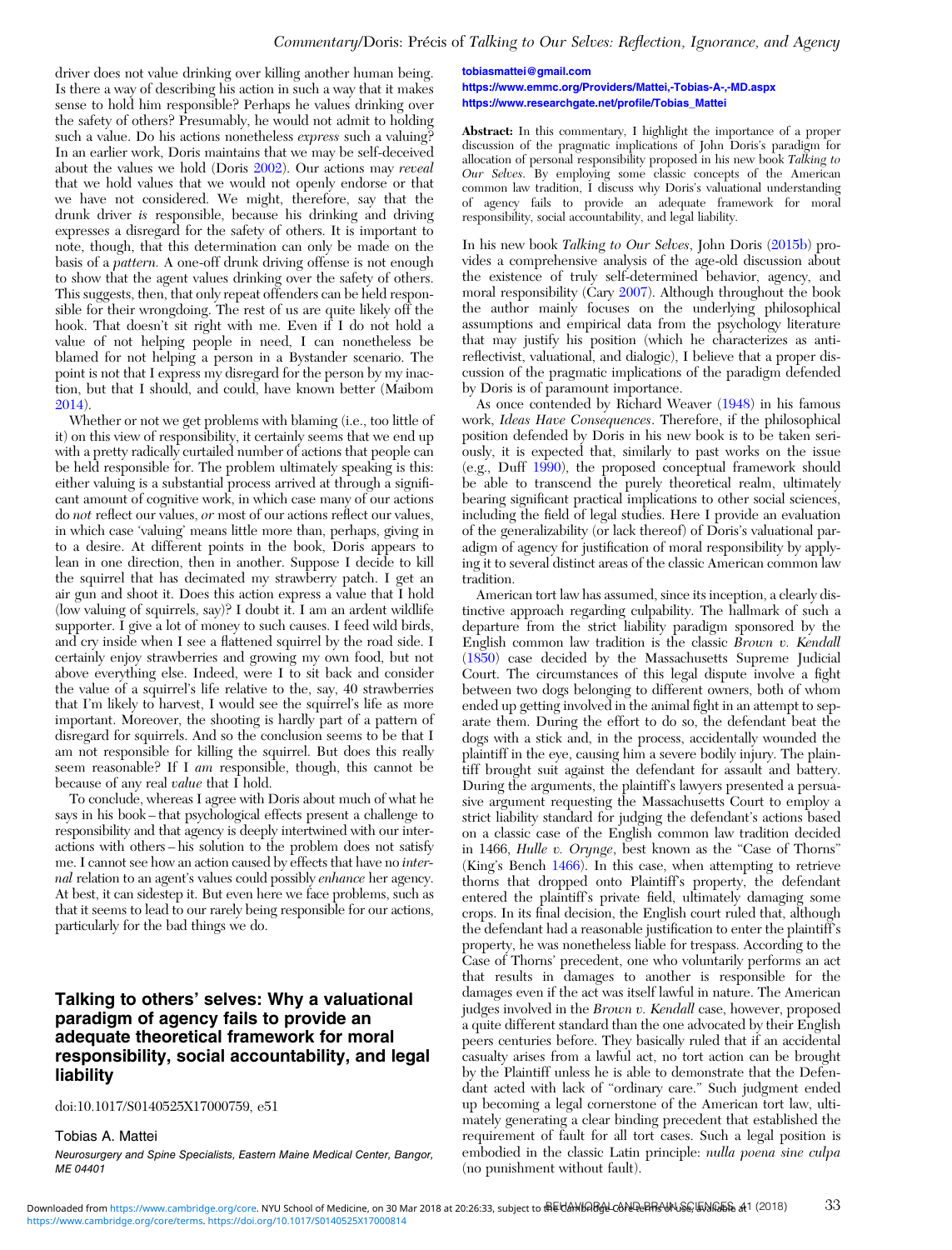driver does not value drinking over killing another human being. Is there a way of describing his action in such a way that it makes sense to hold him responsible? Perhaps he values drinking over the safety of others? Presumably, he would not admit to holding such a value. Do his actions nonetheless express such a valuing? In an earlier work, Doris maintains that we may be self-deceived about the values we hold (Doris [2002\)](#page-67-0). Our actions may reveal that we hold values that we would not openly endorse or that we have not considered. We might, therefore, say that the drunk driver is responsible, because his drinking and driving expresses a disregard for the safety of others. It is important to note, though, that this determination can only be made on the basis of a pattern. A one-off drunk driving offense is not enough to show that the agent values drinking over the safety of others. This suggests, then, that only repeat offenders can be held responsible for their wrongdoing. The rest of us are quite likely off the hook. That doesn't sit right with me. Even if I do not hold a value of not helping people in need, I can nonetheless be blamed for not helping a person in a Bystander scenario. The point is not that I express my disregard for the person by my inaction, but that I should, and could, have known better (Maibom [2014\)](#page-70-0).

Whether or not we get problems with blaming (i.e., too little of it) on this view of responsibility, it certainly seems that we end up with a pretty radically curtailed number of actions that people can be held responsible for. The problem ultimately speaking is this: either valuing is a substantial process arrived at through a significant amount of cognitive work, in which case many of our actions do not reflect our values, or most of our actions reflect our values, in which case 'valuing' means little more than, perhaps, giving in to a desire. At different points in the book, Doris appears to lean in one direction, then in another. Suppose I decide to kill the squirrel that has decimated my strawberry patch. I get an air gun and shoot it. Does this action express a value that I hold (low valuing of squirrels, say)? I doubt it. I am an ardent wildlife supporter. I give a lot of money to such causes. I feed wild birds, and cry inside when I see a flattened squirrel by the road side. I certainly enjoy strawberries and growing my own food, but not above everything else. Indeed, were I to sit back and consider the value of a squirrel's life relative to the, say, 40 strawberries that I'm likely to harvest, I would see the squirrel's life as more important. Moreover, the shooting is hardly part of a pattern of disregard for squirrels. And so the conclusion seems to be that I am not responsible for killing the squirrel. But does this really seem reasonable? If I am responsible, though, this cannot be because of any real *value* that  $\tilde{\Gamma}$  hold.

To conclude, whereas I agree with Doris about much of what he says in his book – that psychological effects present a challenge to responsibility and that agency is deeply intertwined with our interactions with others – his solution to the problem does not satisfy me. I cannot see how an action caused by effects that have no internal relation to an agent's values could possibly *enhance* her agency. At best, it can sidestep it. But even here we face problems, such as that it seems to lead to our rarely being responsible for our actions, particularly for the bad things we do.

## Talking to others' selves: Why a valuational paradigm of agency fails to provide an adequate theoretical framework for moral responsibility, social accountability, and legal liability

doi:10.1017/S0140525X17000759, e51

#### Tobias A. Mattei

Neurosurgery and Spine Specialists, Eastern Maine Medical Center, Bangor, ME 04401

[tobiasmattei@gmail.com](mailto:tobiasmattei@gmail.com) <https://www.emmc.org/Providers/Mattei,-Tobias-A-,-MD.aspx> [https://www.researchgate.net/pro](https://www.researchgate.net/profile/Tobias_Mattei)file/Tobias\_Mattei

Abstract: In this commentary, I highlight the importance of a proper discussion of the pragmatic implications of John Doris's paradigm for allocation of personal responsibility proposed in his new book Talking to Our Selves. By employing some classic concepts of the American common law tradition, I discuss why Doris's valuational understanding of agency fails to provide an adequate framework for moral responsibility, social accountability, and legal liability.

In his new book Talking to Our Selves, John Doris ([2015b\)](#page-67-0) provides a comprehensive analysis of the age-old discussion about the existence of truly self-determined behavior, agency, and moral responsibility (Cary [2007](#page-66-0)). Although throughout the book the author mainly focuses on the underlying philosophical assumptions and empirical data from the psychology literature that may justify his position (which he characterizes as antireflectivist, valuational, and dialogic), I believe that a proper discussion of the pragmatic implications of the paradigm defended by Doris is of paramount importance.

As once contended by Richard Weaver ([1948\)](#page-74-0) in his famous work, Ideas Have Consequences. Therefore, if the philosophical position defended by Doris in his new book is to be taken seriously, it is expected that, similarly to past works on the issue (e.g., Duff [1990\)](#page-67-0), the proposed conceptual framework should be able to transcend the purely theoretical realm, ultimately bearing significant practical implications to other social sciences, including the field of legal studies. Here I provide an evaluation of the generalizability (or lack thereof) of Doris's valuational paradigm of agency for justification of moral responsibility by applying it to several distinct areas of the classic American common law tradition.

American tort law has assumed, since its inception, a clearly distinctive approach regarding culpability. The hallmark of such a departure from the strict liability paradigm sponsored by the English common law tradition is the classic Brown v. Kendall ([1850\)](#page-66-0) case decided by the Massachusetts Supreme Judicial Court. The circumstances of this legal dispute involve a fight between two dogs belonging to different owners, both of whom ended up getting involved in the animal fight in an attempt to separate them. During the effort to do so, the defendant beat the dogs with a stick and, in the process, accidentally wounded the plaintiff in the eye, causing him a severe bodily injury. The plaintiff brought suit against the defendant for assault and battery. During the arguments, the plaintiff's lawyers presented a persuasive argument requesting the Massachusetts Court to employ a strict liability standard for judging the defendant's actions based on a classic case of the English common law tradition decided in 1466, Hulle v. Orynge, best known as the "Case of Thorns" (King's Bench [1466\)](#page-70-0). In this case, when attempting to retrieve thorns that dropped onto Plaintiff's property, the defendant entered the plaintiff's private field, ultimately damaging some crops. In its final decision, the English court ruled that, although the defendant had a reasonable justification to enter the plaintiff's property, he was nonetheless liable for trespass. According to the Case of Thorns' precedent, one who voluntarily performs an act that results in damages to another is responsible for the damages even if the act was itself lawful in nature. The American judges involved in the Brown v. Kendall case, however, proposed a quite different standard than the one advocated by their English peers centuries before. They basically ruled that if an accidental casualty arises from a lawful act, no tort action can be brought by the Plaintiff unless he is able to demonstrate that the Defendant acted with lack of "ordinary care." Such judgment ended up becoming a legal cornerstone of the American tort law, ultimately generating a clear binding precedent that established the requirement of fault for all tort cases. Such a legal position is embodied in the classic Latin principle: nulla poena sine culpa (no punishment without fault).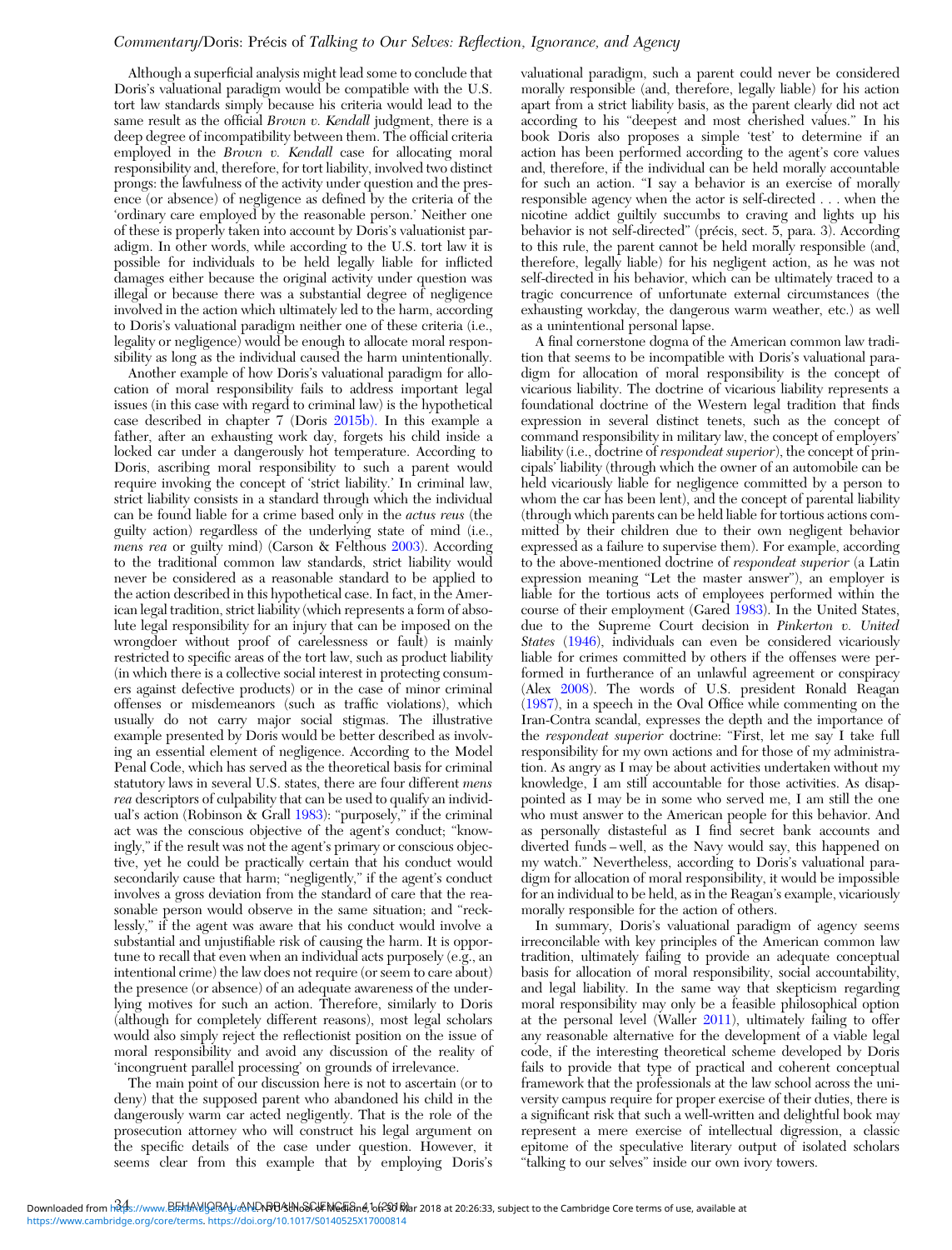Although a superficial analysis might lead some to conclude that Doris's valuational paradigm would be compatible with the U.S. tort law standards simply because his criteria would lead to the same result as the official Brown v. Kendall judgment, there is a deep degree of incompatibility between them. The official criteria employed in the *Brown v. Kendall* case for allocating moral responsibility and, therefore, for tort liability, involved two distinct prongs: the lawfulness of the activity under question and the presence (or absence) of negligence as defined by the criteria of the 'ordinary care employed by the reasonable person.' Neither one of these is properly taken into account by Doris's valuationist paradigm. In other words, while according to the U.S. tort law it is possible for individuals to be held legally liable for inflicted damages either because the original activity under question was illegal or because there was a substantial degree of negligence involved in the action which ultimately led to the harm, according to Doris's valuational paradigm neither one of these criteria (i.e., legality or negligence) would be enough to allocate moral responsibility as long as the individual caused the harm unintentionally.

Another example of how Doris's valuational paradigm for allocation of moral responsibility fails to address important legal issues (in this case with regard to criminal law) is the hypothetical case described in chapter 7 (Doris [2015b\).](#page-67-0) In this example a father, after an exhausting work day, forgets his child inside a locked car under a dangerously hot temperature. According to Doris, ascribing moral responsibility to such a parent would require invoking the concept of 'strict liability.' In criminal law, strict liability consists in a standard through which the individual can be found liable for a crime based only in the actus reus (the guilty action) regardless of the underlying state of mind (i.e., mens rea or guilty mind) (Carson & Felthous [2003](#page-66-0)). According to the traditional common law standards, strict liability would never be considered as a reasonable standard to be applied to the action described in this hypothetical case. In fact, in the American legal tradition, strict liability (which represents a form of absolute legal responsibility for an injury that can be imposed on the wrongdoer without proof of carelessness or fault) is mainly restricted to specific areas of the tort law, such as product liability (in which there is a collective social interest in protecting consumers against defective products) or in the case of minor criminal offenses or misdemeanors (such as traffic violations), which usually do not carry major social stigmas. The illustrative example presented by Doris would be better described as involving an essential element of negligence. According to the Model Penal Code, which has served as the theoretical basis for criminal statutory laws in several U.S. states, there are four different mens rea descriptors of culpability that can be used to qualify an individual's action (Robinson & Grall [1983\)](#page-72-0): "purposely," if the criminal act was the conscious objective of the agent's conduct; "knowingly," if the result was not the agent's primary or conscious objective, yet he could be practically certain that his conduct would secondarily cause that harm; "negligently," if the agent's conduct involves a gross deviation from the standard of care that the reasonable person would observe in the same situation; and "recklessly," if the agent was aware that his conduct would involve a substantial and unjustifiable risk of causing the harm. It is opportune to recall that even when an individual acts purposely (e.g., an intentional crime) the law does not require (or seem to care about) the presence (or absence) of an adequate awareness of the underlying motives for such an action. Therefore, similarly to Doris (although for completely different reasons), most legal scholars would also simply reject the reflectionist position on the issue of moral responsibility and avoid any discussion of the reality of 'incongruent parallel processing' on grounds of irrelevance.

The main point of our discussion here is not to ascertain (or to deny) that the supposed parent who abandoned his child in the dangerously warm car acted negligently. That is the role of the prosecution attorney who will construct his legal argument on the specific details of the case under question. However, it seems clear from this example that by employing Doris's

valuational paradigm, such a parent could never be considered morally responsible (and, therefore, legally liable) for his action apart from a strict liability basis, as the parent clearly did not act according to his "deepest and most cherished values." In his book Doris also proposes a simple 'test' to determine if an action has been performed according to the agent's core values and, therefore, if the individual can be held morally accountable for such an action. "I say a behavior is an exercise of morally responsible agency when the actor is self-directed . . . when the nicotine addict guiltily succumbs to craving and lights up his behavior is not self-directed" (précis, sect. 5, para. 3). According to this rule, the parent cannot be held morally responsible (and, therefore, legally liable) for his negligent action, as he was not self-directed in his behavior, which can be ultimately traced to a tragic concurrence of unfortunate external circumstances (the exhausting workday, the dangerous warm weather, etc.) as well as a unintentional personal lapse.

A final cornerstone dogma of the American common law tradition that seems to be incompatible with Doris's valuational paradigm for allocation of moral responsibility is the concept of vicarious liability. The doctrine of vicarious liability represents a foundational doctrine of the Western legal tradition that finds expression in several distinct tenets, such as the concept of command responsibility in military law, the concept of employers' liability (i.e., doctrine of respondeat superior), the concept of principals' liability (through which the owner of an automobile can be held vicariously liable for negligence committed by a person to whom the car has been lent), and the concept of parental liability (through which parents can be held liable for tortious actions committed by their children due to their own negligent behavior expressed as a failure to supervise them). For example, according to the above-mentioned doctrine of respondeat superior (a Latin expression meaning "Let the master answer"), an employer is liable for the tortious acts of employees performed within the course of their employment (Gared [1983\)](#page-68-0). In the United States, due to the Supreme Court decision in Pinkerton v. United States ([1946\)](#page-72-0), individuals can even be considered vicariously liable for crimes committed by others if the offenses were performed in furtherance of an unlawful agreement or conspiracy (Alex [2008](#page-65-0)). The words of U.S. president Ronald Reagan [\(1987](#page-72-0)), in a speech in the Oval Office while commenting on the Iran-Contra scandal, expresses the depth and the importance of the respondeat superior doctrine: "First, let me say I take full responsibility for my own actions and for those of my administration. As angry as I may be about activities undertaken without my knowledge, I am still accountable for those activities. As disappointed as I may be in some who served me, I am still the one who must answer to the American people for this behavior. And as personally distasteful as I find secret bank accounts and diverted funds – well, as the Navy would say, this happened on my watch." Nevertheless, according to Doris's valuational paradigm for allocation of moral responsibility, it would be impossible for an individual to be held, as in the Reagan's example, vicariously morally responsible for the action of others.

In summary, Doris's valuational paradigm of agency seems irreconcilable with key principles of the American common law tradition, ultimately failing to provide an adequate conceptual basis for allocation of moral responsibility, social accountability, and legal liability. In the same way that skepticism regarding moral responsibility may only be a feasible philosophical option at the personal level (Waller [2011\)](#page-74-0), ultimately failing to offer any reasonable alternative for the development of a viable legal code, if the interesting theoretical scheme developed by Doris fails to provide that type of practical and coherent conceptual framework that the professionals at the law school across the university campus require for proper exercise of their duties, there is a significant risk that such a well-written and delightful book may represent a mere exercise of intellectual digression, a classic epitome of the speculative literary output of isolated scholars "talking to our selves" inside our own ivory towers.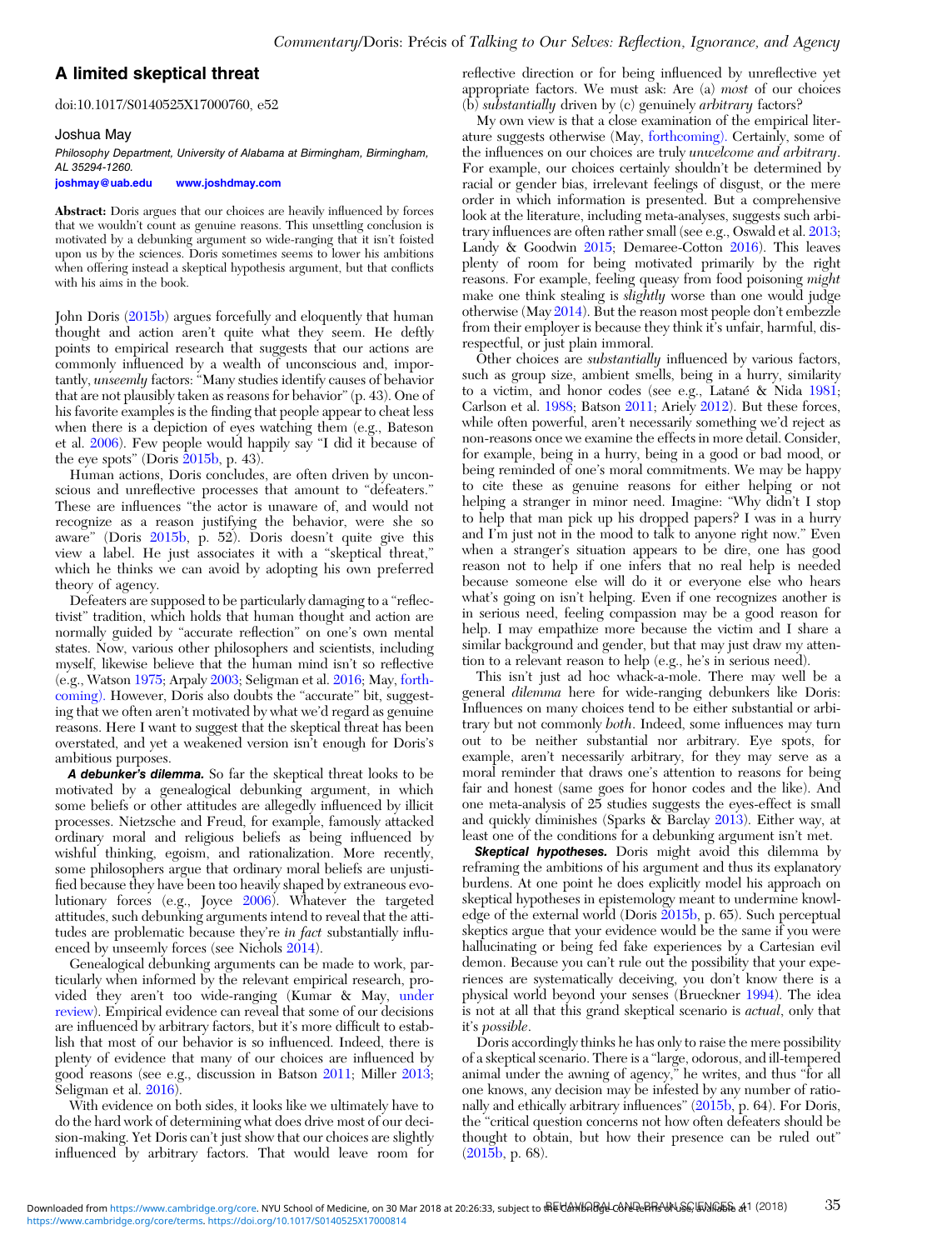## A limited skeptical threat

doi:10.1017/S0140525X17000760, e52

#### Joshua May

Philosophy Department, University of Alabama at Birmingham, Birmingham, AL 35294-1260.

[joshmay@uab.edu](mailto:joshmay@uab.edu) [www.joshdmay.com](http://www.joshdmay.com)

Abstract: Doris argues that our choices are heavily influenced by forces that we wouldn't count as genuine reasons. This unsettling conclusion is motivated by a debunking argument so wide-ranging that it isn't foisted upon us by the sciences. Doris sometimes seems to lower his ambitions when offering instead a skeptical hypothesis argument, but that conflicts with his aims in the book.

John Doris ([2015b](#page-67-0)) argues forcefully and eloquently that human thought and action aren't quite what they seem. He deftly points to empirical research that suggests that our actions are commonly influenced by a wealth of unconscious and, importantly, unseemly factors: "Many studies identify causes of behavior that are not plausibly taken as reasons for behavior" (p. 43). One of his favorite examples is the finding that people appear to cheat less when there is a depiction of eyes watching them (e.g., Bateson et al. [2006](#page-66-0)). Few people would happily say "I did it because of the eye spots" (Doris [2015b,](#page-67-0) p. 43).

Human actions, Doris concludes, are often driven by unconscious and unreflective processes that amount to "defeaters." These are influences "the actor is unaware of, and would not recognize as a reason justifying the behavior, were she so aware" (Doris [2015b](#page-67-0), p. 52). Doris doesn't quite give this view a label. He just associates it with a "skeptical threat," which he thinks we can avoid by adopting his own preferred theory of agency.

Defeaters are supposed to be particularly damaging to a "reflectivist" tradition, which holds that human thought and action are normally guided by "accurate reflection" on one's own mental states. Now, various other philosophers and scientists, including myself, likewise believe that the human mind isn't so reflective (e.g., Watson [1975](#page-74-0); Arpaly [2003](#page-65-0); Seligman et al. [2016](#page-72-0); May, [forth](#page-70-0)[coming\).](#page-70-0) However, Doris also doubts the "accurate" bit, suggesting that we often aren't motivated by what we'd regard as genuine reasons. Here I want to suggest that the skeptical threat has been overstated, and yet a weakened version isn't enough for Doris's ambitious purposes.

A debunker's dilemma. So far the skeptical threat looks to be motivated by a genealogical debunking argument, in which some beliefs or other attitudes are allegedly influenced by illicit processes. Nietzsche and Freud, for example, famously attacked ordinary moral and religious beliefs as being influenced by wishful thinking, egoism, and rationalization. More recently, some philosophers argue that ordinary moral beliefs are unjustified because they have been too heavily shaped by extraneous evolutionary forces (e.g., Joyce [2006](#page-69-0)). Whatever the targeted attitudes, such debunking arguments intend to reveal that the attitudes are problematic because they're *in fact* substantially influenced by unseemly forces (see Nichols [2014\)](#page-71-0).

Genealogical debunking arguments can be made to work, particularly when informed by the relevant empirical research, provided they aren't too wide-ranging (Kumar & May, [under](#page-70-0) [review](#page-70-0)). Empirical evidence can reveal that some of our decisions are influenced by arbitrary factors, but it's more difficult to establish that most of our behavior is so influenced. Indeed, there is plenty of evidence that many of our choices are influenced by good reasons (see e.g., discussion in Batson [2011;](#page-66-0) Miller [2013;](#page-71-0) Seligman et al. [2016\)](#page-72-0).

With evidence on both sides, it looks like we ultimately have to do the hard work of determining what does drive most of our decision-making. Yet Doris can't just show that our choices are slightly influenced by arbitrary factors. That would leave room for reflective direction or for being influenced by unreflective yet appropriate factors. We must ask: Are (a) most of our choices  $\overline{b}$ ) substantially driven by (c) genuinely arbitrary factors?

My own view is that a close examination of the empirical literature suggests otherwise (May, [forthcoming\).](#page-70-0) Certainly, some of the influences on our choices are truly unwelcome and arbitrary. For example, our choices certainly shouldn't be determined by racial or gender bias, irrelevant feelings of disgust, or the mere order in which information is presented. But a comprehensive look at the literature, including meta-analyses, suggests such arbitrary influences are often rather small (see e.g., Oswald et al. [2013;](#page-71-0) Landy & Goodwin [2015](#page-68-0); Demaree-Cotton [2016\)](#page-67-0). This leaves plenty of room for being motivated primarily by the right reasons. For example, feeling queasy from food poisoning might make one think stealing is *slightly* worse than one would judge otherwise (May [2014](#page-70-0)). But the reason most people don't embezzle from their employer is because they think it's unfair, harmful, disrespectful, or just plain immoral.

Other choices are *substantially* influenced by various factors, such as group size, ambient smells, being in a hurry, similarity to a victim, and honor codes (see e.g., Latané & Nida [1981;](#page-70-0) Carlson et al. [1988](#page-66-0); Batson [2011](#page-66-0); Ariely [2012\)](#page-65-0). But these forces, while often powerful, aren't necessarily something we'd reject as non-reasons once we examine the effects in more detail. Consider, for example, being in a hurry, being in a good or bad mood, or being reminded of one's moral commitments. We may be happy to cite these as genuine reasons for either helping or not helping a stranger in minor need. Imagine: "Why didn't I stop to help that man pick up his dropped papers? I was in a hurry and I'm just not in the mood to talk to anyone right now." Even when a stranger's situation appears to be dire, one has good reason not to help if one infers that no real help is needed because someone else will do it or everyone else who hears what's going on isn't helping. Even if one recognizes another is in serious need, feeling compassion may be a good reason for help. I may empathize more because the victim and I share a similar background and gender, but that may just draw my attention to a relevant reason to help (e.g., he's in serious need).

This isn't just ad hoc whack-a-mole. There may well be a general dilemma here for wide-ranging debunkers like Doris: Influences on many choices tend to be either substantial or arbitrary but not commonly both. Indeed, some influences may turn out to be neither substantial nor arbitrary. Eye spots, for example, aren't necessarily arbitrary, for they may serve as a moral reminder that draws one's attention to reasons for being fair and honest (same goes for honor codes and the like). And one meta-analysis of 25 studies suggests the eyes-effect is small and quickly diminishes (Sparks & Barclay [2013](#page-73-0)). Either way, at least one of the conditions for a debunking argument isn't met.

Skeptical hypotheses. Doris might avoid this dilemma by reframing the ambitions of his argument and thus its explanatory burdens. At one point he does explicitly model his approach on skeptical hypotheses in epistemology meant to undermine knowledge of the external world (Doris [2015b,](#page-67-0) p. 65). Such perceptual skeptics argue that your evidence would be the same if you were hallucinating or being fed fake experiences by a Cartesian evil demon. Because you can't rule out the possibility that your experiences are systematically deceiving, you don't know there is a physical world beyond your senses (Brueckner [1994\)](#page-66-0). The idea is not at all that this grand skeptical scenario is actual, only that it's possible.

Doris accordingly thinks he has only to raise the mere possibility of a skeptical scenario. There is a "large, odorous, and ill-tempered animal under the awning of agency," he writes, and thus "for all one knows, any decision may be infested by any number of rationally and ethically arbitrary influences" ([2015b,](#page-67-0) p. 64). For Doris, the "critical question concerns not how often defeaters should be thought to obtain, but how their presence can be ruled out"  $(2015b, p. 68)$  $(2015b, p. 68)$  $(2015b, p. 68)$ .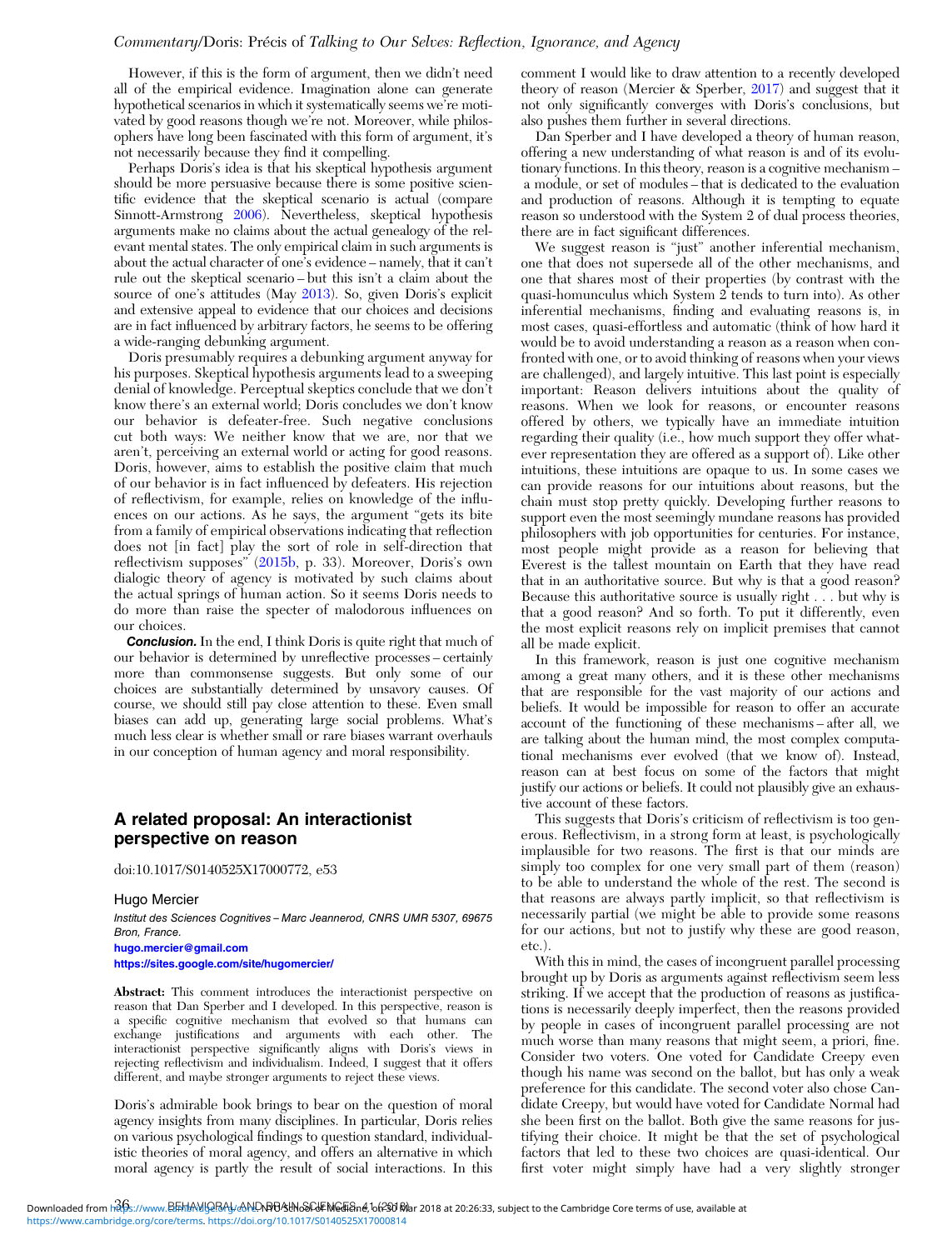However, if this is the form of argument, then we didn't need all of the empirical evidence. Imagination alone can generate hypothetical scenarios in which it systematically seems we're motivated by good reasons though we're not. Moreover, while philosophers have long been fascinated with this form of argument, it's not necessarily because they find it compelling.

Perhaps Doris's idea is that his skeptical hypothesis argument should be more persuasive because there is some positive scientific evidence that the skeptical scenario is actual (compare Sinnott-Armstrong [2006](#page-72-0)). Nevertheless, skeptical hypothesis arguments make no claims about the actual genealogy of the relevant mental states. The only empirical claim in such arguments is about the actual character of one's evidence – namely, that it can't rule out the skeptical scenario – but this isn't a claim about the source of one's attitudes (May [2013](#page-70-0)). So, given Doris's explicit and extensive appeal to evidence that our choices and decisions are in fact influenced by arbitrary factors, he seems to be offering a wide-ranging debunking argument.

Doris presumably requires a debunking argument anyway for his purposes. Skeptical hypothesis arguments lead to a sweeping denial of knowledge. Perceptual skeptics conclude that we don't know there's an external world; Doris concludes we don't know our behavior is defeater-free. Such negative conclusions cut both ways: We neither know that we are, nor that we aren't, perceiving an external world or acting for good reasons. Doris, however, aims to establish the positive claim that much of our behavior is in fact influenced by defeaters. His rejection of reflectivism, for example, relies on knowledge of the influences on our actions. As he says, the argument "gets its bite from a family of empirical observations indicating that reflection does not [in fact] play the sort of role in self-direction that reflectivism supposes" ([2015b,](#page-67-0) p. 33). Moreover, Doris's own dialogic theory of agency is motivated by such claims about the actual springs of human action. So it seems Doris needs to do more than raise the specter of malodorous influences on our choices.

**Conclusion.** In the end, I think Doris is quite right that much of our behavior is determined by unreflective processes – certainly more than commonsense suggests. But only some of our choices are substantially determined by unsavory causes. Of course, we should still pay close attention to these. Even small biases can add up, generating large social problems. What's much less clear is whether small or rare biases warrant overhauls in our conception of human agency and moral responsibility.

## A related proposal: An interactionist perspective on reason

doi:10.1017/S0140525X17000772, e53

#### Hugo Mercier

Institut des Sciences Cognitives – Marc Jeannerod, CNRS UMR 5307, 69675 Bron, France. [hugo.mercier@gmail.com](mailto:hugo.mercier@gmail.com)

<https://sites.google.com/site/hugomercier/>

Abstract: This comment introduces the interactionist perspective on reason that Dan Sperber and I developed. In this perspective, reason is a specific cognitive mechanism that evolved so that humans can exchange justifications and arguments with each other. The interactionist perspective significantly aligns with Doris's views in rejecting reflectivism and individualism. Indeed, I suggest that it offers different, and maybe stronger arguments to reject these views.

Doris's admirable book brings to bear on the question of moral agency insights from many disciplines. In particular, Doris relies on various psychological findings to question standard, individualistic theories of moral agency, and offers an alternative in which moral agency is partly the result of social interactions. In this comment I would like to draw attention to a recently developed theory of reason (Mercier & Sperber, [2017](#page-71-0)) and suggest that it not only significantly converges with Doris's conclusions, but also pushes them further in several directions.

Dan Sperber and I have developed a theory of human reason, offering a new understanding of what reason is and of its evolutionary functions. In this theory, reason is a cognitive mechanism – a module, or set of modules – that is dedicated to the evaluation and production of reasons. Although it is tempting to equate reason so understood with the System 2 of dual process theories, there are in fact significant differences.

We suggest reason is "just" another inferential mechanism, one that does not supersede all of the other mechanisms, and one that shares most of their properties (by contrast with the quasi-homunculus which System 2 tends to turn into). As other inferential mechanisms, finding and evaluating reasons is, in most cases, quasi-effortless and automatic (think of how hard it would be to avoid understanding a reason as a reason when confronted with one, or to avoid thinking of reasons when your views are challenged), and largely intuitive. This last point is especially important: Reason delivers intuitions about the quality of reasons. When we look for reasons, or encounter reasons offered by others, we typically have an immediate intuition regarding their quality (i.e., how much support they offer whatever representation they are offered as a support of). Like other intuitions, these intuitions are opaque to us. In some cases we can provide reasons for our intuitions about reasons, but the chain must stop pretty quickly. Developing further reasons to support even the most seemingly mundane reasons has provided philosophers with job opportunities for centuries. For instance, most people might provide as a reason for believing that Everest is the tallest mountain on Earth that they have read that in an authoritative source. But why is that a good reason? Because this authoritative source is usually right . . . but why is that a good reason? And so forth. To put it differently, even the most explicit reasons rely on implicit premises that cannot all be made explicit.

In this framework, reason is just one cognitive mechanism among a great many others, and it is these other mechanisms that are responsible for the vast majority of our actions and beliefs. It would be impossible for reason to offer an accurate account of the functioning of these mechanisms – after all, we are talking about the human mind, the most complex computational mechanisms ever evolved (that we know of). Instead, reason can at best focus on some of the factors that might justify our actions or beliefs. It could not plausibly give an exhaustive account of these factors.

This suggests that Doris's criticism of reflectivism is too generous. Reflectivism, in a strong form at least, is psychologically implausible for two reasons. The first is that our minds are simply too complex for one very small part of them (reason) to be able to understand the whole of the rest. The second is that reasons are always partly implicit, so that reflectivism is necessarily partial (we might be able to provide some reasons for our actions, but not to justify why these are good reason, etc.).

With this in mind, the cases of incongruent parallel processing brought up by Doris as arguments against reflectivism seem less striking. If we accept that the production of reasons as justifications is necessarily deeply imperfect, then the reasons provided by people in cases of incongruent parallel processing are not much worse than many reasons that might seem, a priori, fine. Consider two voters. One voted for Candidate Creepy even though his name was second on the ballot, but has only a weak preference for this candidate. The second voter also chose Candidate Creepy, but would have voted for Candidate Normal had she been first on the ballot. Both give the same reasons for justifying their choice. It might be that the set of psychological factors that led to these two choices are quasi-identical. Our first voter might simply have had a very slightly stronger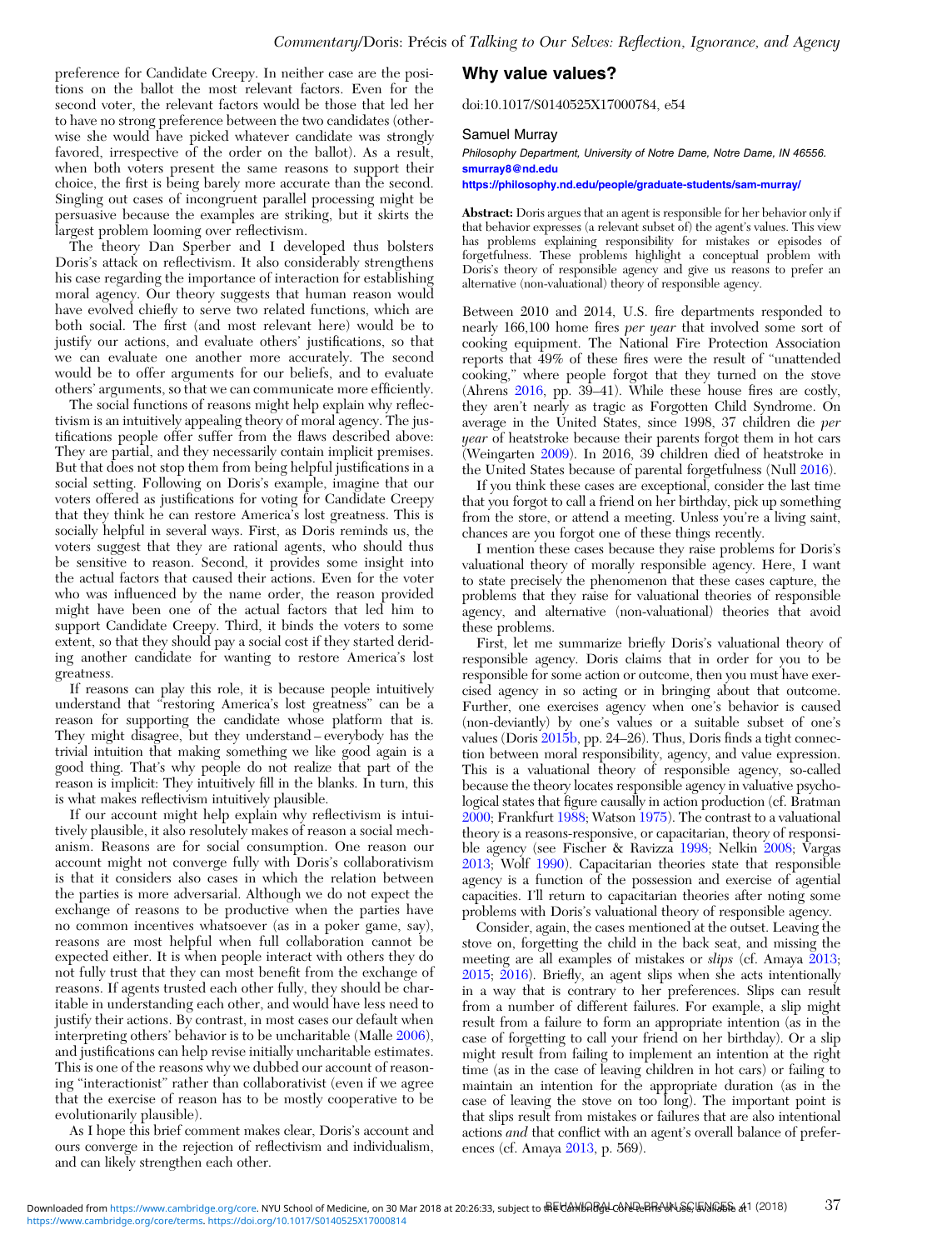preference for Candidate Creepy. In neither case are the positions on the ballot the most relevant factors. Even for the second voter, the relevant factors would be those that led her to have no strong preference between the two candidates (otherwise she would have picked whatever candidate was strongly favored, irrespective of the order on the ballot). As a result, when both voters present the same reasons to support their choice, the first is being barely more accurate than the second. Singling out cases of incongruent parallel processing might be persuasive because the examples are striking, but it skirts the largest problem looming over reflectivism.

The theory Dan Sperber and I developed thus bolsters Doris's attack on reflectivism. It also considerably strengthens his case regarding the importance of interaction for establishing moral agency. Our theory suggests that human reason would have evolved chiefly to serve two related functions, which are both social. The first (and most relevant here) would be to justify our actions, and evaluate others' justifications, so that we can evaluate one another more accurately. The second would be to offer arguments for our beliefs, and to evaluate others' arguments, so that we can communicate more efficiently.

The social functions of reasons might help explain why reflectivism is an intuitively appealing theory of moral agency. The justifications people offer suffer from the flaws described above: They are partial, and they necessarily contain implicit premises. But that does not stop them from being helpful justifications in a social setting. Following on Doris's example, imagine that our voters offered as justifications for voting for Candidate Creepy that they think he can restore America's lost greatness. This is socially helpful in several ways. First, as Doris reminds us, the voters suggest that they are rational agents, who should thus be sensitive to reason. Second, it provides some insight into the actual factors that caused their actions. Even for the voter who was influenced by the name order, the reason provided might have been one of the actual factors that led him to support Candidate Creepy. Third, it binds the voters to some extent, so that they should pay a social cost if they started deriding another candidate for wanting to restore America's lost greatness.

If reasons can play this role, it is because people intuitively understand that "restoring America's lost greatness" can be a reason for supporting the candidate whose platform that is. They might disagree, but they understand – everybody has the trivial intuition that making something we like good again is a good thing. That's why people do not realize that part of the reason is implicit: They intuitively fill in the blanks. In turn, this is what makes reflectivism intuitively plausible.

If our account might help explain why reflectivism is intuitively plausible, it also resolutely makes of reason a social mechanism. Reasons are for social consumption. One reason our account might not converge fully with Doris's collaborativism is that it considers also cases in which the relation between the parties is more adversarial. Although we do not expect the exchange of reasons to be productive when the parties have no common incentives whatsoever (as in a poker game, say), reasons are most helpful when full collaboration cannot be expected either. It is when people interact with others they do not fully trust that they can most benefit from the exchange of reasons. If agents trusted each other fully, they should be charitable in understanding each other, and would have less need to justify their actions. By contrast, in most cases our default when interpreting others' behavior is to be uncharitable (Malle [2006\)](#page-70-0), and justifications can help revise initially uncharitable estimates. This is one of the reasons why we dubbed our account of reasoning "interactionist" rather than collaborativist (even if we agree that the exercise of reason has to be mostly cooperative to be evolutionarily plausible).

As I hope this brief comment makes clear, Doris's account and ours converge in the rejection of reflectivism and individualism, and can likely strengthen each other.

# Why value values?

doi:10.1017/S0140525X17000784, e54

#### Samuel Murray

Philosophy Department, University of Notre Dame, Notre Dame, IN 46556. [smurray8@nd.edu](mailto:smurray8@nd.edu)

<https://philosophy.nd.edu/people/graduate-students/sam-murray/>

Abstract: Doris argues that an agent is responsible for her behavior only if that behavior expresses (a relevant subset of) the agent's values. This view has problems explaining responsibility for mistakes or episodes of forgetfulness. These problems highlight a conceptual problem with Doris's theory of responsible agency and give us reasons to prefer an alternative (non-valuational) theory of responsible agency.

Between 2010 and 2014, U.S. fire departments responded to nearly 166,100 home fires *per year* that involved some sort of cooking equipment. The National Fire Protection Association reports that 49% of these fires were the result of "unattended cooking," where people forgot that they turned on the stove (Ahrens  $2016$ , pp.  $39-41$ ). While these house fires are costly, they aren't nearly as tragic as Forgotten Child Syndrome. On average in the United States, since 1998, 37 children die per year of heatstroke because their parents forgot them in hot cars (Weingarten [2009\)](#page-74-0). In 2016, 39 children died of heatstroke in the United States because of parental forgetfulness (Null [2016](#page-71-0)).

If you think these cases are exceptional, consider the last time that you forgot to call a friend on her birthday, pick up something from the store, or attend a meeting. Unless you're a living saint, chances are you forgot one of these things recently.

I mention these cases because they raise problems for Doris's valuational theory of morally responsible agency. Here, I want to state precisely the phenomenon that these cases capture, the problems that they raise for valuational theories of responsible agency, and alternative (non-valuational) theories that avoid these problems.

First, let me summarize briefly Doris's valuational theory of responsible agency. Doris claims that in order for you to be responsible for some action or outcome, then you must have exercised agency in so acting or in bringing about that outcome. Further, one exercises agency when one's behavior is caused (non-deviantly) by one's values or a suitable subset of one's values (Doris [2015b,](#page-67-0) pp. 24–26). Thus, Doris finds a tight connection between moral responsibility, agency, and value expression. This is a valuational theory of responsible agency, so-called because the theory locates responsible agency in valuative psychological states that figure causally in action production (cf. Bratman [2000;](#page-66-0) Frankfurt [1988](#page-68-0); Watson [1975](#page-74-0)). The contrast to a valuational theory is a reasons-responsive, or capacitarian, theory of responsible agency (see Fischer & Ravizza [1998](#page-68-0); Nelkin [2008](#page-71-0); Vargas [2013;](#page-73-0) Wolf [1990\)](#page-74-0). Capacitarian theories state that responsible agency is a function of the possession and exercise of agential capacities. I'll return to capacitarian theories after noting some problems with Doris's valuational theory of responsible agency.

Consider, again, the cases mentioned at the outset. Leaving the stove on, forgetting the child in the back seat, and missing the meeting are all examples of mistakes or slips (cf. Amaya [2013;](#page-65-0) [2015;](#page-65-0) [2016\)](#page-65-0). Briefly, an agent slips when she acts intentionally in a way that is contrary to her preferences. Slips can result from a number of different failures. For example, a slip might result from a failure to form an appropriate intention (as in the case of forgetting to call your friend on her birthday). Or a slip might result from failing to implement an intention at the right time (as in the case of leaving children in hot cars) or failing to maintain an intention for the appropriate duration (as in the case of leaving the stove on too long). The important point is that slips result from mistakes or failures that are also intentional actions and that conflict with an agent's overall balance of preferences (cf. Amaya [2013](#page-65-0), p. 569).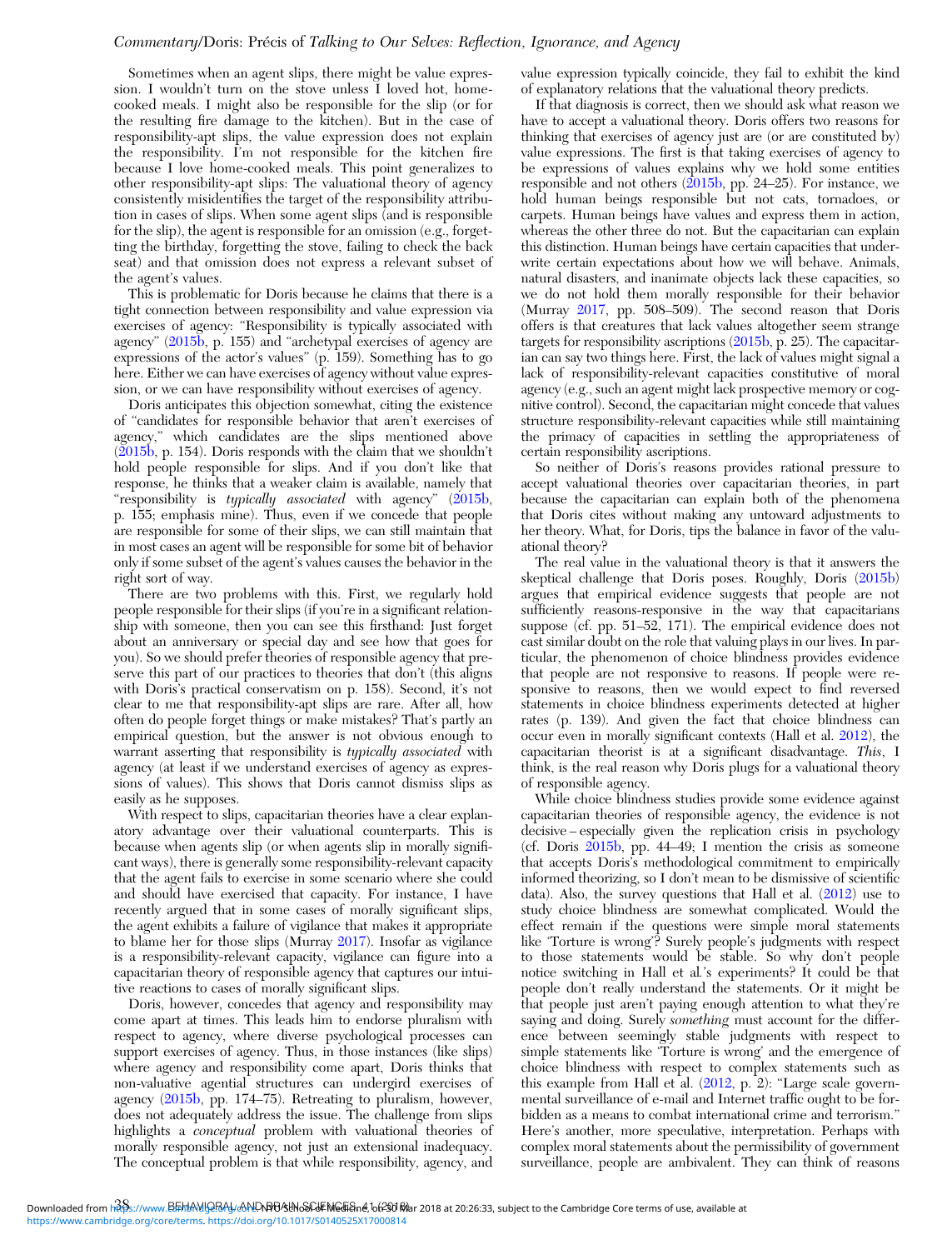Sometimes when an agent slips, there might be value expression. I wouldn't turn on the stove unless I loved hot, homecooked meals. I might also be responsible for the slip (or for the resulting fire damage to the kitchen). But in the case of responsibility-apt slips, the value expression does not explain the responsibility. I'm not responsible for the kitchen fire because I love home-cooked meals. This point generalizes to other responsibility-apt slips: The valuational theory of agency consistently misidentifies the target of the responsibility attribution in cases of slips. When some agent slips (and is responsible for the slip), the agent is responsible for an omission (e.g., forgetting the birthday, forgetting the stove, failing to check the back seat) and that omission does not express a relevant subset of the agent's values.

This is problematic for Doris because he claims that there is a tight connection between responsibility and value expression via exercises of agency: "Responsibility is typically associated with agency" ([2015b,](#page-67-0) p. 155) and "archetypal exercises of agency are expressions of the actor's values" (p. 159). Something has to go here. Either we can have exercises of agency without value expression, or we can have responsibility without exercises of agency.

Doris anticipates this objection somewhat, citing the existence of "candidates for responsible behavior that aren't exercises of agency," which candidates are the slips mentioned above [\(2015b,](#page-67-0) p. 154). Doris responds with the claim that we shouldn't hold people responsible for slips. And if you don't like that response, he thinks that a weaker claim is available, namely that "responsibility is *typically associated* with agency" [\(2015b](#page-67-0), p. 155; emphasis mine). Thus, even if we concede that people are responsible for some of their slips, we can still maintain that in most cases an agent will be responsible for some bit of behavior only if some subset of the agent's values causes the behavior in the right sort of way.

There are two problems with this. First, we regularly hold people responsible for their slips (if you're in a significant relationship with someone, then you can see this firsthand: Just forget about an anniversary or special day and see how that goes for you). So we should prefer theories of responsible agency that preserve this part of our practices to theories that don't (this aligns with Doris's practical conservatism on p. 158). Second, it's not clear to me that responsibility-apt slips are rare. After all, how often do people forget things or make mistakes? That's partly an empirical question, but the answer is not obvious enough to warrant asserting that responsibility is typically associated with agency (at least if we understand exercises of agency as expressions of values). This shows that Doris cannot dismiss slips as easily as he supposes.

With respect to slips, capacitarian theories have a clear explanatory advantage over their valuational counterparts. This is because when agents slip (or when agents slip in morally significant ways), there is generally some responsibility-relevant capacity that the agent fails to exercise in some scenario where she could and should have exercised that capacity. For instance, I have recently argued that in some cases of morally significant slips, the agent exhibits a failure of vigilance that makes it appropriate to blame her for those slips (Murray [2017](#page-71-0)). Insofar as vigilance is a responsibility-relevant capacity, vigilance can figure into a capacitarian theory of responsible agency that captures our intuitive reactions to cases of morally significant slips.

Doris, however, concedes that agency and responsibility may come apart at times. This leads him to endorse pluralism with respect to agency, where diverse psychological processes can support exercises of agency. Thus, in those instances (like slips) where agency and responsibility come apart, Doris thinks that non-valuative agential structures can undergird exercises of agency [\(2015b,](#page-67-0) pp. 174–75). Retreating to pluralism, however, does not adequately address the issue. The challenge from slips highlights a conceptual problem with valuational theories of morally responsible agency, not just an extensional inadequacy. The conceptual problem is that while responsibility, agency, and

value expression typically coincide, they fail to exhibit the kind of explanatory relations that the valuational theory predicts.

If that diagnosis is correct, then we should ask what reason we have to accept a valuational theory. Doris offers two reasons for thinking that exercises of agency just are (or are constituted by) value expressions. The first is that taking exercises of agency to be expressions of values explains why we hold some entities responsible and not others [\(2015b,](#page-67-0) pp. 24–25). For instance, we hold human beings responsible but not cats, tornadoes, or carpets. Human beings have values and express them in action, whereas the other three do not. But the capacitarian can explain this distinction. Human beings have certain capacities that underwrite certain expectations about how we will behave. Animals, natural disasters, and inanimate objects lack these capacities, so we do not hold them morally responsible for their behavior (Murray [2017,](#page-71-0) pp. 508–509). The second reason that Doris offers is that creatures that lack values altogether seem strange targets for responsibility ascriptions ([2015b,](#page-67-0) p. 25). The capacitarian can say two things here. First, the lack of values might signal a lack of responsibility-relevant capacities constitutive of moral agency (e.g., such an agent might lack prospective memory or cognitive control). Second, the capacitarian might concede that values structure responsibility-relevant capacities while still maintaining the primacy of capacities in settling the appropriateness of certain responsibility ascriptions.

So neither of Doris's reasons provides rational pressure to accept valuational theories over capacitarian theories, in part because the capacitarian can explain both of the phenomena that Doris cites without making any untoward adjustments to her theory. What, for Doris, tips the balance in favor of the valuational theory?

The real value in the valuational theory is that it answers the skeptical challenge that Doris poses. Roughly, Doris ([2015b](#page-67-0)) argues that empirical evidence suggests that people are not sufficiently reasons-responsive in the way that capacitarians suppose (cf. pp. 51–52, 171). The empirical evidence does not cast similar doubt on the role that valuing plays in our lives. In particular, the phenomenon of choice blindness provides evidence that people are not responsive to reasons. If people were responsive to reasons, then we would expect to find reversed statements in choice blindness experiments detected at higher rates (p. 139). And given the fact that choice blindness can occur even in morally significant contexts (Hall et al. [2012](#page-69-0)), the capacitarian theorist is at a significant disadvantage. This, I think, is the real reason why Doris plugs for a valuational theory of responsible agency.

While choice blindness studies provide some evidence against capacitarian theories of responsible agency, the evidence is not decisive – especially given the replication crisis in psychology (cf. Doris [2015b,](#page-67-0) pp. 44–49; I mention the crisis as someone that accepts Doris's methodological commitment to empirically informed theorizing, so I don't mean to be dismissive of scientific data). Also, the survey questions that Hall et al. [\(2012](#page-69-0)) use to study choice blindness are somewhat complicated. Would the effect remain if the questions were simple moral statements like 'Torture is wrong'? Surely people's judgments with respect to those statements would be stable. So why don't people notice switching in Hall et al.'s experiments? It could be that people don't really understand the statements. Or it might be that people just aren't paying enough attention to what they're saying and doing. Surely *something* must account for the difference between seemingly stable judgments with respect to simple statements like 'Torture is wrong' and the emergence of choice blindness with respect to complex statements such as this example from Hall et al. ([2012,](#page-69-0) p. 2): "Large scale governmental surveillance of e-mail and Internet traffic ought to be forbidden as a means to combat international crime and terrorism." Here's another, more speculative, interpretation. Perhaps with complex moral statements about the permissibility of government surveillance, people are ambivalent. They can think of reasons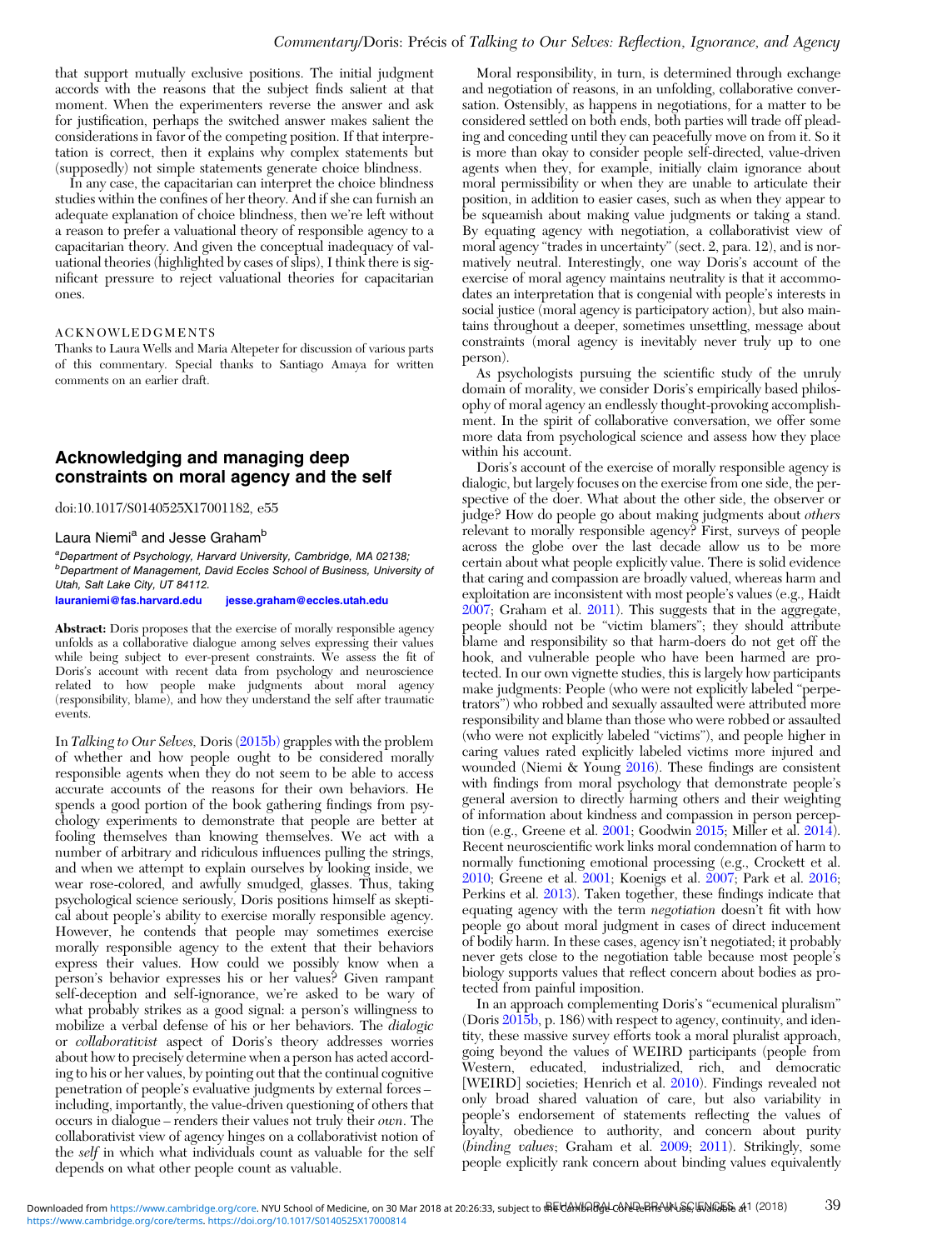that support mutually exclusive positions. The initial judgment accords with the reasons that the subject finds salient at that moment. When the experimenters reverse the answer and ask for justification, perhaps the switched answer makes salient the considerations in favor of the competing position. If that interpretation is correct, then it explains why complex statements but (supposedly) not simple statements generate choice blindness.

In any case, the capacitarian can interpret the choice blindness studies within the confines of her theory. And if she can furnish an adequate explanation of choice blindness, then we're left without a reason to prefer a valuational theory of responsible agency to a capacitarian theory. And given the conceptual inadequacy of valuational theories (highlighted by cases of slips), I think there is significant pressure to reject valuational theories for capacitarian ones.

#### ACKNOWLEDGMENTS

Thanks to Laura Wells and Maria Altepeter for discussion of various parts of this commentary. Special thanks to Santiago Amaya for written comments on an earlier draft.

# Acknowledging and managing deep constraints on moral agency and the self

doi:10.1017/S0140525X17001182, e55

Laura Niemi<sup>a</sup> and Jesse Graham<sup>b</sup>

<sup>a</sup>Department of Psychology, Harvard University, Cambridge, MA 02138; b Department of Management, David Eccles School of Business, University of Utah, Salt Lake City, UT 84112.

[lauraniemi@fas.harvard.edu](mailto:lauraniemi@fas.harvard.edu) [jesse.graham@eccles.utah.edu](mailto:jesse.graham@eccles.utah.edu)

Abstract: Doris proposes that the exercise of morally responsible agency unfolds as a collaborative dialogue among selves expressing their values while being subject to ever-present constraints. We assess the fit of Doris's account with recent data from psychology and neuroscience related to how people make judgments about moral agency (responsibility, blame), and how they understand the self after traumatic events.

In Talking to Our Selves, Doris [\(2015b\)](#page-67-0) grapples with the problem of whether and how people ought to be considered morally responsible agents when they do not seem to be able to access accurate accounts of the reasons for their own behaviors. He spends a good portion of the book gathering findings from psychology experiments to demonstrate that people are better at fooling themselves than knowing themselves. We act with a number of arbitrary and ridiculous influences pulling the strings, and when we attempt to explain ourselves by looking inside, we wear rose-colored, and awfully smudged, glasses. Thus, taking psychological science seriously, Doris positions himself as skeptical about people's ability to exercise morally responsible agency. However, he contends that people may sometimes exercise morally responsible agency to the extent that their behaviors express their values. How could we possibly know when a person's behavior expresses his or her values? Given rampant self-deception and self-ignorance, we're asked to be wary of what probably strikes as a good signal: a person's willingness to mobilize a verbal defense of his or her behaviors. The dialogic or collaborativist aspect of Doris's theory addresses worries about how to precisely determine when a person has acted according to his or her values, by pointing out that the continual cognitive penetration of people's evaluative judgments by external forces – including, importantly, the value-driven questioning of others that occurs in dialogue – renders their values not truly their own. The collaborativist view of agency hinges on a collaborativist notion of the self in which what individuals count as valuable for the self depends on what other people count as valuable.

Moral responsibility, in turn, is determined through exchange and negotiation of reasons, in an unfolding, collaborative conversation. Ostensibly, as happens in negotiations, for a matter to be considered settled on both ends, both parties will trade off pleading and conceding until they can peacefully move on from it. So it is more than okay to consider people self-directed, value-driven agents when they, for example, initially claim ignorance about moral permissibility or when they are unable to articulate their position, in addition to easier cases, such as when they appear to be squeamish about making value judgments or taking a stand. By equating agency with negotiation, a collaborativist view of moral agency "trades in uncertainty" (sect. 2, para. 12), and is normatively neutral. Interestingly, one way Doris's account of the exercise of moral agency maintains neutrality is that it accommodates an interpretation that is congenial with people's interests in social justice (moral agency is participatory action), but also maintains throughout a deeper, sometimes unsettling, message about constraints (moral agency is inevitably never truly up to one person).

As psychologists pursuing the scientific study of the unruly domain of morality, we consider Doris's empirically based philosophy of moral agency an endlessly thought-provoking accomplishment. In the spirit of collaborative conversation, we offer some more data from psychological science and assess how they place within his account.

Doris's account of the exercise of morally responsible agency is dialogic, but largely focuses on the exercise from one side, the perspective of the doer. What about the other side, the observer or judge? How do people go about making judgments about others relevant to morally responsible agency? First, surveys of people across the globe over the last decade allow us to be more certain about what people explicitly value. There is solid evidence that caring and compassion are broadly valued, whereas harm and exploitation are inconsistent with most people's values (e.g., Haidt [2007;](#page-69-0) Graham et al. [2011](#page-69-0)). This suggests that in the aggregate, people should not be "victim blamers"; they should attribute blame and responsibility so that harm-doers do not get off the hook, and vulnerable people who have been harmed are protected. In our own vignette studies, this is largely how participants make judgments: People (who were not explicitly labeled "perpetrators") who robbed and sexually assaulted were attributed more responsibility and blame than those who were robbed or assaulted (who were not explicitly labeled "victims"), and people higher in caring values rated explicitly labeled victims more injured and wounded (Niemi & Young [2016\)](#page-71-0). These findings are consistent with findings from moral psychology that demonstrate people's general aversion to directly harming others and their weighting of information about kindness and compassion in person perception (e.g., Greene et al. [2001;](#page-69-0) Goodwin [2015](#page-68-0); Miller et al. [2014\)](#page-71-0). Recent neuroscientific work links moral condemnation of harm to normally functioning emotional processing (e.g., Crockett et al. [2010;](#page-67-0) Greene et al. [2001](#page-69-0); Koenigs et al. [2007](#page-70-0); Park et al. [2016;](#page-71-0) Perkins et al. [2013\)](#page-72-0). Taken together, these findings indicate that equating agency with the term *negotiation* doesn't fit with how people go about moral judgment in cases of direct inducement of bodily harm. In these cases, agency isn't negotiated; it probably never gets close to the negotiation table because most people's biology supports values that reflect concern about bodies as protected from painful imposition.

In an approach complementing Doris's "ecumenical pluralism" (Doris [2015b](#page-67-0), p. 186) with respect to agency, continuity, and identity, these massive survey efforts took a moral pluralist approach, going beyond the values of WEIRD participants (people from Western, educated, industrialized, rich, and democratic [WEIRD] societies; Henrich et al. [2010](#page-69-0)). Findings revealed not only broad shared valuation of care, but also variability in people's endorsement of statements reflecting the values of loyalty, obedience to authority, and concern about purity (binding values; Graham et al. [2009;](#page-69-0) [2011\)](#page-69-0). Strikingly, some people explicitly rank concern about binding values equivalently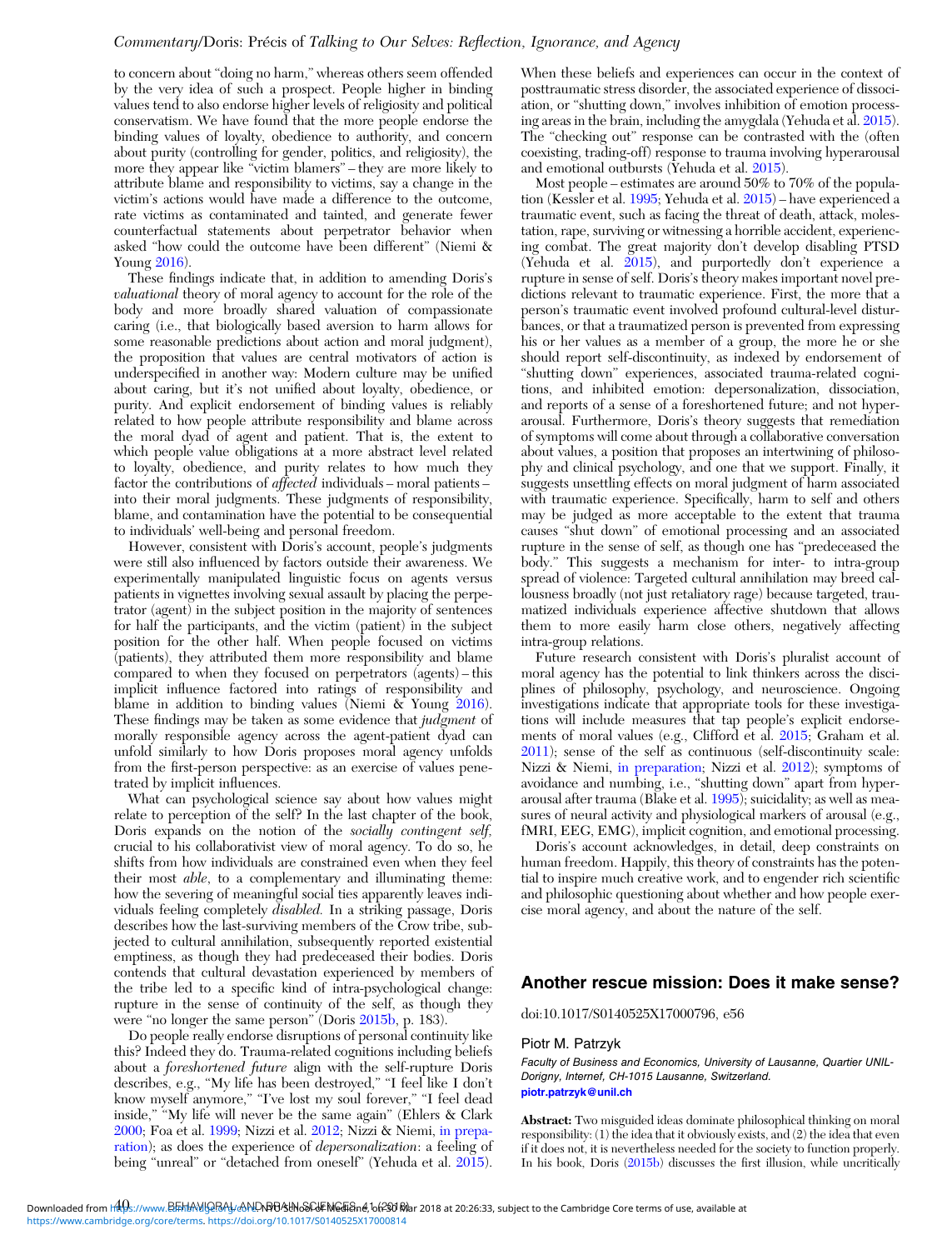to concern about "doing no harm," whereas others seem offended by the very idea of such a prospect. People higher in binding values tend to also endorse higher levels of religiosity and political conservatism. We have found that the more people endorse the binding values of loyalty, obedience to authority, and concern about purity (controlling for gender, politics, and religiosity), the more they appear like "victim blamers" – they are more likely to attribute blame and responsibility to victims, say a change in the victim's actions would have made a difference to the outcome, rate victims as contaminated and tainted, and generate fewer counterfactual statements about perpetrator behavior when asked "how could the outcome have been different" (Niemi & Young [2016](#page-71-0)).

These findings indicate that, in addition to amending Doris's valuational theory of moral agency to account for the role of the body and more broadly shared valuation of compassionate caring (i.e., that biologically based aversion to harm allows for some reasonable predictions about action and moral judgment), the proposition that values are central motivators of action is underspecified in another way: Modern culture may be unified about caring, but it's not unified about loyalty, obedience, or purity. And explicit endorsement of binding values is reliably related to how people attribute responsibility and blame across the moral dyad of agent and patient. That is, the extent to which people value obligations at a more abstract level related to loyalty, obedience, and purity relates to how much they factor the contributions of affected individuals – moral patients – into their moral judgments. These judgments of responsibility, blame, and contamination have the potential to be consequential to individuals' well-being and personal freedom.

However, consistent with Doris's account, people's judgments were still also influenced by factors outside their awareness. We experimentally manipulated linguistic focus on agents versus patients in vignettes involving sexual assault by placing the perpetrator (agent) in the subject position in the majority of sentences for half the participants, and the victim (patient) in the subject position for the other half. When people focused on victims (patients), they attributed them more responsibility and blame compared to when they focused on perpetrators (agents) – this implicit influence factored into ratings of responsibility and blame in addition to binding values (Niemi & Young [2016](#page-71-0)). These findings may be taken as some evidence that judgment of morally responsible agency across the agent-patient dyad can unfold similarly to how Doris proposes moral agency unfolds from the first-person perspective: as an exercise of values penetrated by implicit influences.

What can psychological science say about how values might relate to perception of the self? In the last chapter of the book, Doris expands on the notion of the socially contingent self, crucial to his collaborativist view of moral agency. To do so, he shifts from how individuals are constrained even when they feel their most able, to a complementary and illuminating theme: how the severing of meaningful social ties apparently leaves individuals feeling completely disabled. In a striking passage, Doris describes how the last-surviving members of the Crow tribe, subjected to cultural annihilation, subsequently reported existential emptiness, as though they had predeceased their bodies. Doris contends that cultural devastation experienced by members of the tribe led to a specific kind of intra-psychological change: rupture in the sense of continuity of the self, as though they were "no longer the same person" (Doris [2015b,](#page-67-0) p. 183).

Do people really endorse disruptions of personal continuity like this? Indeed they do. Trauma-related cognitions including beliefs about a foreshortened future align with the self-rupture Doris describes, e.g., "My life has been destroyed," "I feel like I don't know myself anymore," "I've lost my soul forever," "I feel dead inside," "My life will never be the same again" (Ehlers & Clark [2000](#page-68-0); Foa et al. [1999](#page-68-0); Nizzi et al. [2012](#page-71-0); Nizzi & Niemi, [in prepa](#page-71-0)[ration\)](#page-71-0); as does the experience of depersonalization: a feeling of being "unreal" or "detached from oneself" (Yehuda et al. [2015](#page-74-0)).

When these beliefs and experiences can occur in the context of posttraumatic stress disorder, the associated experience of dissociation, or "shutting down," involves inhibition of emotion processing areas in the brain, including the amygdala (Yehuda et al. [2015](#page-74-0)). The "checking out" response can be contrasted with the (often coexisting, trading-off) response to trauma involving hyperarousal and emotional outbursts (Yehuda et al. [2015](#page-74-0)).

Most people – estimates are around 50% to 70% of the population (Kessler et al. [1995;](#page-69-0) Yehuda et al. [2015](#page-74-0)) – have experienced a traumatic event, such as facing the threat of death, attack, molestation, rape, surviving or witnessing a horrible accident, experiencing combat. The great majority don't develop disabling PTSD (Yehuda et al. [2015\)](#page-74-0), and purportedly don't experience a rupture in sense of self. Doris's theory makes important novel predictions relevant to traumatic experience. First, the more that a person's traumatic event involved profound cultural-level disturbances, or that a traumatized person is prevented from expressing his or her values as a member of a group, the more he or she should report self-discontinuity, as indexed by endorsement of "shutting down" experiences, associated trauma-related cognitions, and inhibited emotion: depersonalization, dissociation, and reports of a sense of a foreshortened future; and not hyperarousal. Furthermore, Doris's theory suggests that remediation of symptoms will come about through a collaborative conversation about values, a position that proposes an intertwining of philosophy and clinical psychology, and one that we support. Finally, it suggests unsettling effects on moral judgment of harm associated with traumatic experience. Specifically, harm to self and others may be judged as more acceptable to the extent that trauma causes "shut down" of emotional processing and an associated rupture in the sense of self, as though one has "predeceased the body." This suggests a mechanism for inter- to intra-group spread of violence: Targeted cultural annihilation may breed callousness broadly (not just retaliatory rage) because targeted, traumatized individuals experience affective shutdown that allows them to more easily harm close others, negatively affecting intra-group relations.

Future research consistent with Doris's pluralist account of moral agency has the potential to link thinkers across the disciplines of philosophy, psychology, and neuroscience. Ongoing investigations indicate that appropriate tools for these investigations will include measures that tap people's explicit endorsements of moral values (e.g., Clifford et al. [2015](#page-67-0); Graham et al. [2011](#page-69-0)); sense of the self as continuous (self-discontinuity scale: Nizzi & Niemi, [in preparation;](#page-71-0) Nizzi et al. [2012\)](#page-71-0); symptoms of avoidance and numbing, i.e., "shutting down" apart from hyperarousal after trauma (Blake et al. [1995\)](#page-66-0); suicidality; as well as measures of neural activity and physiological markers of arousal (e.g., fMRI, EEG, EMG), implicit cognition, and emotional processing.

Doris's account acknowledges, in detail, deep constraints on human freedom. Happily, this theory of constraints has the potential to inspire much creative work, and to engender rich scientific and philosophic questioning about whether and how people exercise moral agency, and about the nature of the self.

# Another rescue mission: Does it make sense?

doi:10.1017/S0140525X17000796, e56

#### Piotr M. Patrzyk

Faculty of Business and Economics, University of Lausanne, Quartier UNIL-Dorigny, Internef, CH-1015 Lausanne, Switzerland. [piotr.patrzyk@unil.ch](mailto:piotr.patrzyk@unil.ch)

Abstract: Two misguided ideas dominate philosophical thinking on moral responsibility: (1) the idea that it obviously exists, and (2) the idea that even if it does not, it is nevertheless needed for the society to function properly. In his book, Doris ([2015b](#page-67-0)) discusses the first illusion, while uncritically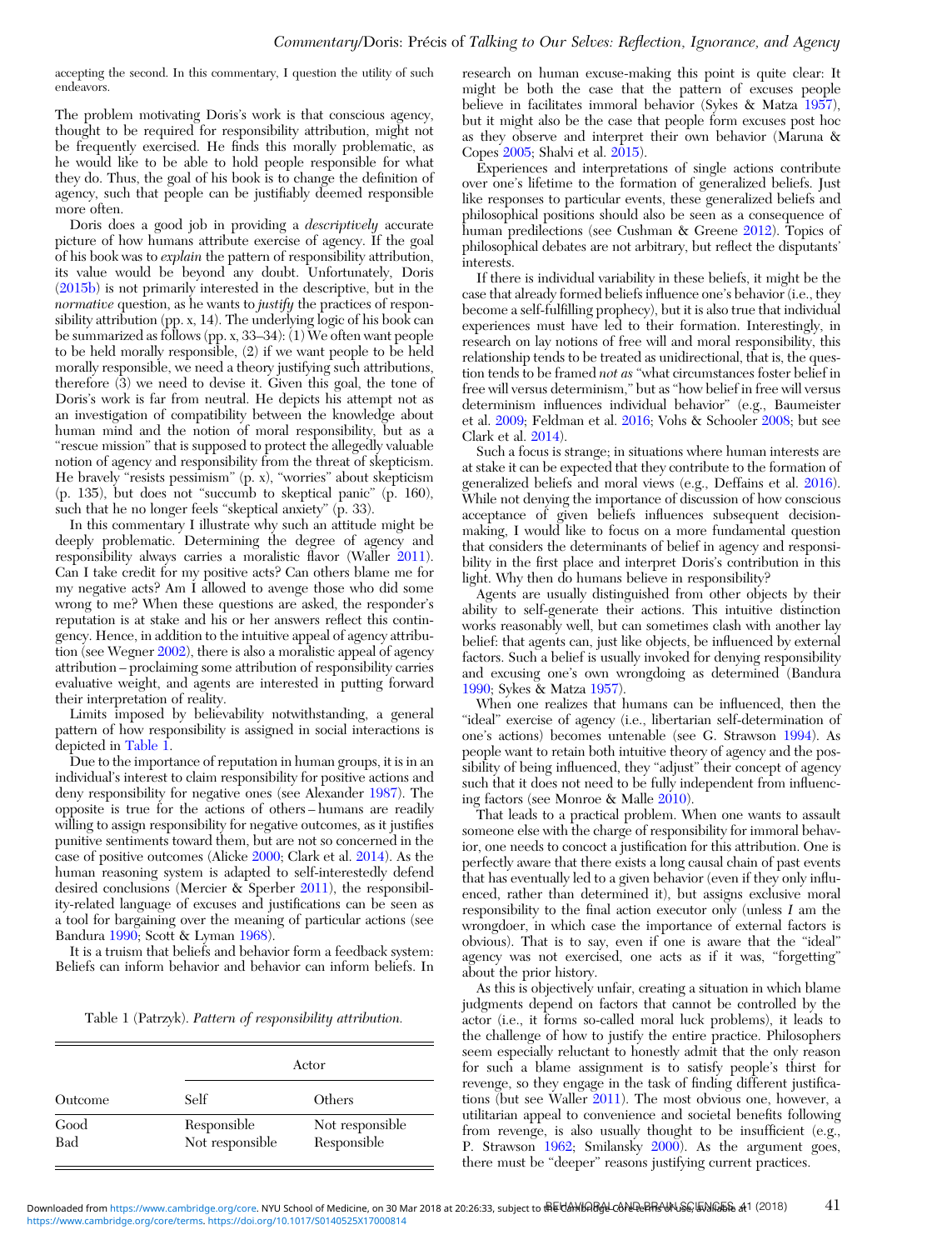accepting the second. In this commentary, I question the utility of such endeavors.

The problem motivating Doris's work is that conscious agency, thought to be required for responsibility attribution, might not be frequently exercised. He finds this morally problematic, as he would like to be able to hold people responsible for what they do. Thus, the goal of his book is to change the definition of agency, such that people can be justifiably deemed responsible more often.

Doris does a good job in providing a descriptively accurate picture of how humans attribute exercise of agency. If the goal of his book was to explain the pattern of responsibility attribution, its value would be beyond any doubt. Unfortunately, Doris ([2015b\)](#page-67-0) is not primarily interested in the descriptive, but in the normative question, as he wants to justify the practices of responsibility attribution (pp. x, 14). The underlying logic of his book can be summarized as follows (pp. x, 33–34): (1) We often want people to be held morally responsible, (2) if we want people to be held morally responsible, we need a theory justifying such attributions, therefore (3) we need to devise it. Given this goal, the tone of Doris's work is far from neutral. He depicts his attempt not as an investigation of compatibility between the knowledge about human mind and the notion of moral responsibility, but as a "rescue mission" that is supposed to protect the allegedly valuable notion of agency and responsibility from the threat of skepticism. He bravely "resists pessimism" (p. x), "worries" about skepticism (p. 135), but does not "succumb to skeptical panic" (p. 160), such that he no longer feels "skeptical anxiety" (p. 33).

In this commentary I illustrate why such an attitude might be deeply problematic. Determining the degree of agency and responsibility always carries a moralistic flavor (Waller [2011\)](#page-74-0). Can I take credit for my positive acts? Can others blame me for my negative acts? Am I allowed to avenge those who did some wrong to me? When these questions are asked, the responder's reputation is at stake and his or her answers reflect this contingency. Hence, in addition to the intuitive appeal of agency attribution (see Wegner [2002\)](#page-74-0), there is also a moralistic appeal of agency attribution – proclaiming some attribution of responsibility carries evaluative weight, and agents are interested in putting forward their interpretation of reality.

Limits imposed by believability notwithstanding, a general pattern of how responsibility is assigned in social interactions is depicted in Table 1.

Due to the importance of reputation in human groups, it is in an individual's interest to claim responsibility for positive actions and deny responsibility for negative ones (see Alexander [1987\)](#page-65-0). The opposite is true for the actions of others – humans are readily willing to assign responsibility for negative outcomes, as it justifies punitive sentiments toward them, but are not so concerned in the case of positive outcomes (Alicke [2000;](#page-65-0) Clark et al. [2014\)](#page-67-0). As the human reasoning system is adapted to self-interestedly defend desired conclusions (Mercier & Sperber [2011](#page-71-0)), the responsibility-related language of excuses and justifications can be seen as a tool for bargaining over the meaning of particular actions (see Bandura [1990](#page-66-0); Scott & Lyman [1968\)](#page-72-0).

It is a truism that beliefs and behavior form a feedback system: Beliefs can inform behavior and behavior can inform beliefs. In

|  |  |  |  |  |  |  |  |  | Table 1 (Patrzyk). Pattern of responsibility attribution. |
|--|--|--|--|--|--|--|--|--|-----------------------------------------------------------|
|--|--|--|--|--|--|--|--|--|-----------------------------------------------------------|

|             | Actor                          |                                |  |  |
|-------------|--------------------------------|--------------------------------|--|--|
| Outcome     | Self                           | Others                         |  |  |
| Good<br>Bad | Responsible<br>Not responsible | Not responsible<br>Responsible |  |  |

research on human excuse-making this point is quite clear: It might be both the case that the pattern of excuses people believe in facilitates immoral behavior (Sykes & Matza [1957\)](#page-73-0), but it might also be the case that people form excuses post hoc as they observe and interpret their own behavior (Maruna & Copes [2005;](#page-70-0) Shalvi et al. [2015](#page-72-0)).

Experiences and interpretations of single actions contribute over one's lifetime to the formation of generalized beliefs. Just like responses to particular events, these generalized beliefs and philosophical positions should also be seen as a consequence of human predilections (see Cushman & Greene [2012](#page-67-0)). Topics of philosophical debates are not arbitrary, but reflect the disputants' interests.

If there is individual variability in these beliefs, it might be the case that already formed beliefs influence one's behavior (i.e., they become a self-fulfilling prophecy), but it is also true that individual experiences must have led to their formation. Interestingly, in research on lay notions of free will and moral responsibility, this relationship tends to be treated as unidirectional, that is, the question tends to be framed not as "what circumstances foster belief in free will versus determinism," but as "how belief in free will versus determinism influences individual behavior" (e.g., Baumeister et al. [2009](#page-66-0); Feldman et al. [2016](#page-68-0); Vohs & Schooler [2008;](#page-73-0) but see Clark et al. [2014\)](#page-67-0).

Such a focus is strange; in situations where human interests are at stake it can be expected that they contribute to the formation of generalized beliefs and moral views (e.g., Deffains et al. [2016\)](#page-67-0). While not denying the importance of discussion of how conscious acceptance of given beliefs influences subsequent decisionmaking, I would like to focus on a more fundamental question that considers the determinants of belief in agency and responsibility in the first place and interpret Doris's contribution in this light. Why then do humans believe in responsibility?

Agents are usually distinguished from other objects by their ability to self-generate their actions. This intuitive distinction works reasonably well, but can sometimes clash with another lay belief: that agents can, just like objects, be influenced by external factors. Such a belief is usually invoked for denying responsibility and excusing one's own wrongdoing as determined (Bandura [1990;](#page-66-0) Sykes & Matza [1957](#page-73-0)).

When one realizes that humans can be influenced, then the "ideal" exercise of agency (i.e., libertarian self-determination of one's actions) becomes untenable (see G. Strawson [1994](#page-73-0)). As people want to retain both intuitive theory of agency and the possibility of being influenced, they "adjust" their concept of agency such that it does not need to be fully independent from influencing factors (see Monroe & Malle [2010](#page-71-0)).

That leads to a practical problem. When one wants to assault someone else with the charge of responsibility for immoral behavior, one needs to concoct a justification for this attribution. One is perfectly aware that there exists a long causal chain of past events that has eventually led to a given behavior (even if they only influenced, rather than determined it), but assigns exclusive moral responsibility to the final action executor only (unless I am the wrongdoer, in which case the importance of external factors is obvious). That is to say, even if one is aware that the "ideal" agency was not exercised, one acts as if it was, "forgetting" about the prior history.

As this is objectively unfair, creating a situation in which blame judgments depend on factors that cannot be controlled by the actor (i.e., it forms so-called moral luck problems), it leads to the challenge of how to justify the entire practice. Philosophers seem especially reluctant to honestly admit that the only reason for such a blame assignment is to satisfy people's thirst for revenge, so they engage in the task of finding different justifications (but see Waller [2011\)](#page-74-0). The most obvious one, however, a utilitarian appeal to convenience and societal benefits following from revenge, is also usually thought to be insufficient (e.g., P. Strawson [1962;](#page-73-0) Smilansky [2000\)](#page-72-0). As the argument goes, there must be "deeper" reasons justifying current practices.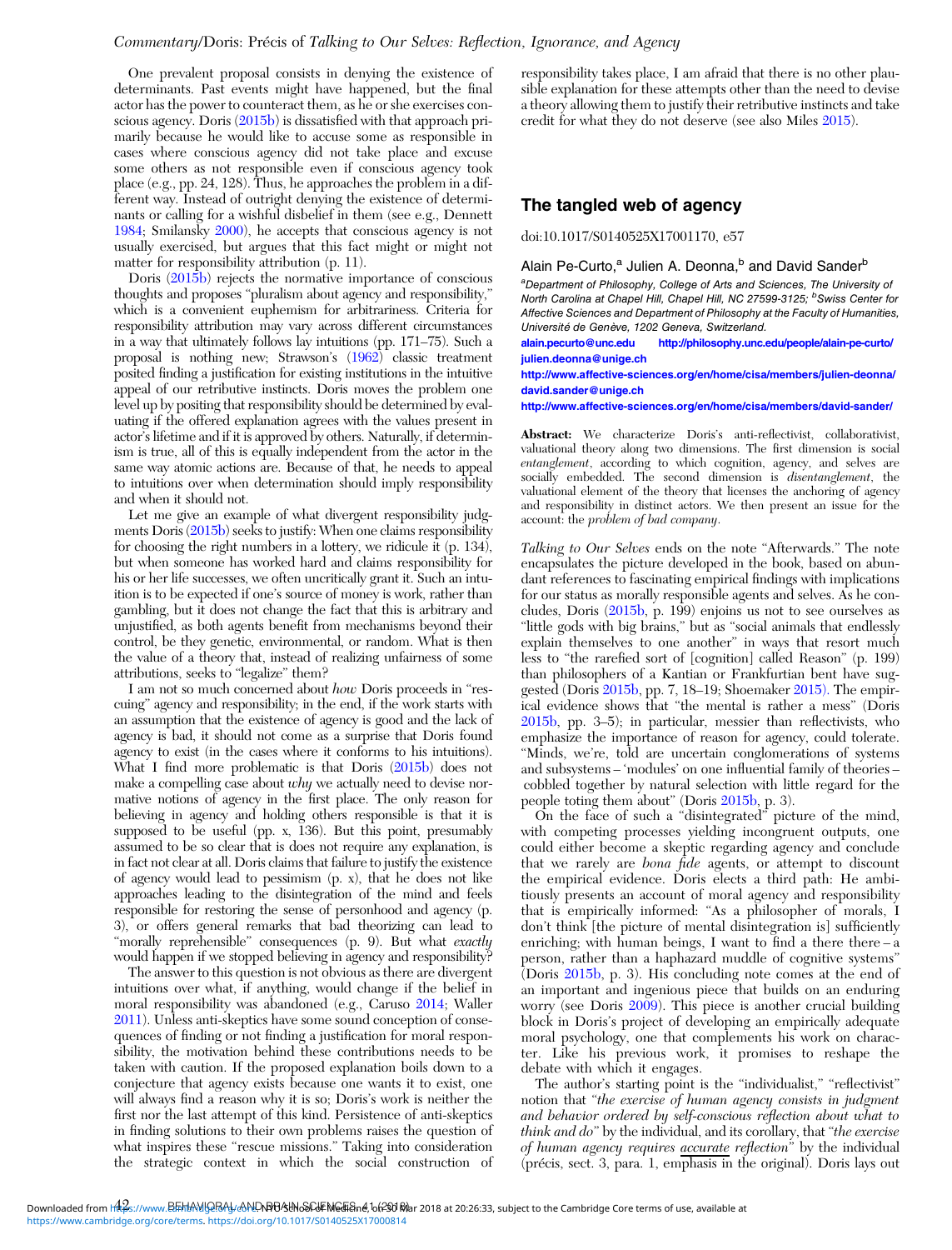One prevalent proposal consists in denying the existence of determinants. Past events might have happened, but the final actor has the power to counteract them, as he or she exercises con-scious agency. Doris [\(2015b](#page-67-0)) is dissatisfied with that approach primarily because he would like to accuse some as responsible in cases where conscious agency did not take place and excuse some others as not responsible even if conscious agency took place (e.g., pp. 24, 128). Thus, he approaches the problem in a different way. Instead of outright denying the existence of determinants or calling for a wishful disbelief in them (see e.g., Dennett [1984](#page-67-0); Smilansky [2000](#page-72-0)), he accepts that conscious agency is not usually exercised, but argues that this fact might or might not matter for responsibility attribution (p. 11).

Doris [\(2015b](#page-67-0)) rejects the normative importance of conscious thoughts and proposes "pluralism about agency and responsibility," which is a convenient euphemism for arbitrariness. Criteria for responsibility attribution may vary across different circumstances in a way that ultimately follows lay intuitions (pp. 171–75). Such a proposal is nothing new; Strawson's ([1962](#page-73-0)) classic treatment posited finding a justification for existing institutions in the intuitive appeal of our retributive instincts. Doris moves the problem one level up by positing that responsibility should be determined by evaluating if the offered explanation agrees with the values present in actor's lifetime and if it is approved by others. Naturally, if determinism is true, all of this is equally independent from the actor in the same way atomic actions are. Because of that, he needs to appeal to intuitions over when determination should imply responsibility and when it should not.

Let me give an example of what divergent responsibility judgments Doris ([2015b\)](#page-67-0) seeks to justify: When one claims responsibility for choosing the right numbers in a lottery, we ridicule it (p. 134), but when someone has worked hard and claims responsibility for his or her life successes, we often uncritically grant it. Such an intuition is to be expected if one's source of money is work, rather than gambling, but it does not change the fact that this is arbitrary and unjustified, as both agents benefit from mechanisms beyond their control, be they genetic, environmental, or random. What is then the value of a theory that, instead of realizing unfairness of some attributions, seeks to "legalize" them?

I am not so much concerned about how Doris proceeds in "rescuing" agency and responsibility; in the end, if the work starts with an assumption that the existence of agency is good and the lack of agency is bad, it should not come as a surprise that Doris found agency to exist (in the cases where it conforms to his intuitions). What I find more problematic is that Doris ([2015b\)](#page-67-0) does not make a compelling case about  $why$  we actually need to devise normative notions of agency in the first place. The only reason for believing in agency and holding others responsible is that it is supposed to be useful (pp. x, 136). But this point, presumably assumed to be so clear that is does not require any explanation, is in fact not clear at all. Doris claims that failure to justify the existence of agency would lead to pessimism (p. x), that he does not like approaches leading to the disintegration of the mind and feels responsible for restoring the sense of personhood and agency (p. 3), or offers general remarks that bad theorizing can lead to "morally reprehensible" consequences (p. 9). But what exactly would happen if we stopped believing in agency and responsibility?

The answer to this question is not obvious as there are divergent intuitions over what, if anything, would change if the belief in moral responsibility was abandoned (e.g., Caruso [2014;](#page-66-0) Waller [2011](#page-74-0)). Unless anti-skeptics have some sound conception of consequences of finding or not finding a justification for moral responsibility, the motivation behind these contributions needs to be taken with caution. If the proposed explanation boils down to a conjecture that agency exists because one wants it to exist, one will always find a reason why it is so; Doris's work is neither the first nor the last attempt of this kind. Persistence of anti-skeptics in finding solutions to their own problems raises the question of what inspires these "rescue missions." Taking into consideration the strategic context in which the social construction of

responsibility takes place, I am afraid that there is no other plausible explanation for these attempts other than the need to devise a theory allowing them to justify their retributive instincts and take credit for what they do not deserve (see also Miles [2015](#page-71-0)).

# The tangled web of agency

doi:10.1017/S0140525X17001170, e57

#### Alain Pe-Curto,<sup>a</sup> Julien A. Deonna,<sup>b</sup> and David Sander<sup>b</sup>

<sup>a</sup>Department of Philosophy, College of Arts and Sciences, The University of North Carolina at Chapel Hill, Chapel Hill, NC 27599-3125; <sup>b</sup>Swiss Center for Affective Sciences and Department of Philosophy at the Faculty of Humanities, Université de Genève, 1202 Geneva, Switzerland.

[alain.pecurto@unc.edu](mailto:alain.pecurto@unc.edu)<http://philosophy.unc.edu/people/alain-pe-curto/> [julien.deonna@unige.ch](mailto:julien.deonna@unige.ch)

<http://www.affective-sciences.org/en/home/cisa/members/julien-deonna/> [david.sander@unige.ch](mailto:david.sander@unige.ch)

#### <http://www.affective-sciences.org/en/home/cisa/members/david-sander/>

Abstract: We characterize Doris's anti-reflectivist, collaborativist, valuational theory along two dimensions. The first dimension is social entanglement, according to which cognition, agency, and selves are socially embedded. The second dimension is disentanglement, the valuational element of the theory that licenses the anchoring of agency and responsibility in distinct actors. We then present an issue for the account: the problem of bad company.

Talking to Our Selves ends on the note "Afterwards." The note encapsulates the picture developed in the book, based on abundant references to fascinating empirical findings with implications for our status as morally responsible agents and selves. As he concludes, Doris ([2015b,](#page-67-0) p. 199) enjoins us not to see ourselves as "little gods with big brains," but as "social animals that endlessly explain themselves to one another" in ways that resort much less to "the rarefied sort of [cognition] called Reason" (p. 199) than philosophers of a Kantian or Frankfurtian bent have suggested (Doris [2015b,](#page-67-0) pp. 7, 18–19; Shoemaker [2015\).](#page-72-0) The empirical evidence shows that "the mental is rather a mess" (Doris [2015b](#page-67-0), pp. 3–5); in particular, messier than reflectivists, who emphasize the importance of reason for agency, could tolerate. "Minds, we're, told are uncertain conglomerations of systems and subsystems – 'modules' on one influential family of theories – cobbled together by natural selection with little regard for the people toting them about" (Doris [2015b,](#page-67-0) p. 3).

On the face of such a "disintegrated" picture of the mind, with competing processes yielding incongruent outputs, one could either become a skeptic regarding agency and conclude that we rarely are bona fide agents, or attempt to discount the empirical evidence. Doris elects a third path: He ambitiously presents an account of moral agency and responsibility that is empirically informed: "As a philosopher of morals, I don't think [the picture of mental disintegration is] sufficiently enriching; with human beings, I want to find a there there – a person, rather than a haphazard muddle of cognitive systems" (Doris [2015b,](#page-67-0) p. 3). His concluding note comes at the end of an important and ingenious piece that builds on an enduring worry (see Doris [2009\)](#page-67-0). This piece is another crucial building block in Doris's project of developing an empirically adequate moral psychology, one that complements his work on character. Like his previous work, it promises to reshape the debate with which it engages.

The author's starting point is the "individualist," "reflectivist" notion that "the exercise of human agency consists in judgment and behavior ordered by self-conscious reflection about what to think and do" by the individual, and its corollary, that "the exercise of human agency requires *accurate* reflection<sup>"</sup> by the individual (précis, sect. 3, para. 1, emphasis in the original). Doris lays out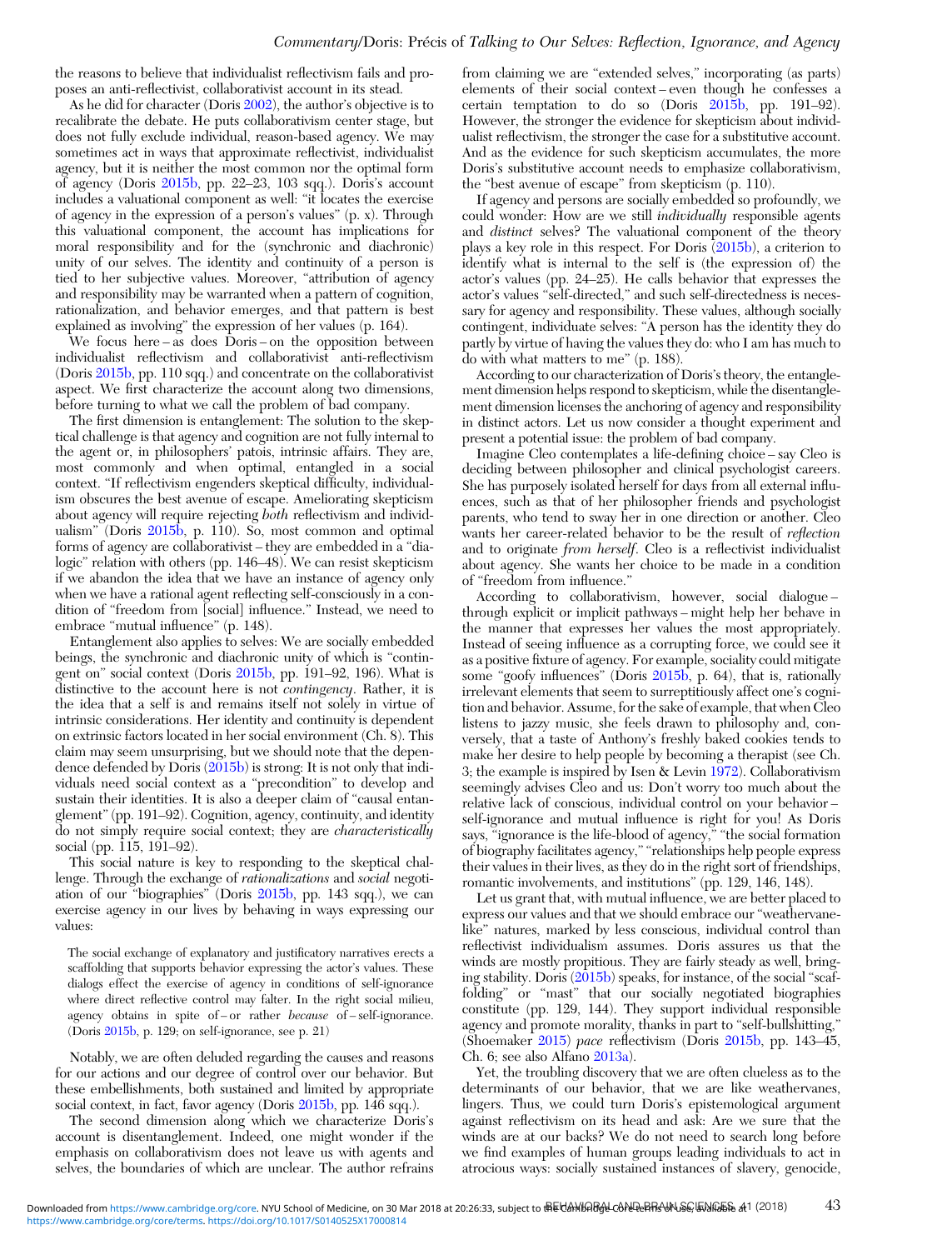the reasons to believe that individualist reflectivism fails and proposes an anti-reflectivist, collaborativist account in its stead.

As he did for character (Doris [2002\)](#page-67-0), the author's objective is to recalibrate the debate. He puts collaborativism center stage, but does not fully exclude individual, reason-based agency. We may sometimes act in ways that approximate reflectivist, individualist agency, but it is neither the most common nor the optimal form of agency (Doris [2015b](#page-67-0), pp. 22–23, 103 sqq.). Doris's account includes a valuational component as well: "it locates the exercise of agency in the expression of a person's values" (p. x). Through this valuational component, the account has implications for moral responsibility and for the (synchronic and diachronic) unity of our selves. The identity and continuity of a person is tied to her subjective values. Moreover, "attribution of agency and responsibility may be warranted when a pattern of cognition, rationalization, and behavior emerges, and that pattern is best explained as involving" the expression of her values (p. 164).

We focus here–as does Doris–on the opposition between individualist reflectivism and collaborativist anti-reflectivism (Doris [2015b](#page-67-0), pp. 110 sqq.) and concentrate on the collaborativist aspect. We first characterize the account along two dimensions, before turning to what we call the problem of bad company.

The first dimension is entanglement: The solution to the skeptical challenge is that agency and cognition are not fully internal to the agent or, in philosophers' patois, intrinsic affairs. They are, most commonly and when optimal, entangled in a social context. "If reflectivism engenders skeptical difficulty, individualism obscures the best avenue of escape. Ameliorating skepticism about agency will require rejecting both reflectivism and individualism" (Doris [2015b](#page-67-0), p. 110). So, most common and optimal forms of agency are collaborativist – they are embedded in a "dialogic" relation with others (pp. 146–48). We can resist skepticism if we abandon the idea that we have an instance of agency only when we have a rational agent reflecting self-consciously in a condition of "freedom from [social] influence." Instead, we need to embrace "mutual influence" (p. 148).

Entanglement also applies to selves: We are socially embedded beings, the synchronic and diachronic unity of which is "contingent on" social context (Doris [2015b](#page-67-0), pp. 191–92, 196). What is distinctive to the account here is not *contingency*. Rather, it is the idea that a self is and remains itself not solely in virtue of intrinsic considerations. Her identity and continuity is dependent on extrinsic factors located in her social environment (Ch. 8). This claim may seem unsurprising, but we should note that the dependence defended by Doris [\(2015b\)](#page-67-0) is strong: It is not only that individuals need social context as a "precondition" to develop and sustain their identities. It is also a deeper claim of "causal entanglement" (pp. 191–92). Cognition, agency, continuity, and identity do not simply require social context; they are characteristically social (pp. 115, 191–92).

This social nature is key to responding to the skeptical challenge. Through the exchange of rationalizations and social negotiation of our "biographies" (Doris [2015b,](#page-67-0) pp. 143 sqq.), we can exercise agency in our lives by behaving in ways expressing our values:

The social exchange of explanatory and justificatory narratives erects a scaffolding that supports behavior expressing the actor's values. These dialogs effect the exercise of agency in conditions of self-ignorance where direct reflective control may falter. In the right social milieu, agency obtains in spite of – or rather because of – self-ignorance. (Doris [2015b](#page-67-0), p. 129; on self-ignorance, see p. 21)

Notably, we are often deluded regarding the causes and reasons for our actions and our degree of control over our behavior. But these embellishments, both sustained and limited by appropriate social context, in fact, favor agency (Doris [2015b](#page-67-0), pp. 146 sqq.).

The second dimension along which we characterize Doris's account is disentanglement. Indeed, one might wonder if the emphasis on collaborativism does not leave us with agents and selves, the boundaries of which are unclear. The author refrains

from claiming we are "extended selves," incorporating (as parts) elements of their social context – even though he confesses a certain temptation to do so (Doris [2015b](#page-67-0), pp. 191–92). However, the stronger the evidence for skepticism about individualist reflectivism, the stronger the case for a substitutive account. And as the evidence for such skepticism accumulates, the more Doris's substitutive account needs to emphasize collaborativism, the "best avenue of escape" from skepticism (p. 110).

If agency and persons are socially embedded so profoundly, we could wonder: How are we still individually responsible agents and distinct selves? The valuational component of the theory plays a key role in this respect. For Doris ([2015b\)](#page-67-0), a criterion to identify what is internal to the self is (the expression of) the actor's values (pp. 24–25). He calls behavior that expresses the actor's values "self-directed," and such self-directedness is necessary for agency and responsibility. These values, although socially contingent, individuate selves: "A person has the identity they do partly by virtue of having the values they do: who I am has much to do with what matters to me" (p. 188).

According to our characterization of Doris's theory, the entanglement dimension helps respond to skepticism, while the disentanglement dimension licenses the anchoring of agency and responsibility in distinct actors. Let us now consider a thought experiment and present a potential issue: the problem of bad company.

Imagine Cleo contemplates a life-defining choice – say Cleo is deciding between philosopher and clinical psychologist careers. She has purposely isolated herself for days from all external influences, such as that of her philosopher friends and psychologist parents, who tend to sway her in one direction or another. Cleo wants her career-related behavior to be the result of reflection and to originate from herself. Cleo is a reflectivist individualist about agency. She wants her choice to be made in a condition of "freedom from influence."

According to collaborativism, however, social dialogue – through explicit or implicit pathways – might help her behave in the manner that expresses her values the most appropriately. Instead of seeing influence as a corrupting force, we could see it as a positive fixture of agency. For example, sociality could mitigate some "goofy influences" (Doris [2015b](#page-67-0), p. 64), that is, rationally irrelevant elements that seem to surreptitiously affect one's cognition and behavior. Assume, for the sake of example, that when Cleo listens to jazzy music, she feels drawn to philosophy and, conversely, that a taste of Anthony's freshly baked cookies tends to make her desire to help people by becoming a therapist (see Ch. 3; the example is inspired by Isen & Levin  $1972$ ). Collaborativism seemingly advises Cleo and us: Don't worry too much about the relative lack of conscious, individual control on your behavior – self-ignorance and mutual influence is right for you! As Doris says, "ignorance is the life-blood of agency," "the social formation of biography facilitates agency," "relationships help people express their values in their lives, as they do in the right sort of friendships, romantic involvements, and institutions" (pp. 129, 146, 148).

Let us grant that, with mutual influence, we are better placed to express our values and that we should embrace our "weathervanelike" natures, marked by less conscious, individual control than reflectivist individualism assumes. Doris assures us that the winds are mostly propitious. They are fairly steady as well, bringing stability. Doris [\(2015b](#page-67-0)) speaks, for instance, of the social "scaffolding" or "mast" that our socially negotiated biographies constitute (pp. 129, 144). They support individual responsible agency and promote morality, thanks in part to "self-bullshitting," (Shoemaker  $2015$ ) pace reflectivism (Doris  $2015b$ , pp. 143-45, Ch. 6; see also Alfano [2013a](#page-65-0)).

Yet, the troubling discovery that we are often clueless as to the determinants of our behavior, that we are like weathervanes, lingers. Thus, we could turn Doris's epistemological argument against reflectivism on its head and ask: Are we sure that the winds are at our backs? We do not need to search long before we find examples of human groups leading individuals to act in atrocious ways: socially sustained instances of slavery, genocide,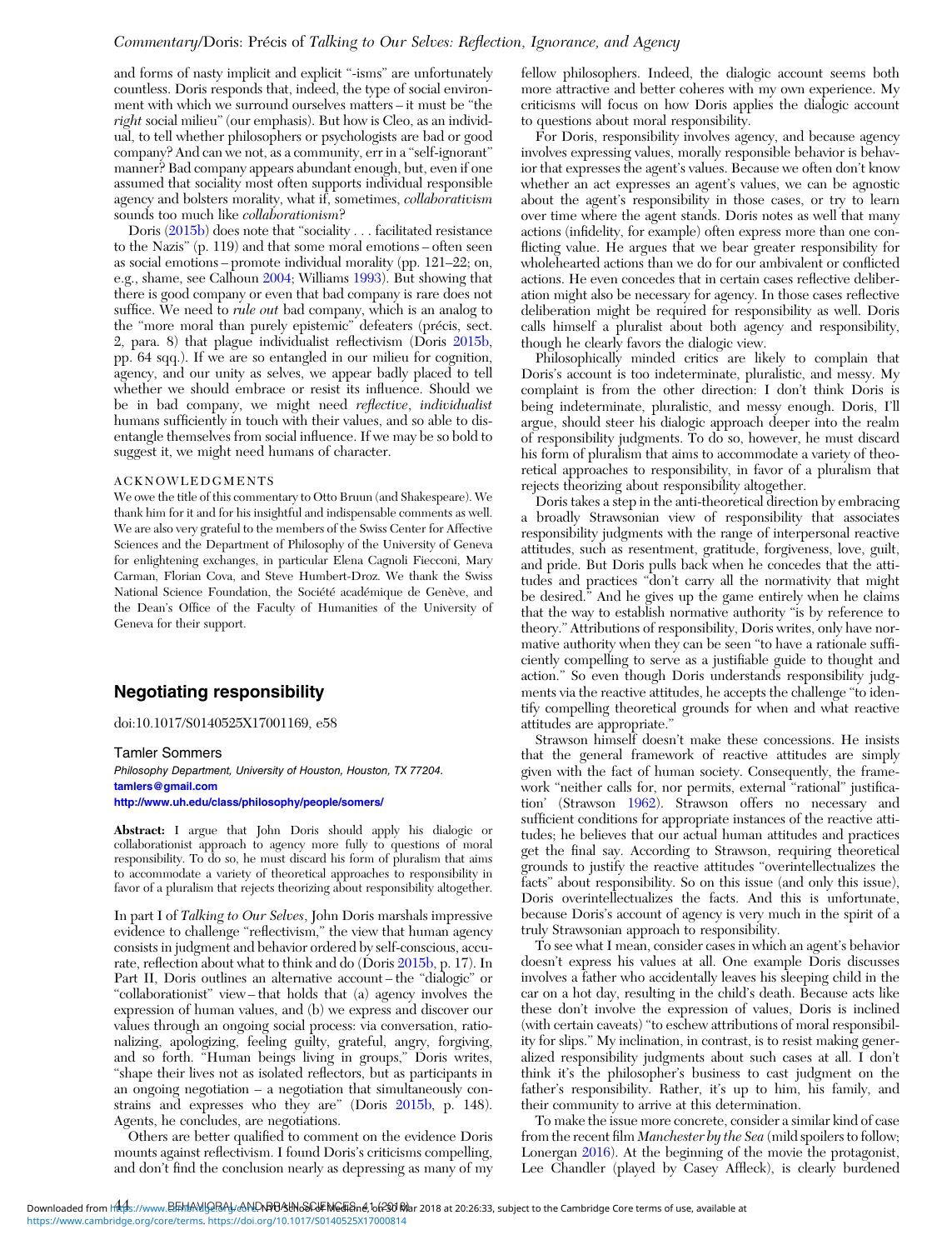and forms of nasty implicit and explicit "-isms" are unfortunately countless. Doris responds that, indeed, the type of social environment with which we surround ourselves matters – it must be "the right social milieu" (our emphasis). But how is Cleo, as an individual, to tell whether philosophers or psychologists are bad or good company? And can we not, as a community, err in a "self-ignorant" manner? Bad company appears abundant enough, but, even if one assumed that sociality most often supports individual responsible agency and bolsters morality, what if, sometimes, collaborativism sounds too much like collaborationism?

Doris [\(2015b\)](#page-67-0) does note that "sociality . . . facilitated resistance to the Nazis" (p. 119) and that some moral emotions – often seen as social emotions – promote individual morality (pp. 121–22; on, e.g., shame, see Calhoun [2004;](#page-66-0) Williams [1993\)](#page-74-0). But showing that there is good company or even that bad company is rare does not suffice. We need to *rule out* bad company, which is an analog to the "more moral than purely epistemic" defeaters (précis, sect. 2, para. 8) that plague individualist reflectivism (Doris [2015b](#page-67-0), pp. 64 sqq.). If we are so entangled in our milieu for cognition, agency, and our unity as selves, we appear badly placed to tell whether we should embrace or resist its influence. Should we be in bad company, we might need reflective, individualist humans sufficiently in touch with their values, and so able to disentangle themselves from social influence. If we may be so bold to suggest it, we might need humans of character.

#### ACKNOWLEDGMENTS

We owe the title of this commentary to Otto Bruun (and Shakespeare). We thank him for it and for his insightful and indispensable comments as well. We are also very grateful to the members of the Swiss Center for Affective Sciences and the Department of Philosophy of the University of Geneva for enlightening exchanges, in particular Elena Cagnoli Fiecconi, Mary Carman, Florian Cova, and Steve Humbert-Droz. We thank the Swiss National Science Foundation, the Société académique de Genève, and the Dean's Office of the Faculty of Humanities of the University of Geneva for their support.

## Negotiating responsibility

doi:10.1017/S0140525X17001169, e58

#### Tamler Sommers

Philosophy Department, University of Houston, Houston, TX 77204. [tamlers@gmail.com](mailto:tamlers@gmail.com) <http://www.uh.edu/class/philosophy/people/somers/>

Abstract: I argue that John Doris should apply his dialogic or collaborationist approach to agency more fully to questions of moral responsibility. To do so, he must discard his form of pluralism that aims to accommodate a variety of theoretical approaches to responsibility in favor of a pluralism that rejects theorizing about responsibility altogether.

In part I of Talking to Our Selves, John Doris marshals impressive evidence to challenge "reflectivism," the view that human agency consists in judgment and behavior ordered by self-conscious, accurate, reflection about what to think and do (Doris [2015b,](#page-67-0) p. 17). In Part II, Doris outlines an alternative account – the "dialogic" or "collaborationist" view – that holds that (a) agency involves the expression of human values, and (b) we express and discover our values through an ongoing social process: via conversation, rationalizing, apologizing, feeling guilty, grateful, angry, forgiving, and so forth. "Human beings living in groups," Doris writes, "shape their lives not as isolated reflectors, but as participants in an ongoing negotiation – a negotiation that simultaneously constrains and expresses who they are" (Doris [2015b,](#page-67-0) p. 148). Agents, he concludes, are negotiations.

Others are better qualified to comment on the evidence Doris mounts against reflectivism. I found Doris's criticisms compelling, and don't find the conclusion nearly as depressing as many of my fellow philosophers. Indeed, the dialogic account seems both more attractive and better coheres with my own experience. My criticisms will focus on how Doris applies the dialogic account to questions about moral responsibility.

For Doris, responsibility involves agency, and because agency involves expressing values, morally responsible behavior is behavior that expresses the agent's values. Because we often don't know whether an act expresses an agent's values, we can be agnostic about the agent's responsibility in those cases, or try to learn over time where the agent stands. Doris notes as well that many actions (infidelity, for example) often express more than one conflicting value. He argues that we bear greater responsibility for wholehearted actions than we do for our ambivalent or conflicted actions. He even concedes that in certain cases reflective deliberation might also be necessary for agency. In those cases reflective deliberation might be required for responsibility as well. Doris calls himself a pluralist about both agency and responsibility, though he clearly favors the dialogic view.

Philosophically minded critics are likely to complain that Doris's account is too indeterminate, pluralistic, and messy. My complaint is from the other direction: I don't think Doris is being indeterminate, pluralistic, and messy enough. Doris, I'll argue, should steer his dialogic approach deeper into the realm of responsibility judgments. To do so, however, he must discard his form of pluralism that aims to accommodate a variety of theoretical approaches to responsibility, in favor of a pluralism that rejects theorizing about responsibility altogether.

Doris takes a step in the anti-theoretical direction by embracing a broadly Strawsonian view of responsibility that associates responsibility judgments with the range of interpersonal reactive attitudes, such as resentment, gratitude, forgiveness, love, guilt, and pride. But Doris pulls back when he concedes that the attitudes and practices "don't carry all the normativity that might be desired." And he gives up the game entirely when he claims that the way to establish normative authority "is by reference to theory." Attributions of responsibility, Doris writes, only have normative authority when they can be seen "to have a rationale sufficiently compelling to serve as a justifiable guide to thought and action." So even though Doris understands responsibility judgments via the reactive attitudes, he accepts the challenge "to identify compelling theoretical grounds for when and what reactive attitudes are appropriate."

Strawson himself doesn't make these concessions. He insists that the general framework of reactive attitudes are simply given with the fact of human society. Consequently, the framework "neither calls for, nor permits, external "rational" justification' (Strawson [1962\)](#page-73-0). Strawson offers no necessary and sufficient conditions for appropriate instances of the reactive attitudes; he believes that our actual human attitudes and practices get the final say. According to Strawson, requiring theoretical grounds to justify the reactive attitudes "overintellectualizes the facts" about responsibility. So on this issue (and only this issue), Doris overintellectualizes the facts. And this is unfortunate, because Doris's account of agency is very much in the spirit of a truly Strawsonian approach to responsibility.

To see what I mean, consider cases in which an agent's behavior doesn't express his values at all. One example Doris discusses involves a father who accidentally leaves his sleeping child in the car on a hot day, resulting in the child's death. Because acts like these don't involve the expression of values, Doris is inclined (with certain caveats) "to eschew attributions of moral responsibility for slips." My inclination, in contrast, is to resist making generalized responsibility judgments about such cases at all. I don't think it's the philosopher's business to cast judgment on the father's responsibility. Rather, it's up to him, his family, and their community to arrive at this determination.

To make the issue more concrete, consider a similar kind of case from the recent film Manchester by the Sea (mild spoilers to follow; Lonergan [2016\)](#page-70-0). At the beginning of the movie the protagonist, Lee Chandler (played by Casey Affleck), is clearly burdened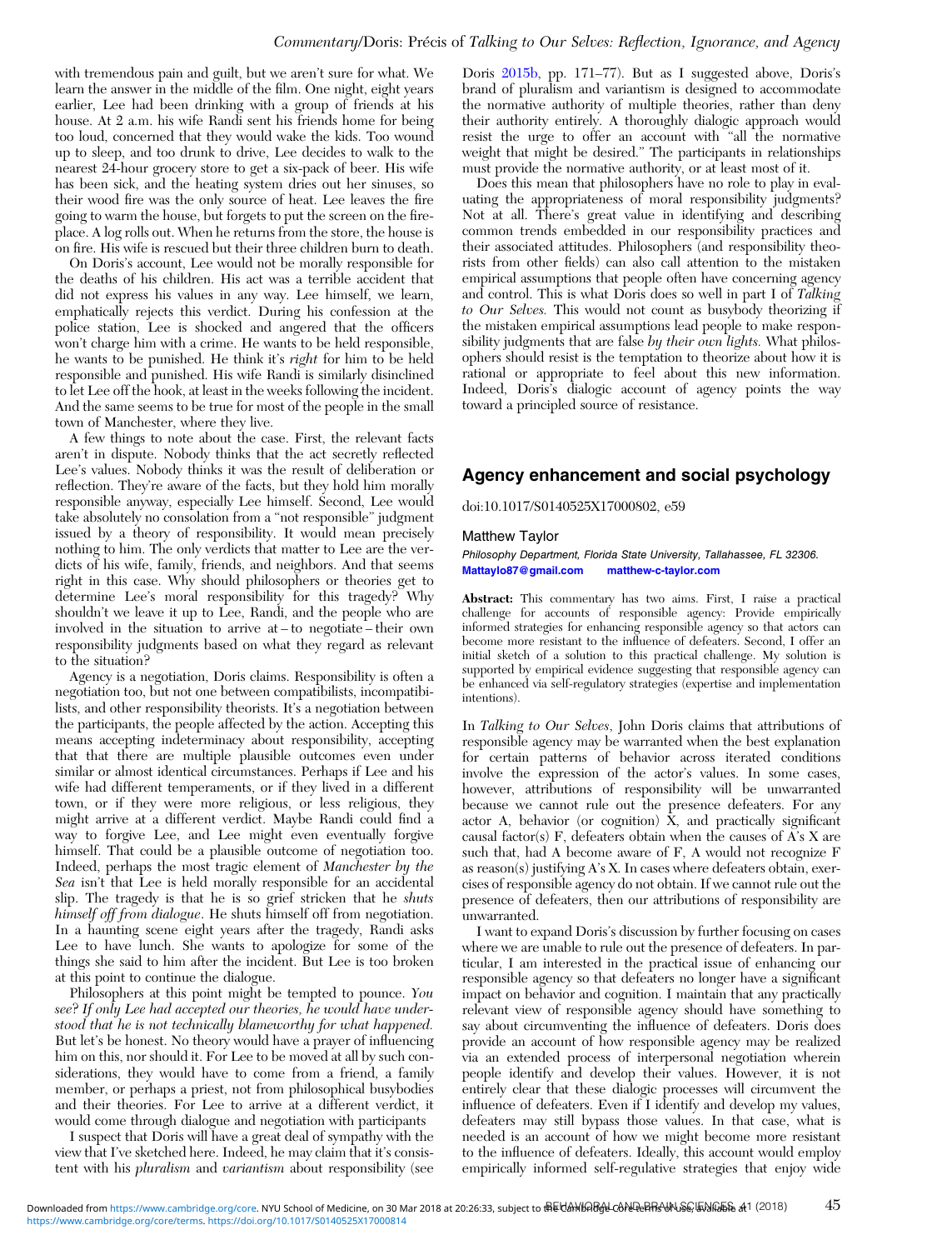with tremendous pain and guilt, but we aren't sure for what. We learn the answer in the middle of the film. One night, eight years earlier, Lee had been drinking with a group of friends at his house. At 2 a.m. his wife Randi sent his friends home for being too loud, concerned that they would wake the kids. Too wound up to sleep, and too drunk to drive, Lee decides to walk to the nearest 24-hour grocery store to get a six-pack of beer. His wife has been sick, and the heating system dries out her sinuses, so their wood fire was the only source of heat. Lee leaves the fire going to warm the house, but forgets to put the screen on the fireplace. A log rolls out. When he returns from the store, the house is on fire. His wife is rescued but their three children burn to death.

On Doris's account, Lee would not be morally responsible for the deaths of his children. His act was a terrible accident that did not express his values in any way. Lee himself, we learn, emphatically rejects this verdict. During his confession at the police station, Lee is shocked and angered that the officers won't charge him with a crime. He wants to be held responsible, he wants to be punished. He think it's right for him to be held responsible and punished. His wife Randi is similarly disinclined to let Lee off the hook, at least in the weeks following the incident. And the same seems to be true for most of the people in the small town of Manchester, where they live.

A few things to note about the case. First, the relevant facts aren't in dispute. Nobody thinks that the act secretly reflected Lee's values. Nobody thinks it was the result of deliberation or reflection. They're aware of the facts, but they hold him morally responsible anyway, especially Lee himself. Second, Lee would take absolutely no consolation from a "not responsible" judgment issued by a theory of responsibility. It would mean precisely nothing to him. The only verdicts that matter to Lee are the verdicts of his wife, family, friends, and neighbors. And that seems right in this case. Why should philosophers or theories get to determine Lee's moral responsibility for this tragedy? Why shouldn't we leave it up to Lee, Randi, and the people who are involved in the situation to arrive at – to negotiate – their own responsibility judgments based on what they regard as relevant to the situation?

Agency is a negotiation, Doris claims. Responsibility is often a negotiation too, but not one between compatibilists, incompatibilists, and other responsibility theorists. It's a negotiation between the participants, the people affected by the action. Accepting this means accepting indeterminacy about responsibility, accepting that that there are multiple plausible outcomes even under similar or almost identical circumstances. Perhaps if Lee and his wife had different temperaments, or if they lived in a different town, or if they were more religious, or less religious, they might arrive at a different verdict. Maybe Randi could find a way to forgive Lee, and Lee might even eventually forgive himself. That could be a plausible outcome of negotiation too. Indeed, perhaps the most tragic element of Manchester by the Sea isn't that Lee is held morally responsible for an accidental slip. The tragedy is that he is so grief stricken that he shuts himself off from dialogue. He shuts himself off from negotiation. In a haunting scene eight years after the tragedy, Randi asks Lee to have lunch. She wants to apologize for some of the things she said to him after the incident. But Lee is too broken at this point to continue the dialogue.

Philosophers at this point might be tempted to pounce. You see? If only Lee had accepted our theories, he would have understood that he is not technically blameworthy for what happened. But let's be honest. No theory would have a prayer of influencing him on this, nor should it. For Lee to be moved at all by such considerations, they would have to come from a friend, a family member, or perhaps a priest, not from philosophical busybodies and their theories. For Lee to arrive at a different verdict, it would come through dialogue and negotiation with participants

I suspect that Doris will have a great deal of sympathy with the view that I've sketched here. Indeed, he may claim that it's consistent with his pluralism and variantism about responsibility (see

Doris [2015b,](#page-67-0) pp. 171–77). But as I suggested above, Doris's brand of pluralism and variantism is designed to accommodate the normative authority of multiple theories, rather than deny their authority entirely. A thoroughly dialogic approach would resist the urge to offer an account with "all the normative weight that might be desired." The participants in relationships must provide the normative authority, or at least most of it.

Does this mean that philosophers have no role to play in evaluating the appropriateness of moral responsibility judgments? Not at all. There's great value in identifying and describing common trends embedded in our responsibility practices and their associated attitudes. Philosophers (and responsibility theorists from other fields) can also call attention to the mistaken empirical assumptions that people often have concerning agency and control. This is what Doris does so well in part I of Talking to Our Selves. This would not count as busybody theorizing if the mistaken empirical assumptions lead people to make responsibility judgments that are false by their own lights. What philosophers should resist is the temptation to theorize about how it is rational or appropriate to feel about this new information. Indeed, Doris's dialogic account of agency points the way toward a principled source of resistance.

# Agency enhancement and social psychology

doi:10.1017/S0140525X17000802, e59

#### Matthew Taylor

Philosophy Department, Florida State University, Tallahassee, FL 32306. [Mattaylo87@gmail.com](mailto:Mattaylo87@gmail.com) [matthew-c-taylor.com](http://matthew-c-taylor.com)

Abstract: This commentary has two aims. First, I raise a practical challenge for accounts of responsible agency: Provide empirically informed strategies for enhancing responsible agency so that actors can become more resistant to the influence of defeaters. Second, I offer an initial sketch of a solution to this practical challenge. My solution is supported by empirical evidence suggesting that responsible agency can be enhanced via self-regulatory strategies (expertise and implementation intentions).

In Talking to Our Selves, John Doris claims that attributions of responsible agency may be warranted when the best explanation for certain patterns of behavior across iterated conditions involve the expression of the actor's values. In some cases, however, attributions of responsibility will be unwarranted because we cannot rule out the presence defeaters. For any actor A, behavior (or cognition)  $\bar{X}$ , and practically significant causal factor(s) F, defeaters obtain when the causes of A's X are such that, had A become aware of F, A would not recognize F as reason(s) justifying A's X. In cases where defeaters obtain, exercises of responsible agency do not obtain. If we cannot rule out the presence of defeaters, then our attributions of responsibility are unwarranted.

I want to expand Doris's discussion by further focusing on cases where we are unable to rule out the presence of defeaters. In particular, I am interested in the practical issue of enhancing our responsible agency so that defeaters no longer have a significant impact on behavior and cognition. I maintain that any practically relevant view of responsible agency should have something to say about circumventing the influence of defeaters. Doris does provide an account of how responsible agency may be realized via an extended process of interpersonal negotiation wherein people identify and develop their values. However, it is not entirely clear that these dialogic processes will circumvent the influence of defeaters. Even if I identify and develop my values, defeaters may still bypass those values. In that case, what is needed is an account of how we might become more resistant to the influence of defeaters. Ideally, this account would employ empirically informed self-regulative strategies that enjoy wide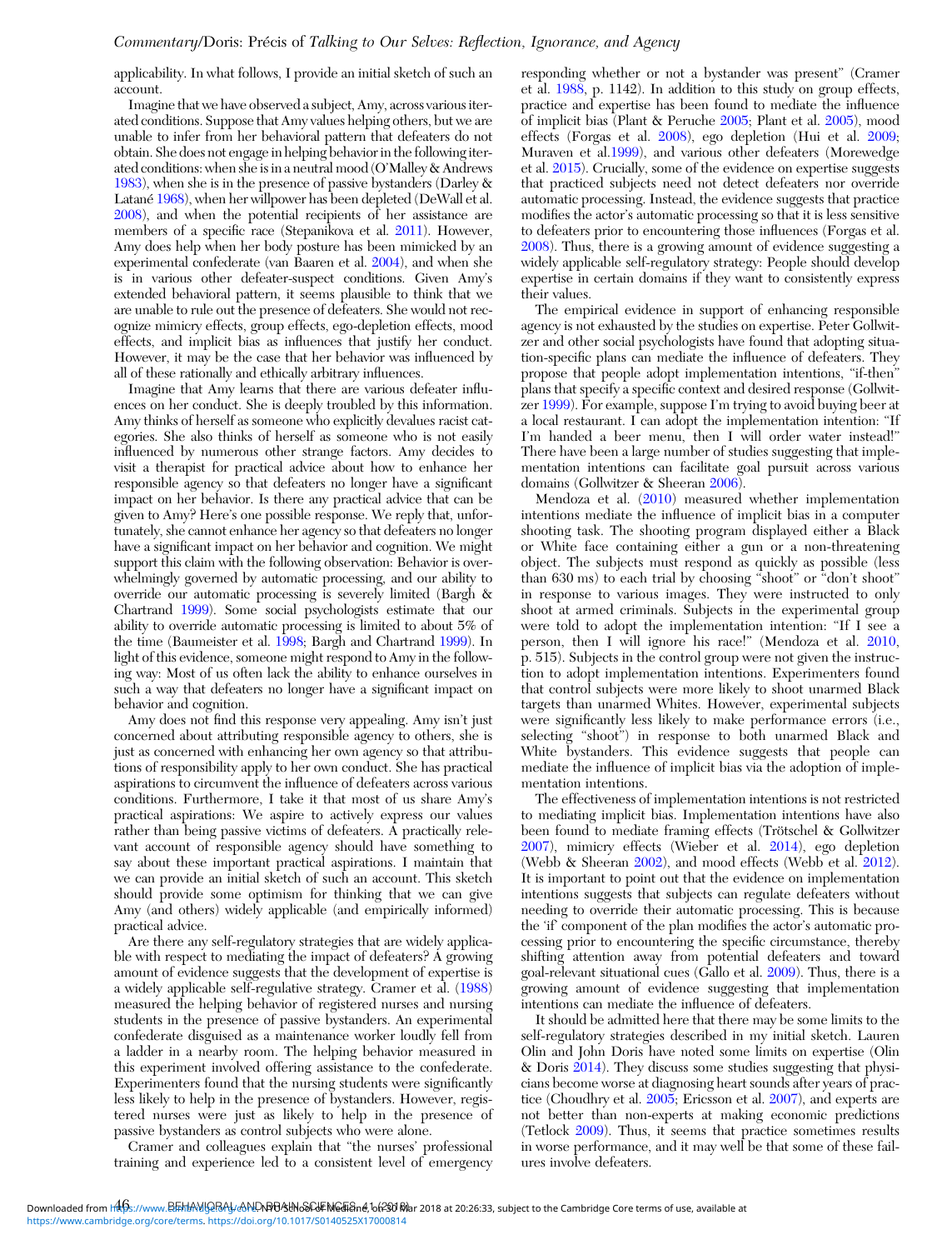applicability. In what follows, I provide an initial sketch of such an account.

Imagine that we have observed a subject, Amy, across various iterated conditions. Suppose that Amy values helping others, but we are unable to infer from her behavioral pattern that defeaters do not obtain. She does not engage in helping behavior in the following iterated conditions: when she is in a neutral mood (O'Malley & Andrews [1983\)](#page-71-0), when she is in the presence of passive bystanders (Darley & Latané [1968\)](#page-67-0), when her willpower has been depleted (DeWall et al. [2008\)](#page-67-0), and when the potential recipients of her assistance are members of a specific race (Stepanikova et al. [2011](#page-73-0)). However, Amy does help when her body posture has been mimicked by an experimental confederate (van Baaren et al. [2004](#page-73-0)), and when she is in various other defeater-suspect conditions. Given Amy's extended behavioral pattern, it seems plausible to think that we are unable to rule out the presence of defeaters. She would not recognize mimicry effects, group effects, ego-depletion effects, mood effects, and implicit bias as influences that justify her conduct. However, it may be the case that her behavior was influenced by all of these rationally and ethically arbitrary influences.

Imagine that Amy learns that there are various defeater influences on her conduct. She is deeply troubled by this information. Amy thinks of herself as someone who explicitly devalues racist categories. She also thinks of herself as someone who is not easily influenced by numerous other strange factors. Amy decides to visit a therapist for practical advice about how to enhance her responsible agency so that defeaters no longer have a significant impact on her behavior. Is there any practical advice that can be given to Amy? Here's one possible response. We reply that, unfortunately, she cannot enhance her agency so that defeaters no longer have a significant impact on her behavior and cognition. We might support this claim with the following observation: Behavior is overwhelmingly governed by automatic processing, and our ability to override our automatic processing is severely limited (Bargh & Chartrand [1999](#page-66-0)). Some social psychologists estimate that our ability to override automatic processing is limited to about 5% of the time (Baumeister et al. [1998](#page-66-0); Bargh and Chartrand [1999](#page-66-0)). In light of this evidence, someone might respond to Amy in the following way: Most of us often lack the ability to enhance ourselves in such a way that defeaters no longer have a significant impact on behavior and cognition.

Amy does not find this response very appealing. Amy isn't just concerned about attributing responsible agency to others, she is just as concerned with enhancing her own agency so that attributions of responsibility apply to her own conduct. She has practical aspirations to circumvent the influence of defeaters across various conditions. Furthermore, I take it that most of us share Amy's practical aspirations: We aspire to actively express our values rather than being passive victims of defeaters. A practically relevant account of responsible agency should have something to say about these important practical aspirations. I maintain that we can provide an initial sketch of such an account. This sketch should provide some optimism for thinking that we can give Amy (and others) widely applicable (and empirically informed) practical advice.

Are there any self-regulatory strategies that are widely applicable with respect to mediating the impact of defeaters? A growing amount of evidence suggests that the development of expertise is a widely applicable self-regulative strategy. Cramer et al. [\(1988](#page-67-0)) measured the helping behavior of registered nurses and nursing students in the presence of passive bystanders. An experimental confederate disguised as a maintenance worker loudly fell from a ladder in a nearby room. The helping behavior measured in this experiment involved offering assistance to the confederate. Experimenters found that the nursing students were significantly less likely to help in the presence of bystanders. However, registered nurses were just as likely to help in the presence of passive bystanders as control subjects who were alone.

Cramer and colleagues explain that "the nurses' professional training and experience led to a consistent level of emergency responding whether or not a bystander was present" (Cramer et al. [1988](#page-67-0), p. 1142). In addition to this study on group effects, practice and expertise has been found to mediate the influence of implicit bias (Plant & Peruche [2005;](#page-72-0) Plant et al. [2005](#page-72-0)), mood effects (Forgas et al. [2008](#page-68-0)), ego depletion (Hui et al. [2009](#page-69-0); Muraven et al[.1999](#page-71-0)), and various other defeaters (Morewedge et al. [2015](#page-71-0)). Crucially, some of the evidence on expertise suggests that practiced subjects need not detect defeaters nor override automatic processing. Instead, the evidence suggests that practice modifies the actor's automatic processing so that it is less sensitive to defeaters prior to encountering those influences (Forgas et al. [2008](#page-68-0)). Thus, there is a growing amount of evidence suggesting a widely applicable self-regulatory strategy: People should develop expertise in certain domains if they want to consistently express their values.

The empirical evidence in support of enhancing responsible agency is not exhausted by the studies on expertise. Peter Gollwitzer and other social psychologists have found that adopting situation-specific plans can mediate the influence of defeaters. They propose that people adopt implementation intentions, "if-then" plans that specify a specific context and desired response (Gollwitzer [1999](#page-68-0)). For example, suppose I'm trying to avoid buying beer at a local restaurant. I can adopt the implementation intention: "If I'm handed a beer menu, then I will order water instead!" There have been a large number of studies suggesting that implementation intentions can facilitate goal pursuit across various domains (Gollwitzer & Sheeran [2006\)](#page-68-0).

Mendoza et al. ([2010\)](#page-70-0) measured whether implementation intentions mediate the influence of implicit bias in a computer shooting task. The shooting program displayed either a Black or White face containing either a gun or a non-threatening object. The subjects must respond as quickly as possible (less than 630 ms) to each trial by choosing "shoot" or "don't shoot" in response to various images. They were instructed to only shoot at armed criminals. Subjects in the experimental group were told to adopt the implementation intention: "If I see a person, then I will ignore his race!" (Mendoza et al. [2010](#page-70-0), p. 515). Subjects in the control group were not given the instruction to adopt implementation intentions. Experimenters found that control subjects were more likely to shoot unarmed Black targets than unarmed Whites. However, experimental subjects were significantly less likely to make performance errors (i.e., selecting "shoot") in response to both unarmed Black and White bystanders. This evidence suggests that people can mediate the influence of implicit bias via the adoption of implementation intentions.

The effectiveness of implementation intentions is not restricted to mediating implicit bias. Implementation intentions have also been found to mediate framing effects (Trötschel & Gollwitzer [2007](#page-73-0)), mimicry effects (Wieber et al. [2014\)](#page-74-0), ego depletion (Webb & Sheeran [2002\)](#page-74-0), and mood effects (Webb et al. [2012](#page-74-0)). It is important to point out that the evidence on implementation intentions suggests that subjects can regulate defeaters without needing to override their automatic processing. This is because the 'if' component of the plan modifies the actor's automatic processing prior to encountering the specific circumstance, thereby shifting attention away from potential defeaters and toward goal-relevant situational cues (Gallo et al. [2009](#page-68-0)). Thus, there is a growing amount of evidence suggesting that implementation intentions can mediate the influence of defeaters.

It should be admitted here that there may be some limits to the self-regulatory strategies described in my initial sketch. Lauren Olin and John Doris have noted some limits on expertise (Olin & Doris [2014](#page-71-0)). They discuss some studies suggesting that physicians become worse at diagnosing heart sounds after years of practice (Choudhry et al. [2005;](#page-66-0) Ericsson et al. [2007\)](#page-68-0), and experts are not better than non-experts at making economic predictions (Tetlock [2009\)](#page-73-0). Thus, it seems that practice sometimes results in worse performance, and it may well be that some of these failures involve defeaters.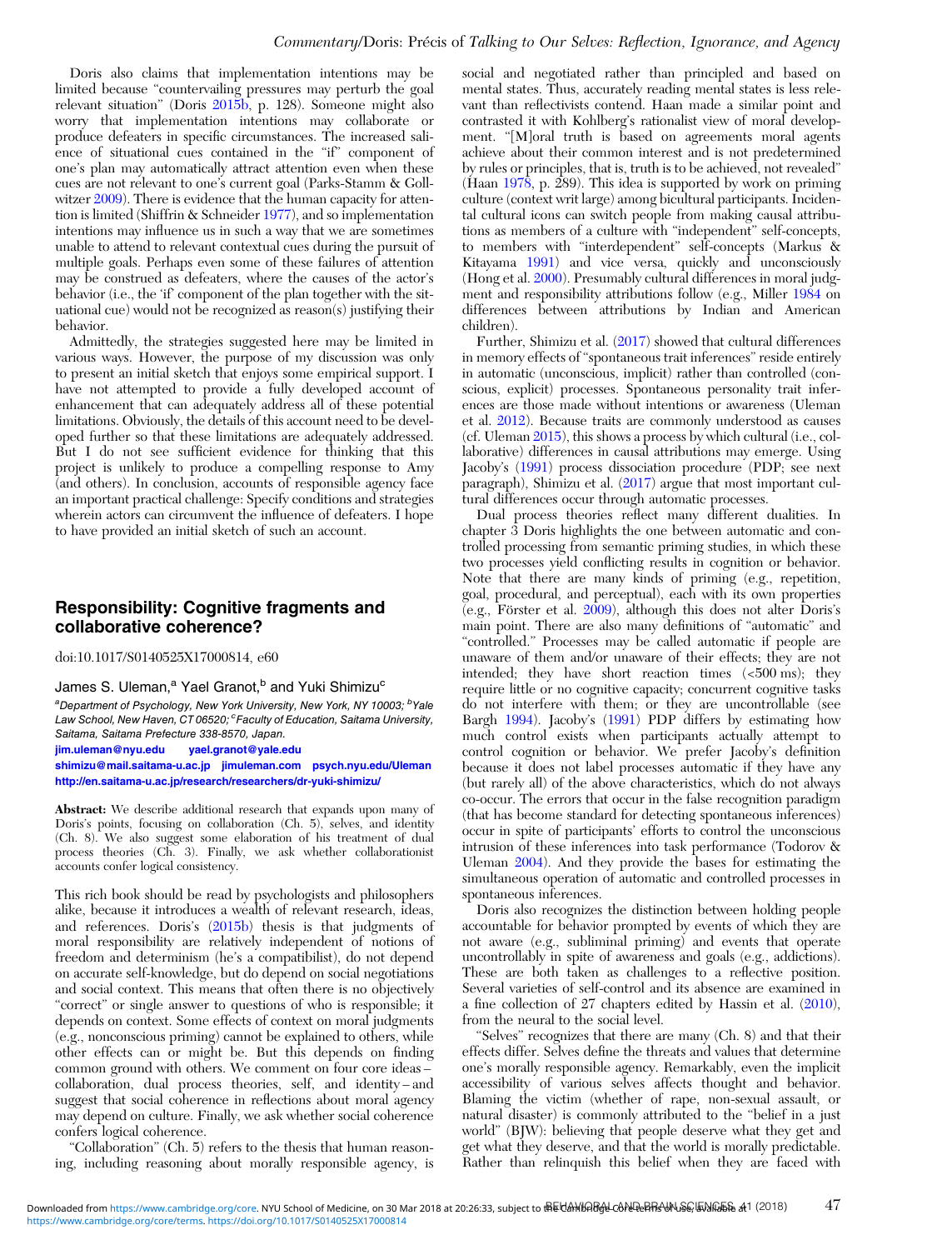Doris also claims that implementation intentions may be limited because "countervailing pressures may perturb the goal relevant situation" (Doris [2015b](#page-67-0), p. 128). Someone might also worry that implementation intentions may collaborate or produce defeaters in specific circumstances. The increased salience of situational cues contained in the "if" component of one's plan may automatically attract attention even when these cues are not relevant to one's current goal (Parks-Stamm & Gollwitzer [2009](#page-71-0)). There is evidence that the human capacity for attention is limited (Shiffrin & Schneider [1977\)](#page-72-0), and so implementation intentions may influence us in such a way that we are sometimes unable to attend to relevant contextual cues during the pursuit of multiple goals. Perhaps even some of these failures of attention may be construed as defeaters, where the causes of the actor's behavior (i.e., the 'if' component of the plan together with the situational cue) would not be recognized as reason(s) justifying their behavior.

Admittedly, the strategies suggested here may be limited in various ways. However, the purpose of my discussion was only to present an initial sketch that enjoys some empirical support. I have not attempted to provide a fully developed account of enhancement that can adequately address all of these potential limitations. Obviously, the details of this account need to be developed further so that these limitations are adequately addressed. But I do not see sufficient evidence for thinking that this project is unlikely to produce a compelling response to Amy (and others). In conclusion, accounts of responsible agency face an important practical challenge: Specify conditions and strategies wherein actors can circumvent the influence of defeaters. I hope to have provided an initial sketch of such an account.

# Responsibility: Cognitive fragments and collaborative coherence?

doi:10.1017/S0140525X17000814, e60

James S. Uleman,<sup>a</sup> Yael Granot,<sup>b</sup> and Yuki Shimizu<sup>c</sup>

<sup>a</sup>Department of Psychology, New York University, New York, NY 10003; <sup>b</sup>Yale Law School, New Haven, CT 06520; <sup>c</sup> Faculty of Education, Saitama University, Saitama, Saitama Prefecture 338-8570, Japan.

[jim.uleman@nyu.edu](mailto:jim.uleman@nyu.edu) [yael.granot@yale.edu](mailto:yael.granot@yale.edu)

[shimizu@mail.saitama-u.ac.jp](mailto:shimizu@mail.saitama-u.ac.jp) [jimuleman.com](http://jimuleman.com) [psych.nyu.edu/Uleman](http://psych.nyu.edu/Uleman) <http://en.saitama-u.ac.jp/research/researchers/dr-yuki-shimizu/>

Abstract: We describe additional research that expands upon many of Doris's points, focusing on collaboration (Ch. 5), selves, and identity (Ch. 8). We also suggest some elaboration of his treatment of dual process theories (Ch. 3). Finally, we ask whether collaborationist accounts confer logical consistency.

This rich book should be read by psychologists and philosophers alike, because it introduces a wealth of relevant research, ideas, and references. Doris's ([2015b\)](#page-67-0) thesis is that judgments of moral responsibility are relatively independent of notions of freedom and determinism (he's a compatibilist), do not depend on accurate self-knowledge, but do depend on social negotiations and social context. This means that often there is no objectively "correct" or single answer to questions of who is responsible; it depends on context. Some effects of context on moral judgments (e.g., nonconscious priming) cannot be explained to others, while other effects can or might be. But this depends on finding common ground with others. We comment on four core ideas – collaboration, dual process theories, self, and identity – and suggest that social coherence in reflections about moral agency may depend on culture. Finally, we ask whether social coherence confers logical coherence.

"Collaboration" (Ch. 5) refers to the thesis that human reasoning, including reasoning about morally responsible agency, is

social and negotiated rather than principled and based on mental states. Thus, accurately reading mental states is less relevant than reflectivists contend. Haan made a similar point and contrasted it with Kohlberg's rationalist view of moral development. "[M]oral truth is based on agreements moral agents achieve about their common interest and is not predetermined by rules or principles, that is, truth is to be achieved, not revealed" (Haan [1978,](#page-69-0) p. 289). This idea is supported by work on priming culture (context writ large) among bicultural participants. Incidental cultural icons can switch people from making causal attributions as members of a culture with "independent" self-concepts, to members with "interdependent" self-concepts (Markus & Kitayama [1991\)](#page-70-0) and vice versa, quickly and unconsciously (Hong et al. [2000](#page-69-0)). Presumably cultural differences in moral judgment and responsibility attributions follow (e.g., Miller [1984](#page-71-0) on differences between attributions by Indian and American children).

Further, Shimizu et al. [\(2017](#page-72-0)) showed that cultural differences in memory effects of "spontaneous trait inferences" reside entirely in automatic (unconscious, implicit) rather than controlled (conscious, explicit) processes. Spontaneous personality trait inferences are those made without intentions or awareness (Uleman et al. [2012](#page-73-0)). Because traits are commonly understood as causes (cf. Uleman [2015](#page-73-0)), this shows a process by which cultural (i.e., collaborative) differences in causal attributions may emerge. Using Jacoby's ([1991\)](#page-69-0) process dissociation procedure (PDP; see next paragraph), Shimizu et al. ([2017\)](#page-72-0) argue that most important cultural differences occur through automatic processes.

Dual process theories reflect many different dualities. In chapter 3 Doris highlights the one between automatic and controlled processing from semantic priming studies, in which these two processes yield conflicting results in cognition or behavior. Note that there are many kinds of priming (e.g., repetition, goal, procedural, and perceptual), each with its own properties (e.g., Förster et al. [2009\)](#page-68-0), although this does not alter Doris's main point. There are also many definitions of "automatic" and "controlled." Processes may be called automatic if people are unaware of them and/or unaware of their effects; they are not intended; they have short reaction times (<500 ms); they require little or no cognitive capacity; concurrent cognitive tasks do not interfere with them; or they are uncontrollable (see Bargh [1994](#page-66-0)). Jacoby's [\(1991](#page-69-0)) PDP differs by estimating how much control exists when participants actually attempt to control cognition or behavior. We prefer Jacoby's definition because it does not label processes automatic if they have any (but rarely all) of the above characteristics, which do not always co-occur. The errors that occur in the false recognition paradigm (that has become standard for detecting spontaneous inferences) occur in spite of participants' efforts to control the unconscious intrusion of these inferences into task performance (Todorov & Uleman [2004](#page-73-0)). And they provide the bases for estimating the simultaneous operation of automatic and controlled processes in spontaneous inferences.

Doris also recognizes the distinction between holding people accountable for behavior prompted by events of which they are not aware (e.g., subliminal priming) and events that operate uncontrollably in spite of awareness and goals (e.g., addictions). These are both taken as challenges to a reflective position. Several varieties of self-control and its absence are examined in a fine collection of 27 chapters edited by Hassin et al. ([2010\)](#page-69-0), from the neural to the social level.

"Selves" recognizes that there are many (Ch. 8) and that their effects differ. Selves define the threats and values that determine one's morally responsible agency. Remarkably, even the implicit accessibility of various selves affects thought and behavior. Blaming the victim (whether of rape, non-sexual assault, or natural disaster) is commonly attributed to the "belief in a just world" (BJW): believing that people deserve what they get and get what they deserve, and that the world is morally predictable. Rather than relinquish this belief when they are faced with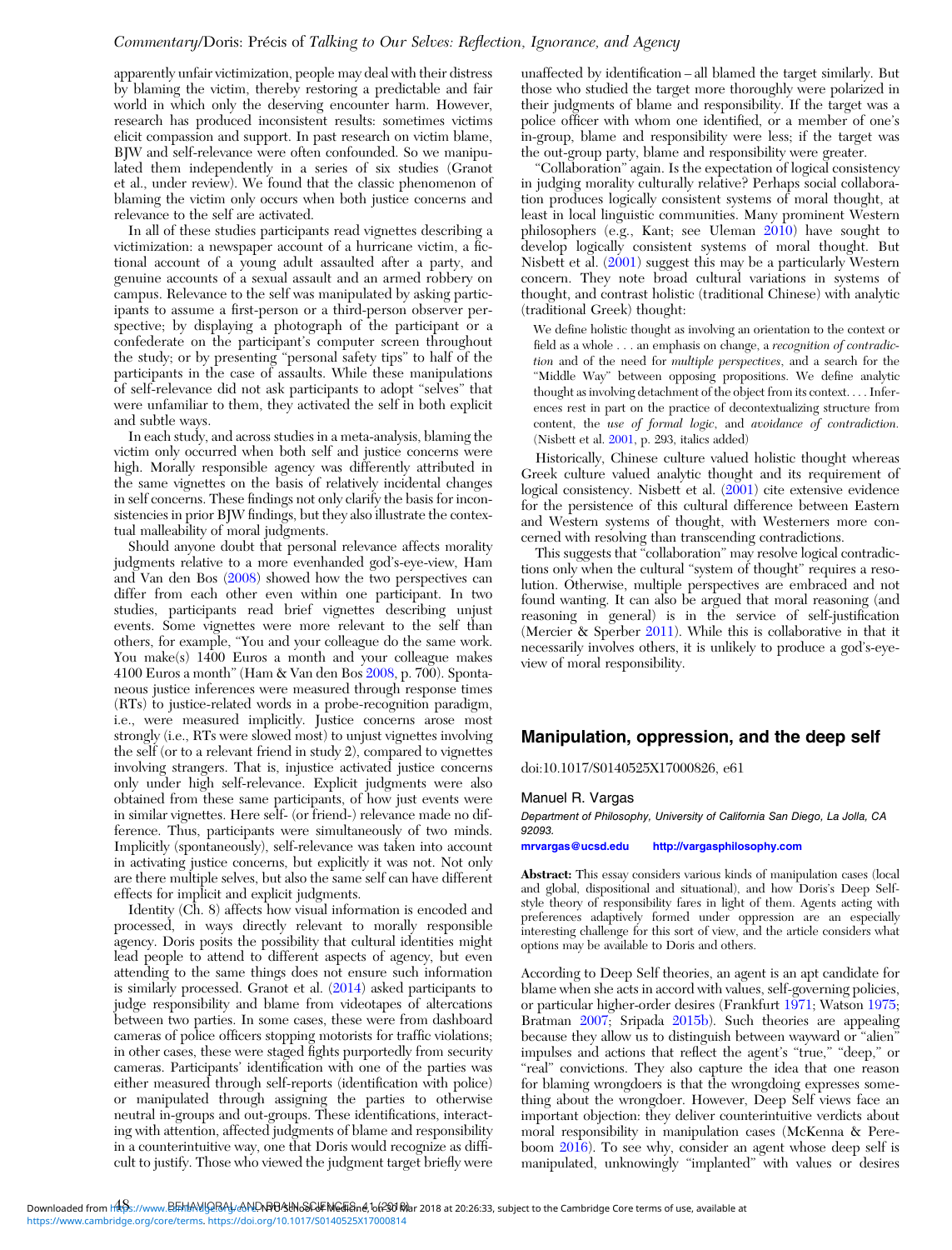apparently unfair victimization, people may deal with their distress by blaming the victim, thereby restoring a predictable and fair world in which only the deserving encounter harm. However, research has produced inconsistent results: sometimes victims elicit compassion and support. In past research on victim blame, BJW and self-relevance were often confounded. So we manipulated them independently in a series of six studies (Granot et al., under review). We found that the classic phenomenon of blaming the victim only occurs when both justice concerns and relevance to the self are activated.

In all of these studies participants read vignettes describing a victimization: a newspaper account of a hurricane victim, a fictional account of a young adult assaulted after a party, and genuine accounts of a sexual assault and an armed robbery on campus. Relevance to the self was manipulated by asking participants to assume a first-person or a third-person observer perspective; by displaying a photograph of the participant or a confederate on the participant's computer screen throughout the study; or by presenting "personal safety tips" to half of the participants in the case of assaults. While these manipulations of self-relevance did not ask participants to adopt "selves" that were unfamiliar to them, they activated the self in both explicit and subtle ways.

In each study, and across studies in a meta-analysis, blaming the victim only occurred when both self and justice concerns were high. Morally responsible agency was differently attributed in the same vignettes on the basis of relatively incidental changes in self concerns. These findings not only clarify the basis for inconsistencies in prior BJW findings, but they also illustrate the contextual malleability of moral judgments.

Should anyone doubt that personal relevance affects morality judgments relative to a more evenhanded god's-eye-view, Ham and Van den Bos [\(2008](#page-69-0)) showed how the two perspectives can differ from each other even within one participant. In two studies, participants read brief vignettes describing unjust events. Some vignettes were more relevant to the self than others, for example, "You and your colleague do the same work. You make(s) 1400 Euros a month and your colleague makes 4100 Euros a month" (Ham & Van den Bos [2008,](#page-69-0) p. 700). Spontaneous justice inferences were measured through response times (RTs) to justice-related words in a probe-recognition paradigm, i.e., were measured implicitly. Justice concerns arose most strongly (i.e., RTs were slowed most) to unjust vignettes involving the self (or to a relevant friend in study 2), compared to vignettes involving strangers. That is, injustice activated justice concerns only under high self-relevance. Explicit judgments were also obtained from these same participants, of how just events were in similar vignettes. Here self- (or friend-) relevance made no difference. Thus, participants were simultaneously of two minds. Implicitly (spontaneously), self-relevance was taken into account in activating justice concerns, but explicitly it was not. Not only are there multiple selves, but also the same self can have different effects for implicit and explicit judgments.

Identity (Ch. 8) affects how visual information is encoded and processed, in ways directly relevant to morally responsible agency. Doris posits the possibility that cultural identities might lead people to attend to different aspects of agency, but even attending to the same things does not ensure such information is similarly processed. Granot et al. [\(2014\)](#page-69-0) asked participants to judge responsibility and blame from videotapes of altercations between two parties. In some cases, these were from dashboard cameras of police officers stopping motorists for traffic violations; in other cases, these were staged fights purportedly from security cameras. Participants' identification with one of the parties was either measured through self-reports (identification with police) or manipulated through assigning the parties to otherwise neutral in-groups and out-groups. These identifications, interacting with attention, affected judgments of blame and responsibility in a counterintuitive way, one that Doris would recognize as difficult to justify. Those who viewed the judgment target briefly were unaffected by identification – all blamed the target similarly. But those who studied the target more thoroughly were polarized in their judgments of blame and responsibility. If the target was a police officer with whom one identified, or a member of one's in-group, blame and responsibility were less; if the target was the out-group party, blame and responsibility were greater.

"Collaboration" again. Is the expectation of logical consistency in judging morality culturally relative? Perhaps social collaboration produces logically consistent systems of moral thought, at least in local linguistic communities. Many prominent Western philosophers (e.g., Kant; see Uleman [2010\)](#page-73-0) have sought to develop logically consistent systems of moral thought. But Nisbett et al. [\(2001\)](#page-71-0) suggest this may be a particularly Western concern. They note broad cultural variations in systems of thought, and contrast holistic (traditional Chinese) with analytic (traditional Greek) thought:

We define holistic thought as involving an orientation to the context or field as a whole . . . an emphasis on change, a recognition of contradiction and of the need for multiple perspectives, and a search for the "Middle Way" between opposing propositions. We define analytic thought as involving detachment of the object from its context. . . . Inferences rest in part on the practice of decontextualizing structure from content, the use of formal logic, and avoidance of contradiction. (Nisbett et al. [2001,](#page-71-0) p. 293, italics added)

Historically, Chinese culture valued holistic thought whereas Greek culture valued analytic thought and its requirement of logical consistency. Nisbett et al. ([2001\)](#page-71-0) cite extensive evidence for the persistence of this cultural difference between Eastern and Western systems of thought, with Westerners more concerned with resolving than transcending contradictions.

This suggests that "collaboration" may resolve logical contradictions only when the cultural "system of thought" requires a resolution. Otherwise, multiple perspectives are embraced and not found wanting. It can also be argued that moral reasoning (and reasoning in general) is in the service of self-justification (Mercier & Sperber [2011](#page-71-0)). While this is collaborative in that it necessarily involves others, it is unlikely to produce a god's-eyeview of moral responsibility.

# Manipulation, oppression, and the deep self

doi:10.1017/S0140525X17000826, e61

#### Manuel R. Vargas

Department of Philosophy, University of California San Diego, La Jolla, CA 92093.

[mrvargas@ucsd.edu](mailto:mrvargas@ucsd.edu)<http://vargasphilosophy.com>

Abstract: This essay considers various kinds of manipulation cases (local and global, dispositional and situational), and how Doris's Deep Selfstyle theory of responsibility fares in light of them. Agents acting with preferences adaptively formed under oppression are an especially interesting challenge for this sort of view, and the article considers what options may be available to Doris and others.

According to Deep Self theories, an agent is an apt candidate for blame when she acts in accord with values, self-governing policies, or particular higher-order desires (Frankfurt [1971;](#page-68-0) Watson [1975](#page-74-0); Bratman [2007;](#page-66-0) Sripada [2015b](#page-73-0)). Such theories are appealing because they allow us to distinguish between wayward or "alien" impulses and actions that reflect the agent's "true," "deep," or "real" convictions. They also capture the idea that one reason for blaming wrongdoers is that the wrongdoing expresses something about the wrongdoer. However, Deep Self views face an important objection: they deliver counterintuitive verdicts about moral responsibility in manipulation cases (McKenna & Pereboom [2016\)](#page-70-0). To see why, consider an agent whose deep self is manipulated, unknowingly "implanted" with values or desires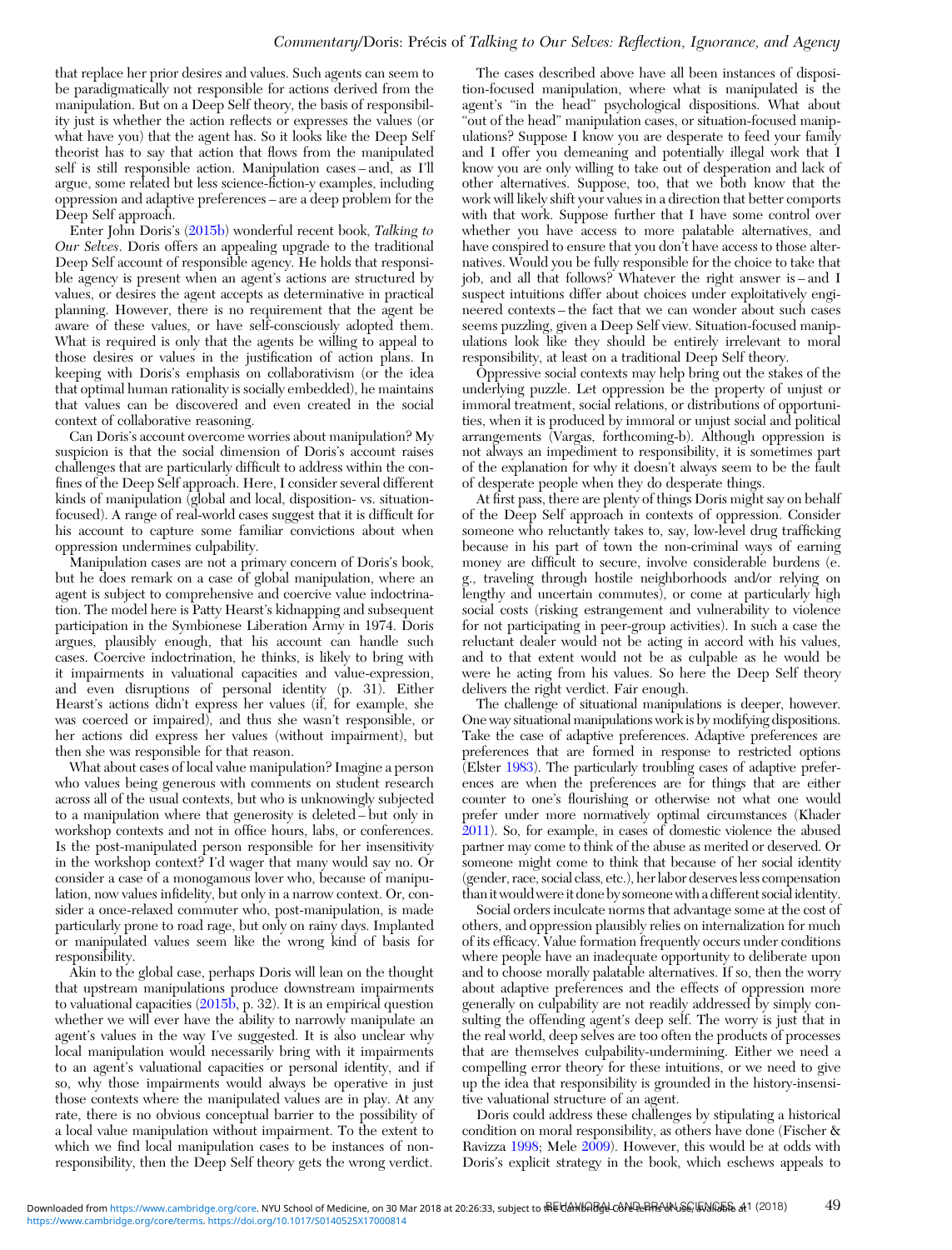that replace her prior desires and values. Such agents can seem to be paradigmatically not responsible for actions derived from the manipulation. But on a Deep Self theory, the basis of responsibility just is whether the action reflects or expresses the values (or what have you) that the agent has. So it looks like the Deep Self theorist has to say that action that flows from the manipulated self is still responsible action. Manipulation cases – and, as I'll argue, some related but less science-fiction-y examples, including oppression and adaptive preferences – are a deep problem for the Deep Self approach.

Enter John Doris's ([2015b](#page-67-0)) wonderful recent book, Talking to Our Selves. Doris offers an appealing upgrade to the traditional Deep Self account of responsible agency. He holds that responsible agency is present when an agent's actions are structured by values, or desires the agent accepts as determinative in practical planning. However, there is no requirement that the agent be aware of these values, or have self-consciously adopted them. What is required is only that the agents be willing to appeal to those desires or values in the justification of action plans. In keeping with Doris's emphasis on collaborativism (or the idea that optimal human rationality is socially embedded), he maintains that values can be discovered and even created in the social context of collaborative reasoning.

Can Doris's account overcome worries about manipulation? My suspicion is that the social dimension of Doris's account raises challenges that are particularly difficult to address within the confines of the Deep Self approach. Here, I consider several different kinds of manipulation (global and local, disposition- vs. situationfocused). A range of real-world cases suggest that it is difficult for his account to capture some familiar convictions about when oppression undermines culpability.

Manipulation cases are not a primary concern of Doris's book, but he does remark on a case of global manipulation, where an agent is subject to comprehensive and coercive value indoctrination. The model here is Patty Hearst's kidnapping and subsequent participation in the Symbionese Liberation Army in 1974. Doris argues, plausibly enough, that his account can handle such cases. Coercive indoctrination, he thinks, is likely to bring with it impairments in valuational capacities and value-expression, and even disruptions of personal identity (p. 31). Either Hearst's actions didn't express her values (if, for example, she was coerced or impaired), and thus she wasn't responsible, or her actions did express her values (without impairment), but then she was responsible for that reason.

What about cases of local value manipulation? Imagine a person who values being generous with comments on student research across all of the usual contexts, but who is unknowingly subjected to a manipulation where that generosity is deleted – but only in workshop contexts and not in office hours, labs, or conferences. Is the post-manipulated person responsible for her insensitivity in the workshop context? I'd wager that many would say no. Or consider a case of a monogamous lover who, because of manipulation, now values infidelity, but only in a narrow context. Or, consider a once-relaxed commuter who, post-manipulation, is made particularly prone to road rage, but only on rainy days. Implanted or manipulated values seem like the wrong kind of basis for responsibility.

Akin to the global case, perhaps Doris will lean on the thought that upstream manipulations produce downstream impairments to valuational capacities  $(2015\bar{b}, p. 32)$ . It is an empirical question whether we will ever have the ability to narrowly manipulate an agent's values in the way I've suggested. It is also unclear why local manipulation would necessarily bring with it impairments to an agent's valuational capacities or personal identity, and if so, why those impairments would always be operative in just those contexts where the manipulated values are in play. At any rate, there is no obvious conceptual barrier to the possibility of a local value manipulation without impairment. To the extent to which we find local manipulation cases to be instances of nonresponsibility, then the Deep Self theory gets the wrong verdict.

The cases described above have all been instances of disposition-focused manipulation, where what is manipulated is the agent's "in the head" psychological dispositions. What about "out of the head" manipulation cases, or situation-focused manipulations? Suppose I know you are desperate to feed your family and I offer you demeaning and potentially illegal work that I know you are only willing to take out of desperation and lack of other alternatives. Suppose, too, that we both know that the work will likely shift your values in a direction that better comports with that work. Suppose further that I have some control over whether you have access to more palatable alternatives, and have conspired to ensure that you don't have access to those alternatives. Would you be fully responsible for the choice to take that job, and all that follows? Whatever the right answer is – and I suspect intuitions differ about choices under exploitatively engineered contexts – the fact that we can wonder about such cases seems puzzling, given a Deep Self view. Situation-focused manipulations look like they should be entirely irrelevant to moral responsibility, at least on a traditional Deep Self theory.

Oppressive social contexts may help bring out the stakes of the underlying puzzle. Let oppression be the property of unjust or immoral treatment, social relations, or distributions of opportunities, when it is produced by immoral or unjust social and political arrangements (Vargas, forthcoming-b). Although oppression is not always an impediment to responsibility, it is sometimes part of the explanation for why it doesn't always seem to be the fault of desperate people when they do desperate things.

At first pass, there are plenty of things Doris might say on behalf of the Deep Self approach in contexts of oppression. Consider someone who reluctantly takes to, say, low-level drug trafficking because in his part of town the non-criminal ways of earning money are difficult to secure, involve considerable burdens (e. g., traveling through hostile neighborhoods and/or relying on lengthy and uncertain commutes), or come at particularly high social costs (risking estrangement and vulnerability to violence for not participating in peer-group activities). In such a case the reluctant dealer would not be acting in accord with his values, and to that extent would not be as culpable as he would be were he acting from his values. So here the Deep Self theory delivers the right verdict. Fair enough.

The challenge of situational manipulations is deeper, however. One way situational manipulations work is by modifying dispositions. Take the case of adaptive preferences. Adaptive preferences are preferences that are formed in response to restricted options (Elster [1983](#page-68-0)). The particularly troubling cases of adaptive preferences are when the preferences are for things that are either counter to one's flourishing or otherwise not what one would prefer under more normatively optimal circumstances (Khader [2011\)](#page-70-0). So, for example, in cases of domestic violence the abused partner may come to think of the abuse as merited or deserved. Or someone might come to think that because of her social identity (gender, race, social class, etc.), her labor deserves less compensation than it wouldwere it done by someone with a different social identity.

Social orders inculcate norms that advantage some at the cost of others, and oppression plausibly relies on internalization for much of its efficacy. Value formation frequently occurs under conditions where people have an inadequate opportunity to deliberate upon and to choose morally palatable alternatives. If so, then the worry about adaptive preferences and the effects of oppression more generally on culpability are not readily addressed by simply consulting the offending agent's deep self. The worry is just that in the real world, deep selves are too often the products of processes that are themselves culpability-undermining. Either we need a compelling error theory for these intuitions, or we need to give up the idea that responsibility is grounded in the history-insensitive valuational structure of an agent.

Doris could address these challenges by stipulating a historical condition on moral responsibility, as others have done (Fischer & Ravizza [1998;](#page-68-0) Mele [2009\)](#page-70-0). However, this would be at odds with Doris's explicit strategy in the book, which eschews appeals to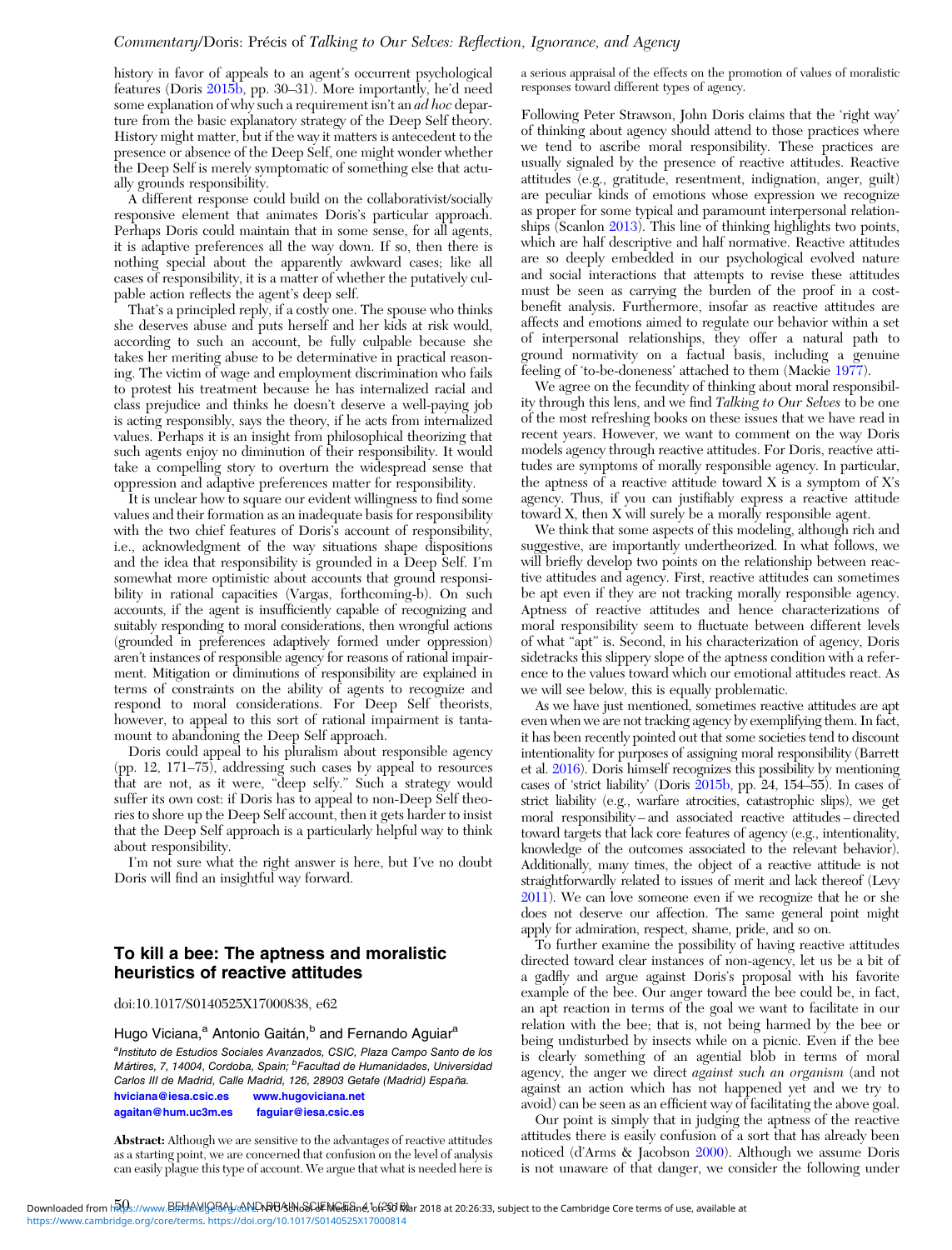history in favor of appeals to an agent's occurrent psychological features (Doris [2015b,](#page-67-0) pp. 30–31). More importantly, he'd need some explanation of why such a requirement isn't an *ad hoc* departure from the basic explanatory strategy of the Deep Self theory. History might matter, but if the way it matters is antecedent to the presence or absence of the Deep Self, one might wonder whether the Deep Self is merely symptomatic of something else that actually grounds responsibility.

A different response could build on the collaborativist/socially responsive element that animates Doris's particular approach. Perhaps Doris could maintain that in some sense, for all agents, it is adaptive preferences all the way down. If so, then there is nothing special about the apparently awkward cases; like all cases of responsibility, it is a matter of whether the putatively culpable action reflects the agent's deep self.

That's a principled reply, if a costly one. The spouse who thinks she deserves abuse and puts herself and her kids at risk would, according to such an account, be fully culpable because she takes her meriting abuse to be determinative in practical reasoning. The victim of wage and employment discrimination who fails to protest his treatment because he has internalized racial and class prejudice and thinks he doesn't deserve a well-paying job is acting responsibly, says the theory, if he acts from internalized values. Perhaps it is an insight from philosophical theorizing that such agents enjoy no diminution of their responsibility. It would take a compelling story to overturn the widespread sense that oppression and adaptive preferences matter for responsibility.

It is unclear how to square our evident willingness to find some values and their formation as an inadequate basis for responsibility with the two chief features of Doris's account of responsibility, i.e., acknowledgment of the way situations shape dispositions and the idea that responsibility is grounded in a Deep Self. I'm somewhat more optimistic about accounts that ground responsibility in rational capacities (Vargas, forthcoming-b). On such accounts, if the agent is insufficiently capable of recognizing and suitably responding to moral considerations, then wrongful actions (grounded in preferences adaptively formed under oppression) aren't instances of responsible agency for reasons of rational impairment. Mitigation or diminutions of responsibility are explained in terms of constraints on the ability of agents to recognize and respond to moral considerations. For Deep Self theorists, however, to appeal to this sort of rational impairment is tantamount to abandoning the Deep Self approach.

Doris could appeal to his pluralism about responsible agency (pp. 12, 171–75), addressing such cases by appeal to resources that are not, as it were, "deep selfy." Such a strategy would suffer its own cost: if Doris has to appeal to non-Deep Self theories to shore up the Deep Self account, then it gets harder to insist that the Deep Self approach is a particularly helpful way to think about responsibility.

I'm not sure what the right answer is here, but I've no doubt Doris will find an insightful way forward.

# To kill a bee: The aptness and moralistic heuristics of reactive attitudes

#### doi:10.1017/S0140525X17000838, e62

Hugo Viciana,<sup>a</sup> Antonio Gaitán,<sup>b</sup> and Fernando Aguiar<sup>a</sup> alnstituto de Estudios Sociales Avanzados, CSIC, Plaza Campo Santo de los Mártires, 7, 14004, Cordoba, Spain; <sup>b</sup>Facultad de Humanidades, Universidad Carlos III de Madrid, Calle Madrid, 126, 28903 Getafe (Madrid) España. [hviciana@iesa.csic.es](mailto:hviciana@iesa.csic.es) [www.hugoviciana.net](http://www.hugoviciana.net) [agaitan@hum.uc3m.es](mailto:agaitan@hum.uc3m.es) [faguiar@iesa.csic.es](mailto:faguiar@iesa.csic.es)

Abstract: Although we are sensitive to the advantages of reactive attitudes as a starting point, we are concerned that confusion on the level of analysis can easily plague this type of account. We argue that what is needed here is a serious appraisal of the effects on the promotion of values of moralistic responses toward different types of agency.

Following Peter Strawson, John Doris claims that the 'right way' of thinking about agency should attend to those practices where we tend to ascribe moral responsibility. These practices are usually signaled by the presence of reactive attitudes. Reactive attitudes (e.g., gratitude, resentment, indignation, anger, guilt) are peculiar kinds of emotions whose expression we recognize as proper for some typical and paramount interpersonal relationships (Scanlon [2013](#page-72-0)). This line of thinking highlights two points, which are half descriptive and half normative. Reactive attitudes are so deeply embedded in our psychological evolved nature and social interactions that attempts to revise these attitudes must be seen as carrying the burden of the proof in a costbenefit analysis. Furthermore, insofar as reactive attitudes are affects and emotions aimed to regulate our behavior within a set of interpersonal relationships, they offer a natural path to ground normativity on a factual basis, including a genuine feeling of 'to-be-doneness' attached to them (Mackie [1977](#page-70-0)).

We agree on the fecundity of thinking about moral responsibility through this lens, and we find Talking to Our Selves to be one of the most refreshing books on these issues that we have read in recent years. However, we want to comment on the way Doris models agency through reactive attitudes. For Doris, reactive attitudes are symptoms of morally responsible agency. In particular, the aptness of a reactive attitude toward  $X$  is a symptom of  $X$ 's agency. Thus, if you can justifiably express a reactive attitude toward X, then X will surely be a morally responsible agent.

We think that some aspects of this modeling, although rich and suggestive, are importantly undertheorized. In what follows, we will briefly develop two points on the relationship between reactive attitudes and agency. First, reactive attitudes can sometimes be apt even if they are not tracking morally responsible agency. Aptness of reactive attitudes and hence characterizations of moral responsibility seem to fluctuate between different levels of what "apt" is. Second, in his characterization of agency, Doris sidetracks this slippery slope of the aptness condition with a reference to the values toward which our emotional attitudes react. As we will see below, this is equally problematic.

As we have just mentioned, sometimes reactive attitudes are apt even when we are not tracking agency by exemplifying them. In fact, it has been recently pointed out that some societies tend to discount intentionality for purposes of assigning moral responsibility (Barrett et al. [2016\)](#page-66-0). Doris himself recognizes this possibility by mentioning cases of 'strict liability' (Doris [2015b,](#page-67-0) pp. 24, 154–55). In cases of strict liability (e.g., warfare atrocities, catastrophic slips), we get moral responsibility – and associated reactive attitudes – directed toward targets that lack core features of agency (e.g., intentionality, knowledge of the outcomes associated to the relevant behavior). Additionally, many times, the object of a reactive attitude is not straightforwardly related to issues of merit and lack thereof (Levy [2011\)](#page-70-0). We can love someone even if we recognize that he or she does not deserve our affection. The same general point might apply for admiration, respect, shame, pride, and so on.

To further examine the possibility of having reactive attitudes directed toward clear instances of non-agency, let us be a bit of a gadfly and argue against Doris's proposal with his favorite example of the bee. Our anger toward the bee could be, in fact, an apt reaction in terms of the goal we want to facilitate in our relation with the bee; that is, not being harmed by the bee or being undisturbed by insects while on a picnic. Even if the bee is clearly something of an agential blob in terms of moral agency, the anger we direct against such an organism (and not against an action which has not happened yet and we try to avoid) can be seen as an efficient way of facilitating the above goal.

Our point is simply that in judging the aptness of the reactive attitudes there is easily confusion of a sort that has already been noticed (d'Arms & Jacobson [2000\)](#page-67-0). Although we assume Doris is not unaware of that danger, we consider the following under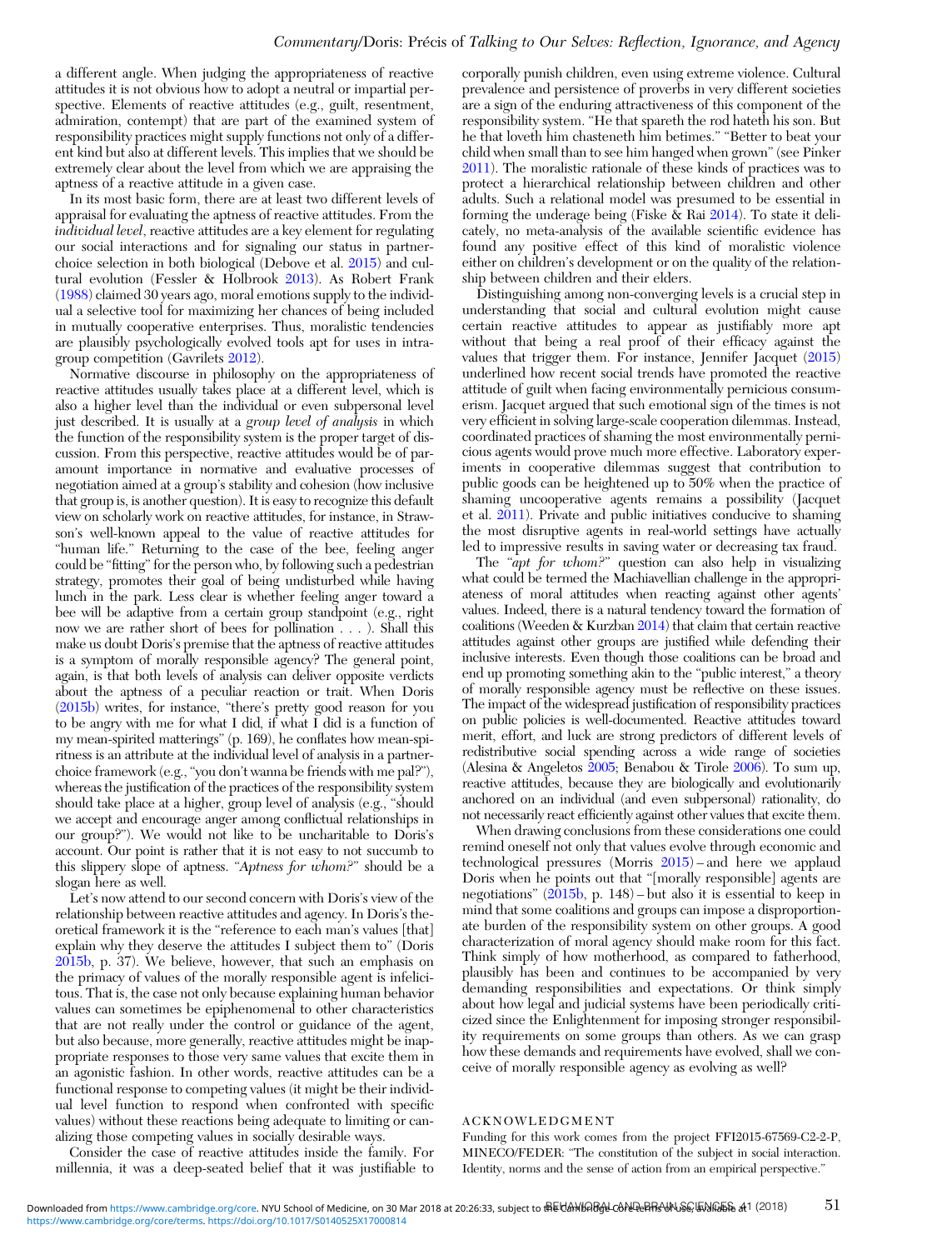a different angle. When judging the appropriateness of reactive attitudes it is not obvious how to adopt a neutral or impartial perspective. Elements of reactive attitudes (e.g., guilt, resentment, admiration, contempt) that are part of the examined system of responsibility practices might supply functions not only of a different kind but also at different levels. This implies that we should be extremely clear about the level from which we are appraising the aptness of a reactive attitude in a given case.

In its most basic form, there are at least two different levels of appraisal for evaluating the aptness of reactive attitudes. From the individual level, reactive attitudes are a key element for regulating our social interactions and for signaling our status in partnerchoice selection in both biological (Debove et al. [2015\)](#page-67-0) and cultural evolution (Fessler & Holbrook [2013\)](#page-68-0). As Robert Frank ([1988\)](#page-68-0) claimed 30 years ago, moral emotions supply to the individual a selective tool for maximizing her chances of being included in mutually cooperative enterprises. Thus, moralistic tendencies are plausibly psychologically evolved tools apt for uses in intragroup competition (Gavrilets [2012\)](#page-68-0).

Normative discourse in philosophy on the appropriateness of reactive attitudes usually takes place at a different level, which is also a higher level than the individual or even subpersonal level just described. It is usually at a group level of analysis in which the function of the responsibility system is the proper target of discussion. From this perspective, reactive attitudes would be of paramount importance in normative and evaluative processes of negotiation aimed at a group's stability and cohesion (how inclusive that group is, is another question). It is easy to recognize this default view on scholarly work on reactive attitudes, for instance, in Strawson's well-known appeal to the value of reactive attitudes for "human life." Returning to the case of the bee, feeling anger could be "fitting" for the person who, by following such a pedestrian strategy, promotes their goal of being undisturbed while having lunch in the park. Less clear is whether feeling anger toward a bee will be adaptive from a certain group standpoint (e.g., right now we are rather short of bees for pollination . . . ). Shall this make us doubt Doris's premise that the aptness of reactive attitudes is a symptom of morally responsible agency? The general point, again, is that both levels of analysis can deliver opposite verdicts about the aptness of a peculiar reaction or trait. When Doris ([2015b](#page-67-0)) writes, for instance, "there's pretty good reason for you to be angry with me for what I did, if what I did is a function of my mean-spirited matterings" (p. 169), he conflates how mean-spiritness is an attribute at the individual level of analysis in a partnerchoice framework (e.g.,"you don't wanna be friends with me pal?"), whereas the justification of the practices of the responsibility system should take place at a higher, group level of analysis (e.g., "should we accept and encourage anger among conflictual relationships in our group?"). We would not like to be uncharitable to Doris's account. Our point is rather that it is not easy to not succumb to this slippery slope of aptness. "Aptness for whom?" should be a slogan here as well.

Let's now attend to our second concern with Doris's view of the relationship between reactive attitudes and agency. In Doris's theoretical framework it is the "reference to each man's values [that] explain why they deserve the attitudes I subject them to" (Doris [2015b,](#page-67-0) p. 37). We believe, however, that such an emphasis on the primacy of values of the morally responsible agent is infelicitous. That is, the case not only because explaining human behavior values can sometimes be epiphenomenal to other characteristics that are not really under the control or guidance of the agent, but also because, more generally, reactive attitudes might be inappropriate responses to those very same values that excite them in an agonistic fashion. In other words, reactive attitudes can be a functional response to competing values (it might be their individual level function to respond when confronted with specific values) without these reactions being adequate to limiting or canalizing those competing values in socially desirable ways.

Consider the case of reactive attitudes inside the family. For millennia, it was a deep-seated belief that it was justifiable to corporally punish children, even using extreme violence. Cultural prevalence and persistence of proverbs in very different societies are a sign of the enduring attractiveness of this component of the responsibility system. "He that spareth the rod hateth his son. But he that loveth him chasteneth him betimes." "Better to beat your child when small than to see him hanged when grown" (see Pinker [2011\)](#page-72-0). The moralistic rationale of these kinds of practices was to protect a hierarchical relationship between children and other adults. Such a relational model was presumed to be essential in forming the underage being (Fiske & Rai [2014](#page-68-0)). To state it delicately, no meta-analysis of the available scientific evidence has found any positive effect of this kind of moralistic violence either on children's development or on the quality of the relationship between children and their elders.

Distinguishing among non-converging levels is a crucial step in understanding that social and cultural evolution might cause certain reactive attitudes to appear as justifiably more apt without that being a real proof of their efficacy against the values that trigger them. For instance, Jennifer Jacquet [\(2015](#page-69-0)) underlined how recent social trends have promoted the reactive attitude of guilt when facing environmentally pernicious consumerism. Jacquet argued that such emotional sign of the times is not very efficient in solving large-scale cooperation dilemmas. Instead, coordinated practices of shaming the most environmentally pernicious agents would prove much more effective. Laboratory experiments in cooperative dilemmas suggest that contribution to public goods can be heightened up to 50% when the practice of shaming uncooperative agents remains a possibility (Jacquet et al. [2011](#page-69-0)). Private and public initiatives conducive to shaming the most disruptive agents in real-world settings have actually led to impressive results in saving water or decreasing tax fraud.

The "apt for whom?" question can also help in visualizing what could be termed the Machiavellian challenge in the appropriateness of moral attitudes when reacting against other agents' values. Indeed, there is a natural tendency toward the formation of coalitions (Weeden & Kurzban [2014\)](#page-74-0) that claim that certain reactive attitudes against other groups are justified while defending their inclusive interests. Even though those coalitions can be broad and end up promoting something akin to the "public interest," a theory of morally responsible agency must be reflective on these issues. The impact of the widespread justification of responsibility practices on public policies is well-documented. Reactive attitudes toward merit, effort, and luck are strong predictors of different levels of redistributive social spending across a wide range of societies (Alesina & Angeletos [2005](#page-65-0); Benabou & Tirole [2006](#page-66-0)). To sum up, reactive attitudes, because they are biologically and evolutionarily anchored on an individual (and even subpersonal) rationality, do not necessarily react efficiently against other values that excite them.

When drawing conclusions from these considerations one could remind oneself not only that values evolve through economic and technological pressures (Morris [2015\)](#page-71-0) – and here we applaud Doris when he points out that "[morally responsible] agents are negotiations" [\(2015b,](#page-67-0) p. 148) – but also it is essential to keep in mind that some coalitions and groups can impose a disproportionate burden of the responsibility system on other groups. A good characterization of moral agency should make room for this fact. Think simply of how motherhood, as compared to fatherhood, plausibly has been and continues to be accompanied by very demanding responsibilities and expectations. Or think simply about how legal and judicial systems have been periodically criticized since the Enlightenment for imposing stronger responsibility requirements on some groups than others. As we can grasp how these demands and requirements have evolved, shall we conceive of morally responsible agency as evolving as well?

#### ACKNOWLEDGMENT

Funding for this work comes from the project FFI2015-67569-C2-2-P, MINECO/FEDER: "The constitution of the subject in social interaction. Identity, norms and the sense of action from an empirical perspective."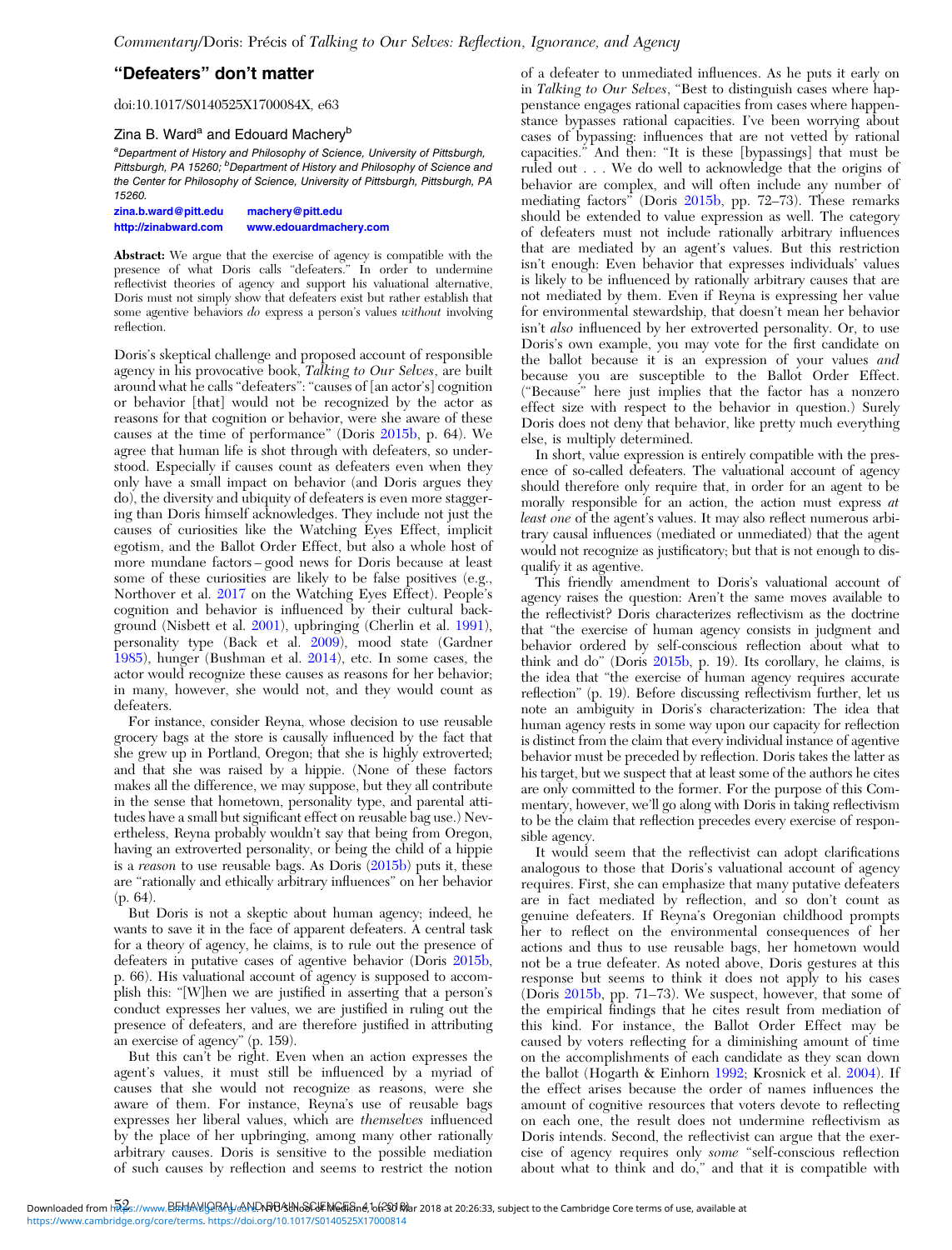## "Defeaters" don't matter

doi:10.1017/S0140525X1700084X, e63

#### Zina B. Ward<sup>a</sup> and Edouard Machery<sup>b</sup>

<sup>a</sup>Department of History and Philosophy of Science, University of Pittsburgh, Pittsburgh, PA 15260; <sup>b</sup>Department of History and Philosophy of Science and the Center for Philosophy of Science, University of Pittsburgh, Pittsburgh, PA 15260.

[zina.b.ward@pitt.edu](mailto:zina.b.ward@pitt.edu) [machery@pitt.edu](mailto:machery@pitt.edu) <http://zinabward.com> [www.edouardmachery.com](http://www.edouardmachery.com)

Abstract: We argue that the exercise of agency is compatible with the presence of what Doris calls "defeaters." In order to undermine reflectivist theories of agency and support his valuational alternative, Doris must not simply show that defeaters exist but rather establish that some agentive behaviors do express a person's values without involving reflection.

Doris's skeptical challenge and proposed account of responsible agency in his provocative book, Talking to Our Selves, are built around what he calls "defeaters": "causes of [an actor's] cognition or behavior [that] would not be recognized by the actor as reasons for that cognition or behavior, were she aware of these causes at the time of performance" (Doris [2015b](#page-67-0), p. 64). We agree that human life is shot through with defeaters, so understood. Especially if causes count as defeaters even when they only have a small impact on behavior (and Doris argues they do), the diversity and ubiquity of defeaters is even more staggering than Doris himself acknowledges. They include not just the causes of curiosities like the Watching Eyes Effect, implicit egotism, and the Ballot Order Effect, but also a whole host of more mundane factors – good news for Doris because at least some of these curiosities are likely to be false positives (e.g., Northover et al. [2017](#page-71-0) on the Watching Eyes Effect). People's cognition and behavior is influenced by their cultural background (Nisbett et al. [2001\)](#page-71-0), upbringing (Cherlin et al. [1991](#page-66-0)), personality type (Back et al. [2009](#page-65-0)), mood state (Gardner [1985\)](#page-68-0), hunger (Bushman et al. [2014\)](#page-66-0), etc. In some cases, the actor would recognize these causes as reasons for her behavior; in many, however, she would not, and they would count as defeaters.

For instance, consider Reyna, whose decision to use reusable grocery bags at the store is causally influenced by the fact that she grew up in Portland, Oregon; that she is highly extroverted; and that she was raised by a hippie. (None of these factors makes all the difference, we may suppose, but they all contribute in the sense that hometown, personality type, and parental attitudes have a small but significant effect on reusable bag use.) Nevertheless, Reyna probably wouldn't say that being from Oregon, having an extroverted personality, or being the child of a hippie is a reason to use reusable bags. As Doris  $(2015b)$  puts it, these are "rationally and ethically arbitrary influences" on her behavior (p. 64).

But Doris is not a skeptic about human agency; indeed, he wants to save it in the face of apparent defeaters. A central task for a theory of agency, he claims, is to rule out the presence of defeaters in putative cases of agentive behavior (Doris [2015b,](#page-67-0) p. 66). His valuational account of agency is supposed to accomplish this: "[W]hen we are justified in asserting that a person's conduct expresses her values, we are justified in ruling out the presence of defeaters, and are therefore justified in attributing an exercise of agency" (p. 159).

But this can't be right. Even when an action expresses the agent's values, it must still be influenced by a myriad of causes that she would not recognize as reasons, were she aware of them. For instance, Reyna's use of reusable bags expresses her liberal values, which are themselves influenced by the place of her upbringing, among many other rationally arbitrary causes. Doris is sensitive to the possible mediation of such causes by reflection and seems to restrict the notion of a defeater to unmediated influences. As he puts it early on in Talking to Our Selves, "Best to distinguish cases where happenstance engages rational capacities from cases where happenstance bypasses rational capacities. I've been worrying about cases of bypassing: influences that are not vetted by rational capacities." And then: "It is these [bypassings] that must be ruled out . . . We do well to acknowledge that the origins of behavior are complex, and will often include any number of mediating factors" (Doris [2015b](#page-67-0), pp. 72–73). These remarks should be extended to value expression as well. The category of defeaters must not include rationally arbitrary influences that are mediated by an agent's values. But this restriction isn't enough: Even behavior that expresses individuals' values is likely to be influenced by rationally arbitrary causes that are not mediated by them. Even if Reyna is expressing her value for environmental stewardship, that doesn't mean her behavior isn't also influenced by her extroverted personality. Or, to use Doris's own example, you may vote for the first candidate on the ballot because it is an expression of your values and because you are susceptible to the Ballot Order Effect. ("Because" here just implies that the factor has a nonzero effect size with respect to the behavior in question.) Surely Doris does not deny that behavior, like pretty much everything else, is multiply determined.

In short, value expression is entirely compatible with the presence of so-called defeaters. The valuational account of agency should therefore only require that, in order for an agent to be morally responsible for an action, the action must express at least one of the agent's values. It may also reflect numerous arbitrary causal influences (mediated or unmediated) that the agent would not recognize as justificatory; but that is not enough to disqualify it as agentive.

This friendly amendment to Doris's valuational account of agency raises the question: Aren't the same moves available to the reflectivist? Doris characterizes reflectivism as the doctrine that "the exercise of human agency consists in judgment and behavior ordered by self-conscious reflection about what to think and do" (Doris [2015b,](#page-67-0) p. 19). Its corollary, he claims, is the idea that "the exercise of human agency requires accurate reflection" (p. 19). Before discussing reflectivism further, let us note an ambiguity in Doris's characterization: The idea that human agency rests in some way upon our capacity for reflection is distinct from the claim that every individual instance of agentive behavior must be preceded by reflection. Doris takes the latter as his target, but we suspect that at least some of the authors he cites are only committed to the former. For the purpose of this Commentary, however, we'll go along with Doris in taking reflectivism to be the claim that reflection precedes every exercise of responsible agency.

It would seem that the reflectivist can adopt clarifications analogous to those that Doris's valuational account of agency requires. First, she can emphasize that many putative defeaters are in fact mediated by reflection, and so don't count as genuine defeaters. If Reyna's Oregonian childhood prompts her to reflect on the environmental consequences of her actions and thus to use reusable bags, her hometown would not be a true defeater. As noted above, Doris gestures at this response but seems to think it does not apply to his cases (Doris [2015b](#page-67-0), pp. 71–73). We suspect, however, that some of the empirical findings that he cites result from mediation of this kind. For instance, the Ballot Order Effect may be caused by voters reflecting for a diminishing amount of time on the accomplishments of each candidate as they scan down the ballot (Hogarth & Einhorn [1992;](#page-69-0) Krosnick et al. [2004](#page-70-0)). If the effect arises because the order of names influences the amount of cognitive resources that voters devote to reflecting on each one, the result does not undermine reflectivism as Doris intends. Second, the reflectivist can argue that the exercise of agency requires only some "self-conscious reflection about what to think and do," and that it is compatible with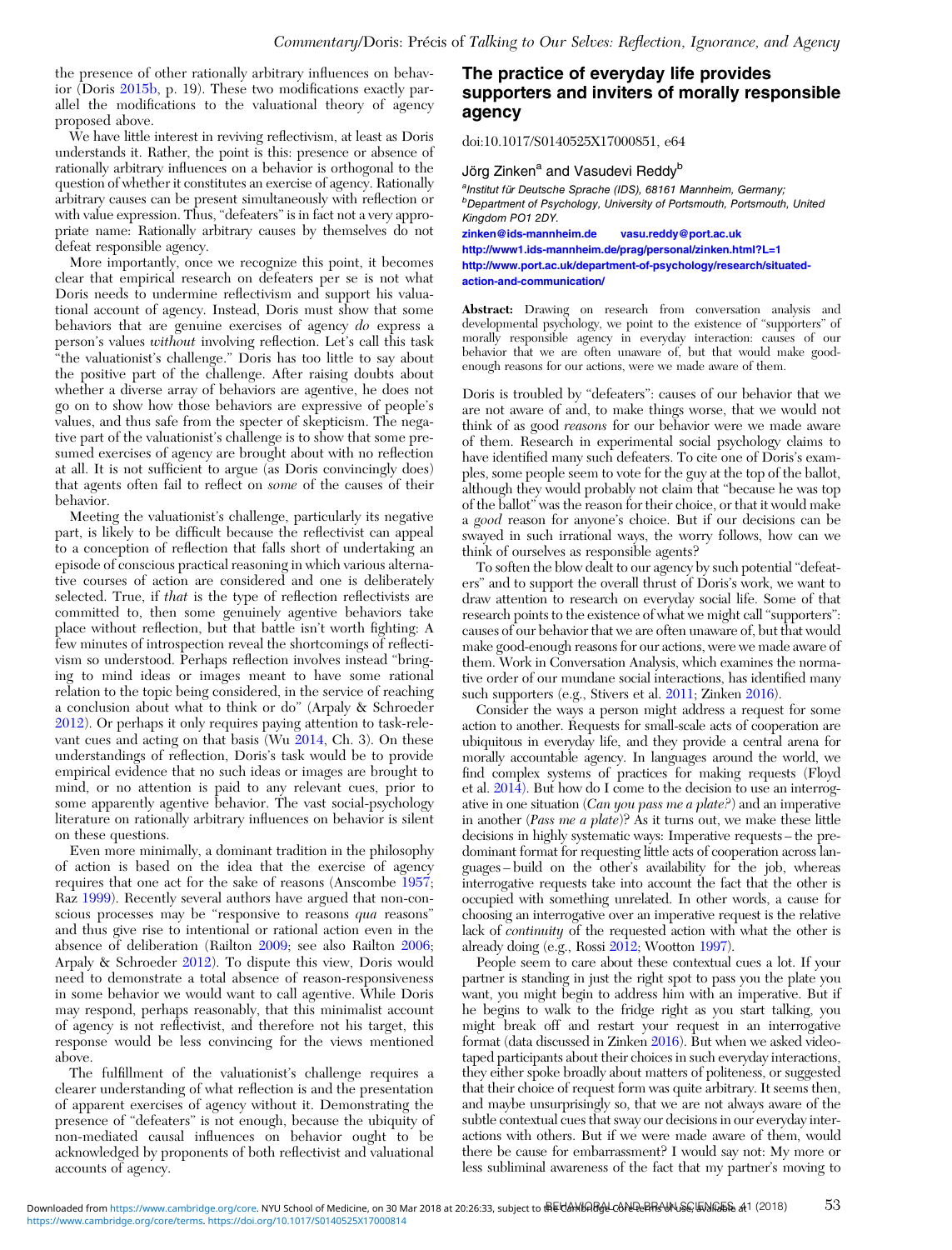the presence of other rationally arbitrary influences on behavior (Doris [2015b,](#page-67-0) p. 19). These two modifications exactly parallel the modifications to the valuational theory of agency proposed above.

We have little interest in reviving reflectivism, at least as Doris understands it. Rather, the point is this: presence or absence of rationally arbitrary influences on a behavior is orthogonal to the question of whether it constitutes an exercise of agency. Rationally arbitrary causes can be present simultaneously with reflection or with value expression. Thus, "defeaters" is in fact not a very appropriate name: Rationally arbitrary causes by themselves do not defeat responsible agency.

More importantly, once we recognize this point, it becomes clear that empirical research on defeaters per se is not what Doris needs to undermine reflectivism and support his valuational account of agency. Instead, Doris must show that some behaviors that are genuine exercises of agency do express a person's values *without* involving reflection. Let's call this task "the valuationist's challenge." Doris has too little to say about the positive part of the challenge. After raising doubts about whether a diverse array of behaviors are agentive, he does not go on to show how those behaviors are expressive of people's values, and thus safe from the specter of skepticism. The negative part of the valuationist's challenge is to show that some presumed exercises of agency are brought about with no reflection at all. It is not sufficient to argue (as Doris convincingly does) that agents often fail to reflect on some of the causes of their behavior.

Meeting the valuationist's challenge, particularly its negative part, is likely to be difficult because the reflectivist can appeal to a conception of reflection that falls short of undertaking an episode of conscious practical reasoning in which various alternative courses of action are considered and one is deliberately selected. True, if that is the type of reflection reflectivists are committed to, then some genuinely agentive behaviors take place without reflection, but that battle isn't worth fighting: A few minutes of introspection reveal the shortcomings of reflectivism so understood. Perhaps reflection involves instead "bringing to mind ideas or images meant to have some rational relation to the topic being considered, in the service of reaching a conclusion about what to think or do" (Arpaly & Schroeder [2012](#page-65-0)). Or perhaps it only requires paying attention to task-relevant cues and acting on that basis (Wu [2014](#page-74-0), Ch. 3). On these understandings of reflection, Doris's task would be to provide empirical evidence that no such ideas or images are brought to mind, or no attention is paid to any relevant cues, prior to some apparently agentive behavior. The vast social-psychology literature on rationally arbitrary influences on behavior is silent on these questions.

Even more minimally, a dominant tradition in the philosophy of action is based on the idea that the exercise of agency requires that one act for the sake of reasons (Anscombe [1957;](#page-65-0) Raz [1999](#page-72-0)). Recently several authors have argued that non-conscious processes may be "responsive to reasons qua reasons" and thus give rise to intentional or rational action even in the absence of deliberation (Railton [2009](#page-72-0); see also Railton [2006;](#page-72-0) Arpaly & Schroeder [2012](#page-65-0)). To dispute this view, Doris would need to demonstrate a total absence of reason-responsiveness in some behavior we would want to call agentive. While Doris may respond, perhaps reasonably, that this minimalist account of agency is not reflectivist, and therefore not his target, this response would be less convincing for the views mentioned above.

The fulfillment of the valuationist's challenge requires a clearer understanding of what reflection is and the presentation of apparent exercises of agency without it. Demonstrating the presence of "defeaters" is not enough, because the ubiquity of non-mediated causal influences on behavior ought to be acknowledged by proponents of both reflectivist and valuational accounts of agency.

# The practice of everyday life provides supporters and inviters of morally responsible agency

doi:10.1017/S0140525X17000851, e64

#### Jörg Zinken<sup>a</sup> and Vasudevi Reddy<sup>b</sup>

<sup>a</sup>Institut für Deutsche Sprache (IDS), 68161 Mannheim, Germany; **b** Department of Psychology, University of Portsmouth, Portsmouth, United Kingdom PO1 2DY. [zinken@ids-mannheim.de](mailto:zinken@ids-mannheim.de) [vasu.reddy@port.ac.uk](mailto:vasu.reddy@port.ac.uk) <http://www1.ids-mannheim.de/prag/personal/zinken.html?L=1>

[http://www.port.ac.uk/department-of-psychology/research/situated](http://www.port.ac.uk/department-of-psychology/research/situated-action-and-communication/)[action-and-communication/](http://www.port.ac.uk/department-of-psychology/research/situated-action-and-communication/)

Abstract: Drawing on research from conversation analysis and developmental psychology, we point to the existence of "supporters" of morally responsible agency in everyday interaction: causes of our behavior that we are often unaware of, but that would make goodenough reasons for our actions, were we made aware of them.

Doris is troubled by "defeaters": causes of our behavior that we are not aware of and, to make things worse, that we would not think of as good reasons for our behavior were we made aware of them. Research in experimental social psychology claims to have identified many such defeaters. To cite one of Doris's examples, some people seem to vote for the guy at the top of the ballot, although they would probably not claim that "because he was top of the ballot" was the reason for their choice, or that it would make a good reason for anyone's choice. But if our decisions can be swayed in such irrational ways, the worry follows, how can we think of ourselves as responsible agents?

To soften the blow dealt to our agency by such potential "defeaters" and to support the overall thrust of Doris's work, we want to draw attention to research on everyday social life. Some of that research points to the existence of what we might call "supporters": causes of our behavior that we are often unaware of, but that would make good-enough reasons for our actions, were we made aware of them. Work in Conversation Analysis, which examines the normative order of our mundane social interactions, has identified many such supporters (e.g., Stivers et al. [2011;](#page-73-0) Zinken [2016\)](#page-74-0).

Consider the ways a person might address a request for some action to another. Requests for small-scale acts of cooperation are ubiquitous in everyday life, and they provide a central arena for morally accountable agency. In languages around the world, we find complex systems of practices for making requests (Floyd et al. [2014\).](#page-68-0) But how do I come to the decision to use an interrogative in one situation (Can you pass me a plate?) and an imperative in another (Pass me a plate)? As it turns out, we make these little decisions in highly systematic ways: Imperative requests – the predominant format for requesting little acts of cooperation across languages – build on the other's availability for the job, whereas interrogative requests take into account the fact that the other is occupied with something unrelated. In other words, a cause for choosing an interrogative over an imperative request is the relative lack of continuity of the requested action with what the other is already doing (e.g., Rossi [2012](#page-72-0); Wootton [1997\)](#page-74-0).

People seem to care about these contextual cues a lot. If your partner is standing in just the right spot to pass you the plate you want, you might begin to address him with an imperative. But if he begins to walk to the fridge right as you start talking, you might break off and restart your request in an interrogative format (data discussed in Zinken [2016](#page-74-0)). But when we asked videotaped participants about their choices in such everyday interactions, they either spoke broadly about matters of politeness, or suggested that their choice of request form was quite arbitrary. It seems then, and maybe unsurprisingly so, that we are not always aware of the subtle contextual cues that sway our decisions in our everyday interactions with others. But if we were made aware of them, would there be cause for embarrassment? I would say not: My more or less subliminal awareness of the fact that my partner's moving to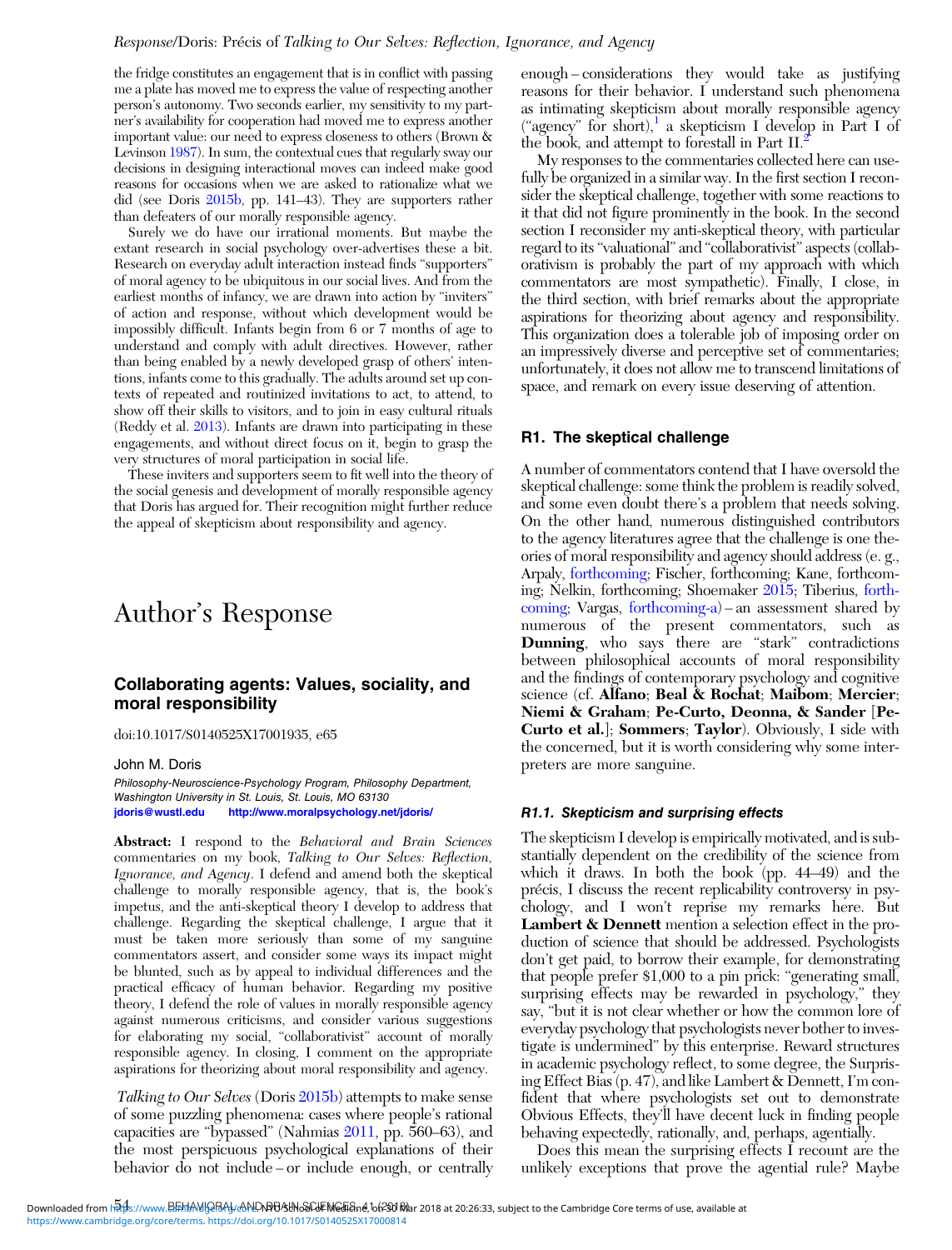the fridge constitutes an engagement that is in conflict with passing me a plate has moved me to express the value of respecting another person's autonomy. Two seconds earlier, my sensitivity to my partner's availability for cooperation had moved me to express another important value: our need to express closeness to others (Brown & Levinson [1987\)](#page-66-0). In sum, the contextual cues that regularly sway our decisions in designing interactional moves can indeed make good reasons for occasions when we are asked to rationalize what we did (see Doris [2015b,](#page-67-0) pp. 141–43). They are supporters rather than defeaters of our morally responsible agency.

Surely we do have our irrational moments. But maybe the extant research in social psychology over-advertises these a bit. Research on everyday adult interaction instead finds "supporters" of moral agency to be ubiquitous in our social lives. And from the earliest months of infancy, we are drawn into action by "inviters" of action and response, without which development would be impossibly difficult. Infants begin from 6 or 7 months of age to understand and comply with adult directives. However, rather than being enabled by a newly developed grasp of others' intentions, infants come to this gradually. The adults around set up contexts of repeated and routinized invitations to act, to attend, to show off their skills to visitors, and to join in easy cultural rituals (Reddy et al. [2013\)](#page-72-0). Infants are drawn into participating in these engagements, and without direct focus on it, begin to grasp the very structures of moral participation in social life.

These inviters and supporters seem to fit well into the theory of the social genesis and development of morally responsible agency that Doris has argued for. Their recognition might further reduce the appeal of skepticism about responsibility and agency.

# Author's Response

# Collaborating agents: Values, sociality, and moral responsibility

doi:10.1017/S0140525X17001935, e65

John M. Doris

Philosophy-Neuroscience-Psychology Program, Philosophy Department, Washington University in St. Louis, St. Louis, MO 63130 [jdoris@wustl.edu](mailto:jdoris@wustl.edu)<http://www.moralpsychology.net/jdoris/>

Abstract: I respond to the Behavioral and Brain Sciences commentaries on my book, Talking to Our Selves: Reflection, Ignorance, and Agency. I defend and amend both the skeptical challenge to morally responsible agency, that is, the book's impetus, and the anti-skeptical theory I develop to address that challenge. Regarding the skeptical challenge, I argue that it must be taken more seriously than some of my sanguine commentators assert, and consider some ways its impact might be blunted, such as by appeal to individual differences and the practical efficacy of human behavior. Regarding my positive theory, I defend the role of values in morally responsible agency against numerous criticisms, and consider various suggestions for elaborating my social, "collaborativist" account of morally responsible agency. In closing, I comment on the appropriate aspirations for theorizing about moral responsibility and agency.

Talking to Our Selves (Doris [2015b](#page-67-0)) attempts to make sense of some puzzling phenomena: cases where people's rational capacities are "bypassed" (Nahmias [2011,](#page-71-0) pp. 560–63), and the most perspicuous psychological explanations of their behavior do not include – or include enough, or centrally

enough – considerations they would take as justifying reasons for their behavior. I understand such phenomena as intimating skepticism about morally responsible agency ("agency" for short), $\frac{1}{1}$  a skepticism I develop in Part I of the book, and attempt to forestall in Part II.<sup>2</sup>

My responses to the commentaries collected here can usefully be organized in a similar way. In the first section I reconsider the skeptical challenge, together with some reactions to it that did not figure prominently in the book. In the second section I reconsider my anti-skeptical theory, with particular regard to its"valuational" and "collaborativist" aspects (collaborativism is probably the part of my approach with which commentators are most sympathetic). Finally, I close, in the third section, with brief remarks about the appropriate aspirations for theorizing about agency and responsibility. This organization does a tolerable job of imposing order on an impressively diverse and perceptive set of commentaries; unfortunately, it does not allow me to transcend limitations of space, and remark on every issue deserving of attention.

## R1. The skeptical challenge

A number of commentators contend that I have oversold the skeptical challenge: some think the problem is readily solved, and some even doubt there's a problem that needs solving. On the other hand, numerous distinguished contributors to the agency literatures agree that the challenge is one theories of moral responsibility and agency should address (e. g., Arpaly, [forthcoming](#page-65-0); Fischer, forthcoming; Kane, forthcoming; Nelkin, forthcoming; Shoemaker [2015](#page-72-0); Tiberius, [forth](#page-73-0)[coming](#page-73-0); Vargas, [forthcoming-a\)](#page-73-0) – an assessment shared by numerous of the present commentators, such as Dunning, who says there are "stark" contradictions between philosophical accounts of moral responsibility and the findings of contemporary psychology and cognitive science (cf. Alfano; Beal & Rochat; Maibom; Mercier; Niemi & Graham; Pe-Curto, Deonna, & Sander [Pe-Curto et al.]; Sommers; Taylor). Obviously, I side with the concerned, but it is worth considering why some interpreters are more sanguine.

#### R1.1. Skepticism and surprising effects

The skepticism I develop is empirically motivated, and is substantially dependent on the credibility of the science from which it draws. In both the book (pp. 44–49) and the précis, I discuss the recent replicability controversy in psychology, and I won't reprise my remarks here. But Lambert & Dennett mention a selection effect in the production of science that should be addressed. Psychologists don't get paid, to borrow their example, for demonstrating that people prefer \$1,000 to a pin prick: "generating small, surprising effects may be rewarded in psychology," they say, "but it is not clear whether or how the common lore of everyday psychology that psychologists never bother to investigate is undermined" by this enterprise. Reward structures in academic psychology reflect, to some degree, the Surprising Effect Bias (p. 47), and like Lambert & Dennett, I'm confident that where psychologists set out to demonstrate Obvious Effects, they'll have decent luck in finding people behaving expectedly, rationally, and, perhaps, agentially.

Does this mean the surprising effects I recount are the unlikely exceptions that prove the agential rule? Maybe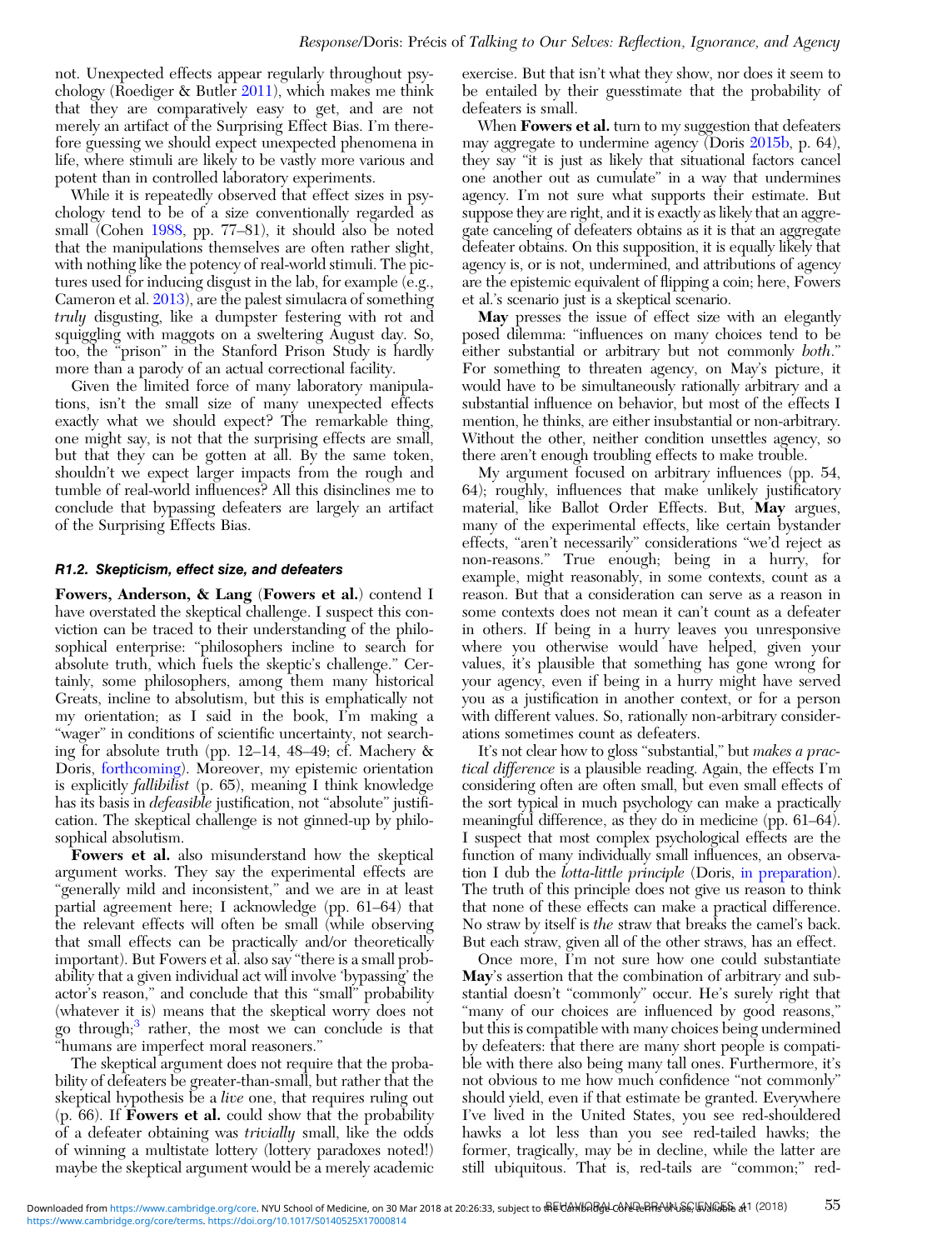not. Unexpected effects appear regularly throughout psychology (Roediger & Butler [2011](#page-72-0)), which makes me think that they are comparatively easy to get, and are not merely an artifact of the Surprising Effect Bias. I'm therefore guessing we should expect unexpected phenomena in life, where stimuli are likely to be vastly more various and potent than in controlled laboratory experiments.

While it is repeatedly observed that effect sizes in psychology tend to be of a size conventionally regarded as small (Cohen [1988,](#page-67-0) pp. 77–81), it should also be noted that the manipulations themselves are often rather slight, with nothing like the potency of real-world stimuli. The pictures used for inducing disgust in the lab, for example (e.g., Cameron et al. [2013\)](#page-66-0), are the palest simulacra of something truly disgusting, like a dumpster festering with rot and squiggling with maggots on a sweltering August day. So, too, the "prison" in the Stanford Prison Study is hardly more than a parody of an actual correctional facility.

Given the limited force of many laboratory manipulations, isn't the small size of many unexpected effects exactly what we should expect? The remarkable thing, one might say, is not that the surprising effects are small, but that they can be gotten at all. By the same token, shouldn't we expect larger impacts from the rough and tumble of real-world influences? All this disinclines me to conclude that bypassing defeaters are largely an artifact of the Surprising Effects Bias.

#### R1.2. Skepticism, effect size, and defeaters

Fowers, Anderson, & Lang (Fowers et al.) contend I have overstated the skeptical challenge. I suspect this conviction can be traced to their understanding of the philosophical enterprise: "philosophers incline to search for absolute truth, which fuels the skeptic's challenge." Certainly, some philosophers, among them many historical Greats, incline to absolutism, but this is emphatically not my orientation; as I said in the book, I'm making a "wager" in conditions of scientific uncertainty, not searching for absolute truth (pp. 12–14, 48–49; cf. Machery & Doris, [forthcoming\)](#page-70-0). Moreover, my epistemic orientation is explicitly fallibilist (p. 65), meaning I think knowledge has its basis in *defeasible* justification, not "absolute" justification. The skeptical challenge is not ginned-up by philosophical absolutism.

Fowers et al. also misunderstand how the skeptical argument works. They say the experimental effects are "generally mild and inconsistent," and we are in at least partial agreement here; I acknowledge (pp. 61–64) that the relevant effects will often be small (while observing that small effects can be practically and/or theoretically important). But Fowers et al. also say "there is a small probability that a given individual act will involve 'bypassing' the actor's reason," and conclude that this "small" probability (whatever it is) means that the skeptical worry does not go through;<sup>[3](#page-11-0)</sup> rather, the most we can conclude is that "humans are imperfect moral reasoners."

The skeptical argument does not require that the probability of defeaters be greater-than-small, but rather that the skeptical hypothesis be a live one, that requires ruling out (p. 66). If Fowers et al. could show that the probability of a defeater obtaining was trivially small, like the odds of winning a multistate lottery (lottery paradoxes noted!) maybe the skeptical argument would be a merely academic exercise. But that isn't what they show, nor does it seem to be entailed by their guesstimate that the probability of defeaters is small.

When **Fowers et al.** turn to my suggestion that defeaters may aggregate to undermine agency (Doris [2015b](#page-67-0), p. 64), they say "it is just as likely that situational factors cancel one another out as cumulate" in a way that undermines agency. I'm not sure what supports their estimate. But suppose they are right, and it is exactly as likely that an aggregate canceling of defeaters obtains as it is that an aggregate defeater obtains. On this supposition, it is equally likely that agency is, or is not, undermined, and attributions of agency are the epistemic equivalent of flipping a coin; here, Fowers et al.'s scenario just is a skeptical scenario.

May presses the issue of effect size with an elegantly posed dilemma: "influences on many choices tend to be either substantial or arbitrary but not commonly both." For something to threaten agency, on May's picture, it would have to be simultaneously rationally arbitrary and a substantial influence on behavior, but most of the effects I mention, he thinks, are either insubstantial or non-arbitrary. Without the other, neither condition unsettles agency, so there aren't enough troubling effects to make trouble.

My argument focused on arbitrary influences (pp. 54, 64); roughly, influences that make unlikely justificatory material, like Ballot Order Effects. But, May argues, many of the experimental effects, like certain bystander effects, "aren't necessarily" considerations "we'd reject as non-reasons." True enough; being in a hurry, for example, might reasonably, in some contexts, count as a reason. But that a consideration can serve as a reason in some contexts does not mean it can't count as a defeater in others. If being in a hurry leaves you unresponsive where you otherwise would have helped, given your values, it's plausible that something has gone wrong for your agency, even if being in a hurry might have served you as a justification in another context, or for a person with different values. So, rationally non-arbitrary considerations sometimes count as defeaters.

It's not clear how to gloss "substantial," but makes a practical difference is a plausible reading. Again, the effects I'm considering often are often small, but even small effects of the sort typical in much psychology can make a practically meaningful difference, as they do in medicine (pp. 61–64). I suspect that most complex psychological effects are the function of many individually small influences, an observation I dub the lotta-little principle (Doris, [in preparation](#page-67-0)). The truth of this principle does not give us reason to think that none of these effects can make a practical difference. No straw by itself is the straw that breaks the camel's back. But each straw, given all of the other straws, has an effect.

Once more, I'm not sure how one could substantiate May's assertion that the combination of arbitrary and substantial doesn't "commonly" occur. He's surely right that "many of our choices are influenced by good reasons," but this is compatible with many choices being undermined by defeaters: that there are many short people is compatible with there also being many tall ones. Furthermore, it's not obvious to me how much confidence "not commonly" should yield, even if that estimate be granted. Everywhere I've lived in the United States, you see red-shouldered hawks a lot less than you see red-tailed hawks; the former, tragically, may be in decline, while the latter are still ubiquitous. That is, red-tails are "common;" red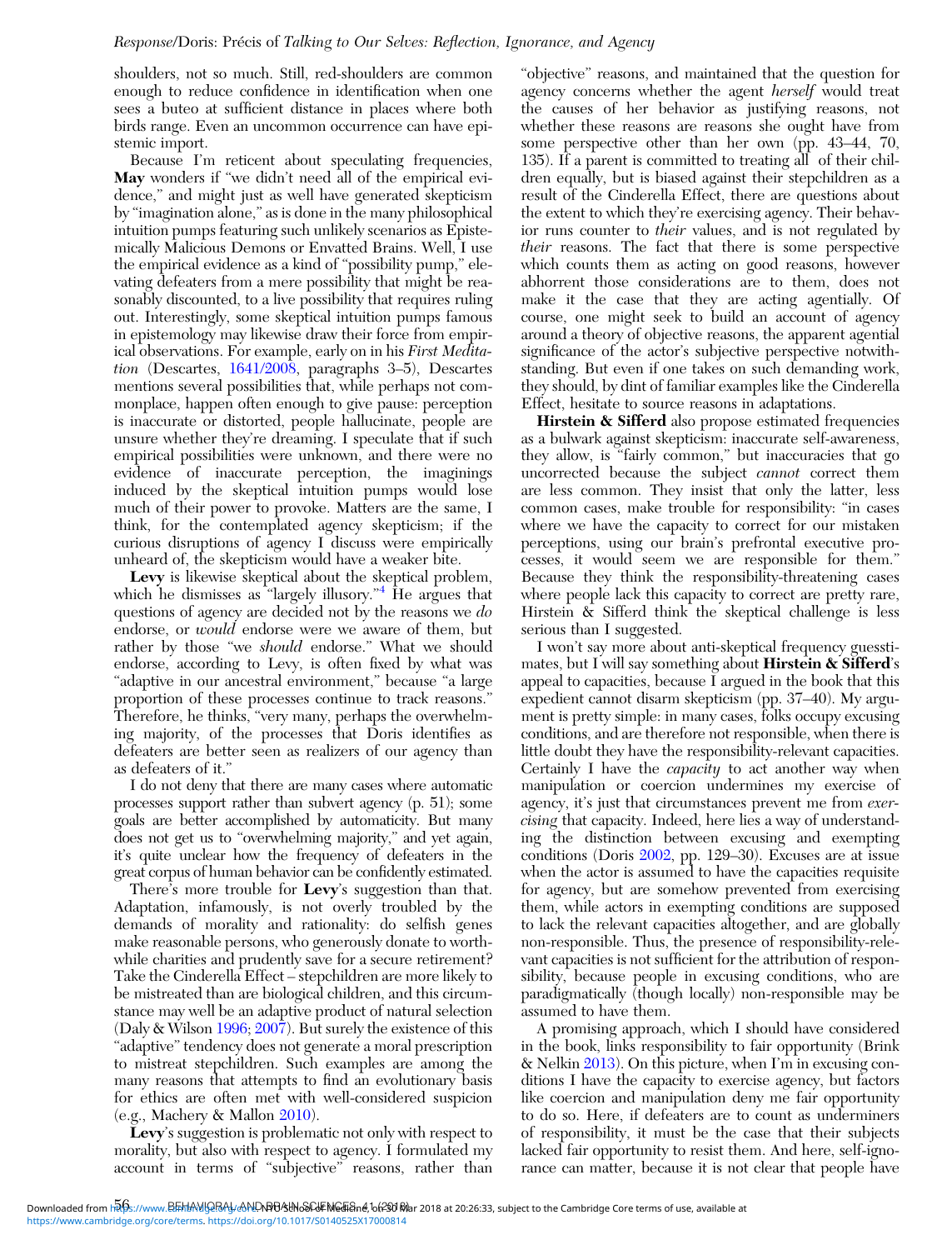shoulders, not so much. Still, red-shoulders are common enough to reduce confidence in identification when one sees a buteo at sufficient distance in places where both birds range. Even an uncommon occurrence can have epistemic import.

Because I'm reticent about speculating frequencies, May wonders if "we didn't need all of the empirical evidence," and might just as well have generated skepticism by "imagination alone," as is done in the many philosophical intuition pumps featuring such unlikely scenarios as Epistemically Malicious Demons or Envatted Brains. Well, I use the empirical evidence as a kind of "possibility pump," elevating defeaters from a mere possibility that might be reasonably discounted, to a live possibility that requires ruling out. Interestingly, some skeptical intuition pumps famous in epistemology may likewise draw their force from empirical observations. For example, early on in his First Meditation (Descartes, [1641/2008,](#page-67-0) paragraphs 3–5), Descartes mentions several possibilities that, while perhaps not commonplace, happen often enough to give pause: perception is inaccurate or distorted, people hallucinate, people are unsure whether they're dreaming. I speculate that if such empirical possibilities were unknown, and there were no evidence of inaccurate perception, the imaginings induced by the skeptical intuition pumps would lose much of their power to provoke. Matters are the same, I think, for the contemplated agency skepticism; if the curious disruptions of agency I discuss were empirically unheard of, the skepticism would have a weaker bite.

Levy is likewise skeptical about the skeptical problem, which he dismisses as "largely illusory."<sup>[4](#page-11-0)</sup> He argues that questions of agency are decided not by the reasons we do endorse, or would endorse were we aware of them, but rather by those "we should endorse." What we should endorse, according to Levy, is often fixed by what was "adaptive in our ancestral environment," because "a large proportion of these processes continue to track reasons." Therefore, he thinks, "very many, perhaps the overwhelming majority, of the processes that Doris identifies as defeaters are better seen as realizers of our agency than as defeaters of it."

I do not deny that there are many cases where automatic processes support rather than subvert agency (p. 51); some goals are better accomplished by automaticity. But many does not get us to "overwhelming majority," and yet again, it's quite unclear how the frequency of defeaters in the great corpus of human behavior can be confidently estimated.

There's more trouble for **Levy**'s suggestion than that. Adaptation, infamously, is not overly troubled by the demands of morality and rationality: do selfish genes make reasonable persons, who generously donate to worthwhile charities and prudently save for a secure retirement? Take the Cinderella Effect – stepchildren are more likely to be mistreated than are biological children, and this circumstance may well be an adaptive product of natural selection (Daly & Wilson [1996;](#page-67-0) [2007](#page-67-0)). But surely the existence of this "adaptive" tendency does not generate a moral prescription to mistreat stepchildren. Such examples are among the many reasons that attempts to find an evolutionary basis for ethics are often met with well-considered suspicion (e.g., Machery & Mallon [2010](#page-70-0)).

Levy's suggestion is problematic not only with respect to morality, but also with respect to agency. I formulated my account in terms of "subjective" reasons, rather than

"objective" reasons, and maintained that the question for agency concerns whether the agent herself would treat the causes of her behavior as justifying reasons, not whether these reasons are reasons she ought have from some perspective other than her own (pp. 43–44, 70, 135). If a parent is committed to treating all of their children equally, but is biased against their stepchildren as a result of the Cinderella Effect, there are questions about the extent to which they're exercising agency. Their behavior runs counter to their values, and is not regulated by their reasons. The fact that there is some perspective which counts them as acting on good reasons, however abhorrent those considerations are to them, does not make it the case that they are acting agentially. Of course, one might seek to build an account of agency around a theory of objective reasons, the apparent agential significance of the actor's subjective perspective notwithstanding. But even if one takes on such demanding work, they should, by dint of familiar examples like the Cinderella Effect, hesitate to source reasons in adaptations.

**Hirstein & Sifferd** also propose estimated frequencies as a bulwark against skepticism: inaccurate self-awareness, they allow, is "fairly common," but inaccuracies that go uncorrected because the subject cannot correct them are less common. They insist that only the latter, less common cases, make trouble for responsibility: "in cases where we have the capacity to correct for our mistaken perceptions, using our brain's prefrontal executive processes, it would seem we are responsible for them." Because they think the responsibility-threatening cases where people lack this capacity to correct are pretty rare, Hirstein & Sifferd think the skeptical challenge is less serious than I suggested.

I won't say more about anti-skeptical frequency guesstimates, but I will say something about **Hirstein & Sifferd**'s appeal to capacities, because I argued in the book that this expedient cannot disarm skepticism (pp. 37–40). My argument is pretty simple: in many cases, folks occupy excusing conditions, and are therefore not responsible, when there is little doubt they have the responsibility-relevant capacities. Certainly I have the capacity to act another way when manipulation or coercion undermines my exercise of agency, it's just that circumstances prevent me from exercising that capacity. Indeed, here lies a way of understanding the distinction between excusing and exempting conditions (Doris [2002](#page-67-0), pp. 129–30). Excuses are at issue when the actor is assumed to have the capacities requisite for agency, but are somehow prevented from exercising them, while actors in exempting conditions are supposed to lack the relevant capacities altogether, and are globally non-responsible. Thus, the presence of responsibility-relevant capacities is not sufficient for the attribution of responsibility, because people in excusing conditions, who are paradigmatically (though locally) non-responsible may be assumed to have them.

A promising approach, which I should have considered in the book, links responsibility to fair opportunity (Brink & Nelkin [2013](#page-66-0)). On this picture, when I'm in excusing conditions I have the capacity to exercise agency, but factors like coercion and manipulation deny me fair opportunity to do so. Here, if defeaters are to count as underminers of responsibility, it must be the case that their subjects lacked fair opportunity to resist them. And here, self-ignorance can matter, because it is not clear that people have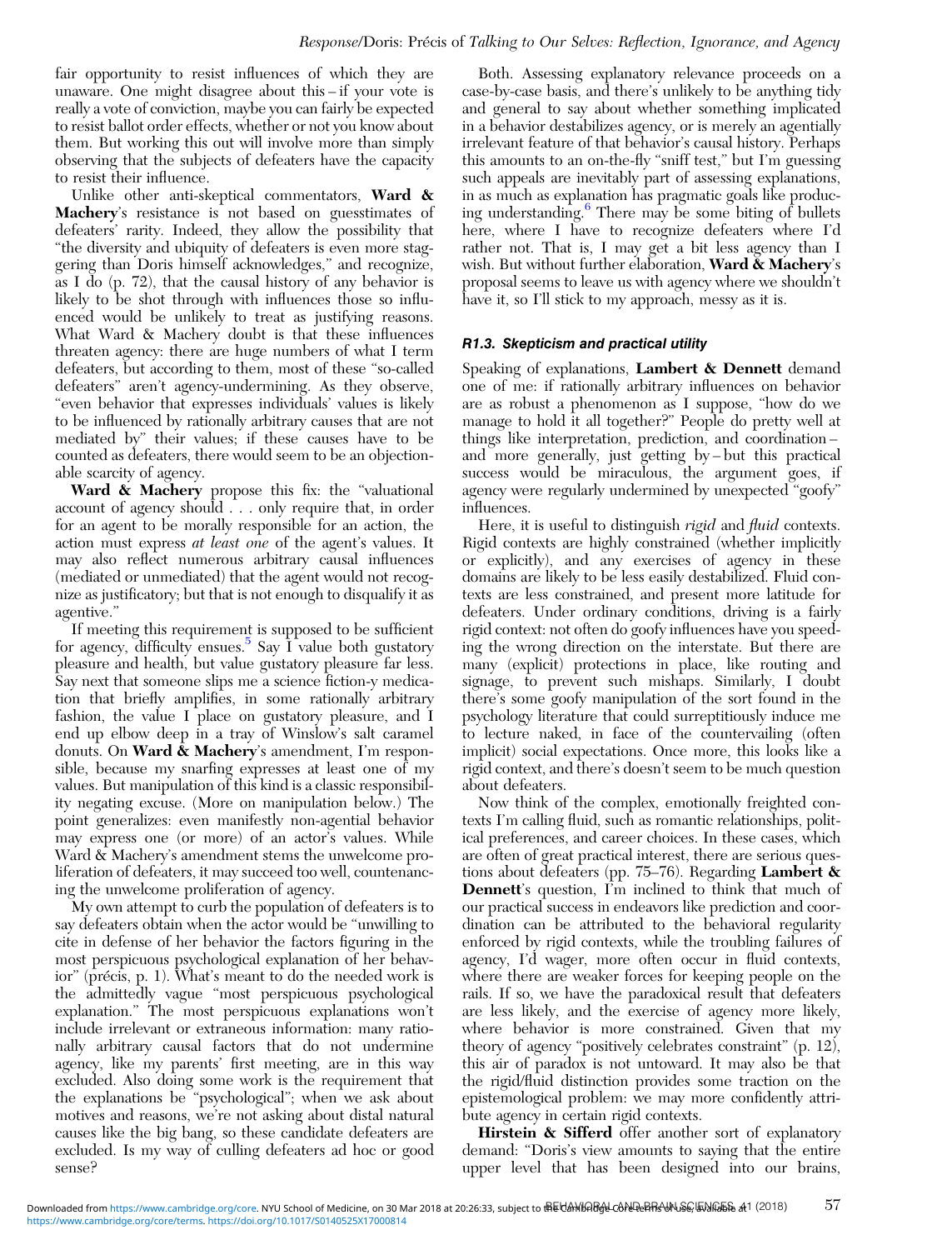fair opportunity to resist influences of which they are unaware. One might disagree about this – if your vote is really a vote of conviction, maybe you can fairly be expected to resist ballot order effects, whether or not you know about them. But working this out will involve more than simply observing that the subjects of defeaters have the capacity to resist their influence.

Unlike other anti-skeptical commentators, **Ward &** Machery's resistance is not based on guesstimates of defeaters' rarity. Indeed, they allow the possibility that "the diversity and ubiquity of defeaters is even more staggering than Doris himself acknowledges," and recognize, as I do (p. 72), that the causal history of any behavior is likely to be shot through with influences those so influenced would be unlikely to treat as justifying reasons. What Ward & Machery doubt is that these influences threaten agency: there are huge numbers of what I term defeaters, but according to them, most of these "so-called defeaters" aren't agency-undermining. As they observe, "even behavior that expresses individuals' values is likely to be influenced by rationally arbitrary causes that are not mediated by" their values; if these causes have to be counted as defeaters, there would seem to be an objectionable scarcity of agency.

Ward & Machery propose this fix: the "valuational" account of agency should . . . only require that, in order for an agent to be morally responsible for an action, the action must express at least one of the agent's values. It may also reflect numerous arbitrary causal influences (mediated or unmediated) that the agent would not recognize as justificatory; but that is not enough to disqualify it as agentive."

If meeting this requirement is supposed to be sufficient for agency, difficulty ensues.<sup>[5](#page-11-0)</sup> Say  $\tilde{I}$  value both gustatory pleasure and health, but value gustatory pleasure far less. Say next that someone slips me a science fiction-y medication that briefly amplifies, in some rationally arbitrary fashion, the value I place on gustatory pleasure, and I end up elbow deep in a tray of Winslow's salt caramel donuts. On Ward & Machery's amendment, I'm responsible, because my snarfing expresses at least one of my values. But manipulation of this kind is a classic responsibility negating excuse. (More on manipulation below.) The point generalizes: even manifestly non-agential behavior may express one (or more) of an actor's values. While Ward & Machery's amendment stems the unwelcome proliferation of defeaters, it may succeed too well, countenancing the unwelcome proliferation of agency.

My own attempt to curb the population of defeaters is to say defeaters obtain when the actor would be "unwilling to cite in defense of her behavior the factors figuring in the most perspicuous psychological explanation of her behavior" (précis, p. 1). What's meant to do the needed work is the admittedly vague "most perspicuous psychological explanation." The most perspicuous explanations won't include irrelevant or extraneous information: many rationally arbitrary causal factors that do not undermine agency, like my parents' first meeting, are in this way excluded. Also doing some work is the requirement that the explanations be "psychological"; when we ask about motives and reasons, we're not asking about distal natural causes like the big bang, so these candidate defeaters are excluded. Is my way of culling defeaters ad hoc or good sense?

Both. Assessing explanatory relevance proceeds on a case-by-case basis, and there's unlikely to be anything tidy and general to say about whether something implicated in a behavior destabilizes agency, or is merely an agentially irrelevant feature of that behavior's causal history. Perhaps this amounts to an on-the-fly "sniff test," but I'm guessing such appeals are inevitably part of assessing explanations, in as much as explanation has pragmatic goals like produc-ing understanding.<sup>[6](#page-11-0)</sup> There may be some biting of bullets here, where I have to recognize defeaters where I'd rather not. That is, I may get a bit less agency than I wish. But without further elaboration, **Ward & Machery's** proposal seems to leave us with agency where we shouldn't have it, so I'll stick to my approach, messy as it is.

# R1.3. Skepticism and practical utility

Speaking of explanations, Lambert & Dennett demand one of me: if rationally arbitrary influences on behavior are as robust a phenomenon as I suppose, "how do we manage to hold it all together?" People do pretty well at things like interpretation, prediction, and coordination – and more generally, just getting by – but this practical success would be miraculous, the argument goes, if agency were regularly undermined by unexpected "goofy" influences.

Here, it is useful to distinguish rigid and fluid contexts. Rigid contexts are highly constrained (whether implicitly or explicitly), and any exercises of agency in these domains are likely to be less easily destabilized. Fluid contexts are less constrained, and present more latitude for defeaters. Under ordinary conditions, driving is a fairly rigid context: not often do goofy influences have you speeding the wrong direction on the interstate. But there are many (explicit) protections in place, like routing and signage, to prevent such mishaps. Similarly, I doubt there's some goofy manipulation of the sort found in the psychology literature that could surreptitiously induce me to lecture naked, in face of the countervailing (often implicit) social expectations. Once more, this looks like a rigid context, and there's doesn't seem to be much question about defeaters.

Now think of the complex, emotionally freighted contexts I'm calling fluid, such as romantic relationships, political preferences, and career choices. In these cases, which are often of great practical interest, there are serious questions about defeaters (pp. 75–76). Regarding Lambert & Dennett's question, I'm inclined to think that much of our practical success in endeavors like prediction and coordination can be attributed to the behavioral regularity enforced by rigid contexts, while the troubling failures of agency, I'd wager, more often occur in fluid contexts, where there are weaker forces for keeping people on the rails. If so, we have the paradoxical result that defeaters are less likely, and the exercise of agency more likely, where behavior is more constrained. Given that my theory of agency "positively celebrates constraint" (p. 12), this air of paradox is not untoward. It may also be that the rigid/fluid distinction provides some traction on the epistemological problem: we may more confidently attribute agency in certain rigid contexts.

Hirstein & Sifferd offer another sort of explanatory demand: "Doris's view amounts to saying that the entire upper level that has been designed into our brains,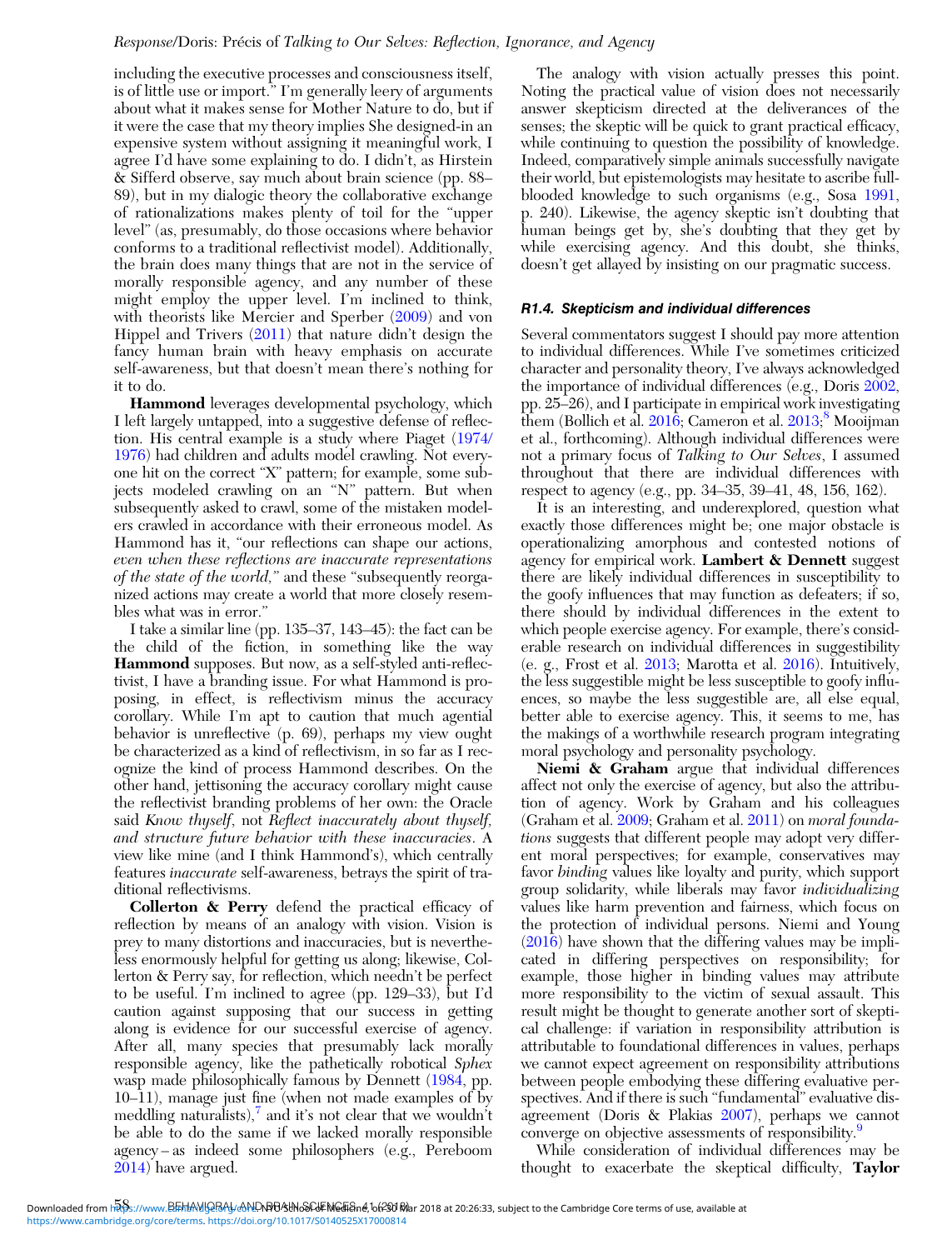including the executive processes and consciousness itself, is of little use or import." I'm generally leery of arguments about what it makes sense for Mother Nature to do, but if it were the case that my theory implies She designed-in an expensive system without assigning it meaningful work, I agree I'd have some explaining to do. I didn't, as Hirstein & Sifferd observe, say much about brain science (pp. 88– 89), but in my dialogic theory the collaborative exchange of rationalizations makes plenty of toil for the "upper level" (as, presumably, do those occasions where behavior conforms to a traditional reflectivist model). Additionally, the brain does many things that are not in the service of morally responsible agency, and any number of these might employ the upper level. I'm inclined to think, with theorists like Mercier and Sperber [\(2009\)](#page-70-0) and von Hippel and Trivers [\(2011\)](#page-73-0) that nature didn't design the fancy human brain with heavy emphasis on accurate self-awareness, but that doesn't mean there's nothing for it to do.

**Hammond** leverages developmental psychology, which I left largely untapped, into a suggestive defense of reflection. His central example is a study where Piaget ([1974/](#page-72-0) [1976](#page-72-0)) had children and adults model crawling. Not everyone hit on the correct "X" pattern; for example, some subjects modeled crawling on an "N" pattern. But when subsequently asked to crawl, some of the mistaken modelers crawled in accordance with their erroneous model. As Hammond has it, "our reflections can shape our actions, even when these reflections are inaccurate representations of the state of the world," and these "subsequently reorganized actions may create a world that more closely resembles what was in error."

I take a similar line (pp. 135–37, 143–45): the fact can be the child of the fiction, in something like the way Hammond supposes. But now, as a self-styled anti-reflectivist, I have a branding issue. For what Hammond is proposing, in effect, is reflectivism minus the accuracy corollary. While I'm apt to caution that much agential behavior is unreflective (p. 69), perhaps my view ought be characterized as a kind of reflectivism, in so far as I recognize the kind of process Hammond describes. On the other hand, jettisoning the accuracy corollary might cause the reflectivist branding problems of her own: the Oracle said Know thyself, not Reflect inaccurately about thyself, and structure future behavior with these inaccuracies. A view like mine (and I think Hammond's), which centrally features inaccurate self-awareness, betrays the spirit of traditional reflectivisms.

**Collerton & Perry** defend the practical efficacy of reflection by means of an analogy with vision. Vision is prey to many distortions and inaccuracies, but is nevertheless enormously helpful for getting us along; likewise, Collerton & Perry say, for reflection, which needn't be perfect to be useful. I'm inclined to agree (pp. 129–33), but I'd caution against supposing that our success in getting along is evidence for our successful exercise of agency. After all, many species that presumably lack morally responsible agency, like the pathetically robotical Sphex wasp made philosophically famous by Dennett [\(1984](#page-67-0), pp. 10–11), manage just fine (when not made examples of by meddling naturalists), $\frac{7}{1}$  $\frac{7}{1}$  $\frac{7}{1}$  and it's not clear that we wouldn't be able to do the same if we lacked morally responsible agency – as indeed some philosophers (e.g., Pereboom [2014](#page-72-0)) have argued.

The analogy with vision actually presses this point. Noting the practical value of vision does not necessarily answer skepticism directed at the deliverances of the senses; the skeptic will be quick to grant practical efficacy, while continuing to question the possibility of knowledge. Indeed, comparatively simple animals successfully navigate their world, but epistemologists may hesitate to ascribe fullblooded knowledge to such organisms (e.g., Sosa [1991,](#page-73-0) p. 240). Likewise, the agency skeptic isn't doubting that human beings get by, she's doubting that they get by while exercising agency. And this doubt, she thinks, doesn't get allayed by insisting on our pragmatic success.

#### R1.4. Skepticism and individual differences

Several commentators suggest I should pay more attention to individual differences. While I've sometimes criticized character and personality theory, I've always acknowledged the importance of individual differences (e.g., Doris [2002,](#page-67-0) pp. 25–26), and I participate in empirical work investigating them (Bollich et al. [2016](#page-66-0); Cameron et al. [2013](#page-66-0);<sup>[8](#page-65-0)</sup> Mooijman et al., forthcoming). Although individual differences were not a primary focus of Talking to Our Selves, I assumed throughout that there are individual differences with respect to agency (e.g., pp. 34–35, 39–41, 48, 156, 162).

It is an interesting, and underexplored, question what exactly those differences might be; one major obstacle is operationalizing amorphous and contested notions of agency for empirical work. Lambert & Dennett suggest there are likely individual differences in susceptibility to the goofy influences that may function as defeaters; if so, there should by individual differences in the extent to which people exercise agency. For example, there's considerable research on individual differences in suggestibility (e. g., Frost et al. [2013;](#page-68-0) Marotta et al. [2016](#page-70-0)). Intuitively, the less suggestible might be less susceptible to goofy influences, so maybe the less suggestible are, all else equal, better able to exercise agency. This, it seems to me, has the makings of a worthwhile research program integrating moral psychology and personality psychology.

Niemi & Graham argue that individual differences affect not only the exercise of agency, but also the attribution of agency. Work by Graham and his colleagues (Graham et al. [2009](#page-69-0); Graham et al. [2011](#page-69-0)) on moral foundations suggests that different people may adopt very different moral perspectives; for example, conservatives may favor binding values like loyalty and purity, which support group solidarity, while liberals may favor individualizing values like harm prevention and fairness, which focus on the protection of individual persons. Niemi and Young ([2016\)](#page-71-0) have shown that the differing values may be implicated in differing perspectives on responsibility; for example, those higher in binding values may attribute more responsibility to the victim of sexual assault. This result might be thought to generate another sort of skeptical challenge: if variation in responsibility attribution is attributable to foundational differences in values, perhaps we cannot expect agreement on responsibility attributions between people embodying these differing evaluative perspectives. And if there is such "fundamental" evaluative disagreement (Doris & Plakias [2007](#page-67-0)), perhaps we cannot converge on objective assessments of responsibility.<sup>[9](#page-65-0)</sup>

While consideration of individual differences may be thought to exacerbate the skeptical difficulty, Taylor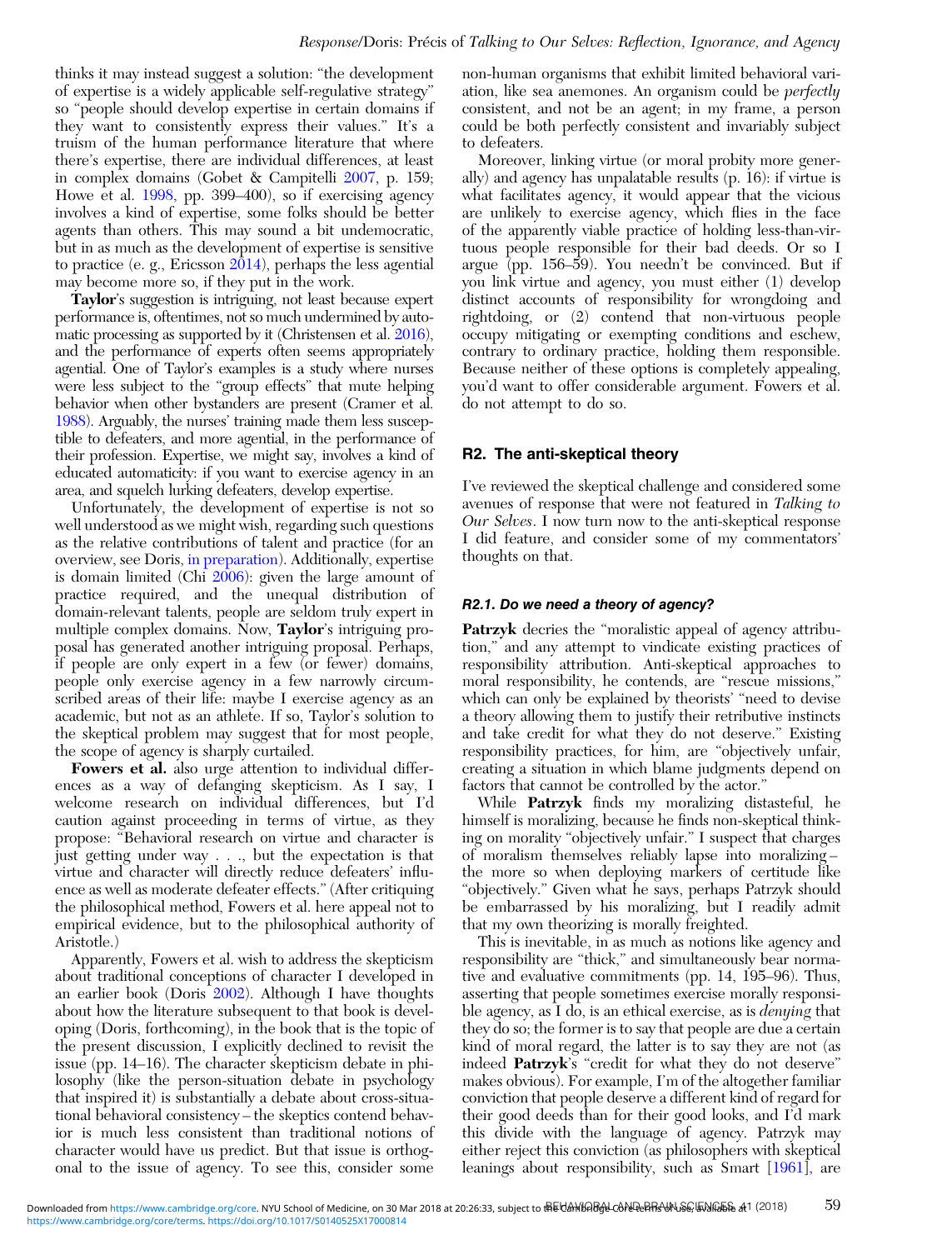thinks it may instead suggest a solution: "the development of expertise is a widely applicable self-regulative strategy" so "people should develop expertise in certain domains if they want to consistently express their values." It's a truism of the human performance literature that where there's expertise, there are individual differences, at least in complex domains (Gobet & Campitelli [2007,](#page-68-0) p. 159; Howe et al. [1998,](#page-69-0) pp. 399–400), so if exercising agency involves a kind of expertise, some folks should be better agents than others. This may sound a bit undemocratic, but in as much as the development of expertise is sensitive to practice (e. g., Ericsson [2014\)](#page-68-0), perhaps the less agential may become more so, if they put in the work.

Taylor's suggestion is intriguing, not least because expert performance is, oftentimes, not so much undermined by automatic processing as supported by it (Christensen et al. [2016](#page-66-0)), and the performance of experts often seems appropriately agential. One of Taylor's examples is a study where nurses were less subject to the "group effects" that mute helping behavior when other bystanders are present (Cramer et al. [1988](#page-67-0)). Arguably, the nurses' training made them less susceptible to defeaters, and more agential, in the performance of their profession. Expertise, we might say, involves a kind of educated automaticity: if you want to exercise agency in an area, and squelch lurking defeaters, develop expertise.

Unfortunately, the development of expertise is not so well understood as we might wish, regarding such questions as the relative contributions of talent and practice (for an overview, see Doris, [in preparation](#page-67-0)). Additionally, expertise is domain limited (Chi [2006\)](#page-66-0): given the large amount of practice required, and the unequal distribution of domain-relevant talents, people are seldom truly expert in multiple complex domains. Now, Taylor's intriguing proposal has generated another intriguing proposal. Perhaps, if people are only expert in a few (or fewer) domains, people only exercise agency in a few narrowly circumscribed areas of their life: maybe I exercise agency as an academic, but not as an athlete. If so, Taylor's solution to the skeptical problem may suggest that for most people, the scope of agency is sharply curtailed.

Fowers et al. also urge attention to individual differences as a way of defanging skepticism. As I say, I welcome research on individual differences, but I'd caution against proceeding in terms of virtue, as they propose: "Behavioral research on virtue and character is just getting under way . . ., but the expectation is that virtue and character will directly reduce defeaters' influence as well as moderate defeater effects." (After critiquing the philosophical method, Fowers et al. here appeal not to empirical evidence, but to the philosophical authority of Aristotle.)

Apparently, Fowers et al. wish to address the skepticism about traditional conceptions of character I developed in an earlier book (Doris [2002](#page-67-0)). Although I have thoughts about how the literature subsequent to that book is developing (Doris, forthcoming), in the book that is the topic of the present discussion, I explicitly declined to revisit the issue (pp. 14–16). The character skepticism debate in philosophy (like the person-situation debate in psychology that inspired it) is substantially a debate about cross-situational behavioral consistency – the skeptics contend behavior is much less consistent than traditional notions of character would have us predict. But that issue is orthogonal to the issue of agency. To see this, consider some

non-human organisms that exhibit limited behavioral variation, like sea anemones. An organism could be perfectly consistent, and not be an agent; in my frame, a person could be both perfectly consistent and invariably subject to defeaters.

Moreover, linking virtue (or moral probity more generally) and agency has unpalatable results (p. 16): if virtue is what facilitates agency, it would appear that the vicious are unlikely to exercise agency, which flies in the face of the apparently viable practice of holding less-than-virtuous people responsible for their bad deeds. Or so I argue (pp. 156–59). You needn't be convinced. But if you link virtue and agency, you must either (1) develop distinct accounts of responsibility for wrongdoing and rightdoing, or (2) contend that non-virtuous people occupy mitigating or exempting conditions and eschew, contrary to ordinary practice, holding them responsible. Because neither of these options is completely appealing, you'd want to offer considerable argument. Fowers et al. do not attempt to do so.

## R2. The anti-skeptical theory

I've reviewed the skeptical challenge and considered some avenues of response that were not featured in Talking to Our Selves. I now turn now to the anti-skeptical response I did feature, and consider some of my commentators' thoughts on that.

## R2.1. Do we need a theory of agency?

Patrzyk decries the "moralistic appeal of agency attribution," and any attempt to vindicate existing practices of responsibility attribution. Anti-skeptical approaches to moral responsibility, he contends, are "rescue missions," which can only be explained by theorists' "need to devise a theory allowing them to justify their retributive instincts and take credit for what they do not deserve." Existing responsibility practices, for him, are "objectively unfair, creating a situation in which blame judgments depend on factors that cannot be controlled by the actor."

While **Patrzyk** finds my moralizing distasteful, he himself is moralizing, because he finds non-skeptical thinking on morality "objectively unfair." I suspect that charges of moralism themselves reliably lapse into moralizing – the more so when deploying markers of certitude like "objectively." Given what he says, perhaps Patrzyk should be embarrassed by his moralizing, but I readily admit that my own theorizing is morally freighted.

This is inevitable, in as much as notions like agency and responsibility are "thick," and simultaneously bear normative and evaluative commitments (pp. 14, 195–96). Thus, asserting that people sometimes exercise morally responsible agency, as I do, is an ethical exercise, as is denying that they do so; the former is to say that people are due a certain kind of moral regard, the latter is to say they are not (as indeed Patrzyk's "credit for what they do not deserve" makes obvious). For example, I'm of the altogether familiar conviction that people deserve a different kind of regard for their good deeds than for their good looks, and I'd mark this divide with the language of agency. Patrzyk may either reject this conviction (as philosophers with skeptical leanings about responsibility, such as Smart [[1961\]](#page-72-0), are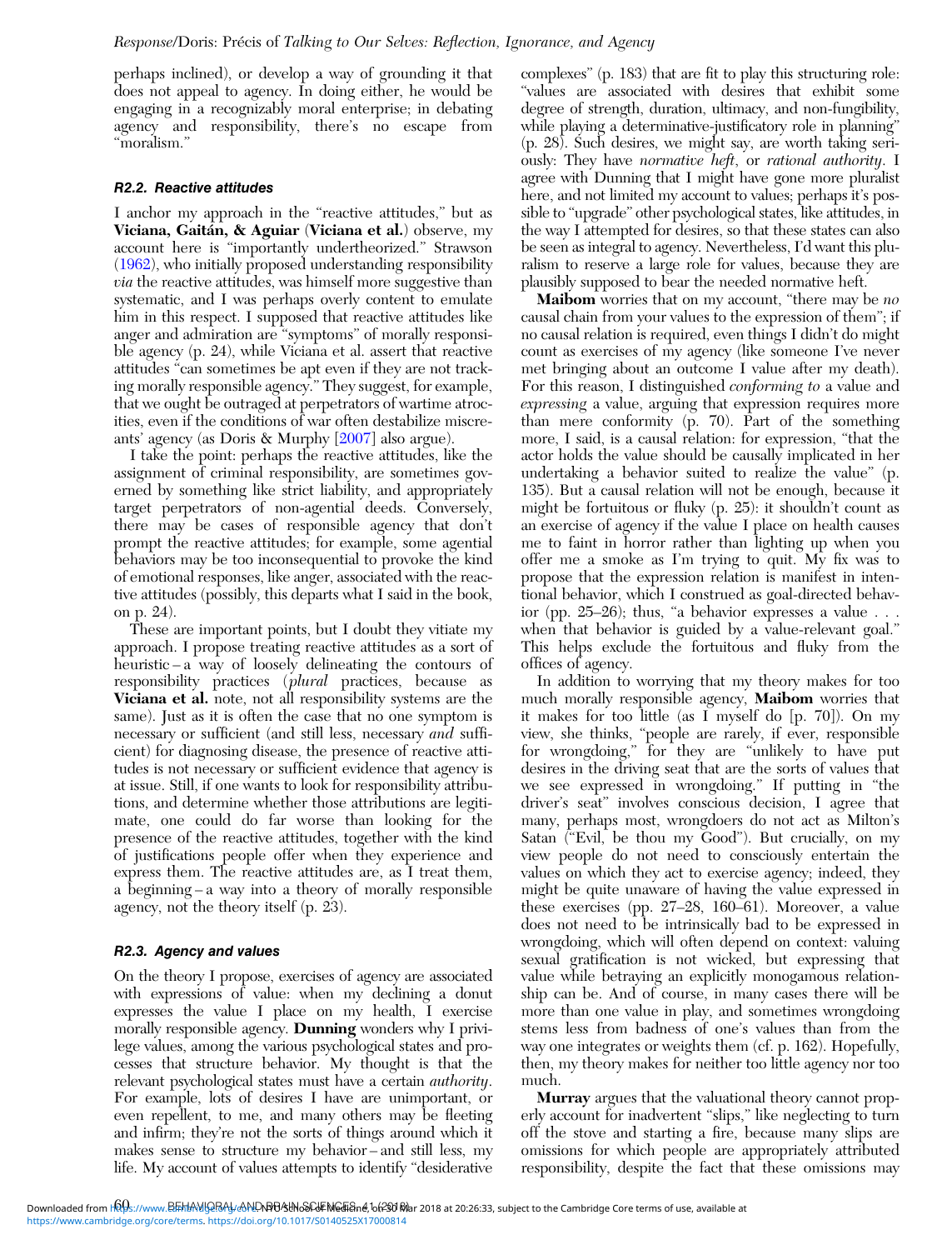perhaps inclined), or develop a way of grounding it that does not appeal to agency. In doing either, he would be engaging in a recognizably moral enterprise; in debating agency and responsibility, there's no escape from "moralism."

## R2.2. Reactive attitudes

I anchor my approach in the "reactive attitudes," but as Viciana, Gaitán, & Aguiar (Viciana et al.) observe, my account here is "importantly undertheorized." Strawson ([1962\)](#page-73-0), who initially proposed understanding responsibility *via* the reactive attitudes, was himself more suggestive than systematic, and I was perhaps overly content to emulate him in this respect. I supposed that reactive attitudes like anger and admiration are "symptoms" of morally responsible agency (p. 24), while Viciana et al. assert that reactive attitudes "can sometimes be apt even if they are not tracking morally responsible agency." They suggest, for example, that we ought be outraged at perpetrators of wartime atrocities, even if the conditions of war often destabilize miscreants' agency (as Doris & Murphy [\[2007](#page-67-0)] also argue).

I take the point: perhaps the reactive attitudes, like the assignment of criminal responsibility, are sometimes governed by something like strict liability, and appropriately target perpetrators of non-agential deeds. Conversely, there may be cases of responsible agency that don't prompt the reactive attitudes; for example, some agential behaviors may be too inconsequential to provoke the kind of emotional responses, like anger, associated with the reactive attitudes (possibly, this departs what I said in the book, on p. 24).

These are important points, but I doubt they vitiate my approach. I propose treating reactive attitudes as a sort of heuristic – a way of loosely delineating the contours of responsibility practices (plural practices, because as **Viciana et al.** note, not all responsibility systems are the same). Just as it is often the case that no one symptom is necessary or sufficient (and still less, necessary *and* sufficient) for diagnosing disease, the presence of reactive attitudes is not necessary or sufficient evidence that agency is at issue. Still, if one wants to look for responsibility attributions, and determine whether those attributions are legitimate, one could do far worse than looking for the presence of the reactive attitudes, together with the kind of justifications people offer when they experience and express them. The reactive attitudes are, as I treat them, a beginning – a way into a theory of morally responsible agency, not the theory itself (p. 23).

## R2.3. Agency and values

On the theory I propose, exercises of agency are associated with expressions of value: when my declining a donut expresses the value I place on my health, I exercise morally responsible agency. **Dunning** wonders why I privilege values, among the various psychological states and processes that structure behavior. My thought is that the relevant psychological states must have a certain authority. For example, lots of desires I have are unimportant, or even repellent, to me, and many others may be fleeting and infirm; they're not the sorts of things around which it makes sense to structure my behavior – and still less, my life. My account of values attempts to identify "desiderative

complexes" (p. 183) that are fit to play this structuring role: "values are associated with desires that exhibit some degree of strength, duration, ultimacy, and non-fungibility, while playing a determinative-justificatory role in planning" (p. 28). Such desires, we might say, are worth taking seriously: They have normative heft, or rational authority. I agree with Dunning that I might have gone more pluralist here, and not limited my account to values; perhaps it's possible to "upgrade" other psychological states, like attitudes, in the way I attempted for desires, so that these states can also be seen as integral to agency. Nevertheless, I'd want this pluralism to reserve a large role for values, because they are plausibly supposed to bear the needed normative heft.

**Maibom** worries that on my account, "there may be no causal chain from your values to the expression of them"; if no causal relation is required, even things I didn't do might count as exercises of my agency (like someone I've never met bringing about an outcome I value after my death). For this reason, I distinguished conforming to a value and expressing a value, arguing that expression requires more than mere conformity (p. 70). Part of the something more, I said, is a causal relation: for expression, "that the actor holds the value should be causally implicated in her undertaking a behavior suited to realize the value" (p. 135). But a causal relation will not be enough, because it might be fortuitous or fluky (p. 25): it shouldn't count as an exercise of agency if the value I place on health causes me to faint in horror rather than lighting up when you offer me a smoke as I'm trying to quit. My fix was to propose that the expression relation is manifest in intentional behavior, which I construed as goal-directed behavior (pp. 25–26); thus, "a behavior expresses a value . . . when that behavior is guided by a value-relevant goal." This helps exclude the fortuitous and fluky from the offices of agency.

In addition to worrying that my theory makes for too much morally responsible agency, **Maibom** worries that it makes for too little (as I myself do [p. 70]). On my view, she thinks, "people are rarely, if ever, responsible for wrongdoing," for they are "unlikely to have put desires in the driving seat that are the sorts of values that we see expressed in wrongdoing." If putting in "the driver's seat" involves conscious decision, I agree that many, perhaps most, wrongdoers do not act as Milton's Satan ("Evil, be thou my Good"). But crucially, on my view people do not need to consciously entertain the values on which they act to exercise agency; indeed, they might be quite unaware of having the value expressed in these exercises (pp. 27–28, 160–61). Moreover, a value does not need to be intrinsically bad to be expressed in wrongdoing, which will often depend on context: valuing sexual gratification is not wicked, but expressing that value while betraying an explicitly monogamous relationship can be. And of course, in many cases there will be more than one value in play, and sometimes wrongdoing stems less from badness of one's values than from the way one integrates or weights them (cf. p. 162). Hopefully, then, my theory makes for neither too little agency nor too much.

Murray argues that the valuational theory cannot properly account for inadvertent "slips," like neglecting to turn off the stove and starting a fire, because many slips are omissions for which people are appropriately attributed responsibility, despite the fact that these omissions may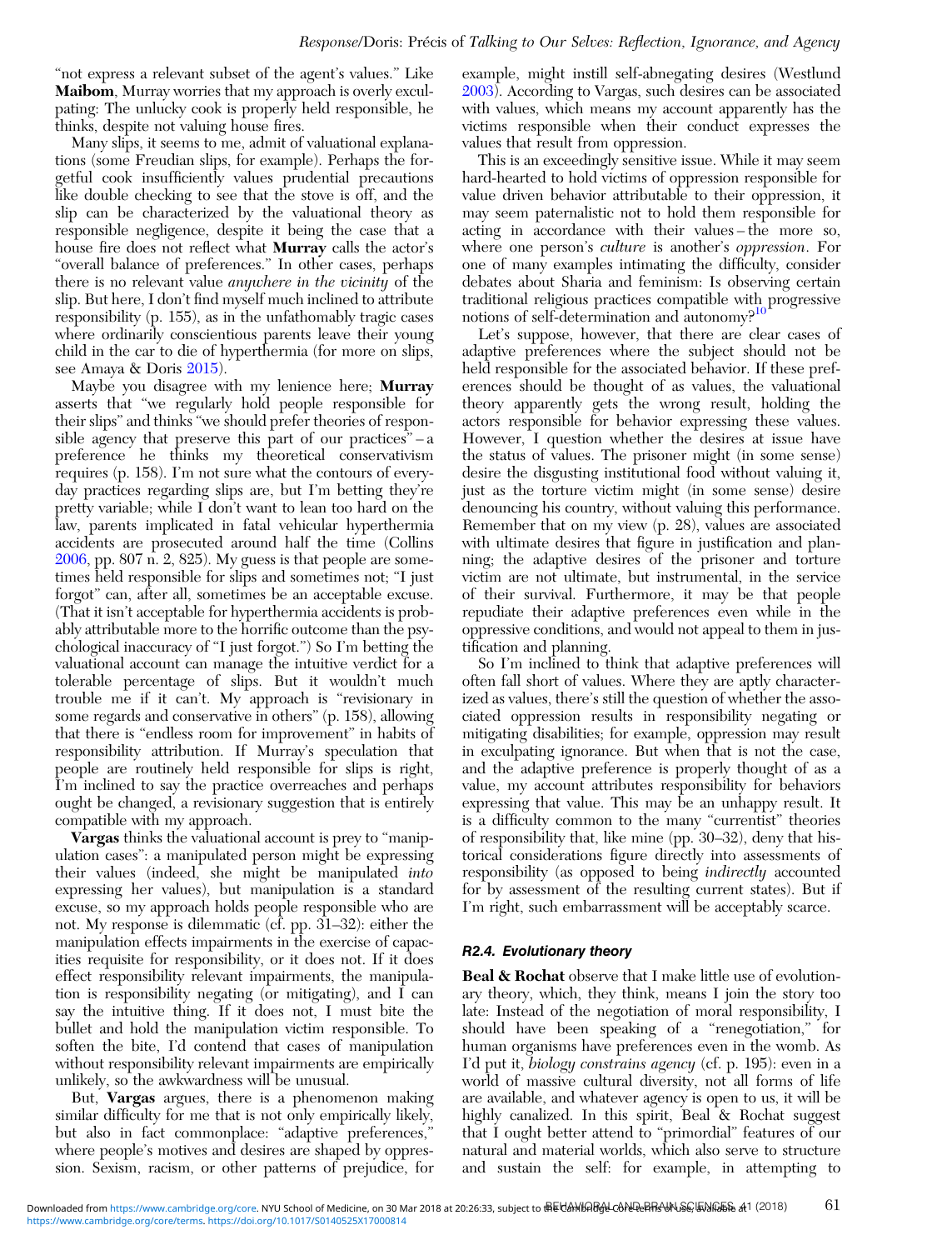"not express a relevant subset of the agent's values." Like Maibom, Murray worries that my approach is overly exculpating: The unlucky cook is properly held responsible, he thinks, despite not valuing house fires.

Many slips, it seems to me, admit of valuational explanations (some Freudian slips, for example). Perhaps the forgetful cook insufficiently values prudential precautions like double checking to see that the stove is off, and the slip can be characterized by the valuational theory as responsible negligence, despite it being the case that a house fire does not reflect what Murray calls the actor's "overall balance of preferences." In other cases, perhaps there is no relevant value anywhere in the vicinity of the slip. But here, I don't find myself much inclined to attribute responsibility (p. 155), as in the unfathomably tragic cases where ordinarily conscientious parents leave their young child in the car to die of hyperthermia (for more on slips, see Amaya & Doris [2015](#page-65-0)).

Maybe you disagree with my lenience here; **Murray** asserts that "we regularly hold people responsible for their slips" and thinks "we should prefer theories of responsible agency that preserve this part of our practices" – a preference he thinks my theoretical conservativism requires (p. 158). I'm not sure what the contours of everyday practices regarding slips are, but I'm betting they're pretty variable; while I don't want to lean too hard on the law, parents implicated in fatal vehicular hyperthermia accidents are prosecuted around half the time (Collins [2006,](#page-67-0) pp. 807 n. 2, 825). My guess is that people are sometimes held responsible for slips and sometimes not; "I just forgot" can, after all, sometimes be an acceptable excuse. (That it isn't acceptable for hyperthermia accidents is probably attributable more to the horrific outcome than the psychological inaccuracy of "I just forgot.") So I'm betting the valuational account can manage the intuitive verdict for a tolerable percentage of slips. But it wouldn't much trouble me if it can't. My approach is "revisionary in some regards and conservative in others" (p. 158), allowing that there is "endless room for improvement" in habits of responsibility attribution. If Murray's speculation that people are routinely held responsible for slips is right, I'm inclined to say the practice overreaches and perhaps ought be changed, a revisionary suggestion that is entirely compatible with my approach.

Vargas thinks the valuational account is prey to "manipulation cases": a manipulated person might be expressing their values (indeed, she might be manipulated into expressing her values), but manipulation is a standard excuse, so my approach holds people responsible who are not. My response is dilemmatic (cf. pp. 31–32): either the manipulation effects impairments in the exercise of capacities requisite for responsibility, or it does not. If it does effect responsibility relevant impairments, the manipulation is responsibility negating (or mitigating), and I can say the intuitive thing. If it does not, I must bite the bullet and hold the manipulation victim responsible. To soften the bite, I'd contend that cases of manipulation without responsibility relevant impairments are empirically unlikely, so the awkwardness will be unusual.

But, Vargas argues, there is a phenomenon making similar difficulty for me that is not only empirically likely, but also in fact commonplace: "adaptive preferences," where people's motives and desires are shaped by oppression. Sexism, racism, or other patterns of prejudice, for

example, might instill self-abnegating desires (Westlund [2003](#page-74-0)). According to Vargas, such desires can be associated with values, which means my account apparently has the victims responsible when their conduct expresses the values that result from oppression.

This is an exceedingly sensitive issue. While it may seem hard-hearted to hold victims of oppression responsible for value driven behavior attributable to their oppression, it may seem paternalistic not to hold them responsible for acting in accordance with their values – the more so, where one person's *culture* is another's *oppression*. For one of many examples intimating the difficulty, consider debates about Sharia and feminism: Is observing certain traditional religious practices compatible with progressive notions of self-determination and autonomy?[10](#page-65-0)

Let's suppose, however, that there are clear cases of adaptive preferences where the subject should not be held responsible for the associated behavior. If these preferences should be thought of as values, the valuational theory apparently gets the wrong result, holding the actors responsible for behavior expressing these values. However, I question whether the desires at issue have the status of values. The prisoner might (in some sense) desire the disgusting institutional food without valuing it, just as the torture victim might (in some sense) desire denouncing his country, without valuing this performance. Remember that on my view (p. 28), values are associated with ultimate desires that figure in justification and planning; the adaptive desires of the prisoner and torture victim are not ultimate, but instrumental, in the service of their survival. Furthermore, it may be that people repudiate their adaptive preferences even while in the oppressive conditions, and would not appeal to them in justification and planning.

So I'm inclined to think that adaptive preferences will often fall short of values. Where they are aptly characterized as values, there's still the question of whether the associated oppression results in responsibility negating or mitigating disabilities; for example, oppression may result in exculpating ignorance. But when that is not the case, and the adaptive preference is properly thought of as a value, my account attributes responsibility for behaviors expressing that value. This may be an unhappy result. It is a difficulty common to the many "currentist" theories of responsibility that, like mine (pp. 30–32), deny that historical considerations figure directly into assessments of responsibility (as opposed to being indirectly accounted for by assessment of the resulting current states). But if I'm right, such embarrassment will be acceptably scarce.

## R2.4. Evolutionary theory

Beal & Rochat observe that I make little use of evolutionary theory, which, they think, means I join the story too late: Instead of the negotiation of moral responsibility, I should have been speaking of a "renegotiation," for human organisms have preferences even in the womb. As I'd put it, biology constrains agency (cf. p. 195): even in a world of massive cultural diversity, not all forms of life are available, and whatever agency is open to us, it will be highly canalized. In this spirit, Beal & Rochat suggest that I ought better attend to "primordial" features of our natural and material worlds, which also serve to structure and sustain the self: for example, in attempting to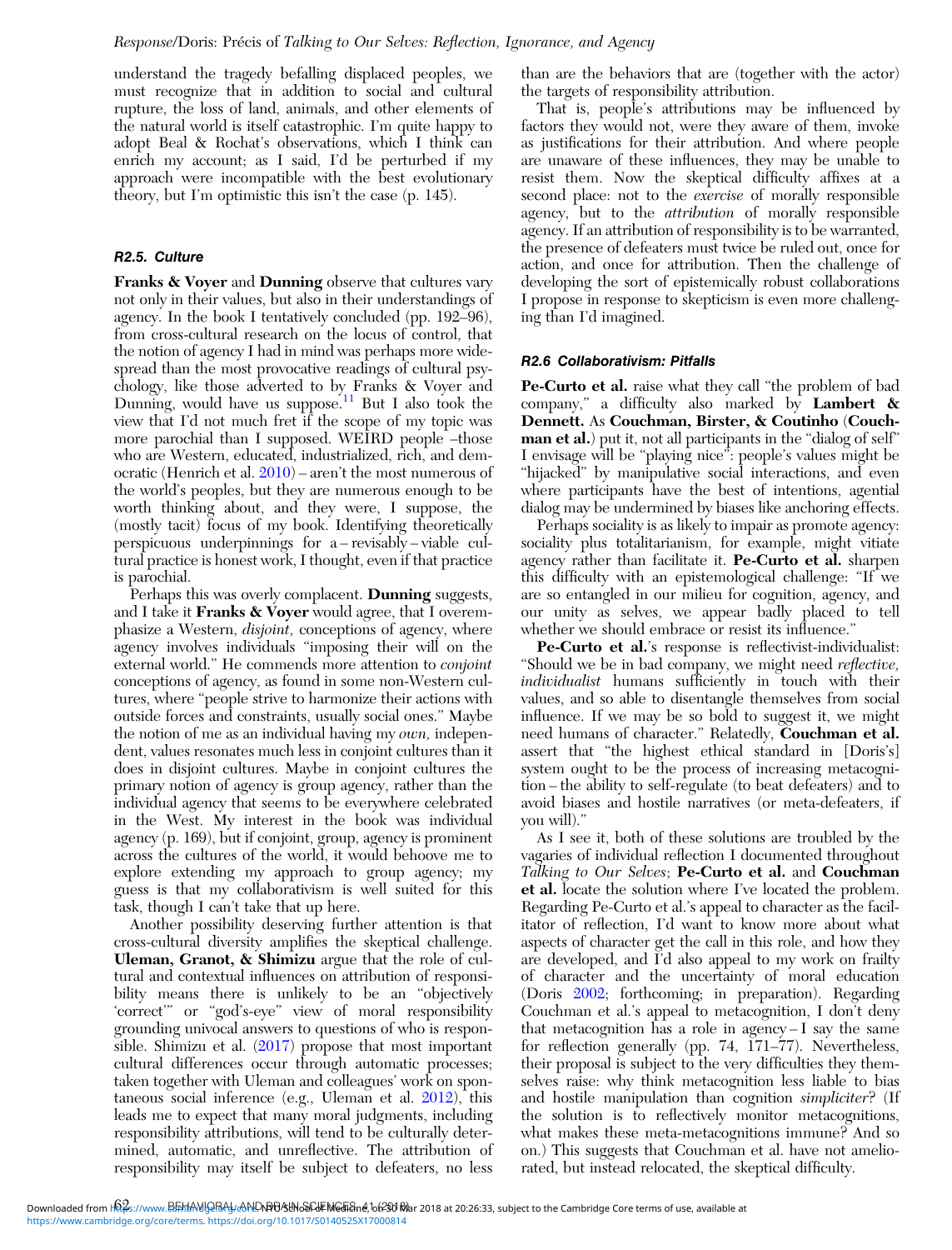understand the tragedy befalling displaced peoples, we must recognize that in addition to social and cultural rupture, the loss of land, animals, and other elements of the natural world is itself catastrophic. I'm quite happy to adopt Beal & Rochat's observations, which I think can enrich my account; as I said, I'd be perturbed if my approach were incompatible with the best evolutionary theory, but I'm optimistic this isn't the case (p. 145).

## R2.5. Culture

**Franks & Voyer and Dunning observe that cultures vary** not only in their values, but also in their understandings of agency. In the book I tentatively concluded (pp. 192–96), from cross-cultural research on the locus of control, that the notion of agency I had in mind was perhaps more widespread than the most provocative readings of cultural psychology, like those adverted to by Franks & Voyer and Dunning, would have us suppose.<sup>[11](#page-65-0)</sup> But I also took the view that I'd not much fret if the scope of my topic was more parochial than I supposed. WEIRD people –those who are Western, educated, industrialized, rich, and democratic (Henrich et al. [2010](#page-69-0)) – aren't the most numerous of the world's peoples, but they are numerous enough to be worth thinking about, and they were, I suppose, the (mostly tacit) focus of my book. Identifying theoretically perspicuous underpinnings for a – revisably – viable cultural practice is honest work, I thought, even if that practice is parochial.

Perhaps this was overly complacent. **Dunning** suggests, and I take it **Franks & Voyer** would agree, that I overemphasize a Western, *disjoint*, conceptions of agency, where agency involves individuals "imposing their will on the external world." He commends more attention to conjoint conceptions of agency, as found in some non-Western cultures, where "people strive to harmonize their actions with outside forces and constraints, usually social ones." Maybe the notion of me as an individual having my *own*, independent, values resonates much less in conjoint cultures than it does in disjoint cultures. Maybe in conjoint cultures the primary notion of agency is group agency, rather than the individual agency that seems to be everywhere celebrated in the West. My interest in the book was individual agency (p. 169), but if conjoint, group, agency is prominent across the cultures of the world, it would behoove me to explore extending my approach to group agency; my guess is that my collaborativism is well suited for this task, though I can't take that up here.

Another possibility deserving further attention is that cross-cultural diversity amplifies the skeptical challenge. Uleman, Granot, & Shimizu argue that the role of cultural and contextual influences on attribution of responsibility means there is unlikely to be an "objectively 'correct'" or "god's-eye" view of moral responsibility grounding univocal answers to questions of who is responsible. Shimizu et al.  $(2017)$  $(2017)$  propose that most important cultural differences occur through automatic processes; taken together with Uleman and colleagues' work on spontaneous social inference (e.g., Uleman et al. [2012](#page-73-0)), this leads me to expect that many moral judgments, including responsibility attributions, will tend to be culturally determined, automatic, and unreflective. The attribution of responsibility may itself be subject to defeaters, no less

than are the behaviors that are (together with the actor) the targets of responsibility attribution.

That is, people's attributions may be influenced by factors they would not, were they aware of them, invoke as justifications for their attribution. And where people are unaware of these influences, they may be unable to resist them. Now the skeptical difficulty affixes at a second place: not to the exercise of morally responsible agency, but to the attribution of morally responsible agency. If an attribution of responsibility is to be warranted, the presence of defeaters must twice be ruled out, once for action, and once for attribution. Then the challenge of developing the sort of epistemically robust collaborations I propose in response to skepticism is even more challenging than I'd imagined.

## R2.6 Collaborativism: Pitfalls

Pe-Curto et al. raise what they call "the problem of bad company," a difficulty also marked by Lambert & Dennett. As Couchman, Birster, & Coutinho (Couchman et al.) put it, not all participants in the "dialog of self" I envisage will be "playing nice": people's values might be "hijacked" by manipulative social interactions, and even where participants have the best of intentions, agential dialog may be undermined by biases like anchoring effects.

Perhaps sociality is as likely to impair as promote agency: sociality plus totalitarianism, for example, might vitiate agency rather than facilitate it. Pe-Curto et al. sharpen this difficulty with an epistemological challenge: "If we are so entangled in our milieu for cognition, agency, and our unity as selves, we appear badly placed to tell whether we should embrace or resist its influence."

Pe-Curto et al.'s response is reflectivist-individualist: "Should we be in bad company, we might need reflective, individualist humans sufficiently in touch with their values, and so able to disentangle themselves from social influence. If we may be so bold to suggest it, we might need humans of character." Relatedly, Couchman et al. assert that "the highest ethical standard in [Doris's] system ought to be the process of increasing metacognition – the ability to self-regulate (to beat defeaters) and to avoid biases and hostile narratives (or meta-defeaters, if you will)."

As I see it, both of these solutions are troubled by the vagaries of individual reflection I documented throughout Talking to Our Selves; Pe-Curto et al. and Couchman et al. locate the solution where I've located the problem. Regarding Pe-Curto et al.'s appeal to character as the facilitator of reflection, I'd want to know more about what aspects of character get the call in this role, and how they are developed, and I'd also appeal to my work on frailty of character and the uncertainty of moral education (Doris [2002](#page-67-0); forthcoming; in preparation). Regarding Couchman et al.'s appeal to metacognition, I don't deny that metacognition has a role in agency – I say the same for reflection generally (pp. 74, 171–77). Nevertheless, their proposal is subject to the very difficulties they themselves raise: why think metacognition less liable to bias and hostile manipulation than cognition simpliciter? (If the solution is to reflectively monitor metacognitions, what makes these meta-metacognitions immune? And so on.) This suggests that Couchman et al. have not ameliorated, but instead relocated, the skeptical difficulty.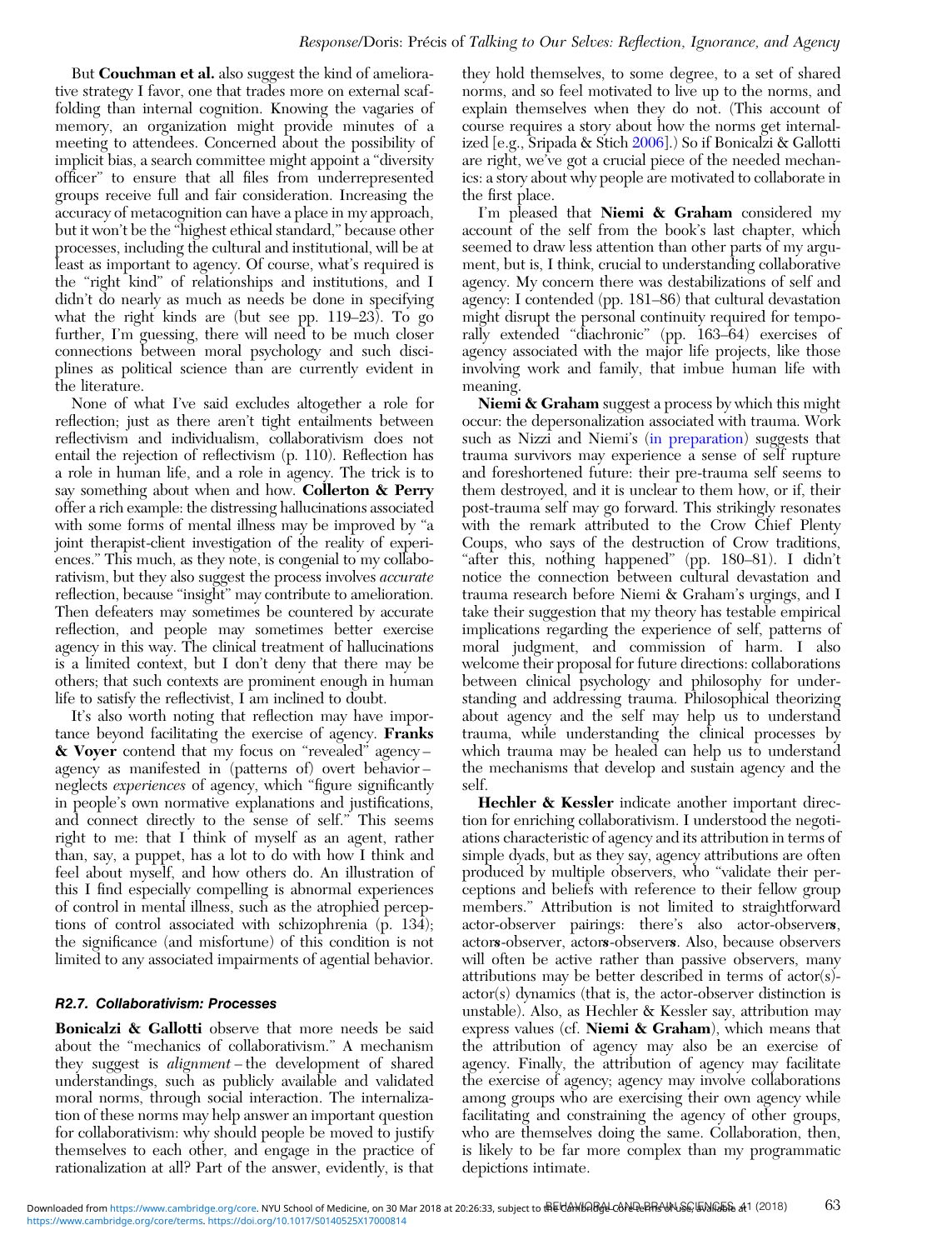But **Couchman et al.** also suggest the kind of ameliorative strategy I favor, one that trades more on external scaffolding than internal cognition. Knowing the vagaries of memory, an organization might provide minutes of a meeting to attendees. Concerned about the possibility of implicit bias, a search committee might appoint a "diversity officer" to ensure that all files from underrepresented groups receive full and fair consideration. Increasing the accuracy of metacognition can have a place in my approach, but it won't be the "highest ethical standard," because other processes, including the cultural and institutional, will be at least as important to agency. Of course, what's required is the "right kind" of relationships and institutions, and I didn't do nearly as much as needs be done in specifying what the right kinds are (but see pp. 119–23). To go further, I'm guessing, there will need to be much closer connections between moral psychology and such disciplines as political science than are currently evident in the literature.

None of what I've said excludes altogether a role for reflection; just as there aren't tight entailments between reflectivism and individualism, collaborativism does not entail the rejection of reflectivism (p. 110). Reflection has a role in human life, and a role in agency. The trick is to say something about when and how. Collerton & Perry offer a rich example: the distressing hallucinations associated with some forms of mental illness may be improved by "a joint therapist-client investigation of the reality of experiences." This much, as they note, is congenial to my collaborativism, but they also suggest the process involves *accurate* reflection, because "insight" may contribute to amelioration. Then defeaters may sometimes be countered by accurate reflection, and people may sometimes better exercise agency in this way. The clinical treatment of hallucinations is a limited context, but I don't deny that there may be others; that such contexts are prominent enough in human life to satisfy the reflectivist, I am inclined to doubt.

It's also worth noting that reflection may have importance beyond facilitating the exercise of agency. Franks & Voyer contend that my focus on "revealed" agency – agency as manifested in (patterns of) overt behavior – neglects experiences of agency, which "figure significantly in people's own normative explanations and justifications, and connect directly to the sense of self." This seems right to me: that I think of myself as an agent, rather than, say, a puppet, has a lot to do with how I think and feel about myself, and how others do. An illustration of this I find especially compelling is abnormal experiences of control in mental illness, such as the atrophied perceptions of control associated with schizophrenia (p. 134); the significance (and misfortune) of this condition is not limited to any associated impairments of agential behavior.

## R2.7. Collaborativism: Processes

**Bonicalzi & Gallotti** observe that more needs be said about the "mechanics of collaborativism." A mechanism they suggest is alignment – the development of shared understandings, such as publicly available and validated moral norms, through social interaction. The internalization of these norms may help answer an important question for collaborativism: why should people be moved to justify themselves to each other, and engage in the practice of rationalization at all? Part of the answer, evidently, is that they hold themselves, to some degree, to a set of shared norms, and so feel motivated to live up to the norms, and explain themselves when they do not. (This account of course requires a story about how the norms get internalized [e.g., Sripada & Stich [2006\]](#page-73-0).) So if Bonicalzi & Gallotti are right, we've got a crucial piece of the needed mechanics: a story about why people are motivated to collaborate in the first place.

I'm pleased that **Niemi & Graham** considered my account of the self from the book's last chapter, which seemed to draw less attention than other parts of my argument, but is, I think, crucial to understanding collaborative agency. My concern there was destabilizations of self and agency: I contended (pp. 181–86) that cultural devastation might disrupt the personal continuity required for temporally extended "diachronic" (pp. 163–64) exercises of agency associated with the major life projects, like those involving work and family, that imbue human life with meaning.

**Niemi & Graham** suggest a process by which this might occur: the depersonalization associated with trauma. Work such as Nizzi and Niemi's ([in preparation](#page-71-0)) suggests that trauma survivors may experience a sense of self rupture and foreshortened future: their pre-trauma self seems to them destroyed, and it is unclear to them how, or if, their post-trauma self may go forward. This strikingly resonates with the remark attributed to the Crow Chief Plenty Coups, who says of the destruction of Crow traditions, "after this, nothing happened" (pp. 180–81). I didn't notice the connection between cultural devastation and trauma research before Niemi & Graham's urgings, and I take their suggestion that my theory has testable empirical implications regarding the experience of self, patterns of moral judgment, and commission of harm. I also welcome their proposal for future directions: collaborations between clinical psychology and philosophy for understanding and addressing trauma. Philosophical theorizing about agency and the self may help us to understand trauma, while understanding the clinical processes by which trauma may be healed can help us to understand the mechanisms that develop and sustain agency and the self.

**Hechler & Kessler** indicate another important direction for enriching collaborativism. I understood the negotiations characteristic of agency and its attribution in terms of simple dyads, but as they say, agency attributions are often produced by multiple observers, who "validate their perceptions and beliefs with reference to their fellow group members." Attribution is not limited to straightforward actor-observer pairings: there's also actor-observers, actors-observer, actors-observers. Also, because observers will often be active rather than passive observers, many attributions may be better described in terms of actor(s) actor(s) dynamics (that is, the actor-observer distinction is unstable). Also, as Hechler & Kessler say, attribution may express values (cf. **Niemi & Graham**), which means that the attribution of agency may also be an exercise of agency. Finally, the attribution of agency may facilitate the exercise of agency; agency may involve collaborations among groups who are exercising their own agency while facilitating and constraining the agency of other groups, who are themselves doing the same. Collaboration, then, is likely to be far more complex than my programmatic depictions intimate.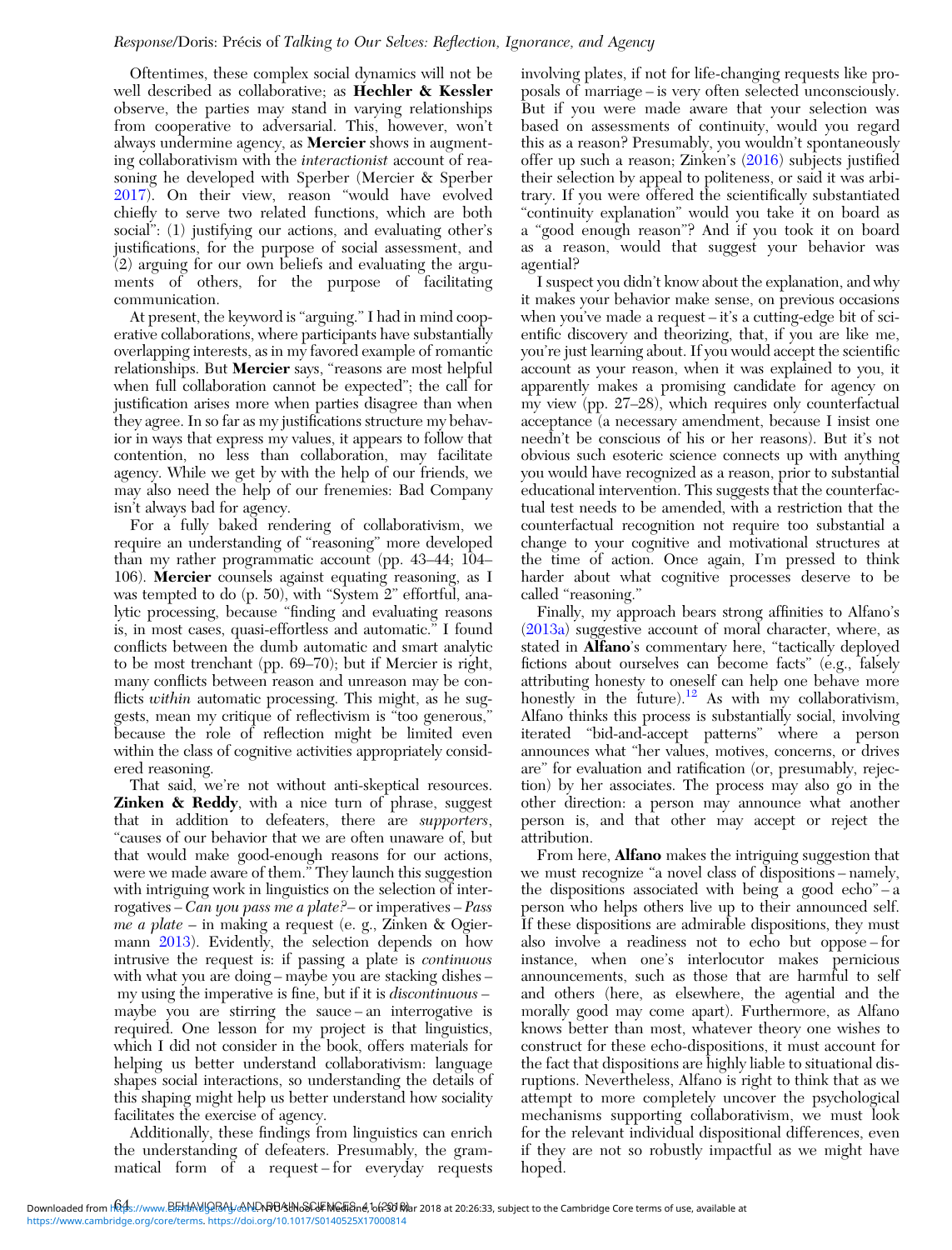Oftentimes, these complex social dynamics will not be well described as collaborative; as **Hechler & Kessler** observe, the parties may stand in varying relationships from cooperative to adversarial. This, however, won't always undermine agency, as **Mercier** shows in augmenting collaborativism with the interactionist account of reasoning he developed with Sperber (Mercier & Sperber [2017\)](#page-71-0). On their view, reason "would have evolved chiefly to serve two related functions, which are both social": (1) justifying our actions, and evaluating other's justifications, for the purpose of social assessment, and (2) arguing for our own beliefs and evaluating the arguments of others, for the purpose of facilitating communication.

At present, the keyword is "arguing." I had in mind cooperative collaborations, where participants have substantially overlapping interests, as in my favored example of romantic relationships. But **Mercier** says, "reasons are most helpful when full collaboration cannot be expected"; the call for justification arises more when parties disagree than when they agree. In so far as my justifications structure my behavior in ways that express my values, it appears to follow that contention, no less than collaboration, may facilitate agency. While we get by with the help of our friends, we may also need the help of our frenemies: Bad Company isn't always bad for agency.

For a fully baked rendering of collaborativism, we require an understanding of "reasoning" more developed than my rather programmatic account (pp. 43–44; 104– 106). Mercier counsels against equating reasoning, as I was tempted to do (p. 50), with "System 2" effortful, analytic processing, because "finding and evaluating reasons is, in most cases, quasi-effortless and automatic." I found conflicts between the dumb automatic and smart analytic to be most trenchant (pp. 69–70); but if Mercier is right, many conflicts between reason and unreason may be conflicts within automatic processing. This might, as he suggests, mean my critique of reflectivism is "too generous," because the role of reflection might be limited even within the class of cognitive activities appropriately considered reasoning.

That said, we're not without anti-skeptical resources. **Zinken & Reddy**, with a nice turn of phrase, suggest that in addition to defeaters, there are supporters, "causes of our behavior that we are often unaware of, but that would make good-enough reasons for our actions, were we made aware of them." They launch this suggestion with intriguing work in linguistics on the selection of interrogatives – Can you pass me a plate? – or imperatives – Pass me a plate – in making a request (e. g., Zinken & Ogiermann [2013\)](#page-74-0). Evidently, the selection depends on how intrusive the request is: if passing a plate is continuous with what you are doing – maybe you are stacking dishes – my using the imperative is fine, but if it is *discontinuous* – maybe you are stirring the sauce – an interrogative is required. One lesson for my project is that linguistics, which I did not consider in the book, offers materials for helping us better understand collaborativism: language shapes social interactions, so understanding the details of this shaping might help us better understand how sociality facilitates the exercise of agency.

Additionally, these findings from linguistics can enrich the understanding of defeaters. Presumably, the grammatical form of a request – for everyday requests involving plates, if not for life-changing requests like proposals of marriage – is very often selected unconsciously. But if you were made aware that your selection was based on assessments of continuity, would you regard this as a reason? Presumably, you wouldn't spontaneously offer up such a reason; Zinken's [\(2016\)](#page-74-0) subjects justified their selection by appeal to politeness, or said it was arbitrary. If you were offered the scientifically substantiated "continuity explanation" would you take it on board as a "good enough reason"? And if you took it on board as a reason, would that suggest your behavior was agential?

I suspect you didn't know about the explanation, and why it makes your behavior make sense, on previous occasions when you've made a request – it's a cutting-edge bit of scientific discovery and theorizing, that, if you are like me, you're just learning about. If you would accept the scientific account as your reason, when it was explained to you, it apparently makes a promising candidate for agency on my view (pp. 27–28), which requires only counterfactual acceptance (a necessary amendment, because I insist one needn't be conscious of his or her reasons). But it's not obvious such esoteric science connects up with anything you would have recognized as a reason, prior to substantial educational intervention. This suggests that the counterfactual test needs to be amended, with a restriction that the counterfactual recognition not require too substantial a change to your cognitive and motivational structures at the time of action. Once again, I'm pressed to think harder about what cognitive processes deserve to be called "reasoning."

Finally, my approach bears strong affinities to Alfano's ([2013a\)](#page-65-0) suggestive account of moral character, where, as stated in Alfano's commentary here, "tactically deployed fictions about ourselves can become facts" (e.g., falsely attributing honesty to oneself can help one behave more honestly in the future).<sup>[12](#page-65-0)</sup> As with my collaborativism, Alfano thinks this process is substantially social, involving iterated "bid-and-accept patterns" where a person announces what "her values, motives, concerns, or drives are" for evaluation and ratification (or, presumably, rejection) by her associates. The process may also go in the other direction: a person may announce what another person is, and that other may accept or reject the attribution.

From here, Alfano makes the intriguing suggestion that we must recognize "a novel class of dispositions – namely, the dispositions associated with being a good echo" – a person who helps others live up to their announced self. If these dispositions are admirable dispositions, they must also involve a readiness not to echo but oppose – for instance, when one's interlocutor makes pernicious announcements, such as those that are harmful to self and others (here, as elsewhere, the agential and the morally good may come apart). Furthermore, as Alfano knows better than most, whatever theory one wishes to construct for these echo-dispositions, it must account for the fact that dispositions are highly liable to situational disruptions. Nevertheless, Alfano is right to think that as we attempt to more completely uncover the psychological mechanisms supporting collaborativism, we must look for the relevant individual dispositional differences, even if they are not so robustly impactful as we might have hoped.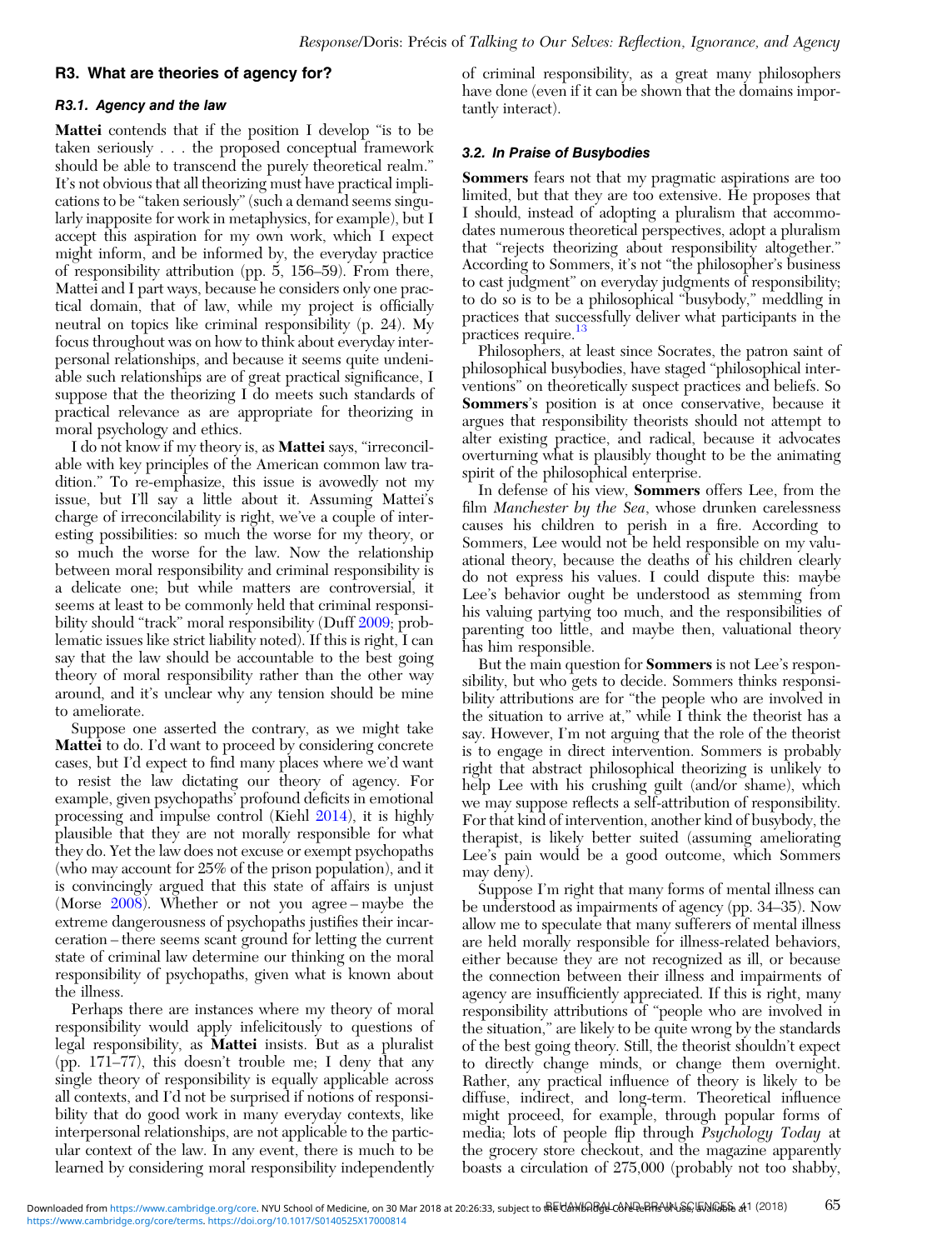# R3. What are theories of agency for?

# R3.1. Agency and the law

Mattei contends that if the position I develop "is to be taken seriously . . . the proposed conceptual framework should be able to transcend the purely theoretical realm." It's not obvious that all theorizing must have practical implications to be "taken seriously" (such a demand seems singularly inapposite for work in metaphysics, for example), but I accept this aspiration for my own work, which I expect might inform, and be informed by, the everyday practice of responsibility attribution (pp. 5, 156–59). From there, Mattei and I part ways, because he considers only one practical domain, that of law, while my project is officially neutral on topics like criminal responsibility (p. 24). My focus throughout was on how to think about everyday interpersonal relationships, and because it seems quite undeniable such relationships are of great practical significance, I suppose that the theorizing I do meets such standards of practical relevance as are appropriate for theorizing in moral psychology and ethics.

I do not know if my theory is, as Mattei says, "irreconcilable with key principles of the American common law tradition." To re-emphasize, this issue is avowedly not my issue, but I'll say a little about it. Assuming Mattei's charge of irreconcilability is right, we've a couple of interesting possibilities: so much the worse for my theory, or so much the worse for the law. Now the relationship between moral responsibility and criminal responsibility is a delicate one; but while matters are controversial, it seems at least to be commonly held that criminal responsi-bility should "track" moral responsibility (Duff [2009](#page-67-0); problematic issues like strict liability noted). If this is right, I can say that the law should be accountable to the best going theory of moral responsibility rather than the other way around, and it's unclear why any tension should be mine to ameliorate.

Suppose one asserted the contrary, as we might take Mattei to do. I'd want to proceed by considering concrete cases, but I'd expect to find many places where we'd want to resist the law dictating our theory of agency. For example, given psychopaths' profound deficits in emotional processing and impulse control (Kiehl [2014](#page-70-0)), it is highly plausible that they are not morally responsible for what they do. Yet the law does not excuse or exempt psychopaths (who may account for 25% of the prison population), and it is convincingly argued that this state of affairs is unjust (Morse [2008](#page-71-0)). Whether or not you agree – maybe the extreme dangerousness of psychopaths justifies their incarceration – there seems scant ground for letting the current state of criminal law determine our thinking on the moral responsibility of psychopaths, given what is known about the illness.

Perhaps there are instances where my theory of moral responsibility would apply infelicitously to questions of legal responsibility, as Mattei insists. But as a pluralist (pp. 171–77), this doesn't trouble me; I deny that any single theory of responsibility is equally applicable across all contexts, and I'd not be surprised if notions of responsibility that do good work in many everyday contexts, like interpersonal relationships, are not applicable to the particular context of the law. In any event, there is much to be learned by considering moral responsibility independently

of criminal responsibility, as a great many philosophers have done (even if it can be shown that the domains importantly interact).

# 3.2. In Praise of Busybodies

Sommers fears not that my pragmatic aspirations are too limited, but that they are too extensive. He proposes that I should, instead of adopting a pluralism that accommodates numerous theoretical perspectives, adopt a pluralism that "rejects theorizing about responsibility altogether." According to Sommers, it's not "the philosopher's business to cast judgment" on everyday judgments of responsibility; to do so is to be a philosophical "busybody," meddling in practices that successfully deliver what participants in the practices require.<sup>[13](#page-65-0)</sup>

Philosophers, at least since Socrates, the patron saint of philosophical busybodies, have staged "philosophical interventions" on theoretically suspect practices and beliefs. So Sommers's position is at once conservative, because it argues that responsibility theorists should not attempt to alter existing practice, and radical, because it advocates overturning what is plausibly thought to be the animating spirit of the philosophical enterprise.

In defense of his view, Sommers offers Lee, from the film Manchester by the Sea, whose drunken carelessness causes his children to perish in a fire. According to Sommers, Lee would not be held responsible on my valuational theory, because the deaths of his children clearly do not express his values. I could dispute this: maybe Lee's behavior ought be understood as stemming from his valuing partying too much, and the responsibilities of parenting too little, and maybe then, valuational theory has him responsible.

But the main question for Sommers is not Lee's responsibility, but who gets to decide. Sommers thinks responsibility attributions are for "the people who are involved in the situation to arrive at," while I think the theorist has a say. However, I'm not arguing that the role of the theorist is to engage in direct intervention. Sommers is probably right that abstract philosophical theorizing is unlikely to help Lee with his crushing guilt (and/or shame), which we may suppose reflects a self-attribution of responsibility. For that kind of intervention, another kind of busybody, the therapist, is likely better suited (assuming ameliorating Lee's pain would be a good outcome, which Sommers may deny).

Suppose I'm right that many forms of mental illness can be understood as impairments of agency (pp. 34–35). Now allow me to speculate that many sufferers of mental illness are held morally responsible for illness-related behaviors, either because they are not recognized as ill, or because the connection between their illness and impairments of agency are insufficiently appreciated. If this is right, many responsibility attributions of "people who are involved in the situation," are likely to be quite wrong by the standards of the best going theory. Still, the theorist shouldn't expect to directly change minds, or change them overnight. Rather, any practical influence of theory is likely to be diffuse, indirect, and long-term. Theoretical influence might proceed, for example, through popular forms of media; lots of people flip through Psychology Today at the grocery store checkout, and the magazine apparently boasts a circulation of 275,000 (probably not too shabby,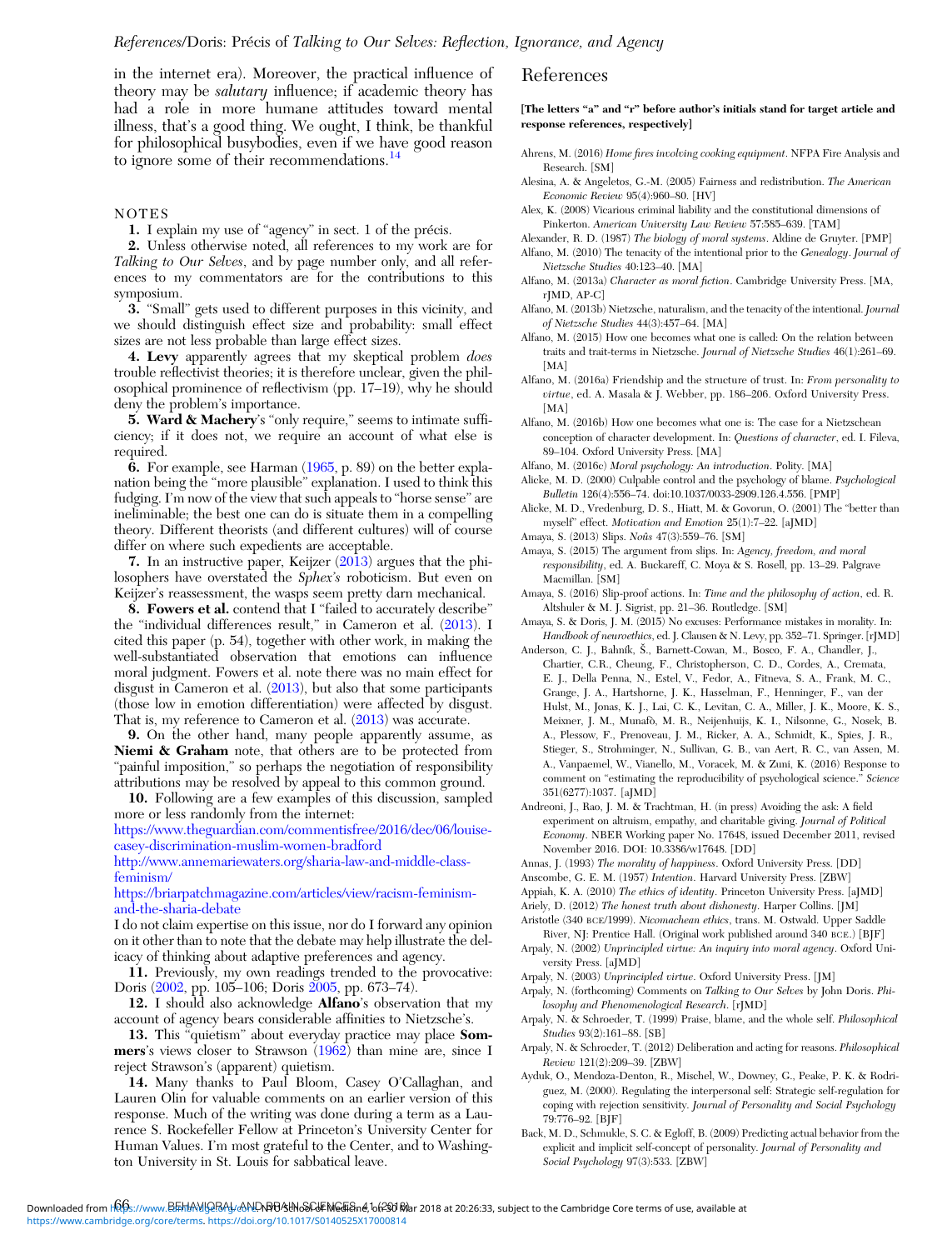<span id="page-65-0"></span>in the internet era). Moreover, the practical influence of theory may be salutary influence; if academic theory has had a role in more humane attitudes toward mental illness, that's a good thing. We ought, I think, be thankful for philosophical busybodies, even if we have good reason to ignore some of their recommendations.<sup>14</sup>

## NOTES

1. I explain my use of "agency" in sect. 1 of the précis.

2. Unless otherwise noted, all references to my work are for Talking to Our Selves, and by page number only, and all references to my commentators are for the contributions to this symposium.

3. "Small" gets used to different purposes in this vicinity, and we should distinguish effect size and probability: small effect sizes are not less probable than large effect sizes.

**4. Levy** apparently agrees that my skeptical problem *does* trouble reflectivist theories; it is therefore unclear, given the philosophical prominence of reflectivism (pp. 17–19), why he should deny the problem's importance.

5. Ward & Machery's "only require," seems to intimate sufficiency; if it does not, we require an account of what else is required.

6. For example, see Harman [\(1965](#page-69-0), p. 89) on the better explanation being the "more plausible" explanation. I used to think this fudging. I'm now of the view that such appeals to "horse sense" are ineliminable; the best one can do is situate them in a compelling theory. Different theorists (and different cultures) will of course differ on where such expedients are acceptable.

7. In an instructive paper, Keijzer  $(2013)$  $(2013)$  argues that the philosophers have overstated the Sphex's roboticism. But even on Keijzer's reassessment, the wasps seem pretty darn mechanical.

8. Fowers et al. contend that I "failed to accurately describe" the "individual differences result," in Cameron et al. ([2013\)](#page-66-0). I cited this paper (p. 54), together with other work, in making the well-substantiated observation that emotions can influence moral judgment. Fowers et al. note there was no main effect for disgust in Cameron et al. ([2013\)](#page-66-0), but also that some participants (those low in emotion differentiation) were affected by disgust. That is, my reference to Cameron et al. [\(2013](#page-66-0)) was accurate.

9. On the other hand, many people apparently assume, as Niemi & Graham note, that others are to be protected from "painful imposition," so perhaps the negotiation of responsibility attributions may be resolved by appeal to this common ground.

10. Following are a few examples of this discussion, sampled more or less randomly from the internet:

[https://www.theguardian.com/commentisfree/2016/dec/06/louise](https://www.theguardian.com/commentisfree/2016/dec/06/louise-casey-discrimination-muslim-women-bradford)[casey-discrimination-muslim-women-bradford](https://www.theguardian.com/commentisfree/2016/dec/06/louise-casey-discrimination-muslim-women-bradford)

[http://www.annemariewaters.org/sharia-law-and-middle-class](http://www.annemariewaters.org/sharia-law-and-middle-class-feminism/)[feminism/](http://www.annemariewaters.org/sharia-law-and-middle-class-feminism/)

[https://briarpatchmagazine.com/articles/view/racism-feminism](https://briarpatchmagazine.com/articles/view/racism-feminism-and-the-sharia-debate)[and-the-sharia-debate](https://briarpatchmagazine.com/articles/view/racism-feminism-and-the-sharia-debate)

I do not claim expertise on this issue, nor do I forward any opinion on it other than to note that the debate may help illustrate the delicacy of thinking about adaptive preferences and agency.

11. Previously, my own readings trended to the provocative: Doris [\(2002](#page-67-0), pp. 105–106; Doris [2005,](#page-67-0) pp. 673–74).

12. I should also acknowledge Alfano's observation that my account of agency bears considerable affinities to Nietzsche's.

13. This "quietism" about everyday practice may place **Som**mers's views closer to Strawson ([1962\)](#page-73-0) than mine are, since I reject Strawson's (apparent) quietism.

14. Many thanks to Paul Bloom, Casey O'Callaghan, and Lauren Olin for valuable comments on an earlier version of this response. Much of the writing was done during a term as a Laurence S. Rockefeller Fellow at Princeton's University Center for Human Values. I'm most grateful to the Center, and to Washington University in St. Louis for sabbatical leave.

## References

#### [The letters "a" and "r" before author's initials stand for target article and response references, respectively]

- Ahrens, M. (2016) Home fires involving cooking equipment. NFPA Fire Analysis and Research. [SM]
- Alesina, A. & Angeletos, G.-M. (2005) Fairness and redistribution. The American Economic Review 95(4):960–80. [HV]
- Alex, K. (2008) Vicarious criminal liability and the constitutional dimensions of Pinkerton. American University Law Review 57:585–639. [TAM]
- Alexander, R. D. (1987) The biology of moral systems. Aldine de Gruyter. [PMP] Alfano, M. (2010) The tenacity of the intentional prior to the Genealogy. Journal of
- Nietzsche Studies 40:123–40. [MA]
- Alfano, M. (2013a) Character as moral fiction. Cambridge University Press. [MA, rJMD, AP-C]
- Alfano, M. (2013b) Nietzsche, naturalism, and the tenacity of the intentional. Journal of Nietzsche Studies 44(3):457–64. [MA]
- Alfano, M. (2015) How one becomes what one is called: On the relation between traits and trait-terms in Nietzsche. Journal of Nietzsche Studies 46(1):261–69. [MA]
- Alfano, M. (2016a) Friendship and the structure of trust. In: From personality to virtue, ed. A. Masala & J. Webber, pp. 186–206. Oxford University Press. [MA]
- Alfano, M. (2016b) How one becomes what one is: The case for a Nietzschean conception of character development. In: Questions of character, ed. I. Fileva, 89–104. Oxford University Press. [MA]
- Alfano, M. (2016c) Moral psychology: An introduction. Polity. [MA]
- Alicke, M. D. (2000) Culpable control and the psychology of blame. Psychological Bulletin 126(4):556–74. doi:10.1037/0033-2909.126.4.556. [PMP]
- Alicke, M. D., Vredenburg, D. S., Hiatt, M. & Govorun, O. (2001) The "better than myself" effect. Motivation and Emotion 25(1):7–22. [aJMD]
- Amaya, S. (2013) Slips. Noûs 47(3):559–76. [SM]

Amaya, S. (2015) The argument from slips. In: Agency, freedom, and moral responsibility, ed. A. Buckareff, C. Moya & S. Rosell, pp. 13–29. Palgrave Macmillan. [SM]

- Amaya, S. (2016) Slip-proof actions. In: Time and the philosophy of action, ed. R. Altshuler & M. J. Sigrist, pp. 21–36. Routledge. [SM]
- Amaya, S. & Doris, J. M. (2015) No excuses: Performance mistakes in morality. In: Handbook of neuroethics, ed. J. Clausen & N. Levy, pp. 352–71. Springer. [rJMD]
- Anderson, C. J., Bahník, Š., Barnett-Cowan, M., Bosco, F. A., Chandler, J., Chartier, C.R., Cheung, F., Christopherson, C. D., Cordes, A., Cremata, E. J., Della Penna, N., Estel, V., Fedor, A., Fitneva, S. A., Frank, M. C., Grange, J. A., Hartshorne, J. K., Hasselman, F., Henninger, F., van der Hulst, M., Jonas, K. J., Lai, C. K., Levitan, C. A., Miller, J. K., Moore, K. S., Meixner, J. M., Munafò, M. R., Neijenhuijs, K. I., Nilsonne, G., Nosek, B. A., Plessow, F., Prenoveau, J. M., Ricker, A. A., Schmidt, K., Spies, J. R., Stieger, S., Strohminger, N., Sullivan, G. B., van Aert, R. C., van Assen, M. A., Vanpaemel, W., Vianello, M., Voracek, M. & Zuni, K. (2016) Response to comment on "estimating the reproducibility of psychological science." Science 351(6277):1037. [aJMD]

Andreoni, J., Rao, J. M. & Trachtman, H. (in press) Avoiding the ask: A field experiment on altruism, empathy, and charitable giving. Journal of Political Economy. NBER Working paper No. 17648, issued December 2011, revised November 2016. DOI: 10.3386/w17648. [DD]

- Annas, J. (1993) The morality of happiness. Oxford University Press. [DD]
- Anscombe, G. E. M. (1957) Intention. Harvard University Press. [ZBW]

Appiah, K. A. (2010) The ethics of identity. Princeton University Press. [aJMD]

- Ariely, D. (2012) The honest truth about dishonesty. Harper Collins. [JM]
- Aristotle (340 BCE/1999). Nicomachean ethics, trans. M. Ostwald. Upper Saddle River, NJ: Prentice Hall. (Original work published around 340 BCE.) [BJF]
- Arpaly, N. (2002) Unprincipled virtue: An inquiry into moral agency. Oxford University Press. [aJMD]
- Arpaly, N. (2003) Unprincipled virtue. Oxford University Press. [JM]
- Arpaly, N. (forthcoming) Comments on Talking to Our Selves by John Doris. Philosophy and Phenomenological Research. [rJMD]
- Arpaly, N. & Schroeder, T. (1999) Praise, blame, and the whole self. Philosophical Studies 93(2):161–88. [SB]
- Arpaly, N. & Schroeder, T. (2012) Deliberation and acting for reasons. Philosophical Review 121(2):209–39. [ZBW]
- Ayduk, O., Mendoza-Denton, R., Mischel, W., Downey, G., Peake, P. K. & Rodriguez, M. (2000). Regulating the interpersonal self: Strategic self-regulation for coping with rejection sensitivity. Journal of Personality and Social Psychology 79:776–92. [BJF]
- Back, M. D., Schmukle, S. C. & Egloff, B. (2009) Predicting actual behavior from the explicit and implicit self-concept of personality. Journal of Personality and Social Psychology 97(3):533. [ZBW]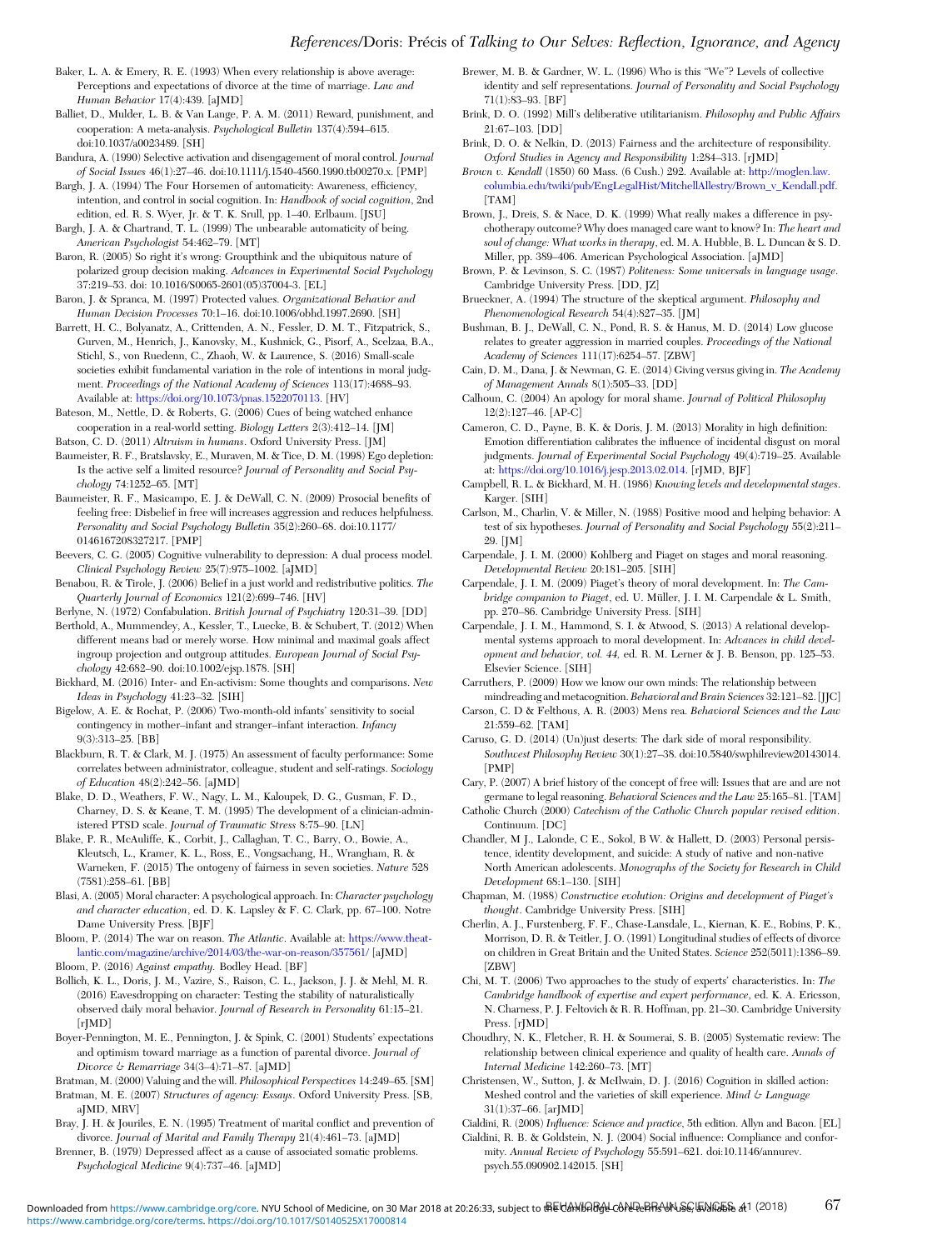<span id="page-66-0"></span>Baker, L. A. & Emery, R. E. (1993) When every relationship is above average: Perceptions and expectations of divorce at the time of marriage. Law and Human Behavior 17(4):439. [aJMD]

Balliet, D., Mulder, L. B. & Van Lange, P. A. M. (2011) Reward, punishment, and cooperation: A meta-analysis. Psychological Bulletin 137(4):594–615. doi:10.1037/a0023489. [SH]

- Bandura, A. (1990) Selective activation and disengagement of moral control. Journal of Social Issues 46(1):27–46. doi:10.1111/j.1540-4560.1990.tb00270.x. [PMP]
- Bargh, J. A. (1994) The Four Horsemen of automaticity: Awareness, efficiency, intention, and control in social cognition. In: Handbook of social cognition, 2nd
- edition, ed. R. S. Wyer, Jr. & T. K. Srull, pp. 1–40. Erlbaum. [JSU] Bargh, J. A. & Chartrand, T. L. (1999) The unbearable automaticity of being. American Psychologist 54:462–79. [MT]

Baron, R. (2005) So right it's wrong: Groupthink and the ubiquitous nature of polarized group decision making. Advances in Experimental Social Psychology 37:219–53. doi: 10.1016/S0065-2601(05)37004-3. [EL]

Baron, J. & Spranca, M. (1997) Protected values. Organizational Behavior and Human Decision Processes 70:1–16. doi:10.1006/obhd.1997.2690. [SH]

Barrett, H. C., Bolyanatz, A., Crittenden, A. N., Fessler, D. M. T., Fitzpatrick, S., Gurven, M., Henrich, J., Kanovsky, M., Kushnick, G., Pisorf, A., Scelzaa, B.A., Stichl, S., von Ruedenn, C., Zhaoh, W. & Laurence, S. (2016) Small-scale societies exhibit fundamental variation in the role of intentions in moral judgment. Proceedings of the National Academy of Sciences 113(17):4688–93. Available at: [https://doi.org/10.1073/pnas.1522070113.](https://doi.org/10.1073/pnas.1522070113) [HV]

Bateson, M., Nettle, D. & Roberts, G. (2006) Cues of being watched enhance cooperation in a real-world setting. Biology Letters 2(3):412–14. [JM]

Batson, C. D. (2011) Altruism in humans. Oxford University Press. [JM] Baumeister, R. F., Bratslavsky, E., Muraven, M. & Tice, D. M. (1998) Ego depletion: Is the active self a limited resource? Journal of Personality and Social Psychology 74:1252–65. [MT]

Baumeister, R. F., Masicampo, E. J. & DeWall, C. N. (2009) Prosocial benefits of feeling free: Disbelief in free will increases aggression and reduces helpfulness. Personality and Social Psychology Bulletin 35(2):260–68. doi:10.1177/ 0146167208327217. [PMP]

Beevers, C. G. (2005) Cognitive vulnerability to depression: A dual process model. Clinical Psychology Review 25(7):975–1002. [aJMD]

Benabou, R. & Tirole, J. (2006) Belief in a just world and redistributive politics. The Quarterly Journal of Economics 121(2):699–746. [HV]

Berlyne, N. (1972) Confabulation. British Journal of Psychiatry 120:31–39. [DD]

Berthold, A., Mummendey, A., Kessler, T., Luecke, B. & Schubert, T. (2012) When different means bad or merely worse. How minimal and maximal goals affect ingroup projection and outgroup attitudes. European Journal of Social Psychology 42:682–90. doi:10.1002/ejsp.1878. [SH]

Bickhard, M. (2016) Inter- and En-activism: Some thoughts and comparisons. New Ideas in Psychology 41:23–32. [SIH]

Bigelow, A. E. & Rochat, P. (2006) Two-month-old infants' sensitivity to social contingency in mother–infant and stranger–infant interaction. Infancy 9(3):313–25. [BB]

Blackburn, R. T. & Clark, M. J. (1975) An assessment of faculty performance: Some correlates between administrator, colleague, student and self-ratings. Sociology of Education 48(2):242–56. [aJMD]

Blake, D. D., Weathers, F. W., Nagy, L. M., Kaloupek, D. G., Gusman, F. D., Charney, D. S. & Keane, T. M. (1995) The development of a clinician-administered PTSD scale. Journal of Traumatic Stress 8:75–90. [LN]

Blake, P. R., McAuliffe, K., Corbit, J., Callaghan, T. C., Barry, O., Bowie, A., Kleutsch, L., Kramer, K. L., Ross, E., Vongsachang, H., Wrangham, R. & Warneken, F. (2015) The ontogeny of fairness in seven societies. Nature 528 (7581):258–61. [BB]

Blasi, A. (2005) Moral character: A psychological approach. In: Character psychology and character education, ed. D. K. Lapsley & F. C. Clark, pp. 67–100. Notre Dame University Press. [BJF]

Bloom, P. (2014) The war on reason. The Atlantic. Available at: [https://www.theat](https://www.theatlantic.com/magazine/archive/2014/03/the-war-on-reason/357561/)[lantic.com/magazine/archive/2014/03/the-war-on-reason/357561/](https://www.theatlantic.com/magazine/archive/2014/03/the-war-on-reason/357561/) [aJMD]

Bloom, P. (2016) Against empathy. Bodley Head. [BF]

Bollich, K. L., Doris, J. M., Vazire, S., Raison, C. L., Jackson, J. J. & Mehl, M. R. (2016) Eavesdropping on character: Testing the stability of naturalistically observed daily moral behavior. Journal of Research in Personality 61:15–21.  $[r|MD]$ 

Boyer-Pennington, M. E., Pennington, J. & Spink, C. (2001) Students' expectations and optimism toward marriage as a function of parental divorce. Journal of Divorce & Remarriage 34(3–4):71–87. [aJMD]

Bratman, M. (2000) Valuing and the will. Philosophical Perspectives 14:249–65. [SM]

Bratman, M. E. (2007) Structures of agency: Essays. Oxford University Press. [SB, aJMD, MRV]

Bray, J. H. & Jouriles, E. N. (1995) Treatment of marital conflict and prevention of divorce. Journal of Marital and Family Therapy 21(4):461–73. [aJMD]

Brenner, B. (1979) Depressed affect as a cause of associated somatic problems. Psychological Medicine 9(4):737–46. [aJMD]

- Brewer, M. B. & Gardner, W. L. (1996) Who is this "We"? Levels of collective identity and self representations. Journal of Personality and Social Psychology 71(1):83–93. [BF]
- Brink, D. O. (1992) Mill's deliberative utilitarianism. Philosophy and Public Affairs 21:67–103. [DD]
- Brink, D. O. & Nelkin, D. (2013) Fairness and the architecture of responsibility. Oxford Studies in Agency and Responsibility 1:284–313. [rJMD]

Brown v. Kendall (1850) 60 Mass. (6 Cush.) 292. Available at: [http://moglen.law.](http://moglen.law.columbia.edu/twiki/pub/EngLegalHist/MitchellAllestry/Brown_v_Kendall.pdf) [columbia.edu/twiki/pub/EngLegalHist/MitchellAllestry/Brown\\_v\\_Kendall.pdf](http://moglen.law.columbia.edu/twiki/pub/EngLegalHist/MitchellAllestry/Brown_v_Kendall.pdf). [TAM]

Brown, J., Dreis, S. & Nace, D. K. (1999) What really makes a difference in psychotherapy outcome? Why does managed care want to know? In: The heart and soul of change: What works in therapy, ed. M. A. Hubble, B. L. Duncan & S. D. Miller, pp. 389–406. American Psychological Association. [aJMD]

Brown, P. & Levinson, S. C. (1987) Politeness: Some universals in language usage. Cambridge University Press. [DD, JZ]

Brueckner, A. (1994) The structure of the skeptical argument. Philosophy and Phenomenological Research 54(4):827–35. [JM]

- Bushman, B. J., DeWall, C. N., Pond, R. S. & Hanus, M. D. (2014) Low glucose relates to greater aggression in married couples. Proceedings of the National Academy of Sciences 111(17):6254–57. [ZBW]
- Cain, D. M., Dana, J. & Newman, G. E. (2014) Giving versus giving in. The Academy of Management Annals 8(1):505–33. [DD]

Calhoun, C. (2004) An apology for moral shame. Journal of Political Philosophy 12(2):127–46. [AP-C]

Cameron, C. D., Payne, B. K. & Doris, J. M. (2013) Morality in high definition: Emotion differentiation calibrates the influence of incidental disgust on moral judgments. Journal of Experimental Social Psychology 49(4):719–25. Available at: <https://doi.org/10.1016/j.jesp.2013.02.014>. [rJMD, BJF]

Campbell, R. L. & Bickhard, M. H. (1986) Knowing levels and developmental stages. Karger. [SIH]

- Carlson, M., Charlin, V. & Miller, N. (1988) Positive mood and helping behavior: A test of six hypotheses. Journal of Personality and Social Psychology 55(2):211– 29. [JM]
- Carpendale, J. I. M. (2000) Kohlberg and Piaget on stages and moral reasoning. Developmental Review 20:181–205. [SIH]

Carpendale, J. I. M. (2009) Piaget's theory of moral development. In: The Cambridge companion to Piaget, ed. U. Müller, J. I. M. Carpendale & L. Smith, pp. 270–86. Cambridge University Press. [SIH]

Carpendale, J. I. M., Hammond, S. I. & Atwood, S. (2013) A relational developmental systems approach to moral development. In: Advances in child development and behavior, vol. 44, ed. R. M. Lerner & J. B. Benson, pp. 125–53. Elsevier Science. [SIH]

Carruthers, P. (2009) How we know our own minds: The relationship between mindreading and metacognition.Behavioral and Brain Sciences 32:121–82. [JJC]

Carson, C. D & Felthous, A. R. (2003) Mens rea. Behavioral Sciences and the Law 21:559–62. [TAM]

Caruso, G. D. (2014) (Un)just deserts: The dark side of moral responsibility. Southwest Philosophy Review 30(1):27–38. doi:10.5840/swphilreview20143014. [PMP]

Cary, P. (2007) A brief history of the concept of free will: Issues that are and are not germane to legal reasoning. Behavioral Sciences and the Law 25:165–81. [TAM]

Catholic Church (2000) Catechism of the Catholic Church popular revised edition. Continuum. [DC]

Chandler, M J., Lalonde, C E., Sokol, B W. & Hallett, D. (2003) Personal persistence, identity development, and suicide: A study of native and non-native North American adolescents. Monographs of the Society for Research in Child Development 68:1–130. [SIH]

Chapman, M. (1988) Constructive evolution: Origins and development of Piaget's thought. Cambridge University Press. [SIH]

Cherlin, A. J., Furstenberg, F. F., Chase-Lansdale, L., Kiernan, K. E., Robins, P. K., Morrison, D. R. & Teitler, J. O. (1991) Longitudinal studies of effects of divorce on children in Great Britain and the United States. Science 252(5011):1386–89. [ZBW]

Chi, M. T. (2006) Two approaches to the study of experts' characteristics. In: The Cambridge handbook of expertise and expert performance, ed. K. A. Ericsson, N. Charness, P. J. Feltovich & R. R. Hoffman, pp. 21–30. Cambridge University Press. [rJMD]

Choudhry, N. K., Fletcher, R. H. & Soumerai, S. B. (2005) Systematic review: The relationship between clinical experience and quality of health care. Annals of Internal Medicine 142:260–73. [MT]

Christensen, W., Sutton, J. & McIlwain, D. J. (2016) Cognition in skilled action: Meshed control and the varieties of skill experience. Mind  $\&$  Language 31(1):37–66. [arJMD]

Cialdini, R. (2008) Influence: Science and practice, 5th edition. Allyn and Bacon. [EL]

Cialdini, R. B. & Goldstein, N. J. (2004) Social influence: Compliance and conformity. Annual Review of Psychology 55:591–621. doi:10.1146/annurev. psych.55.090902.142015. [SH]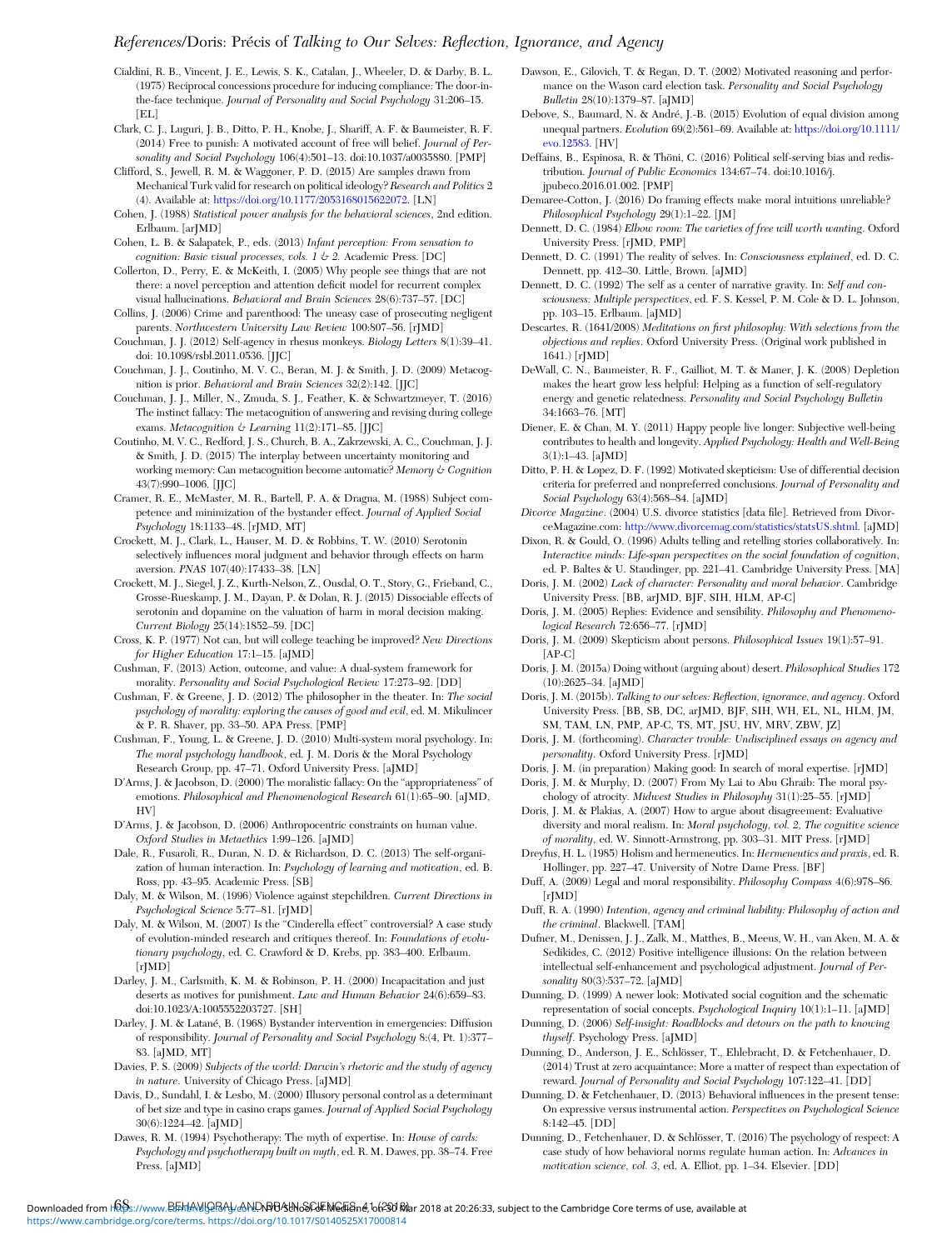## <span id="page-67-0"></span>References/Doris: Précis of Talking to Our Selves: Reflection, Ignorance, and Agency

Cialdini, R. B., Vincent, J. E., Lewis, S. K., Catalan, J., Wheeler, D. & Darby, B. L. (1975) Reciprocal concessions procedure for inducing compliance: The door-inthe-face technique. Journal of Personality and Social Psychology 31:206–15. [EL]

Clark, C. J., Luguri, J. B., Ditto, P. H., Knobe, J., Shariff, A. F. & Baumeister, R. F. (2014) Free to punish: A motivated account of free will belief. Journal of Personality and Social Psychology 106(4):501–13. doi:10.1037/a0035880. [PMP]

Clifford, S., Jewell, R. M. & Waggoner, P. D. (2015) Are samples drawn from Mechanical Turk valid for research on political ideology? Research and Politics 2 (4). Available at: <https://doi.org/10.1177/2053168015622072>. [LN]

Cohen, J. (1988) Statistical power analysis for the behavioral sciences, 2nd edition. Erlbaum. [arJMD]

Cohen, L. B. & Salapatek, P., eds. (2013) Infant perception: From sensation to cognition: Basic visual processes, vols. 1  $\&$  2. Academic Press. [DC]

Collerton, D., Perry, E. & McKeith, I. (2005) Why people see things that are not there: a novel perception and attention deficit model for recurrent complex visual hallucinations. Behavioral and Brain Sciences 28(6):737–57. [DC]

Collins, J. (2006) Crime and parenthood: The uneasy case of prosecuting negligent parents. Northwestern University Law Review 100:807–56. [rJMD]

Couchman, J. J. (2012) Self-agency in rhesus monkeys. Biology Letters 8(1):39–41. doi: 10.1098/rsbl.2011.0536. [JJC]

Couchman, J. J., Coutinho, M. V. C., Beran, M. J. & Smith, J. D. (2009) Metacognition is prior. Behavioral and Brain Sciences 32(2):142. [JJC]

Couchman, J. J., Miller, N., Zmuda, S. J., Feather, K. & Schwartzmeyer, T. (2016) The instinct fallacy: The metacognition of answering and revising during college exams. Metacognition  $\&$  Learning 11(2):171-85. [JJC]

Coutinho, M. V. C., Redford, J. S., Church, B. A., Zakrzewski, A. C., Couchman, J. J. & Smith, J. D. (2015) The interplay between uncertainty monitoring and working memory: Can metacognition become automatic? Memory & Cognition 43(7):990–1006. [JJC]

Cramer, R. E., McMaster, M. R., Bartell, P. A. & Dragna, M. (1988) Subject competence and minimization of the bystander effect. Journal of Applied Social Psychology 18:1133–48. [rJMD, MT]

Crockett, M. J., Clark, L., Hauser, M. D. & Robbins, T. W. (2010) Serotonin selectively influences moral judgment and behavior through effects on harm aversion. PNAS 107(40):17433–38. [LN]

Crockett, M. J., Siegel, J. Z., Kurth-Nelson, Z., Ousdal, O. T., Story, G., Frieband, C., Grosse-Rueskamp, J. M., Dayan, P. & Dolan, R. J. (2015) Dissociable effects of serotonin and dopamine on the valuation of harm in moral decision making. Current Biology 25(14):1852–59. [DC]

Cross, K. P. (1977) Not can, but will college teaching be improved? New Directions for Higher Education 17:1–15. [aJMD]

Cushman, F. (2013) Action, outcome, and value: A dual-system framework for morality. Personality and Social Psychological Review 17:273–92. [DD]

Cushman, F. & Greene, J. D. (2012) The philosopher in the theater. In: The social psychology of morality: exploring the causes of good and evil, ed. M. Mikulincer & P. R. Shaver, pp. 33–50. APA Press. [PMP]

Cushman, F., Young, L. & Greene, J. D. (2010) Multi-system moral psychology. In: The moral psychology handbook, ed. J. M. Doris & the Moral Psychology Research Group, pp. 47–71. Oxford University Press. [aJMD]

D'Arms, J. & Jacobson, D. (2000) The moralistic fallacy: On the "appropriateness" of emotions. Philosophical and Phenomenological Research 61(1):65–90. [aJMD, HV]

D'Arms, J. & Jacobson, D. (2006) Anthropocentric constraints on human value. Oxford Studies in Metaethics 1:99–126. [aJMD]

Dale, R., Fusaroli, R., Duran, N. D. & Richardson, D. C. (2013) The self-organization of human interaction. In: Psychology of learning and motivation, ed. B. Ross, pp. 43–95. Academic Press. [SB]

Daly, M. & Wilson, M. (1996) Violence against stepchildren. Current Directions in Psychological Science 5:77–81. [rJMD]

Daly, M. & Wilson, M. (2007) Is the "Cinderella effect" controversial? A case study of evolution-minded research and critiques thereof. In: Foundations of evolutionary psychology, ed. C. Crawford & D. Krebs, pp. 383–400. Erlbaum.  $[r|MD]$ 

Darley, J. M., Carlsmith, K. M. & Robinson, P. H. (2000) Incapacitation and just deserts as motives for punishment. Law and Human Behavior 24(6):659–83. doi:10.1023/A:1005552203727. [SH]

Darley, J. M. & Latané, B. (1968) Bystander intervention in emergencies: Diffusion of responsibility. Journal of Personality and Social Psychology 8:(4, Pt. 1):377– 83. [aJMD, MT]

Davies, P. S. (2009) Subjects of the world: Darwin's rhetoric and the study of agency in nature. University of Chicago Press. [aJMD]

Davis, D., Sundahl, I. & Lesbo, M. (2000) Illusory personal control as a determinant of bet size and type in casino craps games. Journal of Applied Social Psychology 30(6):1224–42. [aJMD]

Dawes, R. M. (1994) Psychotherapy: The myth of expertise. In: House of cards: Psychology and psychotherapy built on myth, ed. R. M. Dawes, pp. 38–74. Free Press. [aJMD]

Dawson, E., Gilovich, T. & Regan, D. T. (2002) Motivated reasoning and performance on the Wason card election task. Personality and Social Psychology Bulletin 28(10):1379–87. [aJMD]

Debove, S., Baumard, N. & André, J.-B. (2015) Evolution of equal division among unequal partners. Evolution 69(2):561–69. Available at: [https://doi.org/10.1111/](https://doi.org/10.1111/evo.12583) [evo.12583](https://doi.org/10.1111/evo.12583). [HV]

Deffains, B., Espinosa, R. & Thöni, C. (2016) Political self-serving bias and redistribution. Journal of Public Economics 134:67–74. doi:10.1016/j. jpubeco.2016.01.002. [PMP]

Demaree-Cotton, J. (2016) Do framing effects make moral intuitions unreliable? Philosophical Psychology 29(1):1–22. [JM]

Dennett, D. C. (1984) Elbow room: The varieties of free will worth wanting. Oxford University Press. [rJMD, PMP]

Dennett, D. C. (1991) The reality of selves. In: Consciousness explained, ed. D. C. Dennett, pp. 412–30. Little, Brown. [aJMD]

Dennett, D. C. (1992) The self as a center of narrative gravity. In: Self and consciousness: Multiple perspectives, ed. F. S. Kessel, P. M. Cole & D. L. Johnson, pp. 103–15. Erlbaum. [aJMD]

Descartes, R. (1641/2008) Meditations on first philosophy: With selections from the objections and replies. Oxford University Press. (Original work published in 1641.) [rJMD]

DeWall, C. N., Baumeister, R. F., Gailliot, M. T. & Maner, J. K. (2008) Depletion makes the heart grow less helpful: Helping as a function of self-regulatory energy and genetic relatedness. Personality and Social Psychology Bulletin 34:1663–76. [MT]

Diener, E. & Chan, M. Y. (2011) Happy people live longer: Subjective well-being contributes to health and longevity. Applied Psychology: Health and Well-Being 3(1):1–43. [aJMD]

Ditto, P. H. & Lopez, D. F. (1992) Motivated skepticism: Use of differential decision criteria for preferred and nonpreferred conclusions. Journal of Personality and Social Psychology 63(4):568–84. [aJMD]

Divorce Magazine. (2004) U.S. divorce statistics [data file]. Retrieved from DivorceMagazine.com: [http://www.divorcemag.com/statistics/statsUS.shtml.](http://www.divorcemag.com/statistics/statsUS.shtml) [aJMD]

Dixon, R. & Gould, O. (1996) Adults telling and retelling stories collaboratively. In: Interactive minds: Life-span perspectives on the social foundation of cognition, ed. P. Baltes & U. Staudinger, pp. 221–41. Cambridge University Press. [MA]

Doris, J. M. (2002) Lack of character: Personality and moral behavior. Cambridge University Press. [BB, arJMD, BJF, SIH, HLM, AP-C]

Doris, J. M. (2005) Replies: Evidence and sensibility. Philosophy and Phenomenological Research 72:656–77. [rJMD]

Doris, J. M. (2009) Skepticism about persons. Philosophical Issues 19(1):57–91. [AP-C]

Doris, J. M. (2015a) Doing without (arguing about) desert. Philosophical Studies 172 (10):2625–34. [aJMD]

Doris, J. M. (2015b). Talking to our selves: Reflection, ignorance, and agency. Oxford University Press. [BB, SB, DC, arJMD, BJF, SIH, WH, EL, NL, HLM, JM, SM, TAM, LN, PMP, AP-C, TS, MT, JSU, HV, MRV, ZBW, JZ]

Doris, J. M. (forthcoming). Character trouble: Undisciplined essays on agency and personality. Oxford University Press. [rJMD]

Doris, J. M. (in preparation) Making good: In search of moral expertise. [rJMD]

Doris, J. M. & Murphy, D. (2007) From My Lai to Abu Ghraib: The moral psychology of atrocity. Midwest Studies in Philosophy 31(1):25–55. [rJMD]

Doris, J. M. & Plakias, A. (2007) How to argue about disagreement: Evaluative diversity and moral realism. In: Moral psychology, vol. 2, The cognitive science  $of\,morality,$ ed. W. Sinnott-Armstrong, pp. 303–31. MIT Press. $\rm [rJMD]$ 

Dreyfus, H. L. (1985) Holism and hermeneutics. In: Hermeneutics and praxis, ed. R. Hollinger, pp. 227–47. University of Notre Dame Press. [BF]

Duff, A. (2009) Legal and moral responsibility. Philosophy Compass 4(6):978–86.  $[r|MD]$ 

Duff, R. A. (1990) Intention, agency and criminal liability: Philosophy of action and the criminal. Blackwell. [TAM]

Dufner, M., Denissen, J. J., Zalk, M., Matthes, B., Meeus, W. H., van Aken, M. A. & Sedikides, C. (2012) Positive intelligence illusions: On the relation between intellectual self-enhancement and psychological adjustment. Journal of Personality 80(3):537–72. [aJMD]

Dunning, D. (1999) A newer look: Motivated social cognition and the schematic representation of social concepts. Psychological Inquiry 10(1):1–11. [aJMD]

Dunning, D. (2006) Self-insight: Roadblocks and detours on the path to knowing thyself. Psychology Press. [aJMD]

Dunning, D., Anderson, J. E., Schlösser, T., Ehlebracht, D. & Fetchenhauer, D. (2014) Trust at zero acquaintance: More a matter of respect than expectation of reward. Journal of Personality and Social Psychology 107:122–41. [DD]

Dunning, D. & Fetchenhauer, D. (2013) Behavioral influences in the present tense: On expressive versus instrumental action. Perspectives on Psychological Science 8:142–45. [DD]

Dunning, D., Fetchenhauer, D. & Schlösser, T. (2016) The psychology of respect: A case study of how behavioral norms regulate human action. In: Advances in motivation science, vol. 3, ed. A. Elliot, pp. 1–34. Elsevier. [DD]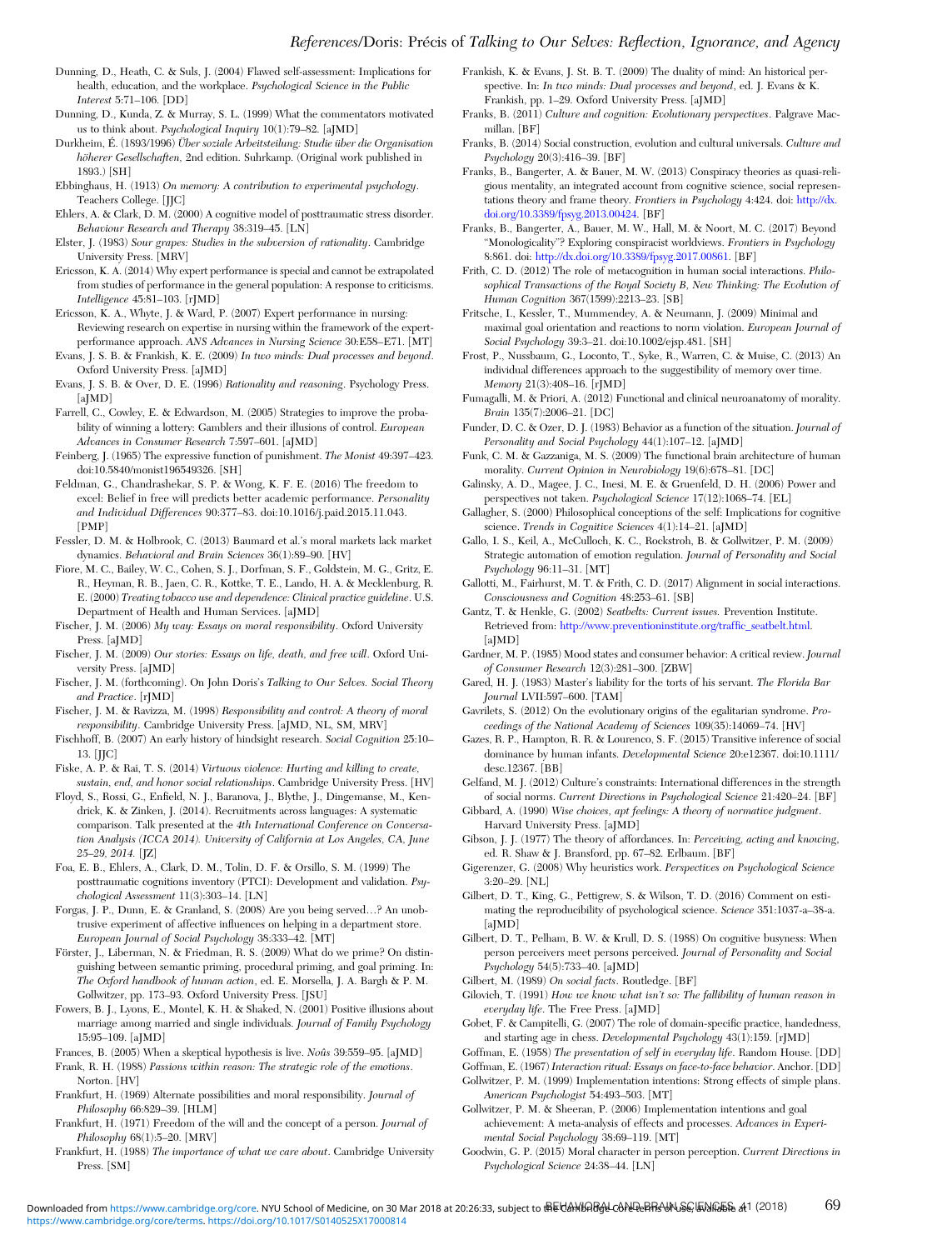- <span id="page-68-0"></span>Dunning, D., Heath, C. & Suls, J. (2004) Flawed self-assessment: Implications for health, education, and the workplace. Psychological Science in the Public Interest 5:71–106. [DD]
- Dunning, D., Kunda, Z. & Murray, S. L. (1999) What the commentators motivated us to think about. Psychological Inquiry 10(1):79–82. [aJMD]
- Durkheim, É. (1893/1996) Über soziale Arbeitsteilung: Studie über die Organisation höherer Gesellschaften, 2nd edition. Suhrkamp. (Original work published in 1893.) [SH]
- Ebbinghaus, H. (1913) On memory: A contribution to experimental psychology. Teachers College. [JJC]
- Ehlers, A. & Clark, D. M. (2000) A cognitive model of posttraumatic stress disorder. Behaviour Research and Therapy 38:319–45. [LN]
- Elster, J. (1983) Sour grapes: Studies in the subversion of rationality. Cambridge University Press. [MRV]
- Ericsson, K. A. (2014) Why expert performance is special and cannot be extrapolated from studies of performance in the general population: A response to criticisms. Intelligence 45:81–103. [rJMD]
- Ericsson, K. A., Whyte, J. & Ward, P. (2007) Expert performance in nursing: Reviewing research on expertise in nursing within the framework of the expertperformance approach. ANS Advances in Nursing Science 30:E58–E71. [MT]
- Evans, J. S. B. & Frankish, K. E. (2009) In two minds: Dual processes and beyond. Oxford University Press. [aJMD]
- Evans, J. S. B. & Over, D. E. (1996) Rationality and reasoning. Psychology Press.  $[a|MD]$
- Farrell, C., Cowley, E. & Edwardson, M. (2005) Strategies to improve the probability of winning a lottery: Gamblers and their illusions of control. European Advances in Consumer Research 7:597–601. [aJMD]
- Feinberg, J. (1965) The expressive function of punishment. The Monist 49:397–423. doi:10.5840/monist196549326. [SH]
- Feldman, G., Chandrashekar, S. P. & Wong, K. F. E. (2016) The freedom to excel: Belief in free will predicts better academic performance. Personality and Individual Differences 90:377–83. doi:10.1016/j.paid.2015.11.043. [PMP]
- Fessler, D. M. & Holbrook, C. (2013) Baumard et al.'s moral markets lack market dynamics. Behavioral and Brain Sciences 36(1):89–90. [HV]
- Fiore, M. C., Bailey, W. C., Cohen, S. J., Dorfman, S. F., Goldstein, M. G., Gritz, E. R., Heyman, R. B., Jaen, C. R., Kottke, T. E., Lando, H. A. & Mecklenburg, R. E. (2000) Treating tobacco use and dependence: Clinical practice guideline. U.S. Department of Health and Human Services. [aJMD]
- Fischer, J. M. (2006) My way: Essays on moral responsibility. Oxford University Press. [aJMD]
- Fischer, J. M. (2009) Our stories: Essays on life, death, and free will. Oxford University Press. [aJMD]
- Fischer, J. M. (forthcoming). On John Doris's Talking to Our Selves. Social Theory and Practice. [rJMD]
- Fischer, J. M. & Ravizza, M. (1998) Responsibility and control: A theory of moral responsibility. Cambridge University Press. [aJMD, NL, SM, MRV]
- Fischhoff, B. (2007) An early history of hindsight research. Social Cognition 25:10– 13.  $[\Pi C]$
- Fiske, A. P. & Rai, T. S. (2014) Virtuous violence: Hurting and killing to create, sustain, end, and honor social relationships. Cambridge University Press. [HV]
- Floyd, S., Rossi, G., Enfield, N. J., Baranova, J., Blythe, J., Dingemanse, M., Kendrick, K. & Zinken, J. (2014). Recruitments across languages: A systematic comparison. Talk presented at the 4th International Conference on Conversation Analysis (ICCA 2014). University of California at Los Angeles, CA, June 25–29, 2014. [JZ]
- Foa, E. B., Ehlers, A., Clark, D. M., Tolin, D. F. & Orsillo, S. M. (1999) The posttraumatic cognitions inventory (PTCI): Development and validation. Psychological Assessment 11(3):303–14. [LN]
- Forgas, J. P., Dunn, E. & Granland, S. (2008) Are you being served…? An unobtrusive experiment of affective influences on helping in a department store. European Journal of Social Psychology 38:333–42. [MT]
- Förster, J., Liberman, N. & Friedman, R. S. (2009) What do we prime? On distinguishing between semantic priming, procedural priming, and goal priming. In: The Oxford handbook of human action, ed. E. Morsella, J. A. Bargh & P. M. Gollwitzer, pp. 173–93. Oxford University Press. [JSU]
- Fowers, B. J., Lyons, E., Montel, K. H. & Shaked, N. (2001) Positive illusions about marriage among married and single individuals. Journal of Family Psychology 15:95–109. [aJMD]
- Frances, B. (2005) When a skeptical hypothesis is live. Noûs 39:559–95. [aJMD]
- Frank, R. H. (1988) Passions within reason: The strategic role of the emotions. Norton. [HV]
- Frankfurt, H. (1969) Alternate possibilities and moral responsibility. Journal of Philosophy 66:829–39. [HLM]
- Frankfurt, H. (1971) Freedom of the will and the concept of a person. Journal of Philosophy 68(1):5–20. [MRV]
- Frankfurt, H. (1988) The importance of what we care about. Cambridge University Press. [SM]
- Frankish, K. & Evans, J. St. B. T. (2009) The duality of mind: An historical perspective. In: In two minds: Dual processes and beyond, ed. J. Evans & K. Frankish, pp. 1–29. Oxford University Press. [aJMD]
- Franks, B. (2011) Culture and cognition: Evolutionary perspectives. Palgrave Macmillan. [BF]
- Franks, B. (2014) Social construction, evolution and cultural universals. Culture and Psychology 20(3):416–39. [BF]
- Franks, B., Bangerter, A. & Bauer, M. W. (2013) Conspiracy theories as quasi-religious mentality, an integrated account from cognitive science, social representations theory and frame theory. Frontiers in Psychology 4:424. doi: [http://dx.](http://dx.doi.org/10.3389/fpsyg.2013.00424) [doi.org/10.3389/fpsyg.2013.00424.](http://dx.doi.org/10.3389/fpsyg.2013.00424) [BF]
- Franks, B., Bangerter, A., Bauer, M. W., Hall, M. & Noort, M. C. (2017) Beyond "Monologicality"? Exploring conspiracist worldviews. Frontiers in Psychology 8:861. doi: [http://dx.doi.org/10.3389/fpsyg.2017.00861.](http://dx.doi.org/10.3389/fpsyg.2017.00861) [BF]
- Frith, C. D. (2012) The role of metacognition in human social interactions. Philosophical Transactions of the Royal Society B, New Thinking: The Evolution of Human Cognition 367(1599):2213–23. [SB]
- Fritsche, I., Kessler, T., Mummendey, A. & Neumann, J. (2009) Minimal and maximal goal orientation and reactions to norm violation. European Journal of Social Psychology 39:3–21. doi:10.1002/ejsp.481. [SH]
- Frost, P., Nussbaum, G., Loconto, T., Syke, R., Warren, C. & Muise, C. (2013) An individual differences approach to the suggestibility of memory over time. Memory 21(3):408–16. [rJMD]
- Fumagalli, M. & Priori, A. (2012) Functional and clinical neuroanatomy of morality. Brain 135(7):2006–21. [DC]
- Funder, D. C. & Ozer, D. J. (1983) Behavior as a function of the situation. Journal of Personality and Social Psychology 44(1):107-12. [aJMD]
- Funk, C. M. & Gazzaniga, M. S. (2009) The functional brain architecture of human morality. Current Opinion in Neurobiology 19(6):678–81. [DC]
- Galinsky, A. D., Magee, J. C., Inesi, M. E. & Gruenfeld, D. H. (2006) Power and perspectives not taken. Psychological Science 17(12):1068–74. [EL]
- Gallagher, S. (2000) Philosophical conceptions of the self: Implications for cognitive science. Trends in Cognitive Sciences 4(1):14–21. [aJMD]
- Gallo, I. S., Keil, A., McCulloch, K. C., Rockstroh, B. & Gollwitzer, P. M. (2009) Strategic automation of emotion regulation. Journal of Personality and Social Psychology 96:11–31. [MT]
- Gallotti, M., Fairhurst, M. T. & Frith, C. D. (2017) Alignment in social interactions. Consciousness and Cognition 48:253–61. [SB]
- Gantz, T. & Henkle, G. (2002) Seatbelts: Current issues. Prevention Institute. Retrieved from: [http://www.preventioninstitute.org/traf](http://www.preventioninstitute.org/traffic_seatbelt.html)fic\_seatbelt.html. [aJMD]
- Gardner, M. P. (1985) Mood states and consumer behavior: A critical review. Journal of Consumer Research 12(3):281–300. [ZBW]
- Gared, H. J. (1983) Master's liability for the torts of his servant. The Florida Bar Journal LVII:597–600. [TAM]
- Gavrilets, S. (2012) On the evolutionary origins of the egalitarian syndrome. Proceedings of the National Academy of Sciences 109(35):14069–74. [HV]
- Gazes, R. P., Hampton, R. R. & Lourenco, S. F. (2015) Transitive inference of social dominance by human infants. Developmental Science 20:e12367. doi:10.1111/ desc.12367. [BB]
- Gelfand, M. J. (2012) Culture's constraints: International differences in the strength of social norms. Current Directions in Psychological Science 21:420–24. [BF]
- Gibbard, A. (1990) Wise choices, apt feelings: A theory of normative judgment. Harvard University Press. [aJMD]
- Gibson, J. J. (1977) The theory of affordances. In: Perceiving, acting and knowing, ed. R. Shaw & J. Bransford, pp. 67–82. Erlbaum. [BF]
- Gigerenzer, G. (2008) Why heuristics work. Perspectives on Psychological Science 3:20–29. [NL]
- Gilbert, D. T., King, G., Pettigrew, S. & Wilson, T. D. (2016) Comment on estimating the reproducibility of psychological science. Science 351:1037-a–38-a. [aJMD]
- Gilbert, D. T., Pelham, B. W. & Krull, D. S. (1988) On cognitive busyness: When person perceivers meet persons perceived. Journal of Personality and Social Psychology 54(5):733–40. [aJMD]

Gilbert, M. (1989) On social facts. Routledge. [BF]

- Gilovich, T. (1991) How we know what isn't so: The fallibility of human reason in everyday life. The Free Press. [aJMD]
- Gobet, F. & Campitelli, G. (2007) The role of domain-specific practice, handedness, and starting age in chess. Developmental Psychology 43(1):159. [rJMD]

Goffman, E. (1958) The presentation of self in everyday life. Random House. [DD]

Goffman, E. (1967) Interaction ritual: Essays on face-to-face behavior. Anchor. [DD] Gollwitzer, P. M. (1999) Implementation intentions: Strong effects of simple plans. American Psychologist 54:493–503. [MT]

- Gollwitzer, P. M. & Sheeran, P. (2006) Implementation intentions and goal achievement: A meta-analysis of effects and processes. Advances in Experimental Social Psychology 38:69–119. [MT]
- Goodwin, G. P. (2015) Moral character in person perception. Current Directions in Psychological Science 24:38–44. [LN]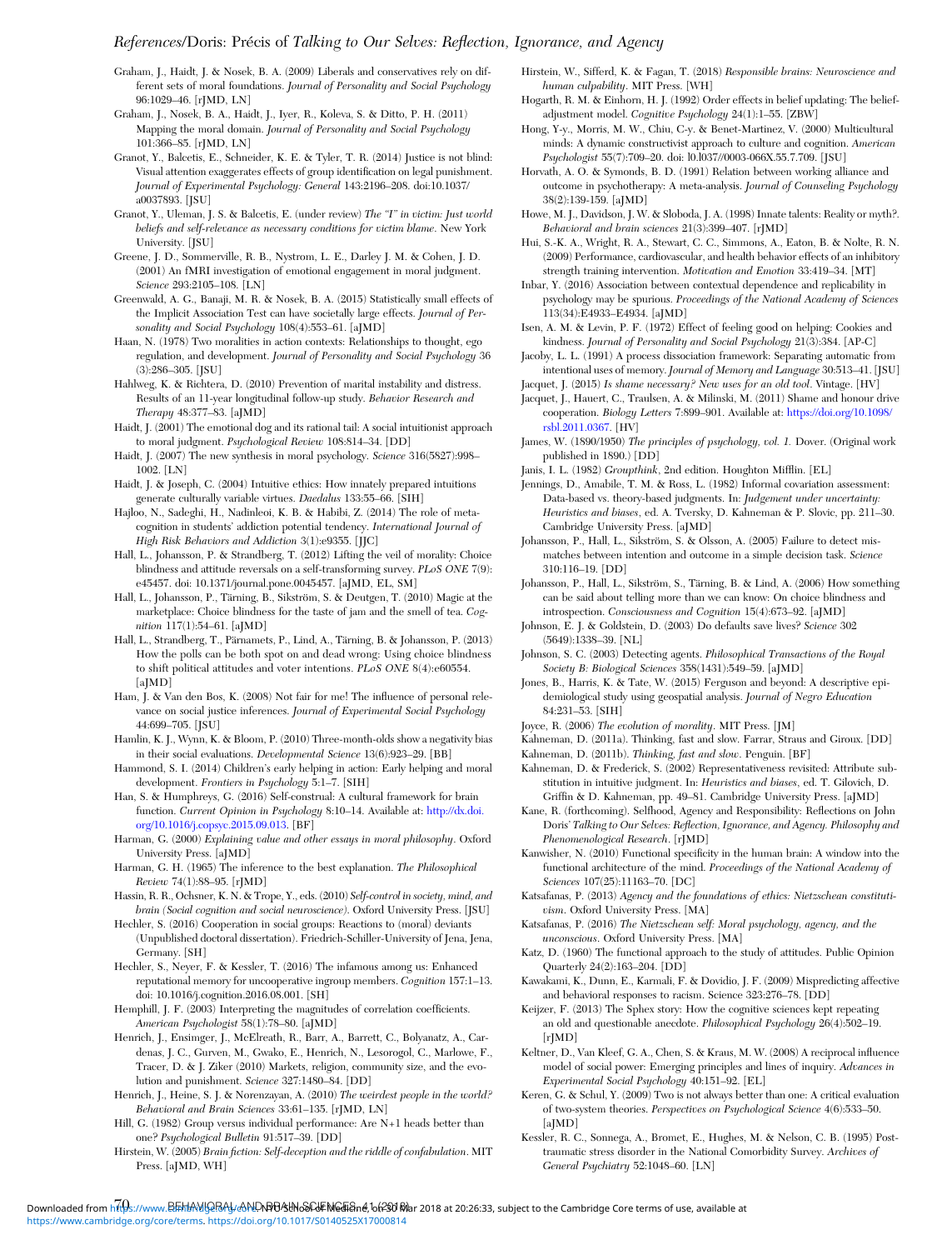## <span id="page-69-0"></span>References/Doris: Précis of Talking to Our Selves: Reflection, Ignorance, and Agency

- Graham, J., Haidt, J. & Nosek, B. A. (2009) Liberals and conservatives rely on different sets of moral foundations. Journal of Personality and Social Psychology 96:1029–46. [rJMD, LN]
- Graham, J., Nosek, B. A., Haidt, J., Iyer, R., Koleva, S. & Ditto, P. H. (2011) Mapping the moral domain. Journal of Personality and Social Psychology 101:366–85. [rJMD, LN]
- Granot, Y., Balcetis, E., Schneider, K. E. & Tyler, T. R. (2014) Justice is not blind: Visual attention exaggerates effects of group identification on legal punishment. Journal of Experimental Psychology: General 143:2196–208. doi:10.1037/ a0037893. [JSU]
- Granot, Y., Uleman, J. S. & Balcetis, E. (under review) The "I" in victim: Just world beliefs and self-relevance as necessary conditions for victim blame. New York University. [JSU]
- Greene, J. D., Sommerville, R. B., Nystrom, L. E., Darley J. M. & Cohen, J. D. (2001) An fMRI investigation of emotional engagement in moral judgment. Science 293:2105–108. [LN]
- Greenwald, A. G., Banaji, M. R. & Nosek, B. A. (2015) Statistically small effects of the Implicit Association Test can have societally large effects. Journal of Personality and Social Psychology 108(4):553–61. [aJMD]
- Haan, N. (1978) Two moralities in action contexts: Relationships to thought, ego regulation, and development. Journal of Personality and Social Psychology 36 (3):286–305. [JSU]
- Hahlweg, K. & Richtera, D. (2010) Prevention of marital instability and distress. Results of an 11-year longitudinal follow-up study. Behavior Research and Therapy 48:377–83. [aJMD]
- Haidt, J. (2001) The emotional dog and its rational tail: A social intuitionist approach to moral judgment. Psychological Review 108:814-34. [DD]
- Haidt, J. (2007) The new synthesis in moral psychology. Science 316(5827):998– 1002. [LN]
- Haidt, J. & Joseph, C. (2004) Intuitive ethics: How innately prepared intuitions generate culturally variable virtues. Daedalus 133:55–66. [SIH]
- Hajloo, N., Sadeghi, H., Nadinleoi, K. B. & Habibi, Z. (2014) The role of metacognition in students' addiction potential tendency. International Journal of High Risk Behaviors and Addiction 3(1):e9355. [JJC]
- Hall, L., Johansson, P. & Strandberg, T. (2012) Lifting the veil of morality: Choice blindness and attitude reversals on a self-transforming survey. PLoS ONE 7(9): e45457. doi: 10.1371/journal.pone.0045457. [aJMD, EL, SM]
- Hall, L., Johansson, P., Tärning, B., Sikström, S. & Deutgen, T. (2010) Magic at the marketplace: Choice blindness for the taste of jam and the smell of tea. Cognition 117(1):54–61. [aJMD]
- Hall, L., Strandberg, T., Pärnamets, P., Lind, A., Tärning, B. & Johansson, P. (2013) How the polls can be both spot on and dead wrong: Using choice blindness to shift political attitudes and voter intentions. PLoS ONE 8(4):e60554. [aJMD]
- Ham, J. & Van den Bos, K. (2008) Not fair for me! The influence of personal relevance on social justice inferences. Journal of Experimental Social Psychology 44:699–705. [JSU]
- Hamlin, K. J., Wynn, K. & Bloom, P. (2010) Three-month-olds show a negativity bias in their social evaluations. Developmental Science 13(6):923–29. [BB]
- Hammond, S. I. (2014) Children's early helping in action: Early helping and moral development. Frontiers in Psychology 5:1–7. [SIH]
- Han, S. & Humphreys, G. (2016) Self-construal: A cultural framework for brain function. Current Opinion in Psychology 8:10–14. Available at: [http://dx.doi.](http://dx.doi.org/10.1016/j.copsyc.2015.09.013) [org/10.1016/j.copsyc.2015.09.013.](http://dx.doi.org/10.1016/j.copsyc.2015.09.013) [BF]
- Harman, G. (2000) Explaining value and other essays in moral philosophy. Oxford University Press. [aJMD]
- Harman, G. H. (1965) The inference to the best explanation. The Philosophical Review 74(1):88–95. [rJMD]
- Hassin, R. R., Ochsner, K. N. & Trope, Y., eds. (2010) Self-control in society, mind, and brain (Social cognition and social neuroscience). Oxford University Press. [JSU]
- Hechler, S. (2016) Cooperation in social groups: Reactions to (moral) deviants (Unpublished doctoral dissertation). Friedrich-Schiller-University of Jena, Jena, Germany. [SH]
- Hechler, S., Neyer, F. & Kessler, T. (2016) The infamous among us: Enhanced reputational memory for uncooperative ingroup members. Cognition 157:1–13. doi: 10.1016/j.cognition.2016.08.001. [SH]
- Hemphill, J. F. (2003) Interpreting the magnitudes of correlation coefficients. American Psychologist 58(1):78–80. [aJMD]
- Henrich, J., Ensimger, J., McElreath, R., Barr, A., Barrett, C., Bolyanatz, A., Cardenas, J. C., Gurven, M., Gwako, E., Henrich, N., Lesorogol, C., Marlowe, F., Tracer, D. & J. Ziker (2010) Markets, religion, community size, and the evolution and punishment. Science 327:1480–84. [DD]
- Henrich, J., Heine, S. J. & Norenzayan, A. (2010) The weirdest people in the world? Behavioral and Brain Sciences 33:61–135. [rJMD, LN]
- Hill, G. (1982) Group versus individual performance: Are N+1 heads better than one? Psychological Bulletin 91:517–39. [DD]
- Hirstein, W. (2005) Brain fiction: Self-deception and the riddle of confabulation. MIT Press. [aJMD, WH]
- Hirstein, W., Sifferd, K. & Fagan, T. (2018) Responsible brains: Neuroscience and human culpability. MIT Press. [WH]
- Hogarth, R. M. & Einhorn, H. J. (1992) Order effects in belief updating: The beliefadjustment model. Cognitive Psychology 24(1):1–55. [ZBW]
- Hong, Y-y., Morris, M. W., Chiu, C-y. & Benet-Martinez, V. (2000) Multicultural minds: A dynamic constructivist approach to culture and cognition. American Psychologist 55(7):709–20. doi: l0.l037//0003-066X.55.7.709. [JSU]
- Horvath, A. O. & Symonds, B. D. (1991) Relation between working alliance and outcome in psychotherapy: A meta-analysis. Journal of Counseling Psychology 38(2):139-159. [aJMD]
- Howe, M. J., Davidson, J. W. & Sloboda, J. A. (1998) Innate talents: Reality or myth?. Behavioral and brain sciences 21(3):399–407. [rJMD]
- Hui, S.-K. A., Wright, R. A., Stewart, C. C., Simmons, A., Eaton, B. & Nolte, R. N. (2009) Performance, cardiovascular, and health behavior effects of an inhibitory strength training intervention. Motivation and Emotion 33:419–34. [MT]
- Inbar, Y. (2016) Association between contextual dependence and replicability in psychology may be spurious. Proceedings of the National Academy of Sciences 113(34):E4933–E4934. [aJMD]
- Isen, A. M. & Levin, P. F. (1972) Effect of feeling good on helping: Cookies and kindness. Journal of Personality and Social Psychology 21(3):384. [AP-C]
- Jacoby, L. L. (1991) A process dissociation framework: Separating automatic from intentional uses of memory. Journal of Memory and Language 30:513–41. [JSU]
- Jacquet, J. (2015) Is shame necessary? New uses for an old tool. Vintage. [HV] Jacquet, J., Hauert, C., Traulsen, A. & Milinski, M. (2011) Shame and honour drive cooperation. Biology Letters 7:899–901. Available at: [https://doi.org/10.1098/](https://doi.org/10.1098/rsbl.2011.0367) [rsbl.2011.0367](https://doi.org/10.1098/rsbl.2011.0367). [HV]
- James, W. (1890/1950) The principles of psychology, vol. 1. Dover. (Original work published in 1890.) [DD]
- Janis, I. L. (1982) Groupthink, 2nd edition. Houghton Mifflin. [EL]
- Jennings, D., Amabile, T. M. & Ross, L. (1982) Informal covariation assessment: Data-based vs. theory-based judgments. In: Judgement under uncertainty: Heuristics and biases, ed. A. Tversky, D. Kahneman & P. Slovic, pp. 211–30. Cambridge University Press. [aJMD]
- Johansson, P., Hall, L., Sikström, S. & Olsson, A. (2005) Failure to detect mismatches between intention and outcome in a simple decision task. Science 310:116–19. [DD]
- Johansson, P., Hall, L., Sikström, S., Tärning, B. & Lind, A. (2006) How something can be said about telling more than we can know: On choice blindness and introspection. Consciousness and Cognition 15(4):673–92. [aJMD]
- Johnson, E. J. & Goldstein, D. (2003) Do defaults save lives? Science 302 (5649):1338–39. [NL]
- Johnson, S. C. (2003) Detecting agents. Philosophical Transactions of the Royal Society B: Biological Sciences 358(1431):549–59. [aJMD]
- Jones, B., Harris, K. & Tate, W. (2015) Ferguson and beyond: A descriptive epidemiological study using geospatial analysis. Journal of Negro Education 84:231–53. [SIH]
- Joyce, R. (2006) The evolution of morality. MIT Press. [JM]
- Kahneman, D. (2011a). Thinking, fast and slow. Farrar, Straus and Giroux. [DD]
- Kahneman, D. (2011b). Thinking, fast and slow. Penguin. [BF]
- Kahneman, D. & Frederick, S. (2002) Representativeness revisited: Attribute substitution in intuitive judgment. In: Heuristics and biases, ed. T. Gilovich, D. Griffin & D. Kahneman, pp. 49–81. Cambridge University Press. [aJMD]
- Kane, R. (forthcoming). Selfhood, Agency and Responsibility: Reflections on John Doris' Talking to Our Selves: Reflection, Ignorance, and Agency. Philosophy and Phenomenological Research. [rJMD]
- Kanwisher, N. (2010) Functional specificity in the human brain: A window into the functional architecture of the mind. Proceedings of the National Academy of Sciences 107(25):11163–70. [DC]
- Katsafanas, P. (2013) Agency and the foundations of ethics: Nietzschean constitutivism. Oxford University Press. [MA]
- Katsafanas, P. (2016) The Nietzschean self: Moral psychology, agency, and the unconscious. Oxford University Press. [MA]
- Katz, D. (1960) The functional approach to the study of attitudes. Public Opinion Quarterly 24(2):163–204. [DD]
- Kawakami, K., Dunn, E., Karmali, F. & Dovidio, J. F. (2009) Mispredicting affective and behavioral responses to racism. Science 323:276–78. [DD]
- Keijzer, F. (2013) The Sphex story: How the cognitive sciences kept repeating an old and questionable anecdote. Philosophical Psychology 26(4):502–19. [rJMD]
- Keltner, D., Van Kleef, G. A., Chen, S. & Kraus, M. W. (2008) A reciprocal influence model of social power: Emerging principles and lines of inquiry. Advances in Experimental Social Psychology 40:151–92. [EL]
- Keren, G. & Schul, Y. (2009) Two is not always better than one: A critical evaluation of two-system theories. Perspectives on Psychological Science 4(6):533–50. [aJMD]
- Kessler, R. C., Sonnega, A., Bromet, E., Hughes, M. & Nelson, C. B. (1995) Posttraumatic stress disorder in the National Comorbidity Survey. Archives of General Psychiatry 52:1048–60. [LN]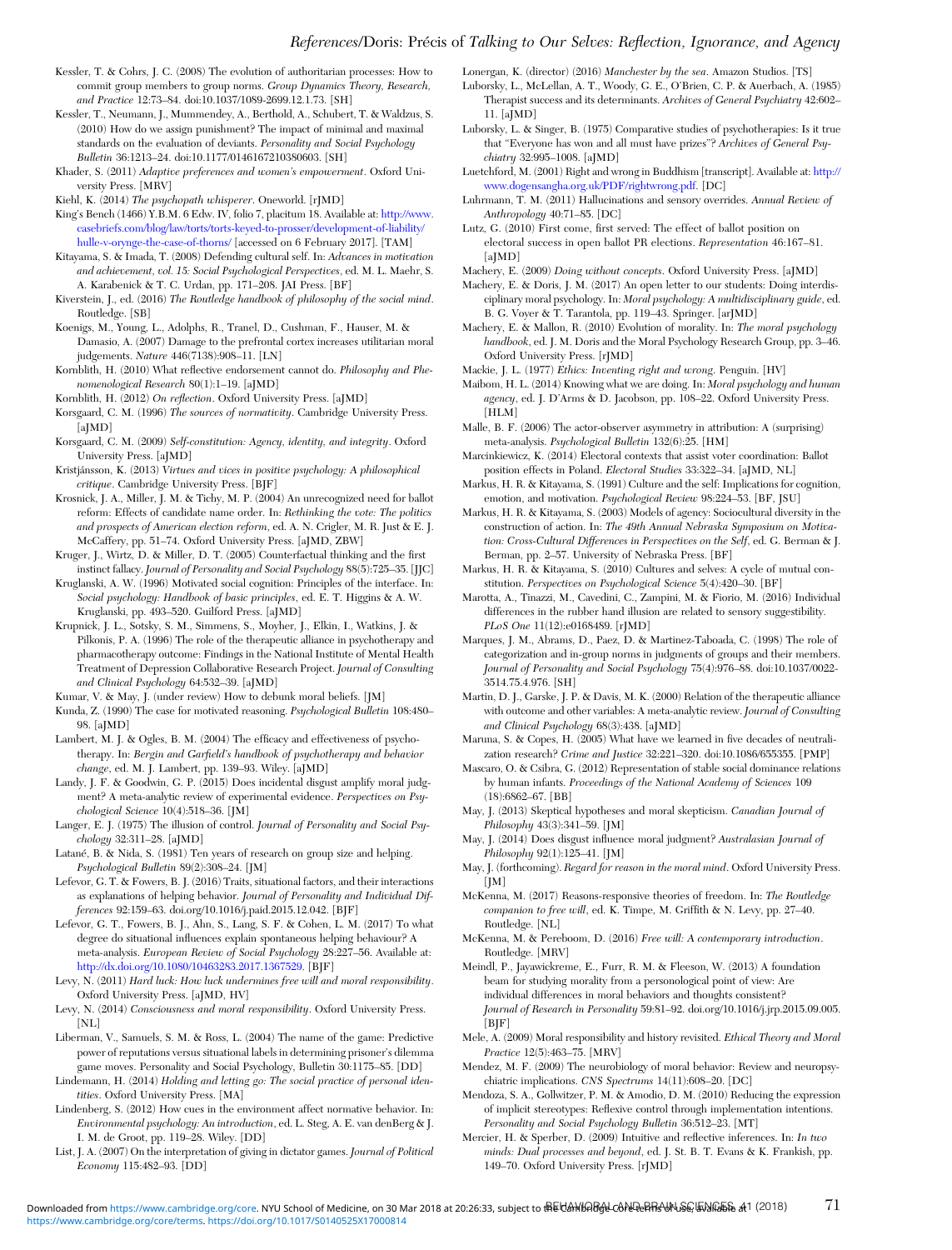- <span id="page-70-0"></span>Kessler, T. & Cohrs, J. C. (2008) The evolution of authoritarian processes: How to commit group members to group norms. Group Dynamics Theory, Research, and Practice 12:73–84. doi:10.1037/1089-2699.12.1.73. [SH]
- Kessler, T., Neumann, J., Mummendey, A., Berthold, A., Schubert, T. & Waldzus, S. (2010) How do we assign punishment? The impact of minimal and maximal standards on the evaluation of deviants. Personality and Social Psychology Bulletin 36:1213–24. doi:10.1177/0146167210380603. [SH]
- Khader, S. (2011) Adaptive preferences and women's empowerment. Oxford University Press. [MRV]

Kiehl, K. (2014) The psychopath whisperer. Oneworld. [rJMD]

King's Bench (1466) Y.B.M. 6 Edw. IV, folio 7, placitum 18. Available at: [http://www.](http://www.casebriefs.com/blog/law/torts/torts-keyed-to-prosser/development-of-liability/hulle-v-orynge-the-case-of-thorns/) [casebriefs.com/blog/law/torts/torts-keyed-to-prosser/development-of-liability/](http://www.casebriefs.com/blog/law/torts/torts-keyed-to-prosser/development-of-liability/hulle-v-orynge-the-case-of-thorns/) [hulle-v-orynge-the-case-of-thorns/](http://www.casebriefs.com/blog/law/torts/torts-keyed-to-prosser/development-of-liability/hulle-v-orynge-the-case-of-thorns/) [accessed on 6 February 2017]. [TAM]

- Kitayama, S. & Imada, T. (2008) Defending cultural self. In: Advances in motivation and achievement, vol. 15: Social Psychological Perspectives, ed. M. L. Maehr, S. A. Karabenick & T. C. Urdan, pp. 171–208. JAI Press. [BF]
- Kiverstein, J., ed. (2016) The Routledge handbook of philosophy of the social mind. Routledge. [SB]
- Koenigs, M., Young, L., Adolphs, R., Tranel, D., Cushman, F., Hauser, M. & Damasio, A. (2007) Damage to the prefrontal cortex increases utilitarian moral judgements. Nature 446(7138):908–11. [LN]
- Kornblith, H. (2010) What reflective endorsement cannot do. Philosophy and Phenomenological Research 80(1):1–19. [aJMD]
- Kornblith, H. (2012) On reflection. Oxford University Press. [aJMD]
- Korsgaard, C. M. (1996) The sources of normativity. Cambridge University Press. [aJMD]
- Korsgaard, C. M. (2009) Self-constitution: Agency, identity, and integrity. Oxford University Press. [aJMD]
- Kristjánsson, K. (2013) Virtues and vices in positive psychology: A philosophical critique. Cambridge University Press. [BJF]
- Krosnick, J. A., Miller, J. M. & Tichy, M. P. (2004) An unrecognized need for ballot reform: Effects of candidate name order. In: Rethinking the vote: The politics and prospects of American election reform, ed. A. N. Crigler, M. R. Just & E. J. McCaffery, pp. 51–74. Oxford University Press. [aJMD, ZBW]
- Kruger, J., Wirtz, D. & Miller, D. T. (2005) Counterfactual thinking and the first instinct fallacy. Journal of Personality and Social Psychology 88(5):725–35. [JJC]
- Kruglanski, A. W. (1996) Motivated social cognition: Principles of the interface. In: Social psychology: Handbook of basic principles, ed. E. T. Higgins & A. W. Kruglanski, pp. 493–520. Guilford Press. [aJMD]
- Krupnick, J. L., Sotsky, S. M., Simmens, S., Moyher, J., Elkin, I., Watkins, J. & Pilkonis, P. A. (1996) The role of the therapeutic alliance in psychotherapy and pharmacotherapy outcome: Findings in the National Institute of Mental Health Treatment of Depression Collaborative Research Project. Journal of Consulting and Clinical Psychology 64:532–39. [aJMD]
- Kumar, V. & May, J. (under review) How to debunk moral beliefs. [JM]
- Kunda, Z. (1990) The case for motivated reasoning. Psychological Bulletin 108:480– 98. [aJMD]
- Lambert, M. J. & Ogles, B. M. (2004) The efficacy and effectiveness of psychotherapy. In: Bergin and Garfield's handbook of psychotherapy and behavior change, ed. M. J. Lambert, pp. 139–93. Wiley. [aJMD]
- Landy, J. F. & Goodwin, G. P. (2015) Does incidental disgust amplify moral judgment? A meta-analytic review of experimental evidence. Perspectives on Psychological Science 10(4):518–36. [JM]
- Langer, E. J. (1975) The illusion of control. Journal of Personality and Social Psychology 32:311–28. [aJMD]
- Latané, B. & Nida, S. (1981) Ten years of research on group size and helping. Psychological Bulletin 89(2):308–24. [JM]
- Lefevor, G. T. & Fowers, B. J. (2016) Traits, situational factors, and their interactions as explanations of helping behavior. Journal of Personality and Individual Differences 92:159–63. doi.org/10.1016/j.paid.2015.12.042. [BJF]
- Lefevor, G. T., Fowers, B. J., Ahn, S., Lang, S. F. & Cohen, L. M. (2017) To what degree do situational influences explain spontaneous helping behaviour? A meta-analysis. European Review of Social Psychology 28:227–56. Available at: [http://dx.doi.org/10.1080/10463283.2017.1367529.](http://dx.doi.org/10.1080/10463283.2017.1367529) [BJF]
- Levy, N. (2011) Hard luck: How luck undermines free will and moral responsibility. Oxford University Press. [aJMD, HV]
- Levy, N. (2014) Consciousness and moral responsibility. Oxford University Press. [NL]
- Liberman, V., Samuels, S. M. & Ross, L. (2004) The name of the game: Predictive power of reputations versus situational labels in determining prisoner's dilemma game moves. Personality and Social Psychology, Bulletin 30:1175–85. [DD]
- Lindemann, H. (2014) Holding and letting go: The social practice of personal identities. Oxford University Press. [MA]
- Lindenberg, S. (2012) How cues in the environment affect normative behavior. In: Environmental psychology: An introduction, ed. L. Steg, A. E. van denBerg & J. I. M. de Groot, pp. 119–28. Wiley. [DD]
- List, J. A. (2007) On the interpretation of giving in dictator games. Journal of Political Economy 115:482–93. [DD]

Lonergan, K. (director) (2016) Manchester by the sea. Amazon Studios. [TS]

- Luborsky, L., McLellan, A. T., Woody, G. E., O'Brien, C. P. & Auerbach, A. (1985) Therapist success and its determinants. Archives of General Psychiatry 42:602– 11. [aJMD]
- Luborsky, L. & Singer, B. (1975) Comparative studies of psychotherapies: Is it true that "Everyone has won and all must have prizes"? Archives of General Psychiatry 32:995–1008. [aJMD]
- Luetchford, M. (2001) Right and wrong in Buddhism [transcript]. Available at: [http://](http://www.dogensangha.org.uk/PDF/rightwrong.pdf) [www.dogensangha.org.uk/PDF/rightwrong.pdf](http://www.dogensangha.org.uk/PDF/rightwrong.pdf). [DC]
- Luhrmann, T. M. (2011) Hallucinations and sensory overrides. Annual Review of Anthropology 40:71–85. [DC]
- Lutz, G. (2010) First come, first served: The effect of ballot position on electoral success in open ballot PR elections. Representation 46:167–81.  $[a|MD]$
- Machery, E. (2009) Doing without concepts. Oxford University Press. [aJMD]
- Machery, E. & Doris, J. M. (2017) An open letter to our students: Doing interdisciplinary moral psychology. In: Moral psychology: A multidisciplinary guide, ed. B. G. Voyer & T. Tarantola, pp. 119–43. Springer. [arJMD]
- Machery, E. & Mallon, R. (2010) Evolution of morality. In: The moral psychology handbook, ed. J. M. Doris and the Moral Psychology Research Group, pp. 3–46. Oxford University Press. [rJMD]
- Mackie, J. L. (1977) Ethics: Inventing right and wrong. Penguin. [HV]
- Maibom, H. L. (2014) Knowing what we are doing. In: Moral psychology and human agency, ed. J. D'Arms & D. Jacobson, pp. 108–22. Oxford University Press. [HLM]
- Malle, B. F. (2006) The actor-observer asymmetry in attribution: A (surprising) meta-analysis. Psychological Bulletin 132(6):25. [HM]
- Marcinkiewicz, K. (2014) Electoral contexts that assist voter coordination: Ballot position effects in Poland. Electoral Studies 33:322–34. [aJMD, NL]
- Markus, H. R. & Kitayama, S. (1991) Culture and the self: Implications for cognition, emotion, and motivation. Psychological Review 98:224–53. [BF, JSU]
- Markus, H. R. & Kitayama, S. (2003) Models of agency: Sociocultural diversity in the construction of action. In: The 49th Annual Nebraska Symposium on Motivation: Cross-Cultural Differences in Perspectives on the Self, ed. G. Berman & J. Berman, pp. 2–57. University of Nebraska Press. [BF]
- Markus, H. R. & Kitayama, S. (2010) Cultures and selves: A cycle of mutual constitution. Perspectives on Psychological Science 5(4):420–30. [BF]
- Marotta, A., Tinazzi, M., Cavedini, C., Zampini, M. & Fiorio, M. (2016) Individual differences in the rubber hand illusion are related to sensory suggestibility. PLoS One 11(12):e0168489. [rJMD]
- Marques, J. M., Abrams, D., Paez, D. & Martinez-Taboada, C. (1998) The role of categorization and in-group norms in judgments of groups and their members. Journal of Personality and Social Psychology 75(4):976–88. doi:10.1037/0022- 3514.75.4.976. [SH]
- Martin, D. J., Garske, J. P. & Davis, M. K. (2000) Relation of the therapeutic alliance with outcome and other variables: A meta-analytic review. Journal of Consulting and Clinical Psychology 68(3):438. [aJMD]
- Maruna, S. & Copes, H. (2005) What have we learned in five decades of neutralization research? Crime and Justice 32:221–320. doi:10.1086/655355. [PMP]
- Mascaro, O. & Csibra, G. (2012) Representation of stable social dominance relations by human infants. Proceedings of the National Academy of Sciences 109 (18):6862–67. [BB]
- May, J. (2013) Skeptical hypotheses and moral skepticism. Canadian Journal of Philosophy 43(3):341–59. [JM]
- May, J. (2014) Does disgust influence moral judgment? Australasian Journal of Philosophy 92(1):125–41. [JM]
- May, J. (forthcoming). Regard for reason in the moral mind. Oxford University Press.  $[JM]$
- McKenna, M. (2017) Reasons-responsive theories of freedom. In: The Routledge companion to free will, ed. K. Timpe, M. Griffith & N. Levy, pp. 27–40. Routledge. [NL]
- McKenna, M. & Pereboom, D. (2016) Free will: A contemporary introduction. Routledge. [MRV]
- Meindl, P., Jayawickreme, E., Furr, R. M. & Fleeson, W. (2013) A foundation beam for studying morality from a personological point of view: Are individual differences in moral behaviors and thoughts consistent? Journal of Research in Personality 59:81–92. doi.org/10.1016/j.jrp.2015.09.005.  $[B]F$
- Mele, A. (2009) Moral responsibility and history revisited. Ethical Theory and Moral Practice 12(5):463–75. [MRV]
- Mendez, M. F. (2009) The neurobiology of moral behavior: Review and neuropsychiatric implications. CNS Spectrums 14(11):608–20. [DC]
- Mendoza, S. A., Gollwitzer, P. M. & Amodio, D. M. (2010) Reducing the expression of implicit stereotypes: Reflexive control through implementation intentions. Personality and Social Psychology Bulletin 36:512–23. [MT]
- Mercier, H. & Sperber, D. (2009) Intuitive and reflective inferences. In: In two minds: Dual processes and beyond, ed. J. St. B. T. Evans & K. Frankish, pp. 149–70. Oxford University Press. [rJMD]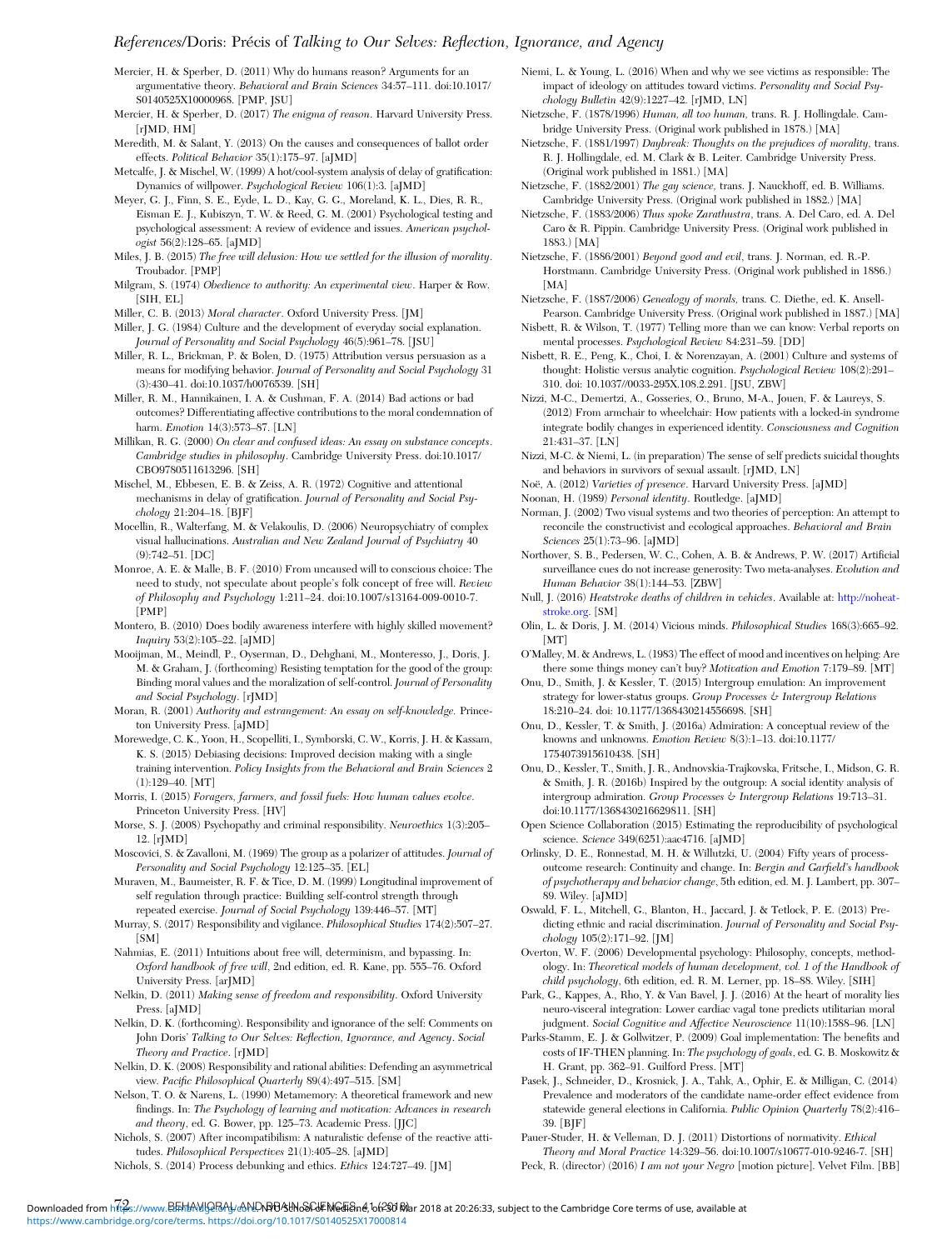## <span id="page-71-0"></span>References/Doris: Précis of Talking to Our Selves: Reflection, Ignorance, and Agency

- Mercier, H. & Sperber, D. (2011) Why do humans reason? Arguments for an argumentative theory. Behavioral and Brain Sciences 34:57–111. doi:10.1017/ S0140525X10000968. [PMP, JSU]
- Mercier, H. & Sperber, D. (2017) The enigma of reason. Harvard University Press. [rJMD, HM]
- Meredith, M. & Salant, Y. (2013) On the causes and consequences of ballot order effects. Political Behavior 35(1):175–97. [aJMD]
- Metcalfe, J. & Mischel, W. (1999) A hot/cool-system analysis of delay of gratification: Dynamics of willpower. Psychological Review 106(1):3. [aJMD]
- Meyer, G. J., Finn, S. E., Eyde, L. D., Kay, G. G., Moreland, K. L., Dies, R. R., Eisman E. J., Kubiszyn, T. W. & Reed, G. M. (2001) Psychological testing and psychological assessment: A review of evidence and issues. American psychologist 56(2):128–65. [aJMD]
- Miles, J. B. (2015) The free will delusion: How we settled for the illusion of morality. Troubador. [PMP]
- Milgram, S. (1974) Obedience to authority: An experimental view. Harper & Row. [SIH, EL]
- Miller, C. B. (2013) Moral character. Oxford University Press. [JM]
- Miller, J. G. (1984) Culture and the development of everyday social explanation. Journal of Personality and Social Psychology 46(5):961–78. [JSU]
- Miller, R. L., Brickman, P. & Bolen, D. (1975) Attribution versus persuasion as a means for modifying behavior. Journal of Personality and Social Psychology 31 (3):430–41. doi:10.1037/h0076539. [SH]
- Miller, R. M., Hannikainen, I. A. & Cushman, F. A. (2014) Bad actions or bad outcomes? Differentiating affective contributions to the moral condemnation of harm. Emotion 14(3):573–87. [LN]
- Millikan, R. G. (2000) On clear and confused ideas: An essay on substance concepts. Cambridge studies in philosophy. Cambridge University Press. doi:10.1017/ CBO9780511613296. [SH]
- Mischel, M., Ebbesen, E. B. & Zeiss, A. R. (1972) Cognitive and attentional mechanisms in delay of gratification. Journal of Personality and Social Psychology 21:204–18. [BJF]
- Mocellin, R., Walterfang, M. & Velakoulis, D. (2006) Neuropsychiatry of complex visual hallucinations. Australian and New Zealand Journal of Psychiatry 40 (9):742–51. [DC]
- Monroe, A. E. & Malle, B. F. (2010) From uncaused will to conscious choice: The need to study, not speculate about people's folk concept of free will. Review of Philosophy and Psychology 1:211–24. doi:10.1007/s13164-009-0010-7. [PMP]
- Montero, B. (2010) Does bodily awareness interfere with highly skilled movement? Inquiry 53(2):105–22. [aJMD]
- Mooijman, M., Meindl, P., Oyserman, D., Dehghani, M., Monteresso, J., Doris, J. M. & Graham, J. (forthcoming) Resisting temptation for the good of the group: Binding moral values and the moralization of self-control. Journal of Personality and Social Psychology. [rJMD]
- Moran, R. (2001) Authority and estrangement: An essay on self-knowledge. Princeton University Press. [aJMD]
- Morewedge, C. K., Yoon, H., Scopelliti, I., Symborski, C. W., Korris, J. H. & Kassam, K. S. (2015) Debiasing decisions: Improved decision making with a single training intervention. Policy Insights from the Behavioral and Brain Sciences 2 (1):129–40. [MT]
- Morris, I. (2015) Foragers, farmers, and fossil fuels: How human values evolve. Princeton University Press. [HV]
- Morse, S. J. (2008) Psychopathy and criminal responsibility. Neuroethics 1(3):205– 12. [rJMD]
- Moscovici, S. & Zavalloni, M. (1969) The group as a polarizer of attitudes. Journal of Personality and Social Psychology 12:125–35. [EL]
- Muraven, M., Baumeister, R. F. & Tice, D. M. (1999) Longitudinal improvement of self regulation through practice: Building self-control strength through repeated exercise. Journal of Social Psychology 139:446–57. [MT]
- Murray, S. (2017) Responsibility and vigilance. Philosophical Studies 174(2):507–27.  $[SM]$
- Nahmias, E. (2011) Intuitions about free will, determinism, and bypassing. In: Oxford handbook of free will, 2nd edition, ed. R. Kane, pp. 555–76. Oxford University Press. [arJMD]
- Nelkin, D. (2011) Making sense of freedom and responsibility. Oxford University Press. [aJMD]
- Nelkin, D. K. (forthcoming). Responsibility and ignorance of the self: Comments on John Doris' Talking to Our Selves: Reflection, Ignorance, and Agency. Social Theory and Practice. [rJMD]
- Nelkin, D. K. (2008) Responsibility and rational abilities: Defending an asymmetrical view. Pacific Philosophical Quarterly 89(4):497–515. [SM]
- Nelson, T. O. & Narens, L. (1990) Metamemory: A theoretical framework and new findings. In: The Psychology of learning and motivation: Advances in research and theory, ed. G. Bower, pp. 125–73. Academic Press. [JJC]
- Nichols, S. (2007) After incompatibilism: A naturalistic defense of the reactive attitudes. Philosophical Perspectives 21(1):405–28. [aJMD]
- Nichols, S. (2014) Process debunking and ethics. Ethics 124:727–49. [JM]
- Niemi, L. & Young, L. (2016) When and why we see victims as responsible: The impact of ideology on attitudes toward victims. Personality and Social Psychology Bulletin 42(9):1227–42. [rJMD, LN]
- Nietzsche, F. (1878/1996) Human, all too human, trans. R. J. Hollingdale. Cambridge University Press. (Original work published in 1878.) [MA]
- Nietzsche, F. (1881/1997) Daybreak: Thoughts on the prejudices of morality, trans. R. J. Hollingdale, ed. M. Clark & B. Leiter. Cambridge University Press. (Original work published in 1881.) [MA]
- Nietzsche, F. (1882/2001) The gay science, trans. J. Nauckhoff, ed. B. Williams. Cambridge University Press. (Original work published in 1882.) [MA]
- Nietzsche, F. (1883/2006) Thus spoke Zarathustra, trans. A. Del Caro, ed. A. Del Caro & R. Pippin. Cambridge University Press. (Original work published in 1883.) [MA]
- Nietzsche, F. (1886/2001) Beyond good and evil, trans. J. Norman, ed. R.-P. Horstmann. Cambridge University Press. (Original work published in 1886.) [MA]
- Nietzsche, F. (1887/2006) Genealogy of morals, trans. C. Diethe, ed. K. Ansell-
- Pearson. Cambridge University Press. (Original work published in 1887.) [MA] Nisbett, R. & Wilson, T. (1977) Telling more than we can know: Verbal reports on mental processes. Psychological Review 84:231–59. [DD]
- Nisbett, R. E., Peng, K., Choi, I. & Norenzayan, A. (2001) Culture and systems of thought: Holistic versus analytic cognition. Psychological Review 108(2):291– 310. doi: 10.1037//0033-295X.108.2.291. [JSU, ZBW]
- Nizzi, M-C., Demertzi, A., Gosseries, O., Bruno, M-A., Jouen, F. & Laureys, S. (2012) From armchair to wheelchair: How patients with a locked-in syndrome integrate bodily changes in experienced identity. Consciousness and Cognition 21:431–37. [LN]
- Nizzi, M-C. & Niemi, L. (in preparation) The sense of self predicts suicidal thoughts and behaviors in survivors of sexual assault. [rJMD, LN]
- Noë, A. (2012) Varieties of presence. Harvard University Press. [aJMD]
- Noonan, H. (1989) Personal identity. Routledge. [aJMD]
- Norman, J. (2002) Two visual systems and two theories of perception: An attempt to reconcile the constructivist and ecological approaches. Behavioral and Brain Sciences 25(1):73–96. [aJMD]
- Northover, S. B., Pedersen, W. C., Cohen, A. B. & Andrews, P. W. (2017) Artificial surveillance cues do not increase generosity: Two meta-analyses. Evolution and Human Behavior 38(1):144–53. [ZBW]
- Null, J. (2016) Heatstroke deaths of children in vehicles. Available at: [http://noheat](http://noheatstroke.org)[stroke.org.](http://noheatstroke.org) [SM]
- Olin, L. & Doris, J. M. (2014) Vicious minds. Philosophical Studies 168(3):665–92. [MT]
- O'Malley, M. & Andrews, L. (1983) The effect of mood and incentives on helping: Are there some things money can't buy? Motivation and Emotion 7:179–89. [MT]
- Onu, D., Smith, J. & Kessler, T. (2015) Intergroup emulation: An improvement strategy for lower-status groups. Group Processes & Intergroup Relations 18:210–24. doi: 10.1177/1368430214556698. [SH]
- Onu, D., Kessler, T. & Smith, J. (2016a) Admiration: A conceptual review of the knowns and unknowns. Emotion Review 8(3):1–13. doi:10.1177/ 1754073915610438. [SH]
- Onu, D., Kessler, T., Smith, J. R., Andnovskia-Trajkovska, Fritsche, I., Midson, G. R. & Smith, J. R. (2016b) Inspired by the outgroup: A social identity analysis of intergroup admiration. Group Processes & Intergroup Relations 19:713–31. doi:10.1177/1368430216629811. [SH]
- Open Science Collaboration (2015) Estimating the reproducibility of psychological science. Science 349(6251):aac4716. [aJMD]
- Orlinsky, D. E., Ronnestad, M. H. & Willutzki, U. (2004) Fifty years of processoutcome research: Continuity and change. In: Bergin and Garfield's handbook of psychotherapy and behavior change, 5th edition, ed. M. J. Lambert, pp. 307– 89. Wiley. [aJMD]
- Oswald, F. L., Mitchell, G., Blanton, H., Jaccard, J. & Tetlock, P. E. (2013) Predicting ethnic and racial discrimination. Journal of Personality and Social Psychology 105(2):171–92. [JM]
- Overton, W. F. (2006) Developmental psychology: Philosophy, concepts, methodology. In: Theoretical models of human development, vol. 1 of the Handbook of child psychology, 6th edition, ed. R. M. Lerner, pp. 18–88. Wiley. [SIH]
- Park, G., Kappes, A., Rho, Y. & Van Bavel, J. J. (2016) At the heart of morality lies neuro-visceral integration: Lower cardiac vagal tone predicts utilitarian moral judgment. Social Cognitive and Affective Neuroscience 11(10):1588–96. [LN]
- Parks-Stamm, E. J. & Gollwitzer, P. (2009) Goal implementation: The benefits and costs of IF-THEN planning. In: The psychology of goals, ed. G. B. Moskowitz & H. Grant, pp. 362–91. Guilford Press. [MT]
- Pasek, J., Schneider, D., Krosnick, J. A., Tahk, A., Ophir, E. & Milligan, C. (2014) Prevalence and moderators of the candidate name-order effect evidence from statewide general elections in California. Public Opinion Quarterly 78(2):416– 39. [BJF]
- Pauer-Studer, H. & Velleman, D. J. (2011) Distortions of normativity. Ethical Theory and Moral Practice 14:329–56. doi:10.1007/s10677-010-9246-7. [SH]
- Peck, R. (director) (2016) I am not your Negro [motion picture]. Velvet Film. [BB]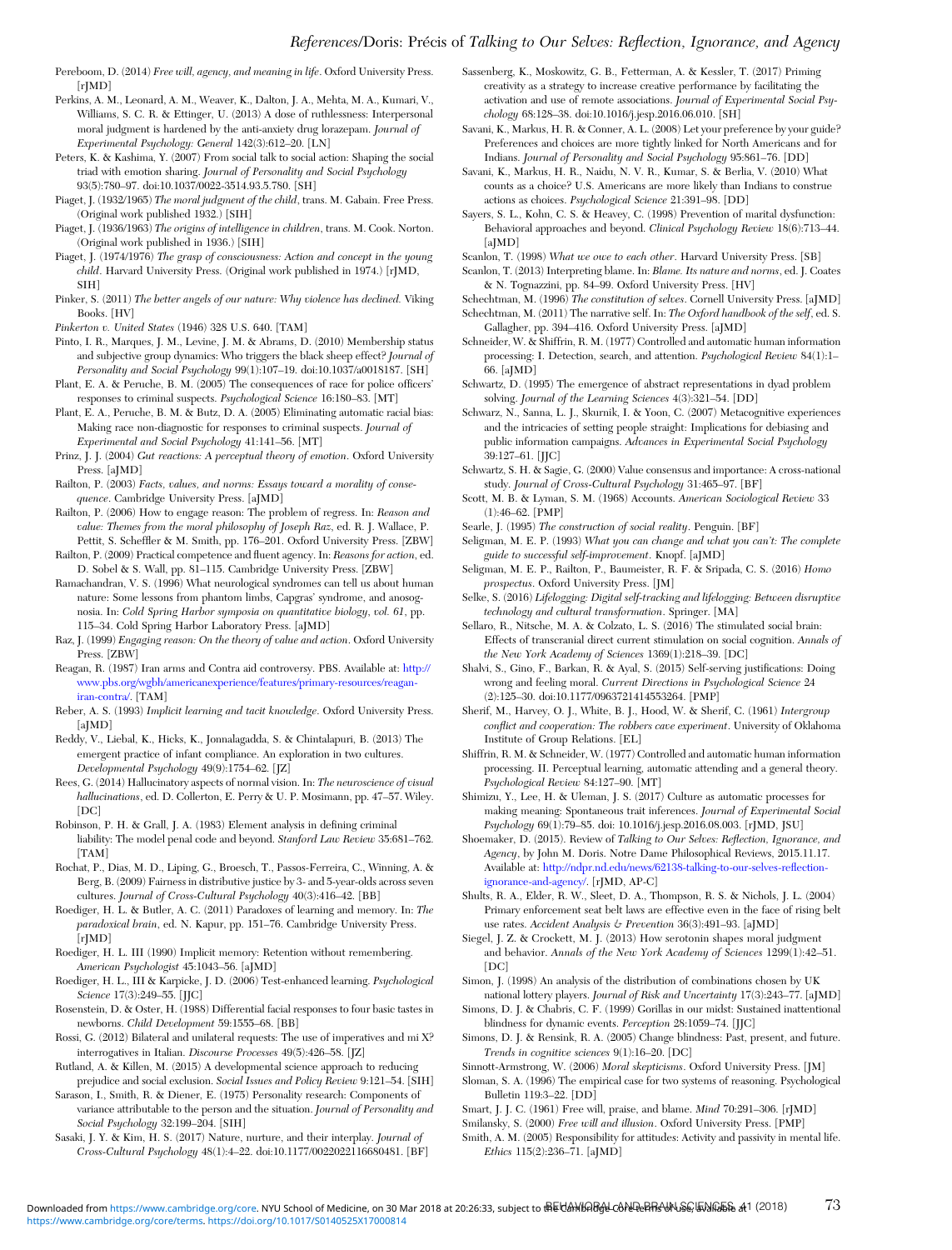Pereboom, D. (2014) Free will, agency, and meaning in life. Oxford University Press. [rJMD]

- Perkins, A. M., Leonard, A. M., Weaver, K., Dalton, J. A., Mehta, M. A., Kumari, V., Williams, S. C. R. & Ettinger, U. (2013) A dose of ruthlessness: Interpersonal moral judgment is hardened by the anti-anxiety drug lorazepam. Journal of Experimental Psychology: General 142(3):612–20. [LN]
- Peters, K. & Kashima, Y. (2007) From social talk to social action: Shaping the social triad with emotion sharing. Journal of Personality and Social Psychology 93(5):780–97. doi:10.1037/0022-3514.93.5.780. [SH]
- Piaget, J. (1932/1965) The moral judgment of the child, trans. M. Gabain. Free Press. (Original work published 1932.) [SIH]
- Piaget, J. (1936/1963) The origins of intelligence in children, trans. M. Cook. Norton. (Original work published in 1936.) [SIH]
- Piaget, J. (1974/1976) The grasp of consciousness: Action and concept in the young child. Harvard University Press. (Original work published in 1974.) [rJMD, SIH]
- Pinker, S. (2011) The better angels of our nature: Why violence has declined. Viking Books. [HV]
- Pinkerton v. United States (1946) 328 U.S. 640. [TAM]
- Pinto, I. R., Marques, J. M., Levine, J. M. & Abrams, D. (2010) Membership status and subjective group dynamics: Who triggers the black sheep effect? Journal of Personality and Social Psychology 99(1):107–19. doi:10.1037/a0018187. [SH]
- Plant, E. A. & Peruche, B. M. (2005) The consequences of race for police officers' responses to criminal suspects. Psychological Science 16:180–83. [MT]
- Plant, E. A., Peruche, B. M. & Butz, D. A. (2005) Eliminating automatic racial bias: Making race non-diagnostic for responses to criminal suspects. Journal of Experimental and Social Psychology 41:141–56. [MT]
- Prinz, J. J. (2004) Gut reactions: A perceptual theory of emotion. Oxford University Press. [aJMD]
- Railton, P. (2003) Facts, values, and norms: Essays toward a morality of consequence. Cambridge University Press. [aJMD]
- Railton, P. (2006) How to engage reason: The problem of regress. In: Reason and value: Themes from the moral philosophy of Joseph Raz, ed. R. J. Wallace, P. Pettit, S. Scheffler & M. Smith, pp. 176–201. Oxford University Press. [ZBW]
- Railton, P. (2009) Practical competence and fluent agency. In: Reasons for action, ed. D. Sobel & S. Wall, pp. 81–115. Cambridge University Press. [ZBW]
- Ramachandran, V. S. (1996) What neurological syndromes can tell us about human nature: Some lessons from phantom limbs, Capgras' syndrome, and anosognosia. In: Cold Spring Harbor symposia on quantitative biology, vol. 61, pp. 115–34. Cold Spring Harbor Laboratory Press. [aJMD]
- Raz, J. (1999) Engaging reason: On the theory of value and action. Oxford University Press. [ZBW]
- Reagan, R. (1987) Iran arms and Contra aid controversy. PBS. Available at: [http://](http://www.pbs.org/wgbh/americanexperience/features/primary-resources/reagan-iran-contra/) [www.pbs.org/wgbh/americanexperience/features/primary-resources/reagan](http://www.pbs.org/wgbh/americanexperience/features/primary-resources/reagan-iran-contra/)[iran-contra/](http://www.pbs.org/wgbh/americanexperience/features/primary-resources/reagan-iran-contra/). [TAM]
- Reber, A. S. (1993) Implicit learning and tacit knowledge. Oxford University Press. [aJMD]
- Reddy, V., Liebal, K., Hicks, K., Jonnalagadda, S. & Chintalapuri, B. (2013) The emergent practice of infant compliance. An exploration in two cultures. Developmental Psychology 49(9):1754–62. [JZ]
- Rees, G. (2014) Hallucinatory aspects of normal vision. In: The neuroscience of visual hallucinations, ed. D. Collerton, E. Perry & U. P. Mosimann, pp. 47–57. Wiley. [DC]
- Robinson, P. H. & Grall, J. A. (1983) Element analysis in defining criminal liability: The model penal code and beyond. Stanford Law Review 35:681–762. [TAM]
- Rochat, P., Dias, M. D., Liping, G., Broesch, T., Passos-Ferreira, C., Winning, A. & Berg, B. (2009) Fairness in distributive justice by 3- and 5-year-olds across seven cultures. Journal of Cross-Cultural Psychology 40(3):416–42. [BB]
- Roediger, H. L. & Butler, A. C. (2011) Paradoxes of learning and memory. In: The paradoxical brain, ed. N. Kapur, pp. 151–76. Cambridge University Press. [rIMD]
- Roediger, H. L. III (1990) Implicit memory: Retention without remembering. American Psychologist 45:1043–56. [aJMD]
- Roediger, H. L., III & Karpicke, J. D. (2006) Test-enhanced learning. Psychological Science 17(3):249-55. [JJC]
- Rosenstein, D. & Oster, H. (1988) Differential facial responses to four basic tastes in newborns. Child Development 59:1555–68. [BB]
- Rossi, G. (2012) Bilateral and unilateral requests: The use of imperatives and mi X? interrogatives in Italian. Discourse Processes 49(5):426–58. [JZ]
- Rutland, A. & Killen, M. (2015) A developmental science approach to reducing prejudice and social exclusion. Social Issues and Policy Review 9:121–54. [SIH]
- Sarason, I., Smith, R. & Diener, E. (1975) Personality research: Components of variance attributable to the person and the situation. Journal of Personality and Social Psychology 32:199–204. [SIH]
- Sasaki, J. Y. & Kim, H. S. (2017) Nature, nurture, and their interplay. Journal of Cross-Cultural Psychology 48(1):4–22. doi:10.1177/0022022116680481. [BF]
- Sassenberg, K., Moskowitz, G. B., Fetterman, A. & Kessler, T. (2017) Priming creativity as a strategy to increase creative performance by facilitating the activation and use of remote associations. Journal of Experimental Social Psychology 68:128–38. doi:10.1016/j.jesp.2016.06.010. [SH]
- Savani, K., Markus, H. R. & Conner, A. L. (2008) Let your preference by your guide? Preferences and choices are more tightly linked for North Americans and for Indians. Journal of Personality and Social Psychology 95:861–76. [DD]
- Savani, K., Markus, H. R., Naidu, N. V. R., Kumar, S. & Berlia, V. (2010) What counts as a choice? U.S. Americans are more likely than Indians to construe actions as choices. Psychological Science 21:391–98. [DD]
- Sayers, S. L., Kohn, C. S. & Heavey, C. (1998) Prevention of marital dysfunction: Behavioral approaches and beyond. Clinical Psychology Review 18(6):713–44. [aJMD]
- Scanlon, T. (1998) What we owe to each other. Harvard University Press. [SB]
- Scanlon, T. (2013) Interpreting blame. In: Blame. Its nature and norms, ed. J. Coates & N. Tognazzini, pp. 84–99. Oxford University Press. [HV]
- Schechtman, M. (1996) The constitution of selves. Cornell University Press. [aJMD] Schechtman, M. (2011) The narrative self. In: The Oxford handbook of the self, ed. S. Gallagher, pp. 394–416. Oxford University Press. [aJMD]
- Schneider, W. & Shiffrin, R. M. (1977) Controlled and automatic human information processing: I. Detection, search, and attention. Psychological Review 84(1):1– 66. [aJMD]
- Schwartz, D. (1995) The emergence of abstract representations in dyad problem solving. Journal of the Learning Sciences 4(3):321–54. [DD]
- Schwarz, N., Sanna, L. J., Skurnik, I. & Yoon, C. (2007) Metacognitive experiences and the intricacies of setting people straight: Implications for debiasing and public information campaigns. Advances in Experimental Social Psychology 39:127–61. [JJC]
- Schwartz, S. H. & Sagie, G. (2000) Value consensus and importance: A cross-national study. Journal of Cross-Cultural Psychology 31:465–97. [BF]
- Scott, M. B. & Lyman, S. M. (1968) Accounts. American Sociological Review 33 (1):46–62. [PMP]
- Searle, J. (1995) The construction of social reality. Penguin. [BF]
- Seligman, M. E. P. (1993) What you can change and what you can't: The complete guide to successful self-improvement. Knopf. [aJMD]
- Seligman, M. E. P., Railton, P., Baumeister, R. F. & Sripada, C. S. (2016) Homo prospectus. Oxford University Press. [JM]
- Selke, S. (2016) Lifelogging: Digital self-tracking and lifelogging: Between disruptive technology and cultural transformation. Springer. [MA]
- Sellaro, R., Nitsche, M. A. & Colzato, L. S. (2016) The stimulated social brain: Effects of transcranial direct current stimulation on social cognition. Annals of the New York Academy of Sciences 1369(1):218–39. [DC]
- Shalvi, S., Gino, F., Barkan, R. & Ayal, S. (2015) Self-serving justifications: Doing wrong and feeling moral. Current Directions in Psychological Science 24 (2):125–30. doi:10.1177/0963721414553264. [PMP]
- Sherif, M., Harvey, O. J., White, B. J., Hood, W. & Sherif, C. (1961) Intergroup conflict and cooperation: The robbers cave experiment. University of Oklahoma Institute of Group Relations. [EL]
- Shiffrin, R. M. & Schneider, W. (1977) Controlled and automatic human information processing. II. Perceptual learning, automatic attending and a general theory. Psychological Review 84:127–90. [MT]
- Shimizu, Y., Lee, H. & Uleman, J. S. (2017) Culture as automatic processes for making meaning: Spontaneous trait inferences. Journal of Experimental Social Psychology 69(1):79–85. doi: 10.1016/j.jesp.2016.08.003. [rJMD, JSU]
- Shoemaker, D. (2015). Review of Talking to Our Selves: Reflection, Ignorance, and Agency, by John M. Doris. Notre Dame Philosophical Reviews, 2015.11.17. Available at: [http://ndpr.nd.edu/news/62138-talking-to-our-selves-re](http://ndpr.nd.edu/news/62138-talking-to-our-selves-reflection-ignorance-and-agency/)flection[ignorance-and-agency/.](http://ndpr.nd.edu/news/62138-talking-to-our-selves-reflection-ignorance-and-agency/) [rJMD, AP-C]
- Shults, R. A., Elder, R. W., Sleet, D. A., Thompson, R. S. & Nichols, J. L. (2004) Primary enforcement seat belt laws are effective even in the face of rising belt use rates. Accident Analysis & Prevention 36(3):491-93. [aJMD]
- Siegel, J. Z. & Crockett, M. J. (2013) How serotonin shapes moral judgment and behavior. Annals of the New York Academy of Sciences 1299(1):42–51. [DC]
- Simon, J. (1998) An analysis of the distribution of combinations chosen by UK
- national lottery players. Journal of Risk and Uncertainty 17(3):243–77. [aJMD] Simons, D. J. & Chabris, C. F. (1999) Gorillas in our midst: Sustained inattentional blindness for dynamic events. Perception 28:1059–74. [JJC]
- Simons, D. J. & Rensink, R. A. (2005) Change blindness: Past, present, and future. Trends in cognitive sciences 9(1):16–20. [DC]
- Sinnott-Armstrong, W. (2006) Moral skepticisms. Oxford University Press. [JM] Sloman, S. A. (1996) The empirical case for two systems of reasoning. Psychological Bulletin 119:3–22. [DD]
- Smart, J. J. C. (1961) Free will, praise, and blame. Mind 70:291–306. [rJMD]

Smilansky, S. (2000) Free will and illusion. Oxford University Press. [PMP]

Smith, A. M. (2005) Responsibility for attitudes: Activity and passivity in mental life. Ethics 115(2):236–71. [aJMD]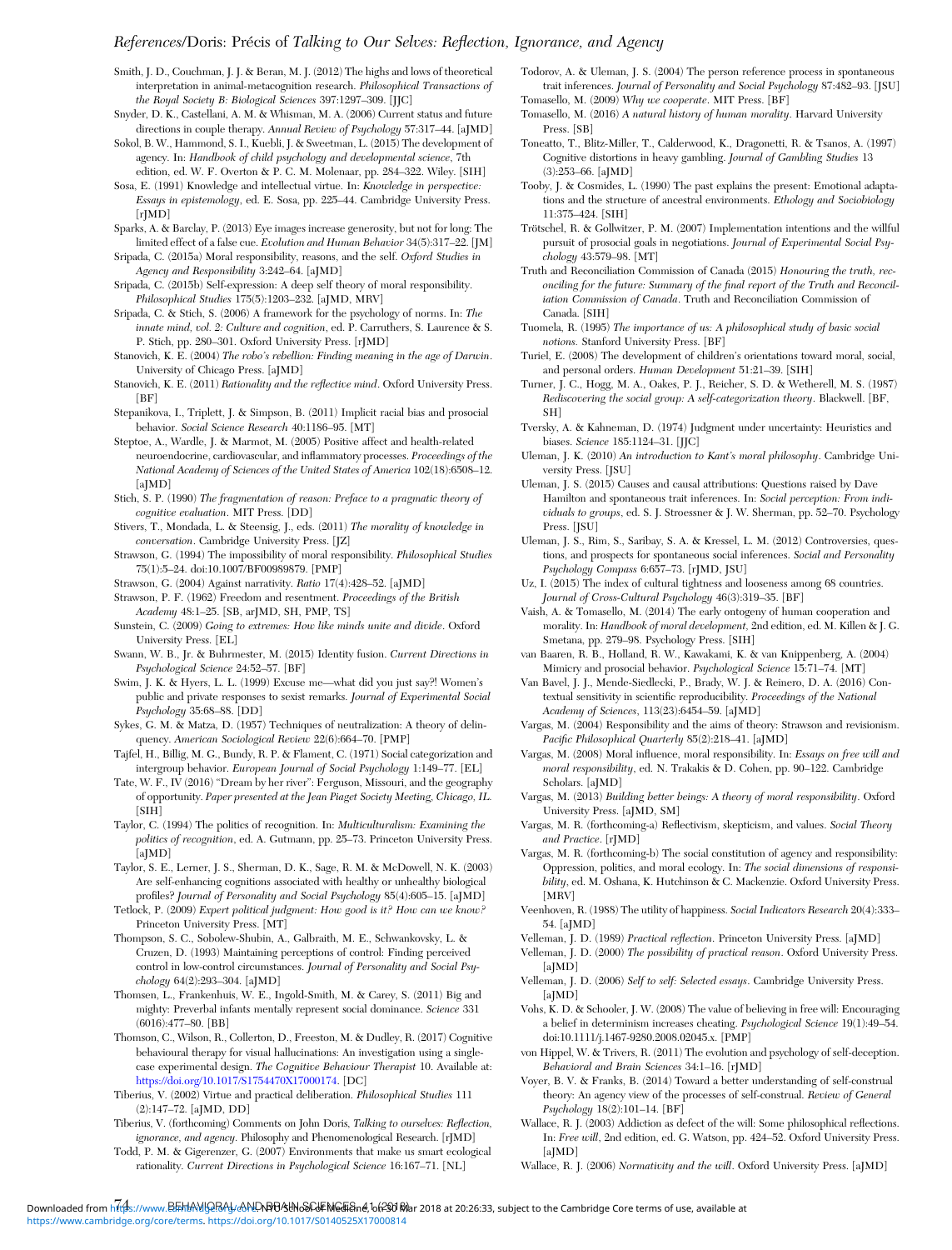## References/Doris: Précis of Talking to Our Selves: Reflection, Ignorance, and Agency

- Smith, J. D., Couchman, J. J. & Beran, M. J. (2012) The highs and lows of theoretical interpretation in animal-metacognition research. Philosophical Transactions of the Royal Society B: Biological Sciences 397:1297–309. [JJC]
- Snyder, D. K., Castellani, A. M. & Whisman, M. A. (2006) Current status and future directions in couple therapy. Annual Review of Psychology 57:317–44. [aJMD]
- Sokol, B. W., Hammond, S. I., Kuebli, J. & Sweetman, L. (2015) The development of agency. In: Handbook of child psychology and developmental science, 7th edition, ed. W. F. Overton & P. C. M. Molenaar, pp. 284–322. Wiley. [SIH]
- Sosa, E. (1991) Knowledge and intellectual virtue. In: Knowledge in perspective: Essays in epistemology, ed. E. Sosa, pp. 225–44. Cambridge University Press. [rIMD]
- Sparks, A. & Barclay, P. (2013) Eye images increase generosity, but not for long: The limited effect of a false cue. Evolution and Human Behavior 34(5):317–22. [JM]
- Sripada, C. (2015a) Moral responsibility, reasons, and the self. Oxford Studies in Agency and Responsibility 3:242–64. [aJMD]
- Sripada, C. (2015b) Self-expression: A deep self theory of moral responsibility. Philosophical Studies 175(5):1203–232. [aJMD, MRV]
- Sripada, C. & Stich, S. (2006) A framework for the psychology of norms. In: The innate mind, vol. 2: Culture and cognition, ed. P. Carruthers, S. Laurence & S. P. Stich, pp. 280–301. Oxford University Press. [rJMD]
- Stanovich, K. E. (2004) The robo's rebellion: Finding meaning in the age of Darwin. University of Chicago Press. [aJMD]
- Stanovich, K. E. (2011) Rationality and the reflective mind. Oxford University Press.  $[BF]$
- Stepanikova, I., Triplett, J. & Simpson, B. (2011) Implicit racial bias and prosocial behavior. Social Science Research 40:1186–95. [MT]
- Steptoe, A., Wardle, J. & Marmot, M. (2005) Positive affect and health-related neuroendocrine, cardiovascular, and inflammatory processes. Proceedings of the National Academy of Sciences of the United States of America 102(18):6508–12. [aJMD]
- Stich, S. P. (1990) The fragmentation of reason: Preface to a pragmatic theory of cognitive evaluation. MIT Press. [DD]
- Stivers, T., Mondada, L. & Steensig, J., eds. (2011) The morality of knowledge in conversation. Cambridge University Press. [JZ]
- Strawson, G. (1994) The impossibility of moral responsibility. Philosophical Studies 75(1):5–24. doi:10.1007/BF00989879. [PMP]
- Strawson, G. (2004) Against narrativity. Ratio 17(4):428–52. [aJMD]
- Strawson, P. F. (1962) Freedom and resentment. Proceedings of the British Academy 48:1–25. [SB, arJMD, SH, PMP, TS]
- Sunstein, C. (2009) Going to extremes: How like minds unite and divide. Oxford University Press. [EL]
- Swann, W. B., Jr. & Buhrmester, M. (2015) Identity fusion. Current Directions in Psychological Science 24:52–57. [BF]
- Swim, J. K. & Hyers, L. L. (1999) Excuse me—what did you just say?! Women's public and private responses to sexist remarks. Journal of Experimental Social Psychology 35:68–88. [DD]
- Sykes, G. M. & Matza, D. (1957) Techniques of neutralization: A theory of delinquency. American Sociological Review 22(6):664–70. [PMP]
- Tajfel, H., Billig, M. G., Bundy, R. P. & Flament, C. (1971) Social categorization and intergroup behavior. European Journal of Social Psychology 1:149–77. [EL]
- Tate, W. F., IV (2016) "Dream by her river": Ferguson, Missouri, and the geography of opportunity. Paper presented at the Jean Piaget Society Meeting, Chicago, IL. [SIH]
- Taylor, C. (1994) The politics of recognition. In: Multiculturalism: Examining the politics of recognition, ed. A. Gutmann, pp. 25–73. Princeton University Press.  $[a|MD]$
- Taylor, S. E., Lerner, J. S., Sherman, D. K., Sage, R. M. & McDowell, N. K. (2003) Are self-enhancing cognitions associated with healthy or unhealthy biological profiles? Journal of Personality and Social Psychology 85(4):605–15. [aJMD]
- Tetlock, P. (2009) Expert political judgment: How good is it? How can we know? Princeton University Press. [MT]
- Thompson, S. C., Sobolew-Shubin, A., Galbraith, M. E., Schwankovsky, L. & Cruzen, D. (1993) Maintaining perceptions of control: Finding perceived control in low-control circumstances. Journal of Personality and Social Psychology 64(2):293–304. [aJMD]
- Thomsen, L., Frankenhuis, W. E., Ingold-Smith, M. & Carey, S. (2011) Big and mighty: Preverbal infants mentally represent social dominance.  $Science\ 331$ (6016):477–80. [BB]
- Thomson, C., Wilson, R., Collerton, D., Freeston, M. & Dudley, R. (2017) Cognitive behavioural therapy for visual hallucinations: An investigation using a singlecase experimental design. The Cognitive Behaviour Therapist 10. Available at: [https://doi.org/10.1017/S1754470X17000174.](https://doi.org/10.1017/S1754470X17000174) [DC]
- Tiberius, V. (2002) Virtue and practical deliberation. Philosophical Studies 111 (2):147–72. [aJMD, DD]
- Tiberius, V. (forthcoming) Comments on John Doris, Talking to ourselves: Reflection, ignorance, and agency. Philosophy and Phenomenological Research. [rJMD]
- Todd, P. M. & Gigerenzer, G. (2007) Environments that make us smart ecological rationality. Current Directions in Psychological Science 16:167–71. [NL]
- Todorov, A. & Uleman, J. S. (2004) The person reference process in spontaneous trait inferences. Journal of Personality and Social Psychology 87:482–93. [JSU] Tomasello, M. (2009) Why we cooperate. MIT Press. [BF]
- Tomasello, M. (2016) A natural history of human morality. Harvard University Press. [SB]
- Toneatto, T., Blitz-Miller, T., Calderwood, K., Dragonetti, R. & Tsanos, A. (1997) Cognitive distortions in heavy gambling. Journal of Gambling Studies 13  $(3):253-66.$  [aIMD]
- Tooby, J. & Cosmides, L. (1990) The past explains the present: Emotional adaptations and the structure of ancestral environments. Ethology and Sociobiology 11:375–424. [SIH]
- Trötschel, R. & Gollwitzer, P. M. (2007) Implementation intentions and the willful pursuit of prosocial goals in negotiations. Journal of Experimental Social Psychology 43:579–98. [MT]
- Truth and Reconciliation Commission of Canada (2015) Honouring the truth, reconciling for the future: Summary of the final report of the Truth and Reconciliation Commission of Canada. Truth and Reconciliation Commission of Canada. [SIH]
- Tuomela, R. (1995) The importance of us: A philosophical study of basic social notions. Stanford University Press. [BF]
- Turiel, E. (2008) The development of children's orientations toward moral, social, and personal orders. Human Development 51:21–39. [SIH]
- Turner, J. C., Hogg, M. A., Oakes, P. J., Reicher, S. D. & Wetherell, M. S. (1987) Rediscovering the social group: A self-categorization theory. Blackwell. [BF, SH]
- Tversky, A. & Kahneman, D. (1974) Judgment under uncertainty: Heuristics and biases. Science 185:1124–31. [JJC]
- Uleman, J. K. (2010) An introduction to Kant's moral philosophy. Cambridge University Press. [JSU]
- Uleman, J. S. (2015) Causes and causal attributions: Questions raised by Dave Hamilton and spontaneous trait inferences. In: Social perception: From individuals to groups, ed. S. J. Stroessner & J. W. Sherman, pp. 52–70. Psychology Press. [JSU]
- Uleman, J. S., Rim, S., Saribay, S. A. & Kressel, L. M. (2012) Controversies, questions, and prospects for spontaneous social inferences. Social and Personality Psychology Compass 6:657–73. [rJMD, JSU]
- Uz, I. (2015) The index of cultural tightness and looseness among 68 countries. Journal of Cross-Cultural Psychology 46(3):319–35. [BF]
- Vaish, A. & Tomasello, M. (2014) The early ontogeny of human cooperation and morality. In: Handbook of moral development, 2nd edition, ed. M. Killen & J. G. Smetana, pp. 279–98. Psychology Press. [SIH]
- van Baaren, R. B., Holland, R. W., Kawakami, K. & van Knippenberg, A. (2004) Mimicry and prosocial behavior. Psychological Science 15:71–74. [MT]
- Van Bavel, J. J., Mende-Siedlecki, P., Brady, W. J. & Reinero, D. A. (2016) Contextual sensitivity in scientific reproducibility. Proceedings of the National Academy of Sciences, 113(23):6454–59. [aJMD]
- Vargas, M. (2004) Responsibility and the aims of theory: Strawson and revisionism. Pacific Philosophical Quarterly 85(2):218-41. [aJMD]
- Vargas, M. (2008) Moral influence, moral responsibility. In: Essays on free will and moral responsibility, ed. N. Trakakis & D. Cohen, pp. 90–122. Cambridge Scholars. [aJMD]
- Vargas, M. (2013) Building better beings: A theory of moral responsibility. Oxford University Press. [aJMD, SM]
- Vargas, M. R. (forthcoming-a) Reflectivism, skepticism, and values. Social Theory and Practice. [rJMD]
- Vargas, M. R. (forthcoming-b) The social constitution of agency and responsibility: Oppression, politics, and moral ecology. In: The social dimensions of responsibility, ed. M. Oshana, K. Hutchinson & C. Mackenzie. Oxford University Press. [MRV]
- Veenhoven, R. (1988) The utility of happiness. Social Indicators Research 20(4):333– 54. [aJMD]
- Velleman, J. D. (1989) Practical reflection. Princeton University Press. [aJMD]
- Velleman, J. D. (2000) The possibility of practical reason. Oxford University Press.  $[a|MD]$
- Velleman, J. D. (2006) Self to self: Selected essays. Cambridge University Press. [aJMD]
- Vohs, K. D. & Schooler, J. W. (2008) The value of believing in free will: Encouraging a belief in determinism increases cheating. Psychological Science 19(1):49–54. doi:10.1111/j.1467-9280.2008.02045.x. [PMP]
- von Hippel, W. & Trivers, R. (2011) The evolution and psychology of self-deception. Behavioral and Brain Sciences 34:1–16. [rJMD]
- Voyer, B. V. & Franks, B. (2014) Toward a better understanding of self-construal theory: An agency view of the processes of self-construal. Review of General Psychology 18(2):101–14. [BF]
- Wallace, R. J. (2003) Addiction as defect of the will: Some philosophical reflections. In: Free will, 2nd edition, ed. G. Watson, pp. 424–52. Oxford University Press. [aJMD]
- Wallace, R. J. (2006) Normativity and the will. Oxford University Press. [aJMD]